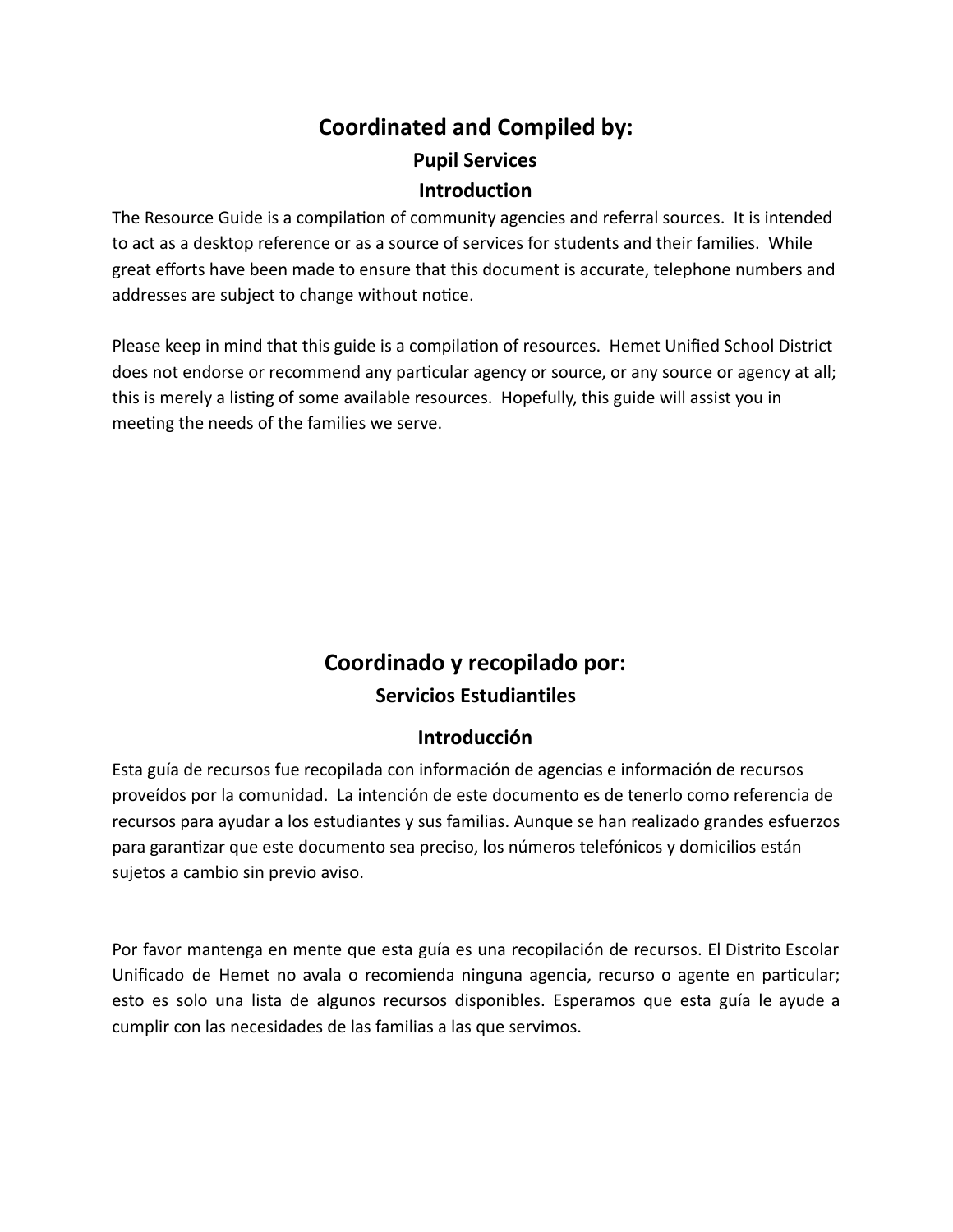# **Coordinated and Compiled by: Pupil Services Introduction**

The Resource Guide is a compilation of community agencies and referral sources. It is intended to act as a desktop reference or as a source of services for students and their families. While great efforts have been made to ensure that this document is accurate, telephone numbers and addresses are subject to change without notice.

Please keep in mind that this guide is a compilation of resources. Hemet Unified School District does not endorse or recommend any particular agency or source, or any source or agency at all; this is merely a listing of some available resources. Hopefully, this guide will assist you in meeting the needs of the families we serve.

# **Coordinado y recopilado por: Servicios Estudiantiles**

# **Introducción**

Esta guía de recursos fue recopilada con información de agencias e información de recursos proveídos por la comunidad. La intención de este documento es de tenerlo como referencia de recursos para ayudar a los estudiantes y sus familias. Aunque se han realizado grandes esfuerzos para garantizar que este documento sea preciso, los números telefónicos y domicilios están sujetos a cambio sin previo aviso.

Por favor mantenga en mente que esta guía es una recopilación de recursos. El Distrito Escolar Unificado de Hemet no avala o recomienda ninguna agencia, recurso o agente en particular; esto es solo una lista de algunos recursos disponibles. Esperamos que esta guía le ayude a cumplir con las necesidades de las familias a las que servimos.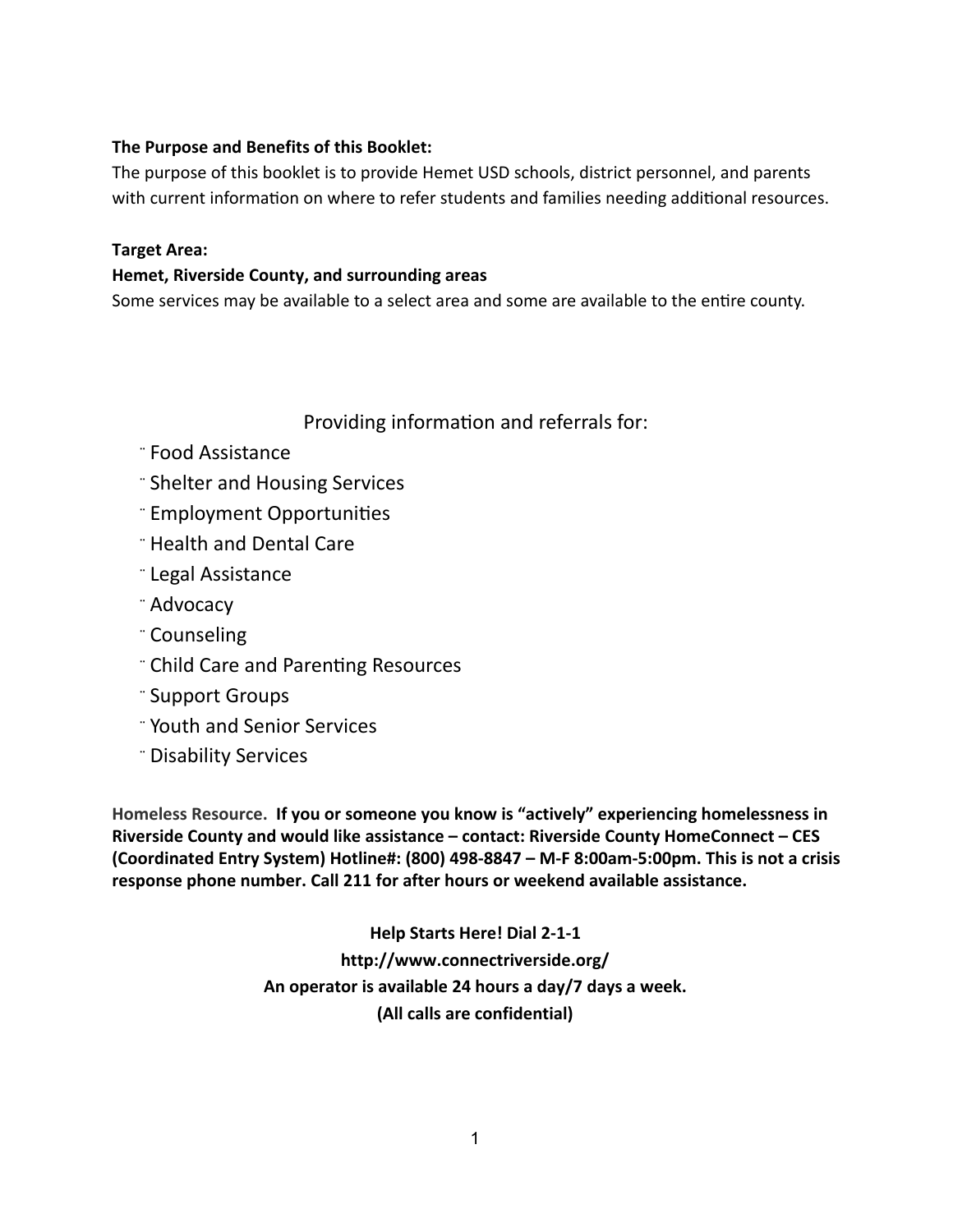#### **The Purpose and Benefits of this Booklet:**

The purpose of this booklet is to provide Hemet USD schools, district personnel, and parents with current information on where to refer students and families needing additional resources.

#### **Target Area:**

#### **Hemet, Riverside County, and surrounding areas**

Some services may be available to a select area and some are available to the entire county.

Providing information and referrals for:

- ¨ Food Assistance
- ¨ Shelter and Housing Services
- ¨ Employment Opportunies
- ¨ Health and Dental Care
- ¨ Legal Assistance
- ¨ Advocacy
- ¨ Counseling
- " Child Care and Parenting Resources
- ¨ Support Groups
- ¨ Youth and Senior Services
- ¨ Disability Services

**Homeless Resource. If you or someone you know is "actively" experiencing homelessness in Riverside County and would like assistance – contact: Riverside County HomeConnect – CES (Coordinated Entry System) Hotline#: (800) 498-8847 – M-F 8:00am-5:00pm. This is not a crisis response phone number. Call 211 for after hours or weekend available assistance.**

> **Help Starts Here! Dial 2-1-1 http://www.connectriverside.org/ An operator is available 24 hours a day/7 days a week. (All calls are confidential)**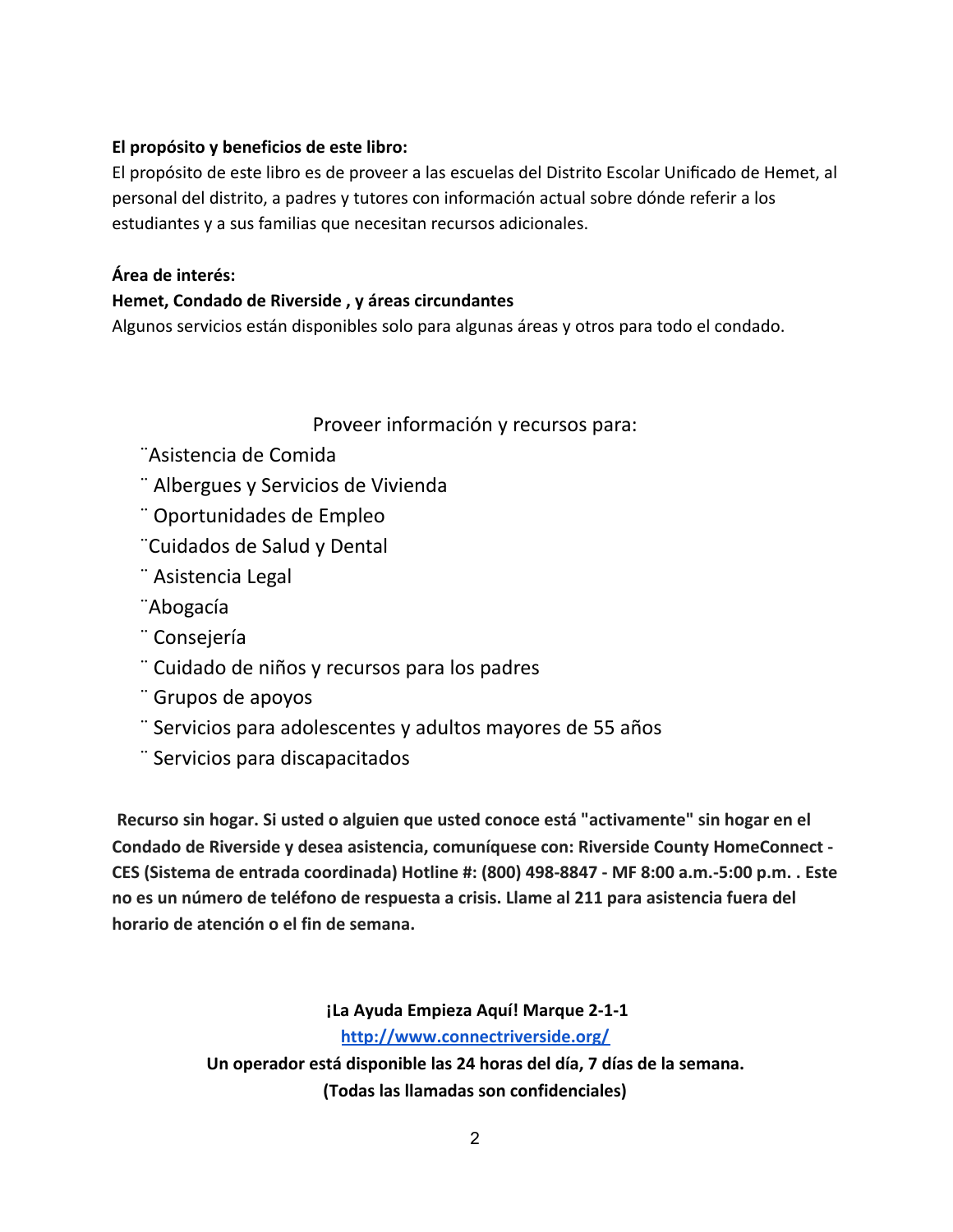#### **El propósito y beneficios de este libro:**

El propósito de este libro es de proveer a las escuelas del Distrito Escolar Unificado de Hemet, al personal del distrito, a padres y tutores con información actual sobre dónde referir a los estudiantes y a sus familias que necesitan recursos adicionales.

#### **Área de interés:**

#### **Hemet, Condado de Riverside , y áreas circundantes**

Algunos servicios están disponibles solo para algunas áreas y otros para todo el condado.

#### Proveer información y recursos para:

- ¨Asistencia de Comida
- ¨ Albergues y Servicios de Vivienda
- ¨ Oportunidades de Empleo
- ¨Cuidados de Salud y Dental
- ¨ Asistencia Legal
- ¨Abogacía
- ¨ Consejería
- ¨ Cuidado de niños y recursos para los padres
- ¨ Grupos de apoyos
- ¨ Servicios para adolescentes y adultos mayores de 55 años
- ¨ Servicios para discapacitados

**Recurso sin hogar. Si usted o alguien que usted conoce está "activamente" sin hogar en el Condado de Riverside y desea asistencia, comuníquese con: Riverside County HomeConnect - CES (Sistema de entrada coordinada) Hotline #: (800) 498-8847 - MF 8:00 a.m.-5:00 p.m. . Este no es un número de teléfono de respuesta a crisis. Llame al 211 para asistencia fuera del horario de atención o el fin de semana.**

> **¡La Ayuda Empieza Aquí! Marque 2-1-1 <http://www.connectriverside.org/> Un operador está disponible las 24 horas del día, 7 días de la semana. (Todas las llamadas son confidenciales)**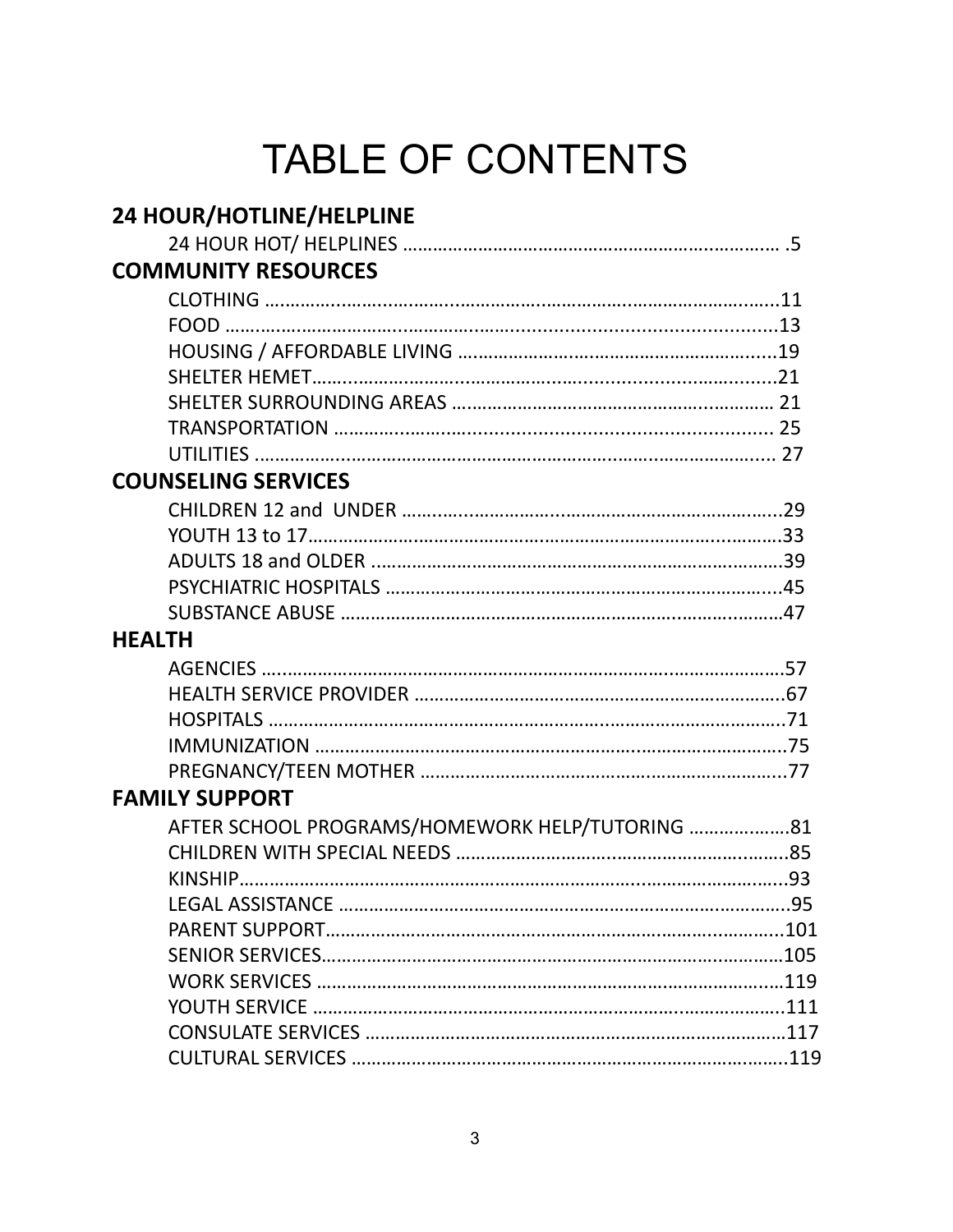# TABLE OF CONTENTS

| 24 HOUR/HOTLINE/HELPLINE                        |  |
|-------------------------------------------------|--|
|                                                 |  |
| <b>COMMUNITY RESOURCES</b>                      |  |
|                                                 |  |
|                                                 |  |
|                                                 |  |
|                                                 |  |
|                                                 |  |
|                                                 |  |
|                                                 |  |
| <b>COUNSELING SERVICES</b>                      |  |
|                                                 |  |
|                                                 |  |
|                                                 |  |
|                                                 |  |
|                                                 |  |
| <b>HEALTH</b>                                   |  |
|                                                 |  |
|                                                 |  |
|                                                 |  |
|                                                 |  |
|                                                 |  |
| <b>FAMILY SUPPORT</b>                           |  |
| AFTER SCHOOL PROGRAMS/HOMEWORK HELP/TUTORING 81 |  |
|                                                 |  |
|                                                 |  |
|                                                 |  |
|                                                 |  |
|                                                 |  |
|                                                 |  |
|                                                 |  |
|                                                 |  |
|                                                 |  |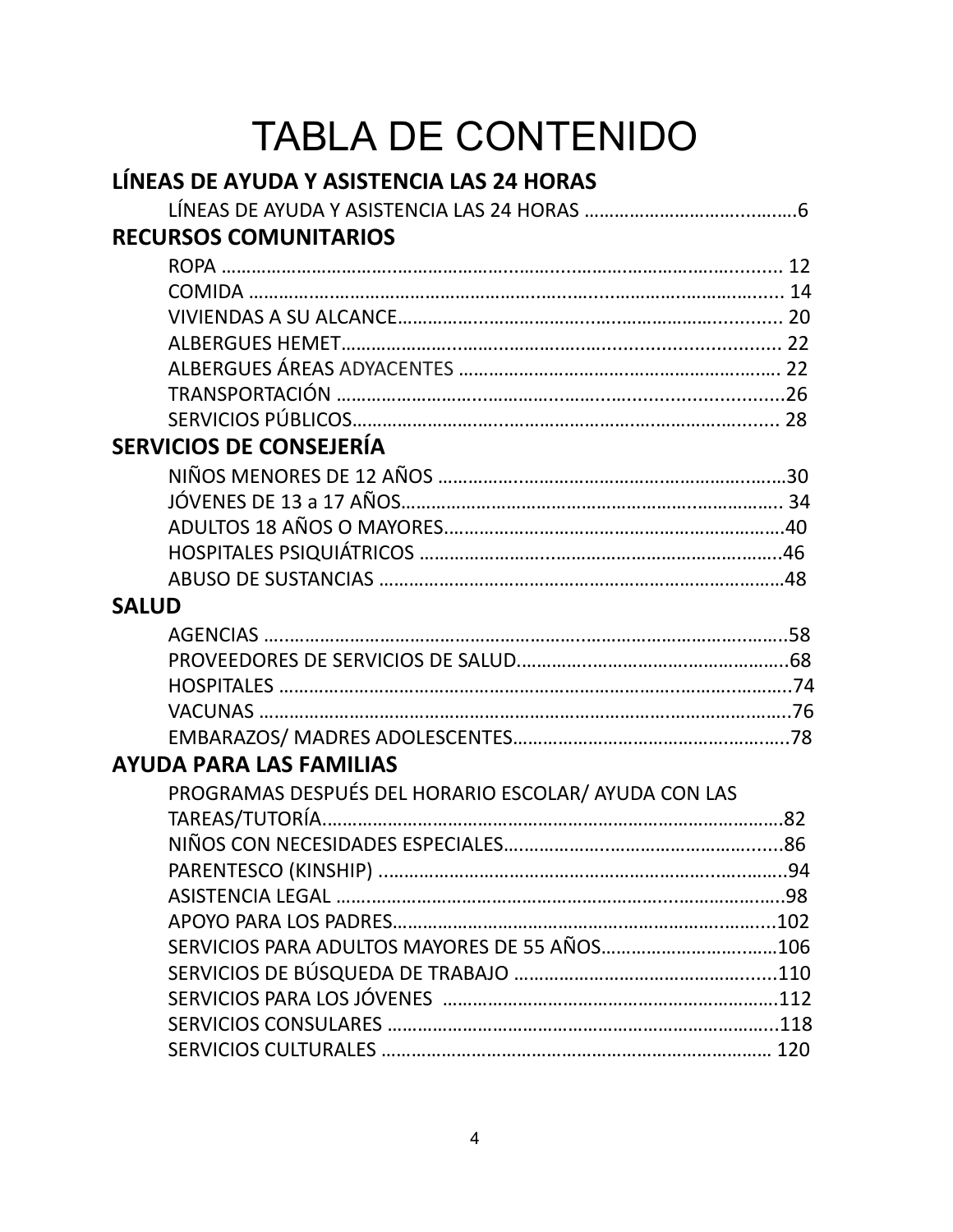# TABLA DE CONTENIDO

| LÍNEAS DE AYUDA Y ASISTENCIA LAS 24 HORAS            |  |
|------------------------------------------------------|--|
|                                                      |  |
| <b>RECURSOS COMUNITARIOS</b>                         |  |
|                                                      |  |
|                                                      |  |
|                                                      |  |
|                                                      |  |
|                                                      |  |
|                                                      |  |
|                                                      |  |
| <b>SERVICIOS DE CONSEJERÍA</b>                       |  |
|                                                      |  |
|                                                      |  |
|                                                      |  |
|                                                      |  |
|                                                      |  |
| <b>SALUD</b>                                         |  |
| AGENCIAS ……………………………………………………………………………………………58       |  |
|                                                      |  |
|                                                      |  |
|                                                      |  |
|                                                      |  |
| <b>AYUDA PARA LAS FAMILIAS</b>                       |  |
| PROGRAMAS DESPUÉS DEL HORARIO ESCOLAR/ AYUDA CON LAS |  |
|                                                      |  |
|                                                      |  |
|                                                      |  |
|                                                      |  |
|                                                      |  |
|                                                      |  |
|                                                      |  |
|                                                      |  |
|                                                      |  |
|                                                      |  |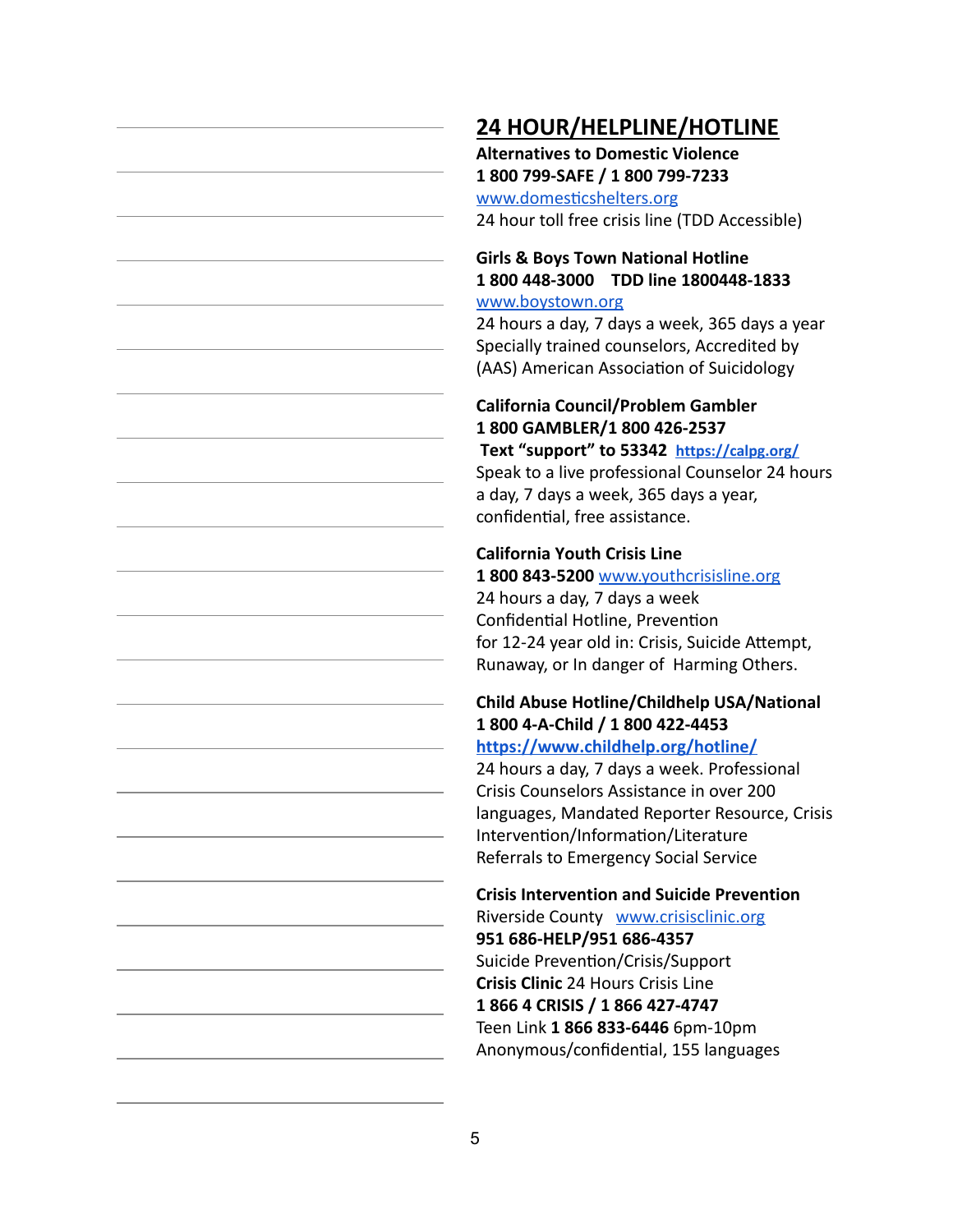# **24 HOUR/HELPLINE/HOTLINE**

**Alternatives to Domestic Violence 1 800 799-SAFE / 1 800 799-7233** www.domesticshelters.org 24 hour toll free crisis line (TDD Accessible)

#### **Girls & Boys Town National Hotline 1 800 448-3000 TDD line 1800448-1833** [www.boystown.org](http://www.boystown.org/)

24 hours a day, 7 days a week, 365 days a year Specially trained counselors, Accredited by (AAS) American Association of Suicidology

### **California Council/Problem Gambler 1 800 GAMBLER/1 800 426-2537**

 **Text "support" to 53342 <https://calpg.org/>** Speak to a live professional Counselor 24 hours a day, 7 days a week, 365 days a year, confidential, free assistance.

#### **California Youth Crisis Line**

#### **1 800 843-5200** [www.youthcrisisline.org](http://www.youthcrisisline.org/)

24 hours a day, 7 days a week Confidential Hotline, Prevention for 12-24 year old in: Crisis, Suicide Attempt, Runaway, or In danger of Harming Others.

# **Child Abuse Hotline/Childhelp USA/National 1 800 4-A-Child / 1 800 422-4453**

#### **<https://www.childhelp.org/hotline/>**

24 hours a day, 7 days a week. Professional Crisis Counselors Assistance in over 200 languages, Mandated Reporter Resource, Crisis Intervention/Information/Literature Referrals to Emergency Social Service

# **Crisis Intervention and Suicide Prevention**

Riverside County [www.crisisclinic.org](http://www.crisisclinic.org/) **951 686-HELP/951 686-4357** Suicide Prevention/Crisis/Support **Crisis Clinic** 24 Hours Crisis Line **1 866 4 CRISIS / 1 866 427-4747** Teen Link **1 866 833-6446** 6pm-10pm Anonymous/confidential, 155 languages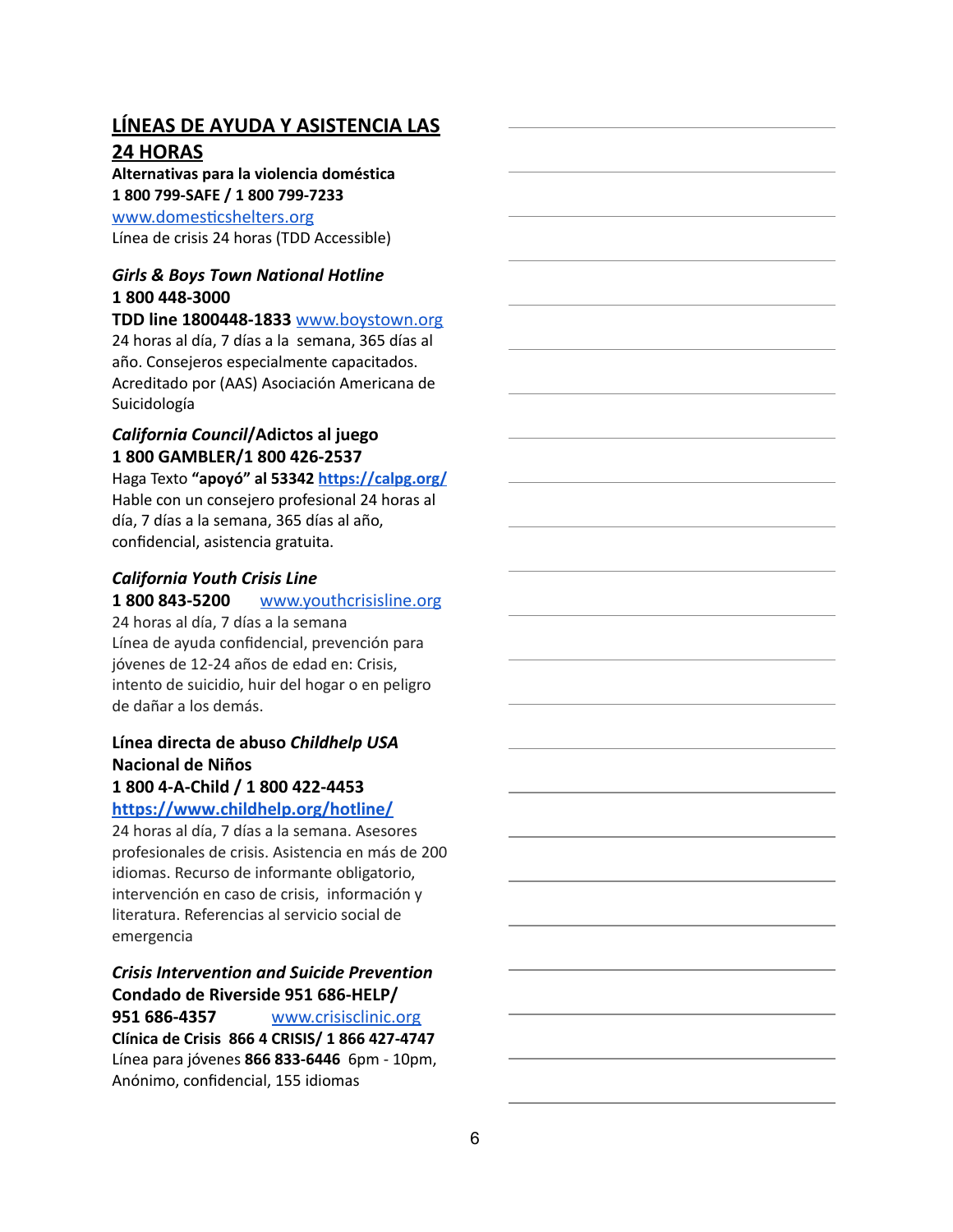### **LÍNEAS DE AYUDA Y ASISTENCIA LAS 24 HORAS**

#### **Alternativas para la violencia doméstica 1 800 799-SAFE / 1 800 799-7233**

www.domesticshelters.org

Línea de crisis 24 horas (TDD Accessible)

#### *Girls & Boys Town National Hotline* **1 800 448-3000**

**TDD line 1800448-1833** [www.boystown.org](http://www.boystown.org/) 24 horas al día, 7 días a la semana, 365 días al año. Consejeros especialmente capacitados. Acreditado por (AAS) Asociación Americana de Suicidología

#### *California Council* **/Adictos al juego 1 800 GAMBLER/1 800 426-2537**

Haga Texto **"apoyó" al 53342 <https://calpg.org/>** Hable con un consejero profesional 24 horas al día, 7 días a la semana, 365 días al año, confidencial, asistencia gratuita.

#### *California Youth Crisis Line*

#### **1 800 843-5200** [www.youthcrisisline.org](http://www.youthcrisisline.org/)

24 horas al día, 7 días a la semana Línea de ayuda confidencial, prevención para jóvenes de 12-24 años de edad en: Crisis, intento de suicidio, huir del hogar o en peligro de dañar a los demás.

#### **Línea directa de abuso** *Childhelp USA* **Nacional de Niños 1 800 4-A-Child / 1 800 422-4453**

#### **<https://www.childhelp.org/hotline/>**

24 horas al día, 7 días a la semana. Asesores profesionales de crisis. Asistencia en más de 200 idiomas. Recurso de informante obligatorio, intervención en caso de crisis, información y literatura. Referencias al servicio social de emergencia

#### *Crisis Intervention and Suicide Prevention* **Condado de Riverside 951 686-HELP/**

**951 686-4357** [www.crisisclinic.org](http://www.crisisclinic.org/) **Clínica de Crisis 866 4 CRISIS/ 1 866 427-4747** Línea para jóvenes **866 833-6446** 6pm - 10pm, Anónimo, confidencial, 155 idiomas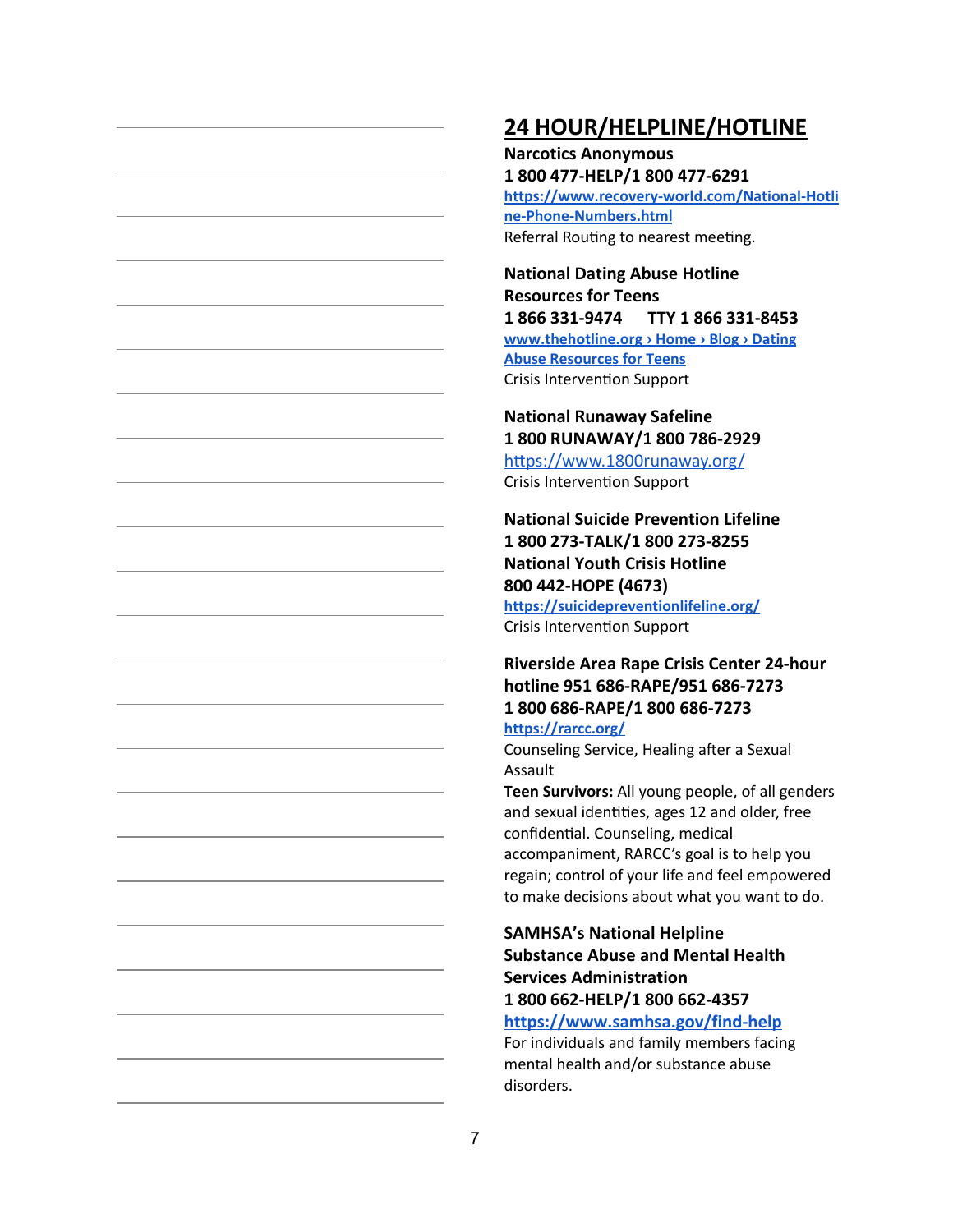# **24 HOUR/HELPLINE/HOTLINE**

**Narcotics Anonymous 1 800 477-HELP/1 800 477-6291 [https://www.recovery-world.com/National-Hotli](https://www.recovery-world.com/National-Hotline-Phone-Numbers.html) [ne-Phone-Numbers.html](https://www.recovery-world.com/National-Hotline-Phone-Numbers.html)** Referral Routing to nearest meeting.

**National Dating Abuse Hotline Resources for Teens 1 866 331-9474 TTY 1 866 331-8453 [www.thehotline.org › Home › Blog › Dating](http://www.thehotline.org/) [Abuse Resources for Teens](http://www.thehotline.org/)** Crisis Intervention Support

**National Runaway Safeline 1 800 RUNAWAY/1 800 786-2929** https://www.1800runaway.org/ Crisis Intervention Support

**National Suicide Prevention Lifeline 1 800 273-TALK/1 800 273-8255 National Youth Crisis Hotline 800 442-HOPE (4673)**

**<https://suicidepreventionlifeline.org/>** Crisis Intervention Support

#### **Riverside Area Rape Crisis Center 24-hour hotline 951 686-RAPE/951 686-7273 1 800 686-RAPE/1 800 686-7273 <https://rarcc.org/>**

Counseling Service, Healing after a Sexual Assault

**Teen Survivors:** All young people, of all genders and sexual identities, ages 12 and older, free confidential. Counseling, medical accompaniment, RARCC's goal is to help you regain; control of your life and feel empowered to make decisions about what you want to do.

#### **SAMHSA's National Helpline Substance Abuse and Mental Health Services Administration 1 800 662-HELP/1 800 662-4357**

**<https://www.samhsa.gov/find-help>**

For individuals and family members facing mental health and/or substance abuse disorders.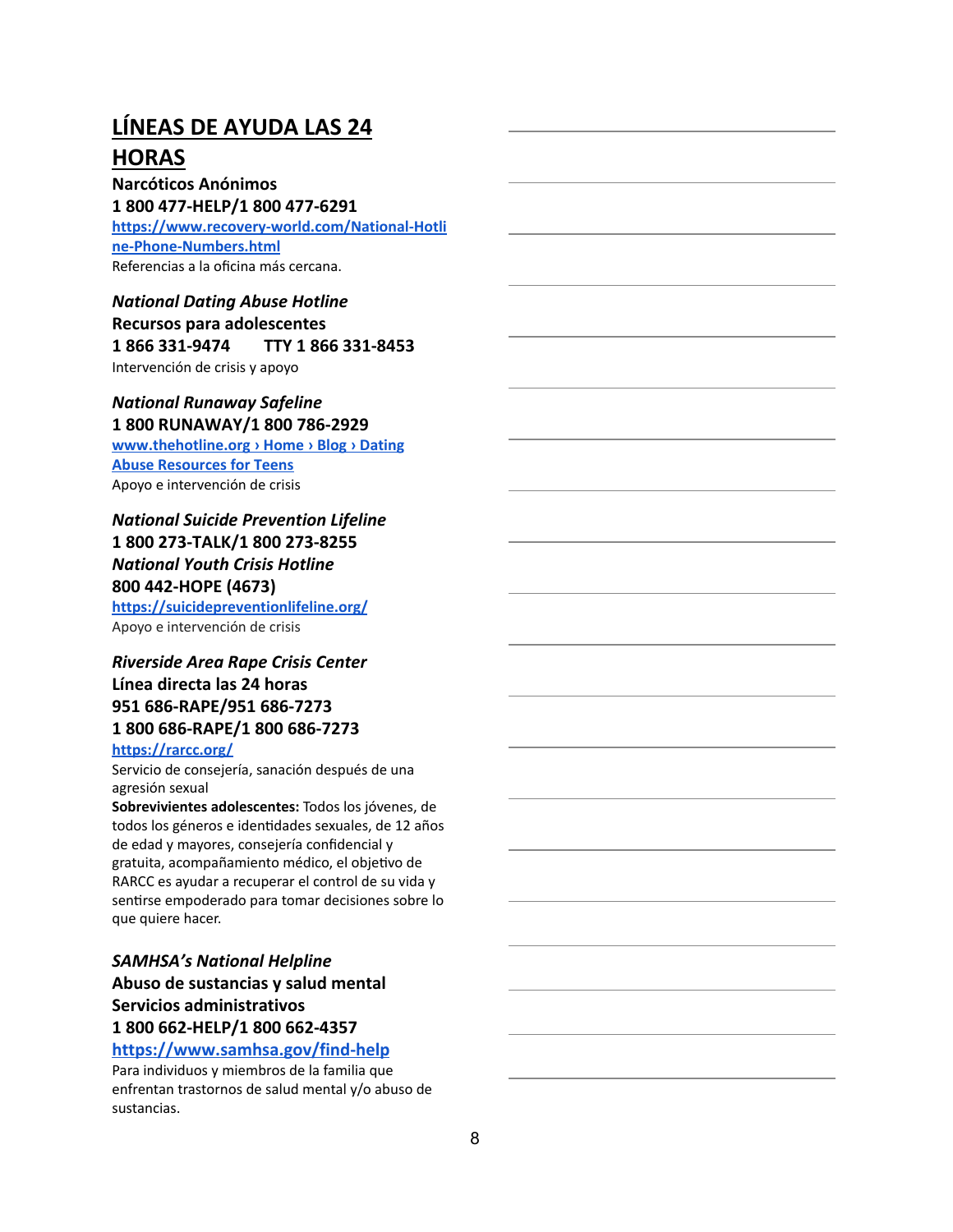# **LÍNEAS DE AYUDA LAS 24 HORAS**

**Narcóticos Anónimos 1 800 477-HELP/1 800 477-6291 [https://www.recovery-world.com/National-Hotli](https://www.recovery-world.com/National-Hotline-Phone-Numbers.html) [ne-Phone-Numbers.html](https://www.recovery-world.com/National-Hotline-Phone-Numbers.html)** Referencias a la oficina más cercana.

*National Dating Abuse Hotline* **Recursos para adolescentes 1 866 331-9474 TTY 1 866 331-8453** Intervención de crisis y apoyo

# *National Runaway Safeline*

**1 800 RUNAWAY/1 800 786-2929 [www.thehotline.org › Home › Blog › Dating](http://www.thehotline.org/) [Abuse Resources for Teens](http://www.thehotline.org/)** Apoyo e intervención de crisis

#### *National Suicide Prevention Lifeline* **1 800 273-TALK/1 800 273-8255** *National Youth Crisis Hotline* **800 442-HOPE (4673)**

**<https://suicidepreventionlifeline.org/>** Apoyo e intervención de crisis

#### *Riverside Area Rape Crisis Center* **Línea directa las 24 horas 951 686-RAPE/951 686-7273 1 800 686-RAPE/1 800 686-7273**

#### **<https://rarcc.org/>**

Servicio de consejería, sanación después de una agresión sexual

**Sobrevivientes adolescentes:** Todos los jóvenes, de todos los géneros e identidades sexuales, de 12 años de edad y mayores, consejería confidencial y gratuita, acompañamiento médico, el objetivo de RARCC es ayudar a recuperar el control de su vida y sentirse empoderado para tomar decisiones sobre lo que quiere hacer.

*SAMHSA's National Helpline* **Abuso de sustancias y salud mental Servicios administrativos 1 800 662-HELP/1 800 662-4357**

#### **<https://www.samhsa.gov/find-help>**

Para individuos y miembros de la familia que enfrentan trastornos de salud mental y/o abuso de sustancias.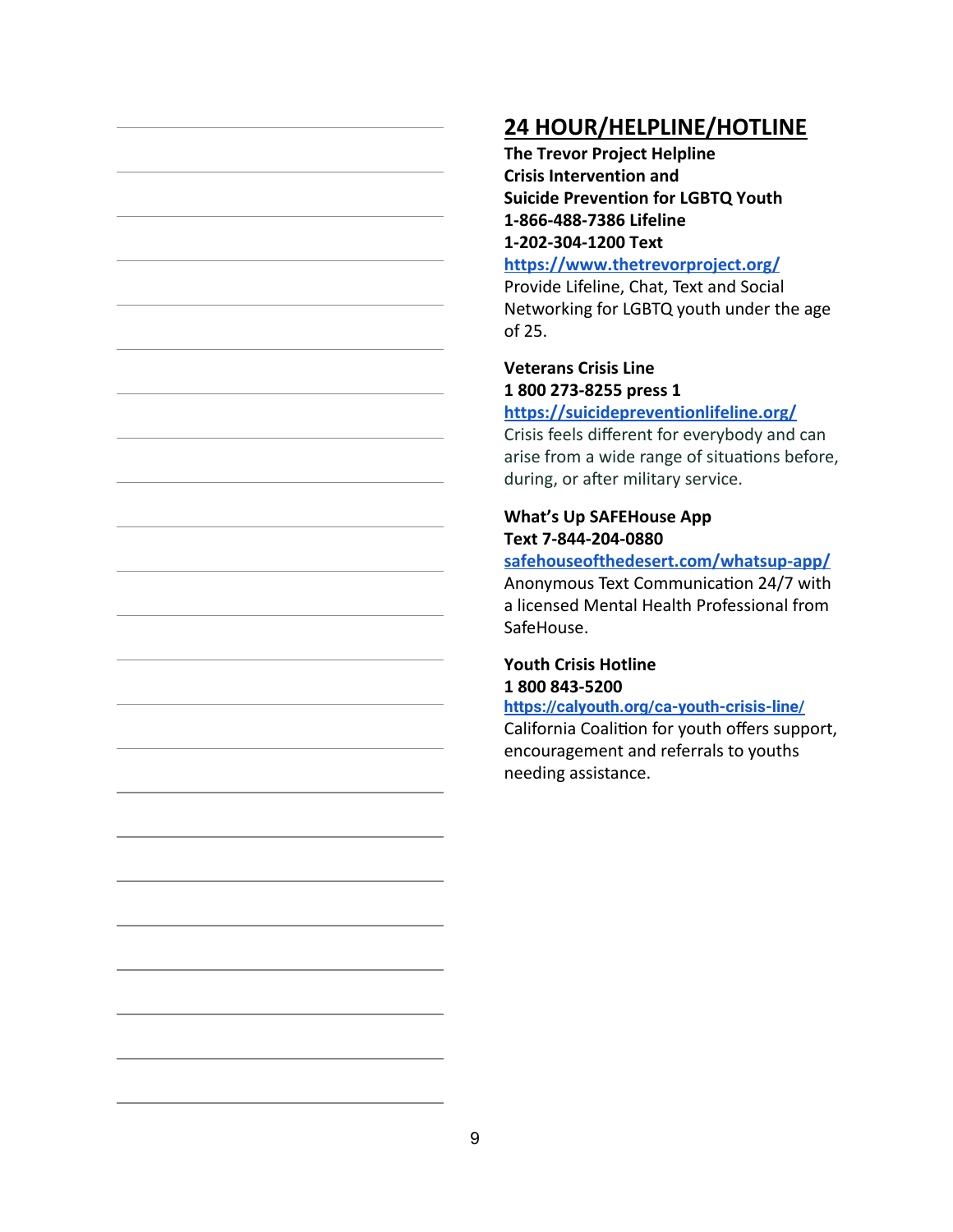# **24 HOUR/HELPLINE/HOTLINE**

**The Trevor Project Helpline Crisis Intervention and Suicide Prevention for LGBTQ Youth 1-866-488-7386 Lifeline 1-202-304-1200 Text**

**<https://www.thetrevorproject.org/>**

Provide Lifeline, Chat, Text and Social Networking for LGBTQ youth under the age of 25.

**Veterans Crisis Line 1 800 273-8255 press 1 <https://suicidepreventionlifeline.org/>**

Crisis feels different for everybody and can arise from a wide range of situations before, during, or after military service.

#### **What's Up SAFEHouse App Text 7-844-204-0880**

**[safehouseofthedesert.com/whatsup-app/](http://safehouseofthedesert.com/whatsup-app/)** Anonymous Text Communication 24/7 with a licensed Mental Health Professional from SafeHouse.

### **Youth Crisis Hotline 1 800 843-5200**

**<https://calyouth.org/ca-youth-crisis-line/>** California Coalition for youth offers support, encouragement and referrals to youths needing assistance.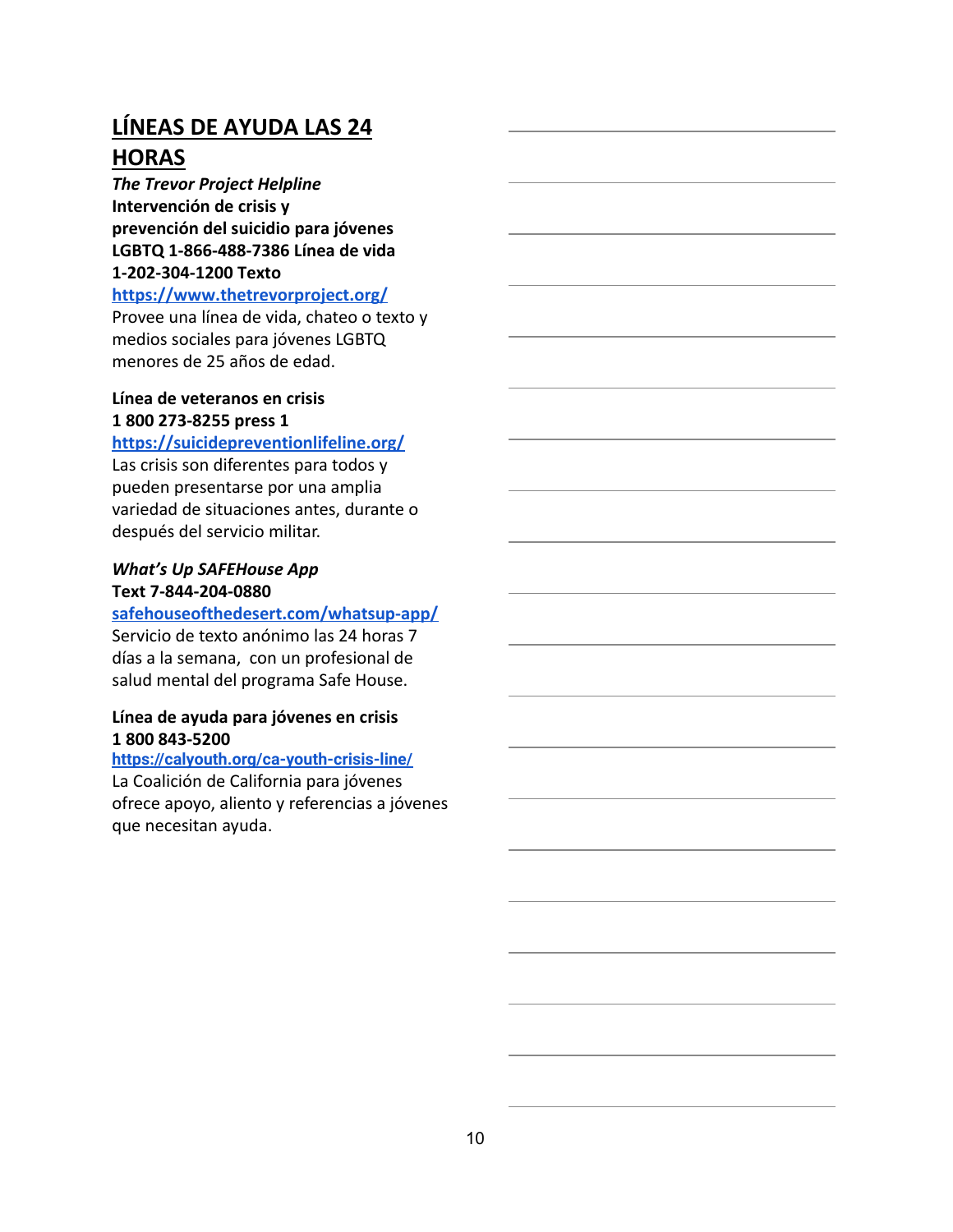# **LÍNEAS DE AYUDA LAS 24 HORAS**

*The Trevor Project Helpline* **Intervención de crisis y prevención del suicidio para jóvenes LGBTQ 1-866-488-7386 Línea de vida 1-202-304-1200 Texto**

#### **<https://www.thetrevorproject.org/>**

Provee una línea de vida, chateo o texto y medios sociales para jóvenes LGBTQ menores de 25 años de edad.

#### **Línea de veteranos en crisis 1 800 273-8255 press 1**

#### **<https://suicidepreventionlifeline.org/>**

Las crisis son diferentes para todos y pueden presentarse por una amplia variedad de situaciones antes, durante o después del servicio militar.

#### *What's Up SAFEHouse App* **Text 7-844-204-0880**

#### **[safehouseofthedesert.com/whatsup-app/](http://safehouseofthedesert.com/whatsup-app/)**

Servicio de texto anónimo las 24 horas 7 días a la semana, con un profesional de salud mental del programa Safe House.

#### **Línea de ayuda para jóvenes en crisis 1 800 843-5200**

#### **<https://calyouth.org/ca-youth-crisis-line/>**

La Coalición de California para jóvenes ofrece apoyo, aliento y referencias a jóvenes que necesitan ayuda.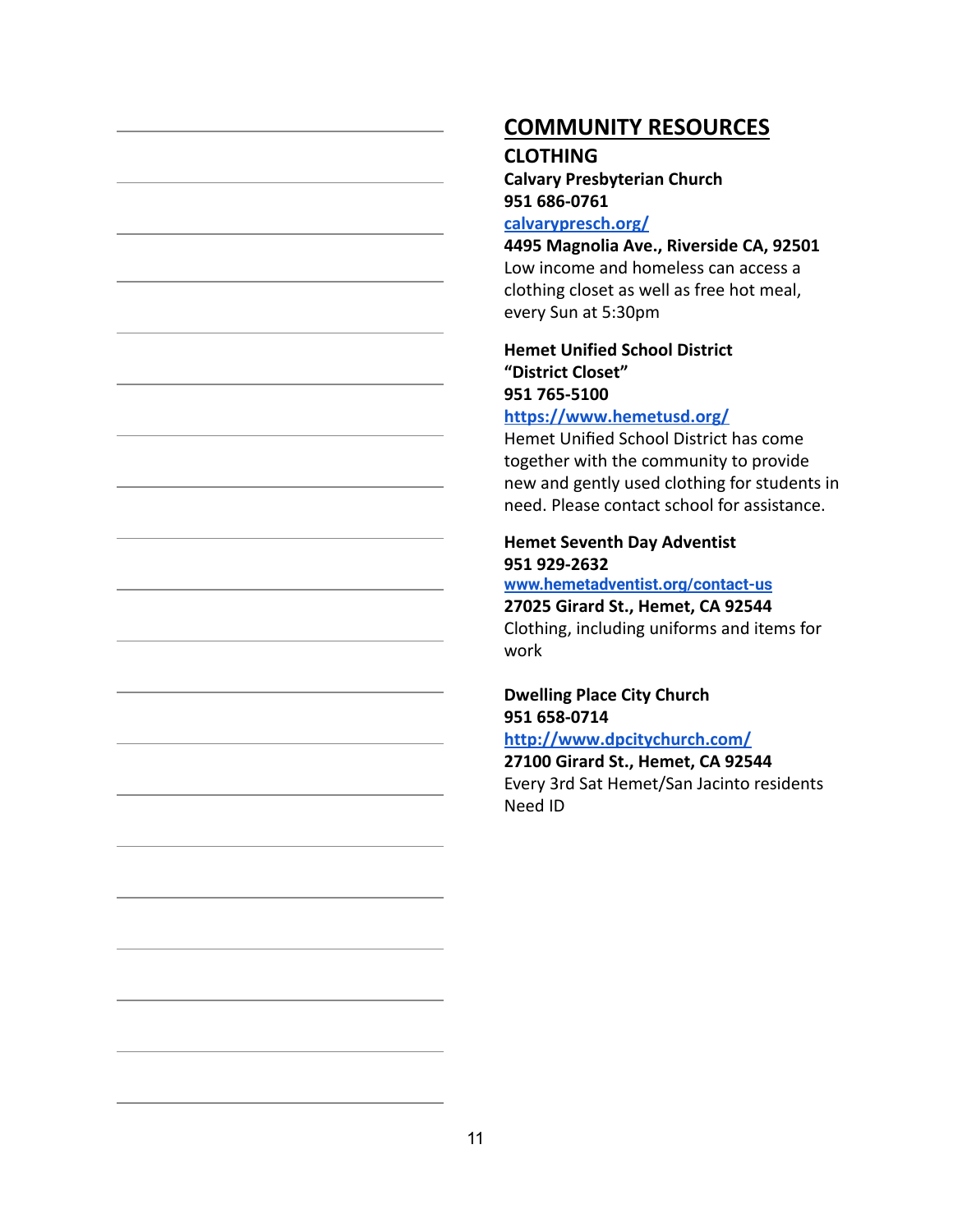# **COMMUNITY RESOURCES**

#### **CLOTHING**

**Calvary Presbyterian Church 951 686-0761**

#### **[calvarypresch.org/](http://calvarypresch.org/)**

**4495 Magnolia Ave., Riverside CA, 92501** Low income and homeless can access a clothing closet as well as free hot meal, every Sun at 5:30pm

#### **Hemet Unified School District "District Closet" 951 765-5100 <https://www.hemetusd.org/>**

Hemet Unified School District has come together with the community to provide new and gently used clothing for students in need. Please contact school for assistance.

#### **Hemet Seventh Day Adventist 951 929-2632**

#### **[www.hemetadventist.org/contact-us](http://www.hemetadventist.org/contact-us)**

**27025 Girard St., Hemet, CA 92544** Clothing, including uniforms and items for work

#### **Dwelling Place City Church 951 658-0714**

**<http://www.dpcitychurch.com/>**

**27100 Girard St., Hemet, CA 92544** Every 3rd Sat Hemet/San Jacinto residents Need ID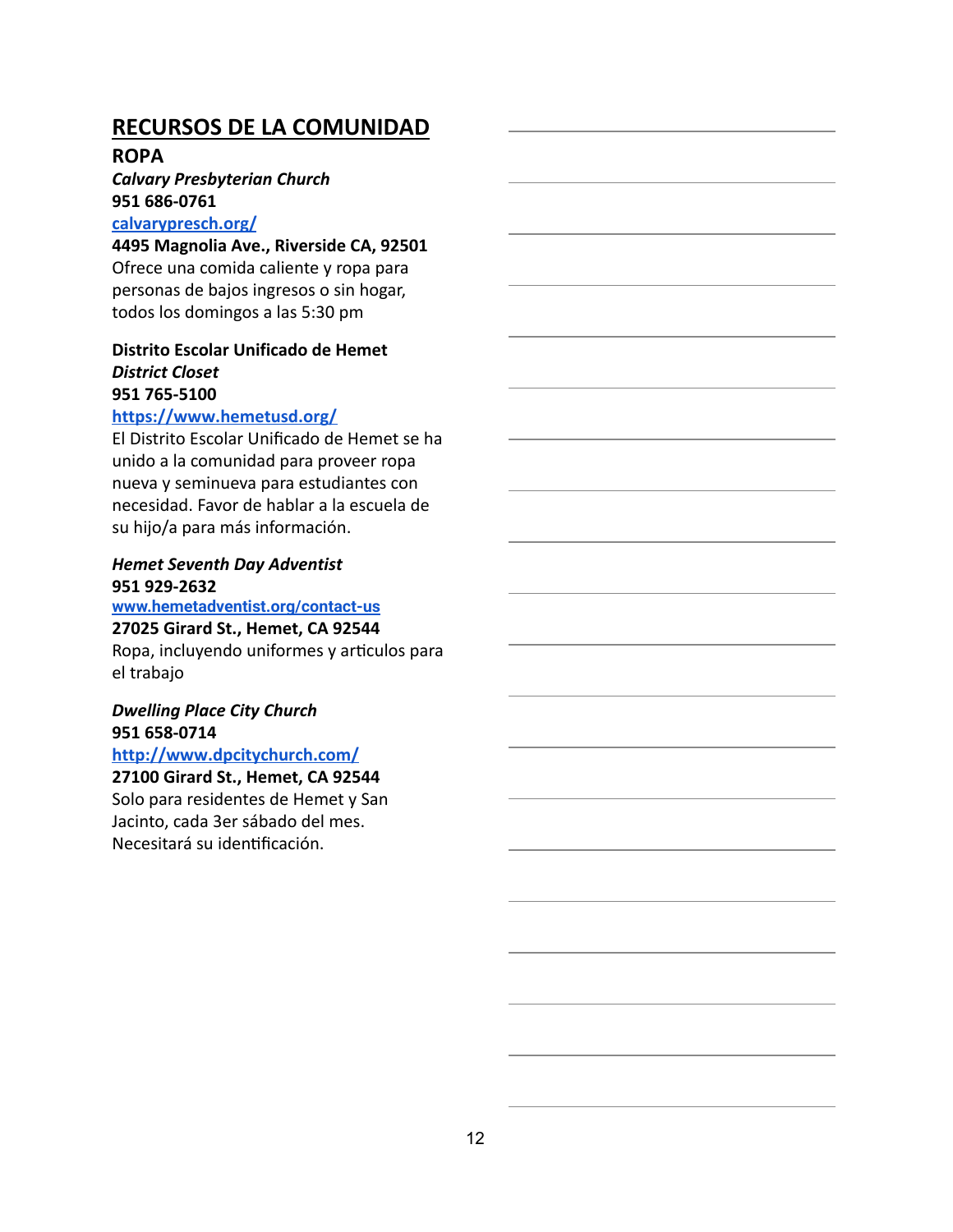#### **ROPA**

# *Calvary Presbyterian Church* **951 686-0761**

#### **[calvarypresch.org/](http://calvarypresch.org/)**

**4495 Magnolia Ave., Riverside CA, 92501** Ofrece una comida caliente y ropa para personas de bajos ingresos o sin hogar, todos los domingos a las 5:30 pm

#### **Distrito Escolar Unificado de Hemet** *District Closet* **951 765-5100**

#### **<https://www.hemetusd.org/>**

El Distrito Escolar Unificado de Hemet se ha unido a la comunidad para proveer ropa nueva y seminueva para estudiantes con necesidad. Favor de hablar a la escuela de su hijo/a para más información.

#### *Hemet Seventh Day Adventist* **951 929-2632**

# **[www.hemetadventist.org/contact-us](http://www.hemetadventist.org/contact-us)**

#### **27025 Girard St., Hemet, CA 92544**

Ropa, incluyendo uniformes y articulos para el trabajo

#### *Dwelling Place City Church* **951 658-0714**

#### **<http://www.dpcitychurch.com/>**

#### **27100 Girard St., Hemet, CA 92544**

Solo para residentes de Hemet y San Jacinto, cada 3er sábado del mes. Necesitará su idenficación.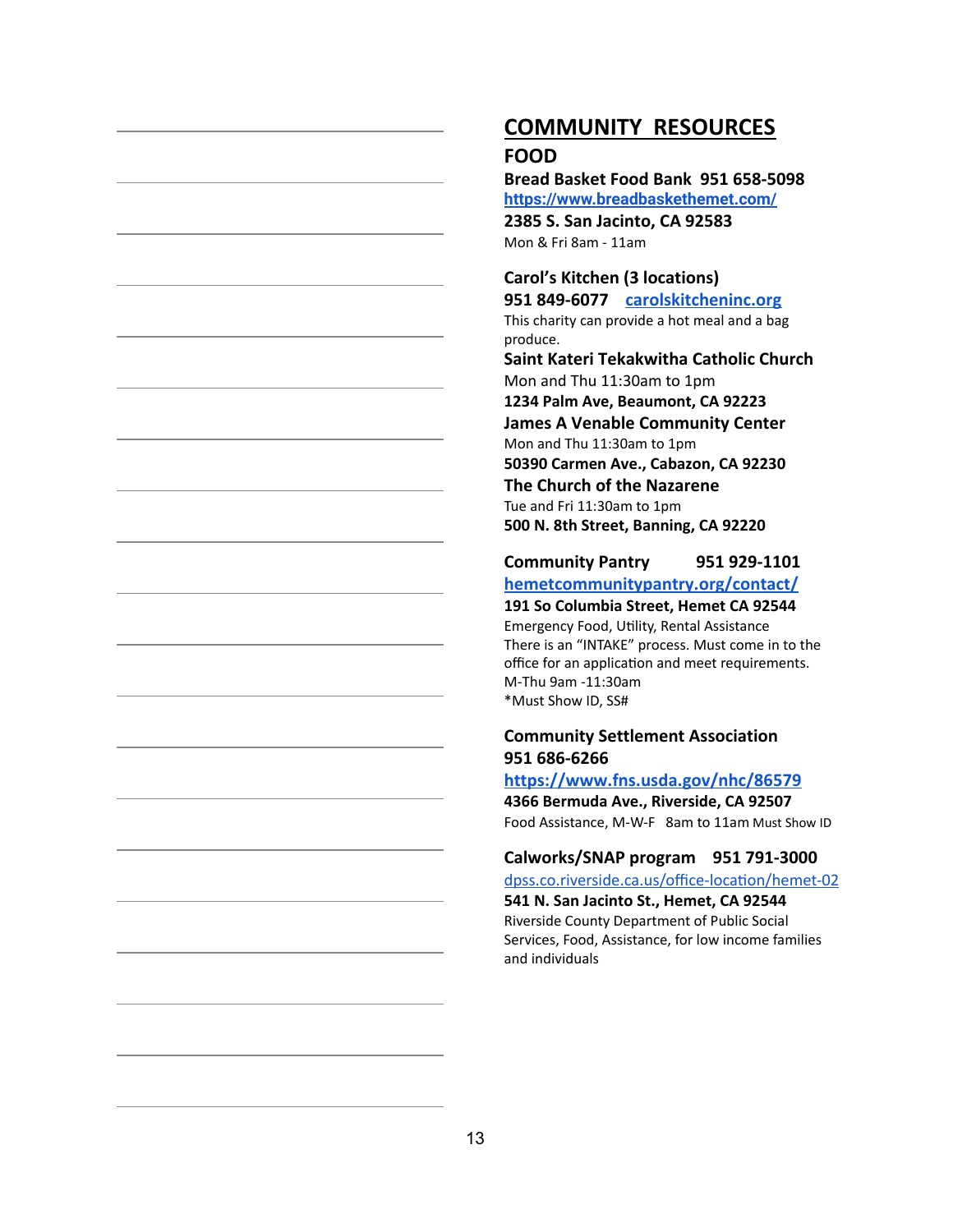# **COMMUNITY RESOURCES**

#### **FOOD**

**Bread Basket Food Bank 951 658-5098 <https://www.breadbaskethemet.com/> 2385 S. San Jacinto, CA 92583**

Mon & Fri 8am - 11am

**Carol's Kitchen (3 locations)**

**951 849-6077 [carolskitcheninc.org](https://www.carolskitcheninc.org/)** This charity can provide a hot meal and a bag produce.

**Saint Kateri Tekakwitha Catholic Church** Mon and Thu 11:30am to 1pm **1234 Palm Ave, Beaumont, CA 92223 James A Venable Community Center** Mon and Thu 11:30am to 1pm **50390 Carmen Ave., Cabazon, CA 92230 The Church of the Nazarene** Tue and Fri 11:30am to 1pm **500 N. 8th Street, Banning, CA 92220**

**Community Pantry 951 929-1101 [hemetcommunitypantry.org/contact/](http://hemetcommunitypantry.org/)**

**191 So Columbia Street, Hemet CA 92544**

Emergency Food, Utility, Rental Assistance There is an "INTAKE" process. Must come in to the office for an application and meet requirements. M-Thu 9am -11:30am \*Must Show ID, SS#

#### **Community Settlement Association 951 686-6266**

**<https://www.fns.usda.gov/nhc/86579>**

**4366 Bermuda Ave., Riverside, CA 92507** Food Assistance, M-W-F 8am to 11amMust Show ID

**Calworks/SNAP program 951 791-3000**

dpss.co.riverside.ca.us/office-location/hemet-02 **541 N. San Jacinto St., Hemet, CA 92544** Riverside County Department of Public Social Services, Food, Assistance, for low income families and individuals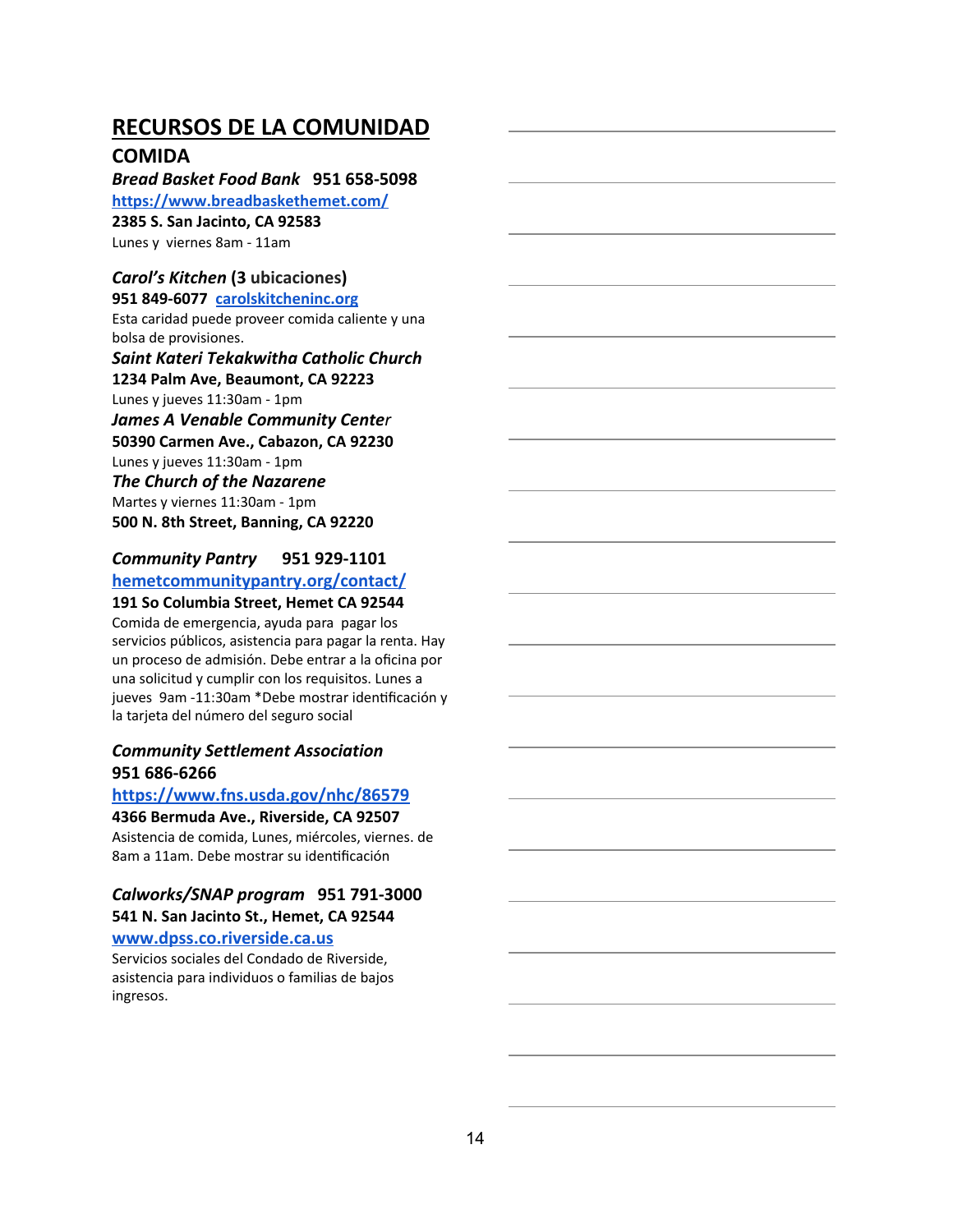#### **COMIDA**

*Bread Basket Food Bank* **951 658-5098 <https://www.breadbaskethemet.com/> 2385 S. San Jacinto, CA 92583** Lunes y viernes 8am - 11am

#### *Carol's Kitchen* **(3 ubicaciones )**

**951 849-6077 [carolskitcheninc.org](https://www.carolskitcheninc.org/)** Esta caridad puede proveer comida caliente y una bolsa de provisiones.

*Saint Kateri Tekakwitha Catholic Church* **1234 Palm Ave, Beaumont, CA 92223** Lunes y jueves 11:30am - 1pm **James A Venable Community Center 50390 Carmen Ave., Cabazon, CA 92230** Lunes y jueves 11:30am - 1pm *The Church of the Nazarene* Martes y viernes 11:30am - 1pm **500 N. 8th Street, Banning, CA 92220**

#### *Community Pantry* **951 929-1101 [hemetcommunitypantry.org/contact/](http://hemetcommunitypantry.org/)**

#### **191 So Columbia Street, Hemet CA 92544**

Comida de emergencia, ayuda para pagar los servicios públicos, asistencia para pagar la renta. Hay un proceso de admisión. Debe entrar a la oficina por una solicitud y cumplir con los requisitos. Lunes a jueves 9am -11:30am \*Debe mostrar idenficación y la tarjeta del número del seguro social

#### *Community Settlement Association* **951 686-6266**

#### **<https://www.fns.usda.gov/nhc/86579>**

#### **4366 Bermuda Ave., Riverside, CA 92507**

Asistencia de comida, Lunes, miércoles, viernes. de 8am a 11am. Debe mostrar su idenficación

#### *Calworks/SNAP program* **951 791-3000 541 N. San Jacinto St., Hemet, CA 92544**

#### **[www.dpss.co.riverside.ca.us](http://www.dpss.co.riverside.ca.us/)**

Servicios sociales del Condado de Riverside, asistencia para individuos o familias de bajos ingresos.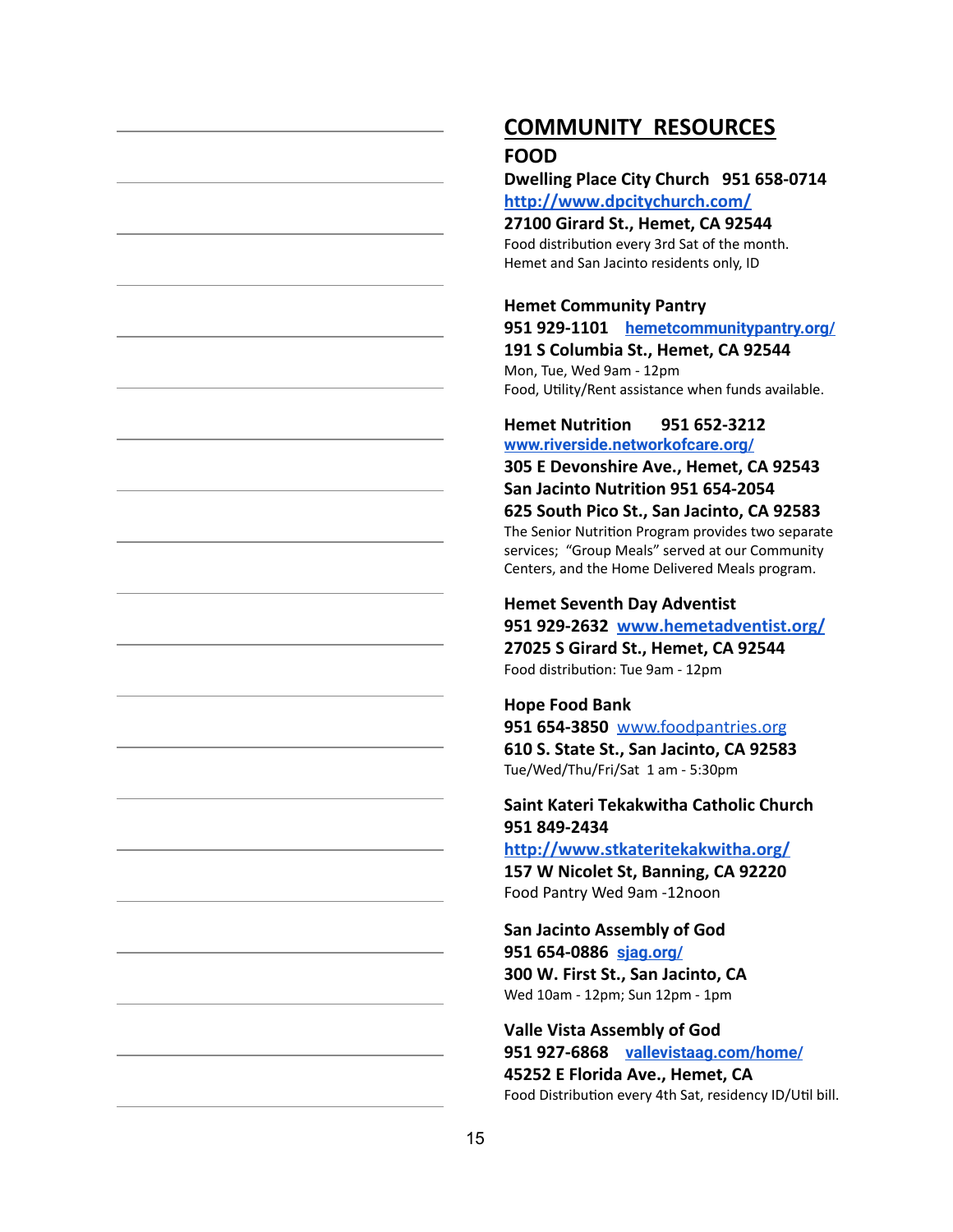### **COMMUNITY RESOURCES FOOD**

**Dwelling Place City Church 951 658-0714 <http://www.dpcitychurch.com/>**

**27100 Girard St., Hemet, CA 92544** Food distribution every 3rd Sat of the month. Hemet and San Jacinto residents only, ID

#### **Hemet Community Pantry**

**951 929-1101 [hemetcommunitypantry.org/](http://hemetcommunitypantry.org/) 191 S Columbia St., Hemet, CA 92544** Mon, Tue, Wed 9am - 12pm Food, Utility/Rent assistance when funds available.

#### **Hemet Nutrition 951 652-3212 [www.riverside.networkofcare.org/](http://www.riverside.networkofcare.org/)**

**305 E Devonshire Ave., Hemet, CA 92543 San Jacinto Nutrition 951 654-2054 625 South Pico St., San Jacinto, CA 92583** The Senior Nutrition Program provides two separate services; "Group Meals" served at our Community Centers, and the Home Delivered Meals program.

#### **Hemet Seventh Day Adventist**

**951 929-2632 [www.hemetadventist.org/](http://www.hemetadventist.org/) 27025 S Girard St., Hemet, CA 92544** Food distribution: Tue 9am - 12pm

#### **Hope Food Bank**

**951 654-3850** [www.foodpantries.org](http://www.foodpantries.org/) **610 S. State St., San Jacinto, CA 92583** Tue/Wed/Thu/Fri/Sat 1 am - 5:30pm

#### **Saint Kateri Tekakwitha Catholic Church 951 849-2434**

**<http://www.stkateritekakwitha.org/>**

**157 W Nicolet St, Banning, CA 92220** Food Pantry Wed 9am -12noon

**San Jacinto Assembly of God 951 654-0886 [sjag.org/](http://sjag.org/) 300 W. First St., San Jacinto, CA** Wed 10am - 12pm; Sun 12pm - 1pm

**Valle Vista Assembly of God 951 927-6868 [vallevistaag.com/home/](http://vallevistaag.com/home/) 45252 E Florida Ave., Hemet, CA** Food Distribution every 4th Sat, residency ID/Util bill.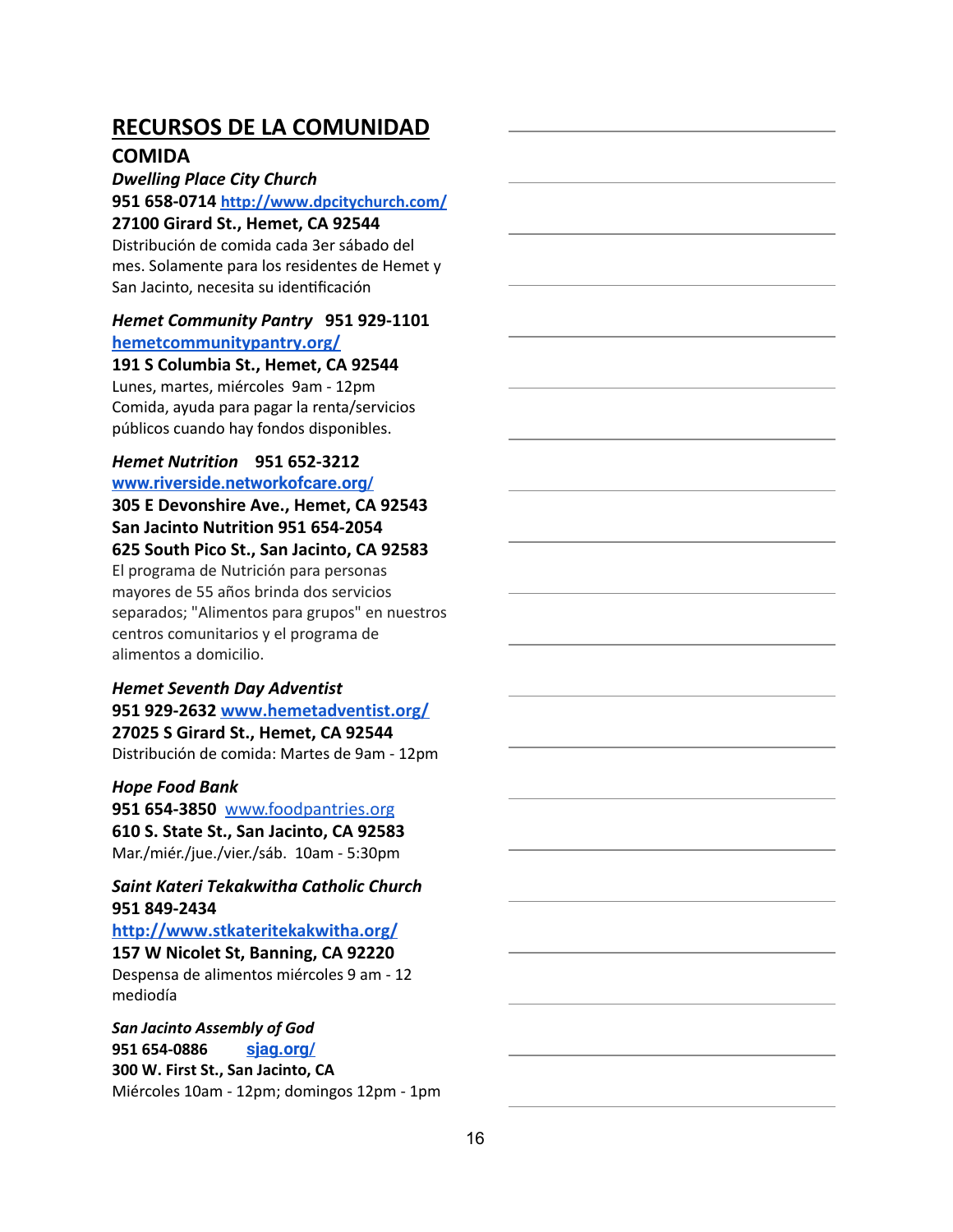#### **COMIDA**

*Dwelling Place City Church*

**951 658-0714 <http://www.dpcitychurch.com/>**

#### **27100 Girard St., Hemet, CA 92544**

Distribución de comida cada 3er sábado del mes. Solamente para los residentes de Hemet y San Jacinto, necesita su idenficación

#### *Hemet Community Pantry* **951 929-1101 [hemetcommunitypantry.org/](http://hemetcommunitypantry.org/)**

#### **191 S Columbia St., Hemet, CA 92544**

Lunes, martes, miércoles 9am - 12pm Comida, ayuda para pagar la renta/servicios públicos cuando hay fondos disponibles.

### *Hemet Nutrition* **951 652-3212 [www.riverside.networkofcare.org/](http://www.riverside.networkofcare.org/)**

**305 E Devonshire Ave., Hemet, CA 92543 San Jacinto Nutrition 951 654-2054 625 South Pico St., San Jacinto, CA 92583**

El programa de Nutrición para personas mayores de 55 años brinda dos servicios separados; "Alimentos para grupos" en nuestros centros comunitarios y el programa de alimentos a domicilio.

#### *Hemet Seventh Day Adventist* **951 929-2632 [www.hemetadventist.org/](http://www.hemetadventist.org/)**

**27025 S Girard St., Hemet, CA 92544** Distribución de comida: Martes de 9am - 12pm

#### *Hope Food Bank*

**951 654-3850** [www.foodpantries.org](http://www.foodpantries.org/) **610 S. State St., San Jacinto, CA 92583** Mar./miér./jue./vier./sáb. 10am - 5:30pm

#### *Saint Kateri Tekakwitha Catholic Church* **951 849-2434**

**<http://www.stkateritekakwitha.org/> 157 W Nicolet St, Banning, CA 92220** Despensa de alimentos miércoles 9 am - 12 mediodía

#### *San Jacinto Assembly of God* **951 654-0886 [sjag.org/](http://sjag.org/) 300 W. First St., San Jacinto, CA** Miércoles 10am - 12pm; domingos 12pm - 1pm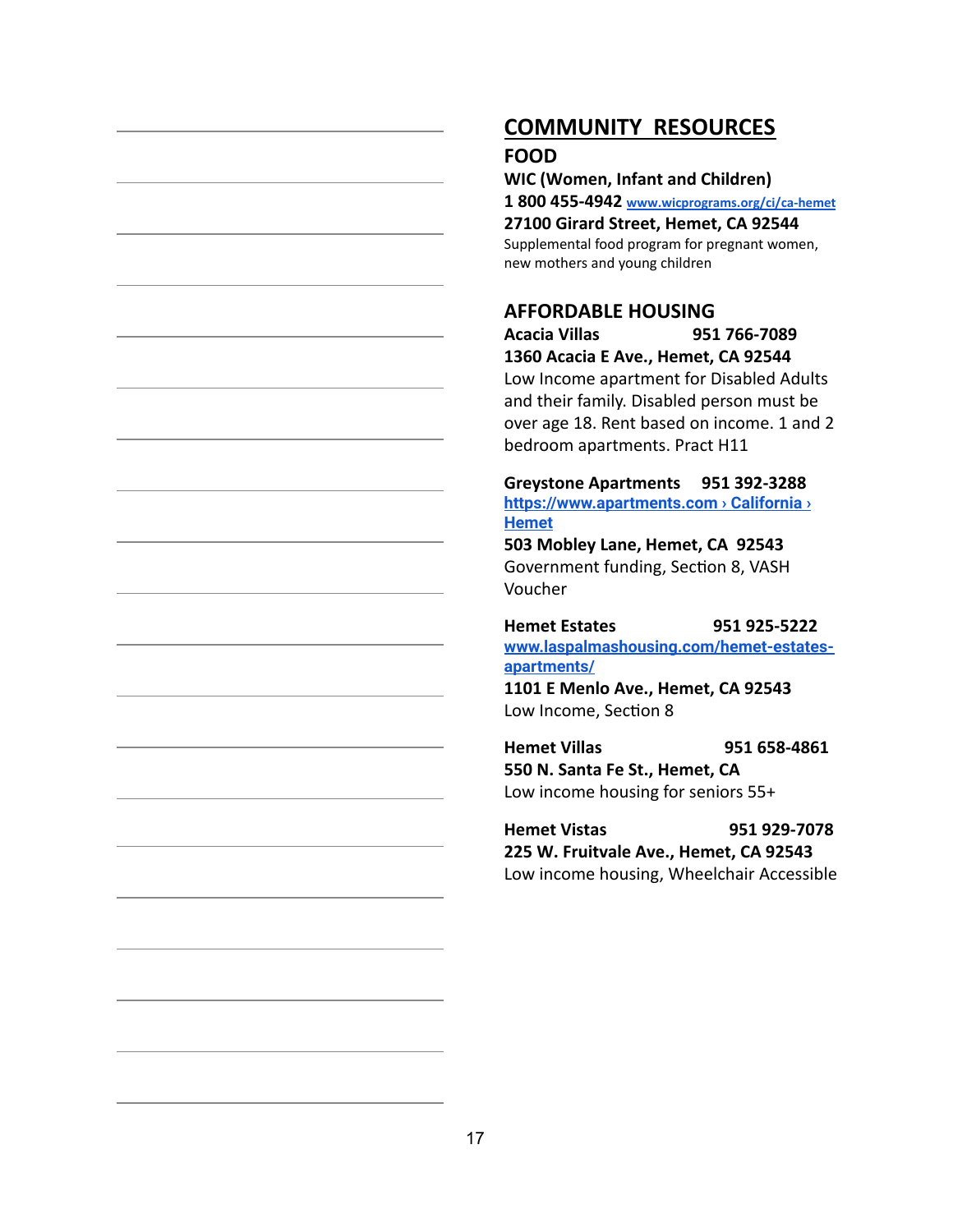# **COMMUNITY RESOURCES**

#### **FOOD**

**WIC (Women, Infant and Children)**

**1 800 455-4942 [www.wicprograms.org/ci/ca-hemet](http://www.wicprograms.org/ci/ca-hemet)**

**27100 Girard Street, Hemet, CA 92544**

Supplemental food program for pregnant women, new mothers and young children

#### **AFFORDABLE HOUSING**

**Acacia Villas 951 766-7089 1360 Acacia E Ave., Hemet, CA 92544** Low Income apartment for Disabled Adults and their family. Disabled person must be over age 18. Rent based on income. 1 and 2 bedroom apartments. Pract H11

**Greystone Apartments 951 392-3288 [https://www.apartments.com › California ›](https://www.apartments.com/) [Hemet](https://www.apartments.com/)**

**503 Mobley Lane, Hemet, CA 92543** Government funding, Section 8, VASH Voucher

**Hemet Estates 951 925-5222 [www.laspalmashousing.com/hemet-estates](http://www.laspalmashousing.com/hemet-estates-apartments/)[apartments/](http://www.laspalmashousing.com/hemet-estates-apartments/) 1101 E Menlo Ave., Hemet, CA 92543**

Low Income, Section 8 **Hemet Villas 951 658-4861**

**550 N. Santa Fe St., Hemet, CA** Low income housing for seniors 55+

**Hemet Vistas 951 929-7078 225 W. Fruitvale Ave., Hemet, CA 92543** Low income housing, Wheelchair Accessible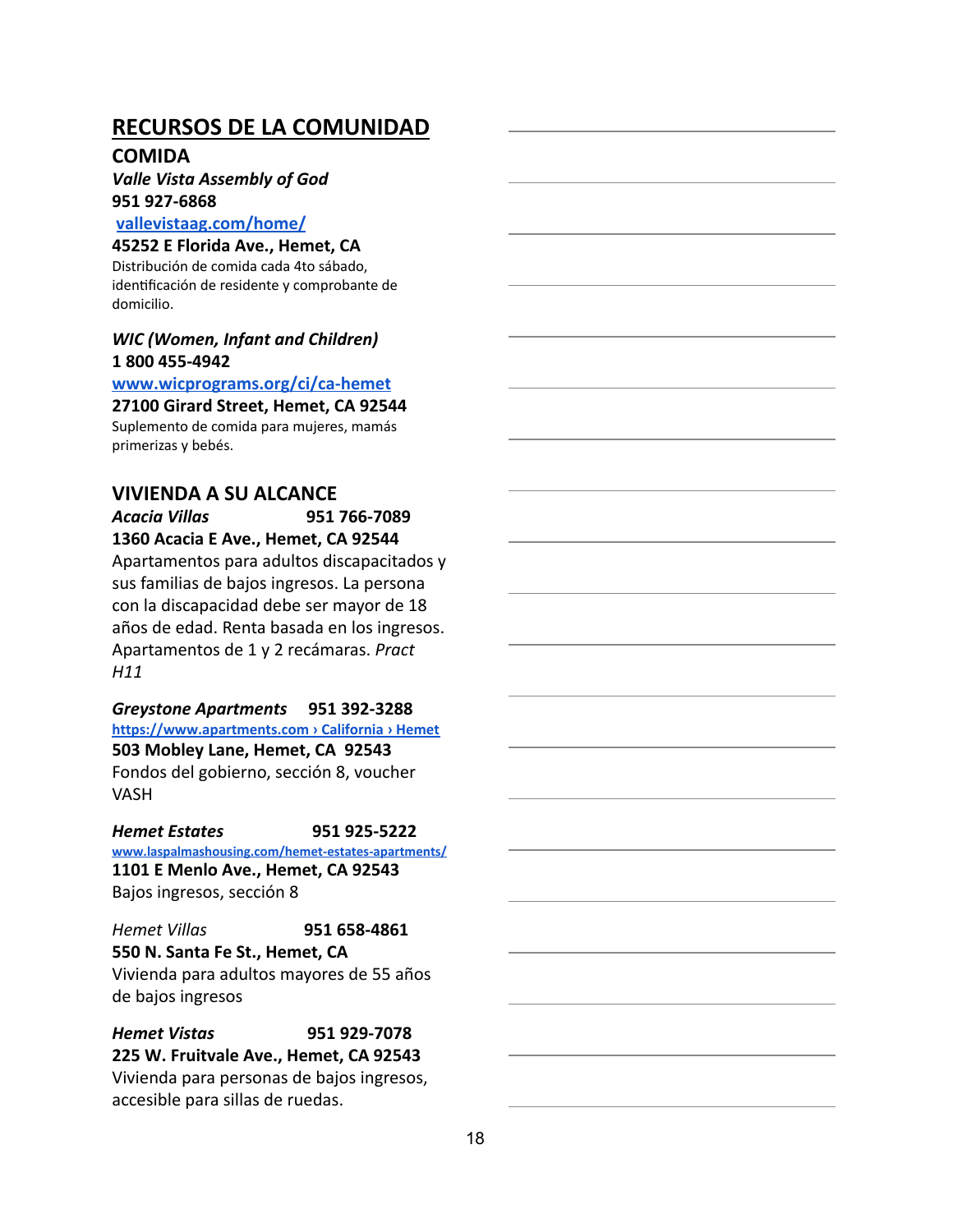#### **COMIDA**

### *Valle Vista Assembly of God* **951 927-6868**

#### **[vallevistaag.com/home/](http://vallevistaag.com/home/)**

**45252 E Florida Ave., Hemet, CA**

Distribución de comida cada 4to sábado, identificación de residente y comprobante de domicilio.

#### *WIC (Women, Infant and Children)* **1 800 455-4942**

**[www.wicprograms.org/ci/ca-hemet](http://www.wicprograms.org/ci/ca-hemet)**

#### **27100 Girard Street, Hemet, CA 92544**

Suplemento de comida para mujeres, mamás primerizas y bebés.

#### **VIVIENDA A SU ALCANCE**

#### *Acacia Villas* **951 766-7089 1360 Acacia E Ave., Hemet, CA 92544**

Apartamentos para adultos discapacitados y sus familias de bajos ingresos. La persona con la discapacidad debe ser mayor de 18 años de edad. Renta basada en los ingresos. Apartamentos de 1 y 2 recámaras. *Pract H11*

*Greystone Apartments* **951 392-3288 [https://www.apartments.com](https://www.apartments.com/) › California › Hemet 503 Mobley Lane, Hemet, CA 92543** Fondos del gobierno, sección 8, voucher VASH

*Hemet Estates* **951 925-5222 [www.laspalmashousing.com/hemet-estates-apartments/](http://www.laspalmashousing.com/hemet-estates-apartments/) 1101 E Menlo Ave., Hemet, CA 92543** Bajos ingresos, sección 8

*Hemet Villas* **951 658-4861 550 N. Santa Fe St., Hemet, CA** Vivienda para adultos mayores de 55 años de bajos ingresos

*Hemet Vistas* **951 929-7078 225 W. Fruitvale Ave., Hemet, CA 92543** Vivienda para personas de bajos ingresos, accesible para sillas de ruedas.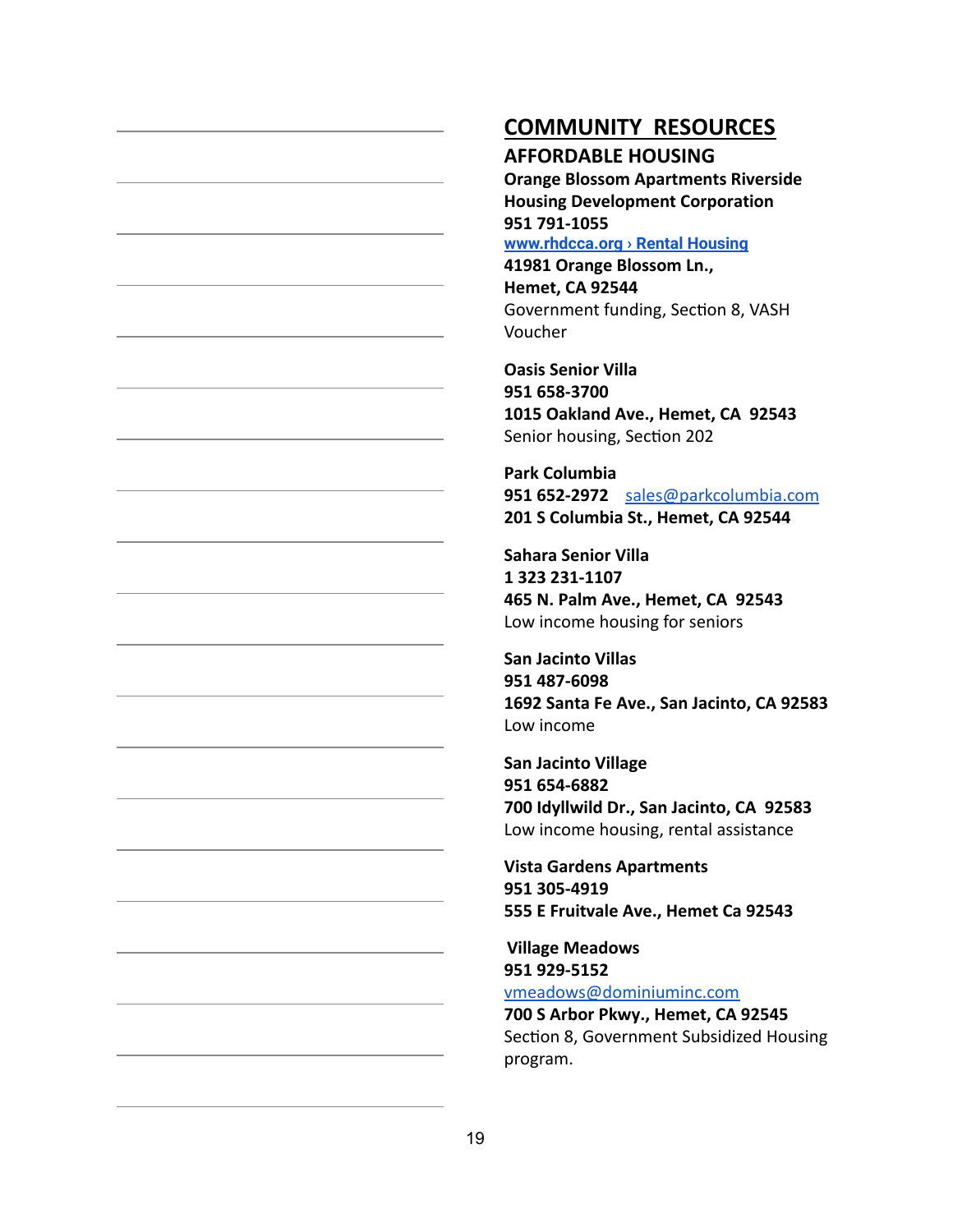# **COMMUNITY RESOURCES**

#### **AFFORDABLE HOUSING**

**Orange Blossom Apartments Riverside Housing Development Corporation 951 791-1055 [www.rhdcca.org › Rental Housing](http://www.rhdcca.org/)**

**41981 Orange Blossom Ln., Hemet, CA 92544** Government funding, Section 8, VASH Voucher

**Oasis Senior Villa 951 658-3700 1015 Oakland Ave., Hemet, CA 92543** Senior housing, Section 202

**Park Columbia 951 652-2972** [sales@parkcolumbia.com](mailto:sales@parkcolumbia.com) **201 S Columbia St., Hemet, CA 92544**

**Sahara Senior Villa 1 323 231-1107 465 N. Palm Ave., Hemet, CA 92543** Low income housing for seniors

**San Jacinto Villas 951 487-6098 1692 Santa Fe Ave., San Jacinto, CA 92583** Low income

**San Jacinto Village 951 654-6882 700 Idyllwild Dr., San Jacinto, CA 92583** Low income housing, rental assistance

**Vista Gardens Apartments 951 305-4919 555 E Fruitvale Ave., Hemet Ca 92543**

**Village Meadows 951 929-5152** [vmeadows@dominiuminc.com](mailto:vmeadows@dominiuminc.com)

**700 S Arbor Pkwy., Hemet, CA 92545** Section 8, Government Subsidized Housing program.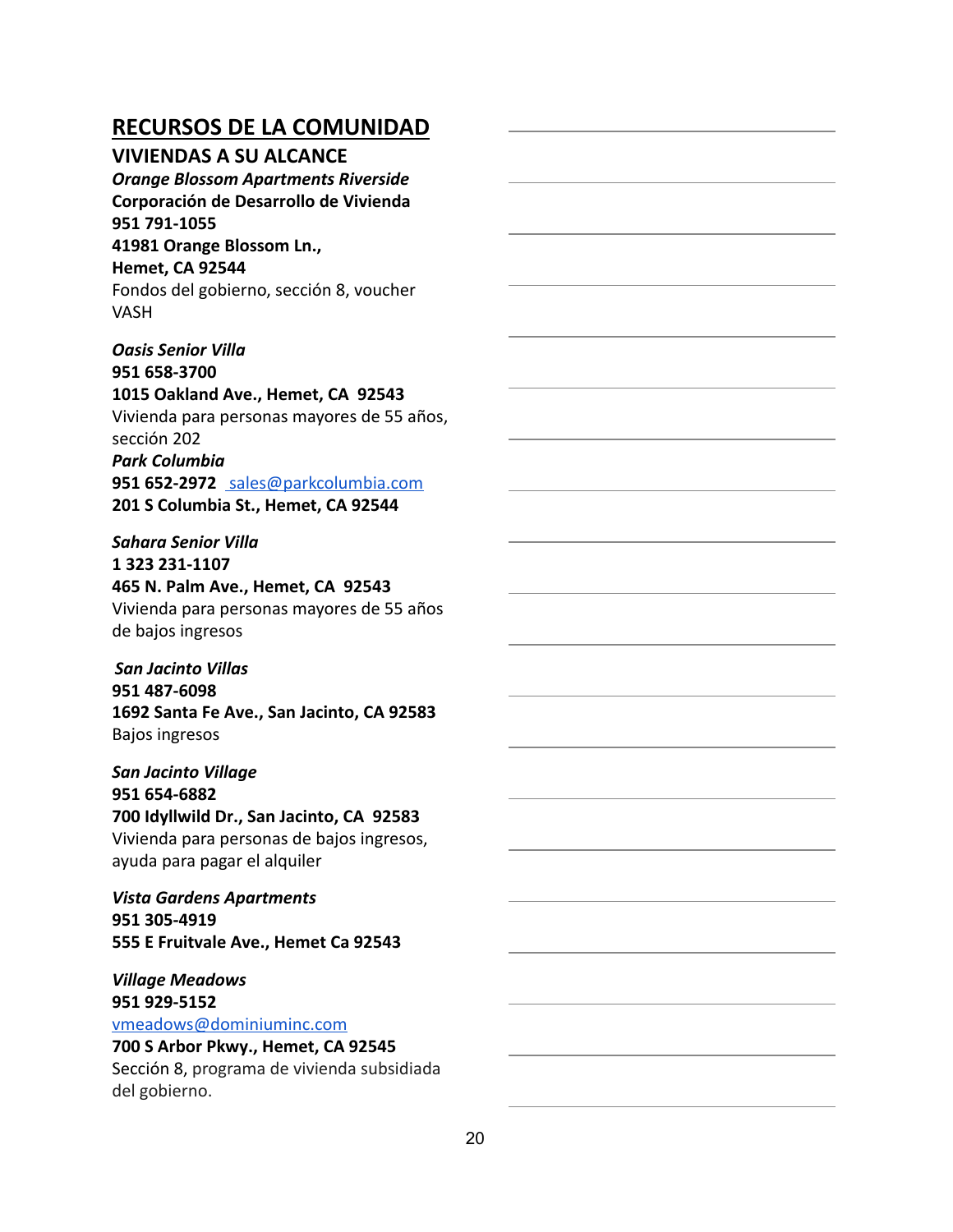#### **VIVIENDAS A SU ALCANCE**

*Orange Blossom Apartments Riverside* **Corporación de Desarrollo de Vivienda 951 791-1055 41981 Orange Blossom Ln.,**

**Hemet, CA 92544**

Fondos del gobierno, sección 8, voucher VASH

*Oasis Senior Villa* **951 658-3700 1015 Oakland Ave., Hemet, CA 92543** Vivienda para personas mayores de 55 años, sección 202 *Park Columbia* **951 652-2972** [sales@parkcolumbia.com](mailto:sales@parkcolumbia.com) **201 S Columbia St., Hemet, CA 92544**

#### *Sahara Senior Villa*

**1 323 231-1107 465 N. Palm Ave., Hemet, CA 92543** Vivienda para personas mayores de 55 años de bajos ingresos

*San Jacinto Villas* **951 487-6098 1692 Santa Fe Ave., San Jacinto, CA 92583** Bajos ingresos

*San Jacinto Village* **951 654-6882 700 Idyllwild Dr., San Jacinto, CA 92583** Vivienda para personas de bajos ingresos, ayuda para pagar el alquiler

*Vista Gardens Apartments* **951 305-4919 555 E Fruitvale Ave., Hemet Ca 92543**

#### *Village Meadows* **951 929-5152**

[vmeadows@dominiuminc.com](mailto:vmeadows@dominiuminc.com)

#### **700 S Arbor Pkwy., Hemet, CA 92545**

Sección 8, programa de vivienda subsidiada del gobierno.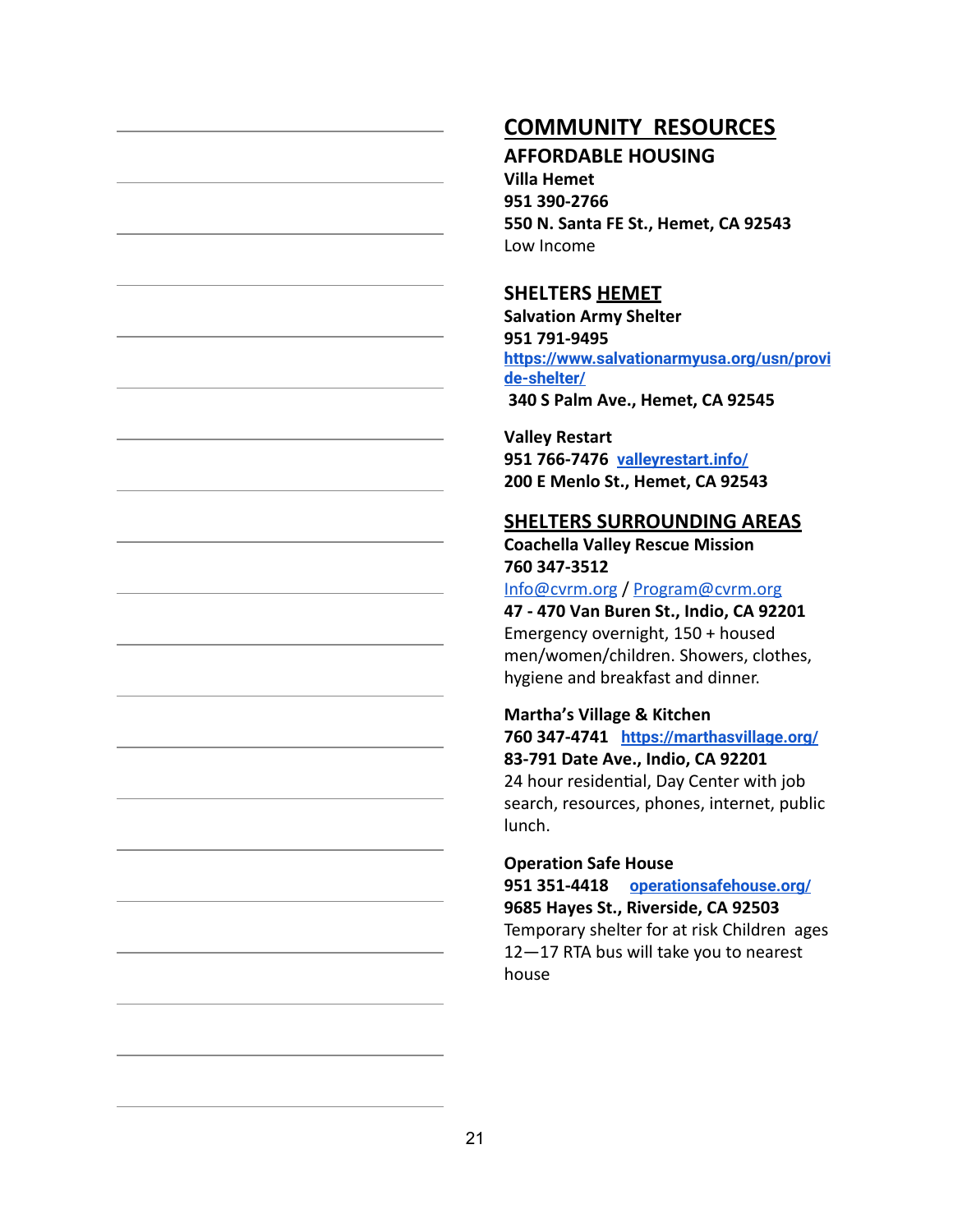# **COMMUNITY RESOURCES**

#### **AFFORDABLE HOUSING**

**Villa Hemet 951 390-2766 550 N. Santa FE St., Hemet, CA 92543** Low Income

#### **SHELTERS HEMET**

**Salvation Army Shelter 951 791-9495 [https://www.salvationarmyusa.org/usn/provi](https://www.salvationarmyusa.org/usn/provide-shelter/) [de-shelter/](https://www.salvationarmyusa.org/usn/provide-shelter/) 340 S Palm Ave., Hemet, CA 92545**

**Valley Restart 951 766-7476 [valleyrestart.info/](http://valleyrestart.info/) 200 E Menlo St., Hemet, CA 92543**

#### **SHELTERS SURROUNDING AREAS**

**Coachella Valley Rescue Mission 760 347-3512** [Info@cvrm.org](mailto:Info@cvrm.org)/ [Program@cvrm.org](mailto:Program@cvrm.org)

**47 - 470 Van Buren St., Indio, CA 92201** Emergency overnight, 150 + housed men/women/children. Showers, clothes, hygiene and breakfast and dinner.

#### **Martha's Village & Kitchen**

**760 347-4741 <https://marthasvillage.org/> 83-791 Date Ave., Indio, CA 92201** 24 hour residential, Day Center with job search, resources, phones, internet, public lunch.

#### **Operation Safe House**

**951 351-4418 [operationsafehouse.org/](http://www.operationsafe.org/) 9685 Hayes St., Riverside, CA 92503** Temporary shelter for at risk Children ages 12—17 RTA bus will take you to nearest house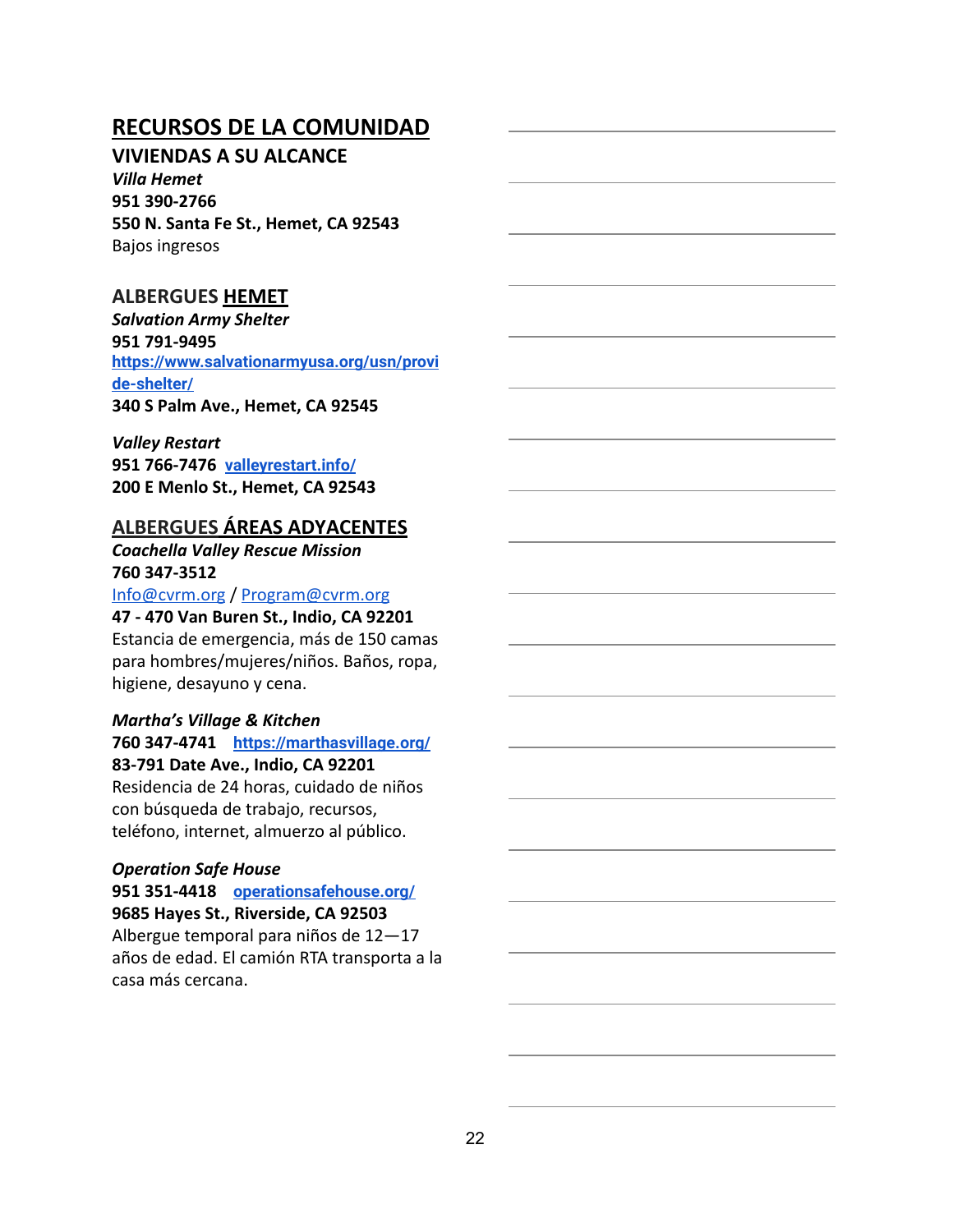#### **VIVIENDAS A SU ALCANCE**

*Villa Hemet* **951 390-2766 550 N. Santa Fe St., Hemet, CA 92543** Bajos ingresos

#### **ALBERGUES HEMET**

*Salvation Army Shelter* **951 791-9495 [https://www.salvationarmyusa.org/usn/provi](https://www.salvationarmyusa.org/usn/provide-shelter/) [de-shelter/](https://www.salvationarmyusa.org/usn/provide-shelter/) 340 S Palm Ave., Hemet, CA 92545**

*Valley Restart* **951 766-7476 [valleyrestart.info/](http://valleyrestart.info/) 200 E Menlo St., Hemet, CA 92543**

#### **ALBERGUES ÁREAS ADYACENTES**

*Coachella Valley Rescue Mission* **760 347-3512**

[Info@cvrm.org](mailto:Info@cvrm.org)/ [Program@cvrm.org](mailto:Program@cvrm.org)

#### **47 - 470 Van Buren St., Indio, CA 92201**

Estancia de emergencia, más de 150 camas para hombres/mujeres/niños. Baños, ropa, higiene, desayuno y cena.

#### *Martha's Village & Kitchen*

**760 347-4741 <https://marthasvillage.org/> 83-791 Date Ave., Indio, CA 92201** Residencia de 24 horas, cuidado de niños con búsqueda de trabajo, recursos,

teléfono, internet, almuerzo al público.

#### *Operation Safe House*

**951 351-4418 [operationsafehouse.org/](http://www.operationsafe.org/) 9685 Hayes St., Riverside, CA 92503** Albergue temporal para niños de 12—17 años de edad. El camión RTA transporta a la casa más cercana.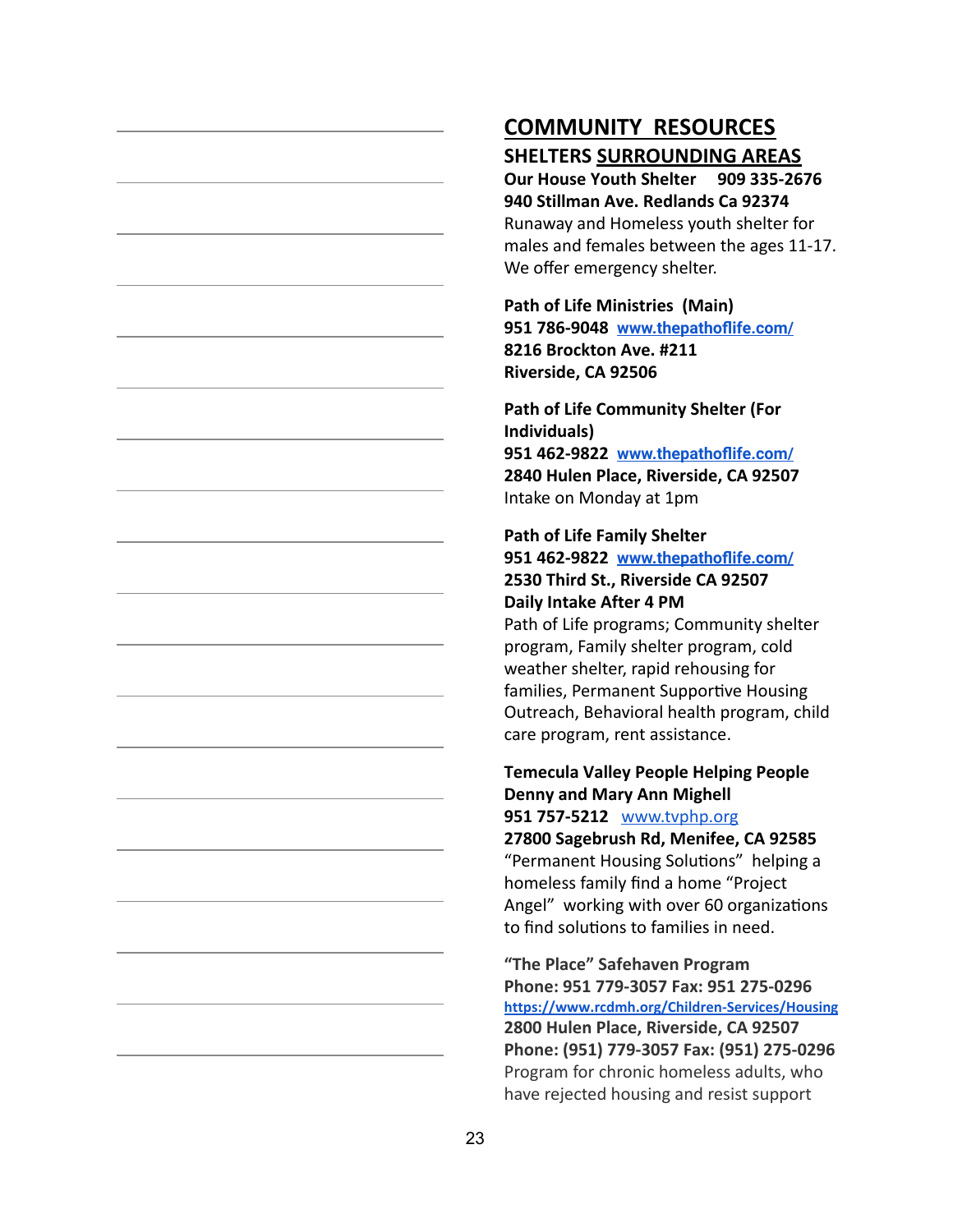# **COMMUNITY RESOURCES SHELTERS SURROUNDING AREAS**

**Our House Youth Shelter 909 335-2676 940 Stillman Ave. Redlands Ca 92374** Runaway and Homeless youth shelter for males and females between the ages 11-17. We offer emergency shelter.

**Path of Life Ministries (Main) 951 786-9048 [www.thepathoflife.com/](http://www.thepathoflife.com/) 8216 Brockton Ave. #211 Riverside, CA 92506**

**Path of Life Community Shelter (For Individuals) 951 462-9822 [www.thepathoflife.com/](http://www.thepathoflife.com/) 2840 Hulen Place, Riverside, CA 92507** Intake on Monday at 1pm

#### **Path of Life Family Shelter**

**951 462-9822 [www.thepathoflife.com/](http://www.thepathoflife.com/) 2530 Third St., Riverside CA 92507 Daily Intake After 4 PM**

Path of Life programs; Community shelter program, Family shelter program, cold weather shelter, rapid rehousing for families, Permanent Supportive Housing Outreach, Behavioral health program, child care program, rent assistance.

#### **Temecula Valley People Helping People Denny and Mary Ann Mighell 951 757-5212** [www.tvphp.org](http://www.tvphp.org/)

**27800 Sagebrush Rd, Menifee, CA 92585** "Permanent Housing Solutions" helping a homeless family find a home "Project Angel" working with over 60 organizations to find solutions to families in need.

**"The Place" Safehaven Program Phone: 951 779-3057 Fax: 951 275-0296 <https://www.rcdmh.org/Children-Services/Housing> 2800 Hulen Place, Riverside, CA 92507 Phone: (951) 779-3057 Fax: (951) 275-0296** Program for chronic homeless adults, who have rejected housing and resist support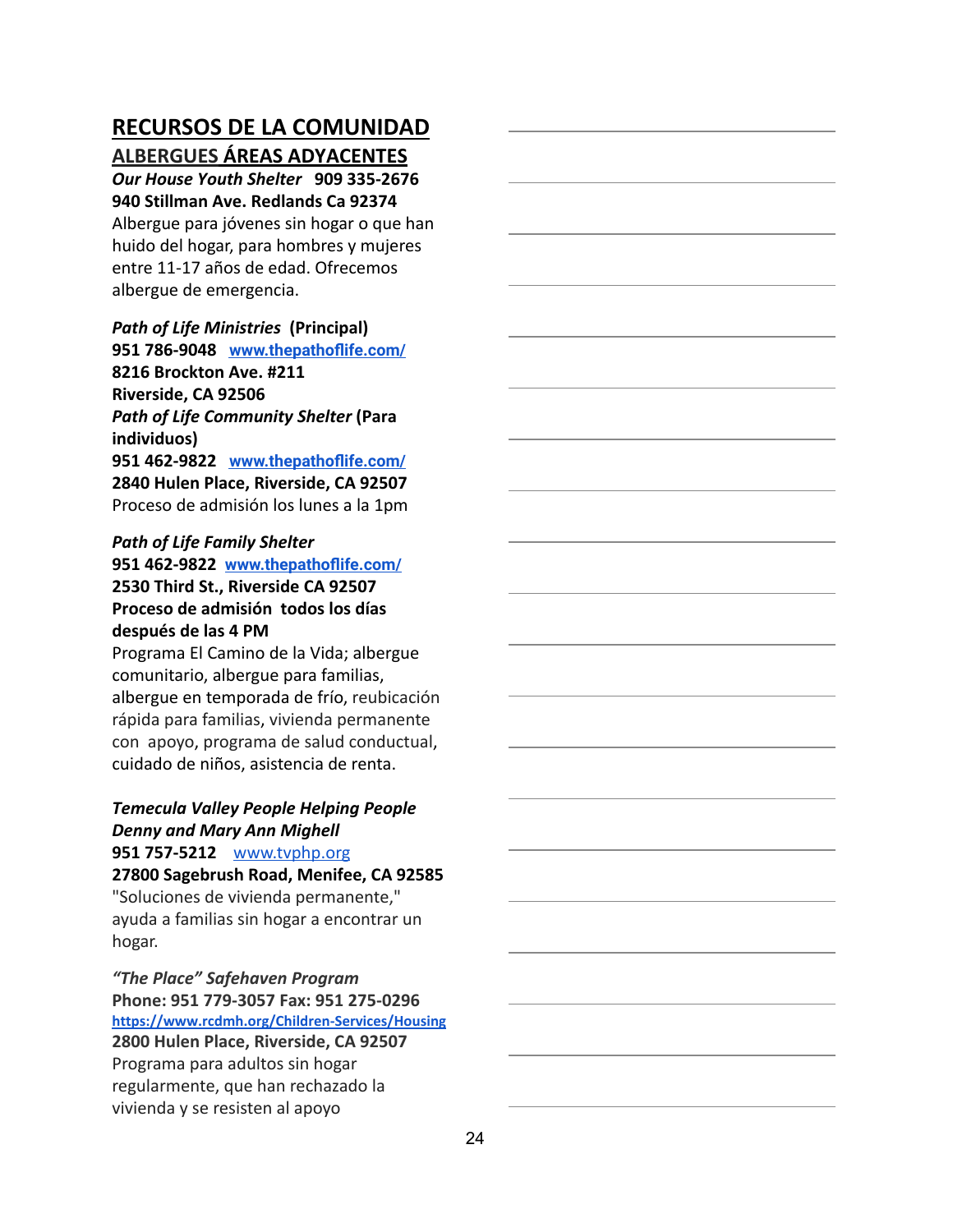**ALBERGUES ÁREAS ADYACENTES**

*Our House Youth Shelter* **909 335-2676 940 Stillman Ave. Redlands Ca 92374**

Albergue para jóvenes sin hogar o que han huido del hogar, para hombres y mujeres entre 11-17 años de edad. Ofrecemos albergue de emergencia.

#### *Path of Life Ministries* **(Principal)**

**951 786-9048 [www.thepathoflife.com/](http://www.thepathoflife.com/) 8216 Brockton Ave. #211 Riverside, CA 92506** *Path of Life Community Shelter* **(Para individuos) 951 462-9822 [www.thepathoflife.com/](http://www.thepathoflife.com/) 2840 Hulen Place, Riverside, CA 92507** Proceso de admisión los lunes a la 1pm

#### *Path of Life Family Shelter*

**951 462-9822 [www.thepathoflife.com/](http://www.thepathoflife.com/) 2530 Third St., Riverside CA 92507 Proceso de admisión todos los días después de las 4 PM**

Programa El Camino de la Vida; albergue comunitario, albergue para familias, albergue en temporada de frío, reubicación rápida para familias, vivienda permanente con apoyo, programa de salud conductual, cuidado de niños, asistencia de renta.

#### *Temecula Valley People Helping People Denny and Mary Ann Mighell* **951 757-5212** [www.tvphp.org](http://www.tvphp.org/)

**27800 Sagebrush Road, Menifee, CA 92585** "Soluciones de vivienda permanente," ayuda a familias sin hogar a encontrar un hogar.

*"The Place" Safehaven Program* **Phone: 951 779-3057 Fax: 951 275-0296 <https://www.rcdmh.org/Children-Services/Housing> 2800 Hulen Place, Riverside, CA 92507** Programa para adultos sin hogar regularmente, que han rechazado la vivienda y se resisten al apoyo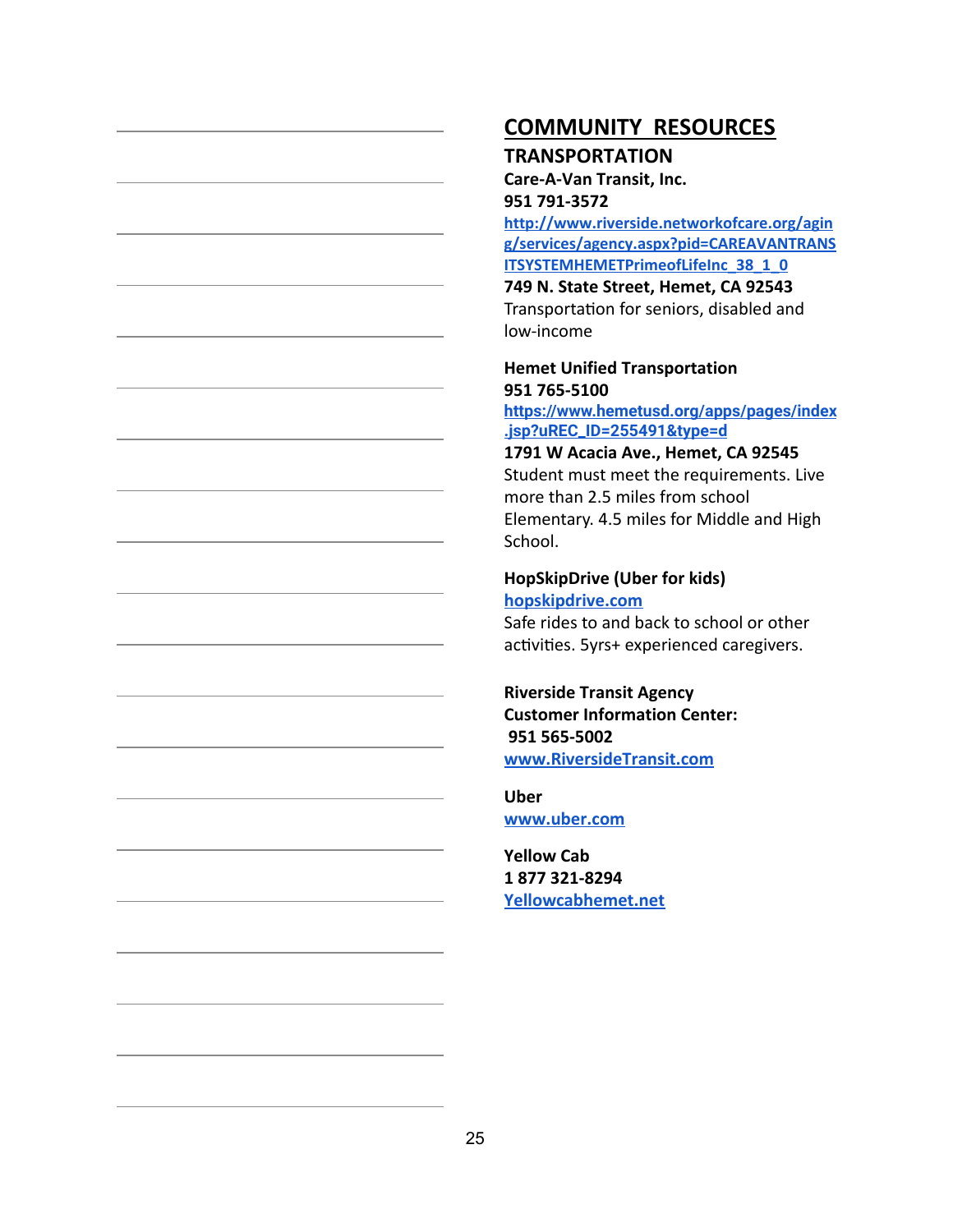## **COMMUNITY RESOURCES TRANSPORTATION**

**Care-A-Van Transit, Inc. 951 791-3572**

**[http://www.riverside.networkofcare.org/agin](http://www.riverside.networkofcare.org/aging/services/agency.aspx?pid=CAREAVANTRANSITSYSTEMHEMETPrimeofLifeInc_38_1_0) [g/services/agency.aspx?pid=CAREAVANTRANS](http://www.riverside.networkofcare.org/aging/services/agency.aspx?pid=CAREAVANTRANSITSYSTEMHEMETPrimeofLifeInc_38_1_0) [ITSYSTEMHEMETPrimeofLifeInc\\_38\\_1\\_0](http://www.riverside.networkofcare.org/aging/services/agency.aspx?pid=CAREAVANTRANSITSYSTEMHEMETPrimeofLifeInc_38_1_0)**

**749 N. State Street, Hemet, CA 92543** Transportation for seniors, disabled and low-income

# **Hemet Unified Transportation 951 765-5100**

**[https://www.hemetusd.org/apps/pages/index](https://www.hemetusd.org/apps/pages/index.jsp?uREC_ID=255491&type=d) [.jsp?uREC\\_ID=255491&type=d](https://www.hemetusd.org/apps/pages/index.jsp?uREC_ID=255491&type=d)**

**1791 W Acacia Ave., Hemet, CA 92545** Student must meet the requirements. Live more than 2.5 miles from school Elementary. 4.5 miles for Middle and High School.

#### **HopSkipDrive (Uber for kids) [hopskipdrive.com](https://www.hopskipdrive.com/)** Safe rides to and back to school or other

activities. 5yrs+ experienced caregivers.

**Riverside Transit Agency Customer Information Center: 951 565-5002 [www.RiversideTransit.com](http://www.riversidetransit.com/)**

**Uber [www.uber.com](http://www.uber.com/)**

**Yellow Cab 1 877 321-8294 [Yellowcabhemet.net](http://www.yellowcabhemet.com/Taxi-Service-Location-Contact-Hemet-CA.html)**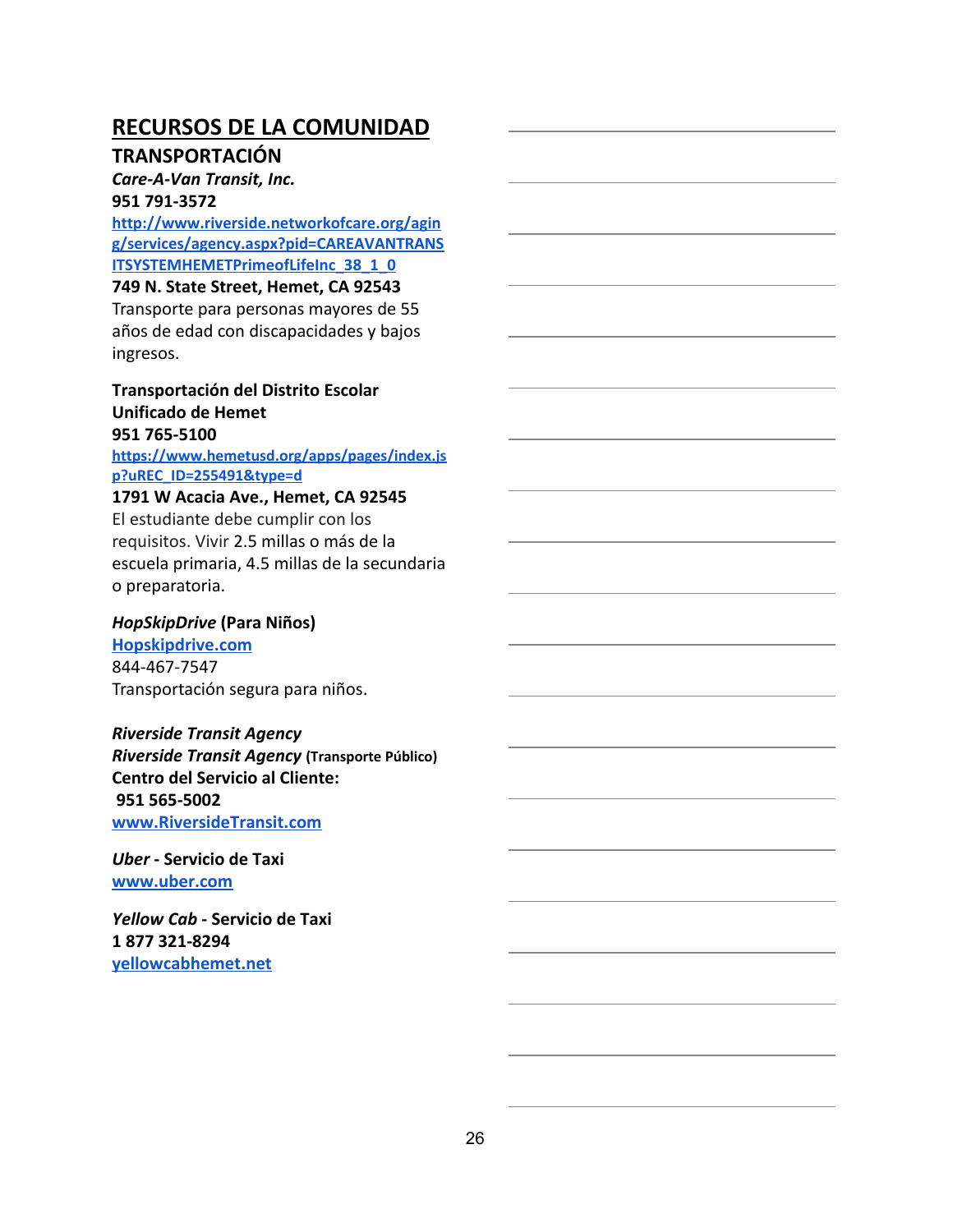#### **TRANSPORTACIÓN**

#### *Care-A-Van Transit, Inc.*

#### **951 791-3572**

**[http://www.riverside.networkofcare.org/agin](http://www.riverside.networkofcare.org/aging/services/agency.aspx?pid=CAREAVANTRANSITSYSTEMHEMETPrimeofLifeInc_38_1_0) [g/services/agency.aspx?pid=CAREAVANTRANS](http://www.riverside.networkofcare.org/aging/services/agency.aspx?pid=CAREAVANTRANSITSYSTEMHEMETPrimeofLifeInc_38_1_0) [ITSYSTEMHEMETPrimeofLifeInc\\_38\\_1\\_0](http://www.riverside.networkofcare.org/aging/services/agency.aspx?pid=CAREAVANTRANSITSYSTEMHEMETPrimeofLifeInc_38_1_0)**

#### **749 N. State Street, Hemet, CA 92543**

Transporte para personas mayores de 55 años de edad con discapacidades y bajos ingresos.

### **Transportación del Distrito Escolar Unificado de Hemet 951 765-5100**

**[https://www.hemetusd.org/apps/pages/index.js](https://www.hemetusd.org/apps/pages/index.jsp?uREC_ID=255491&type=d) [p?uREC\\_ID=255491&type=d](https://www.hemetusd.org/apps/pages/index.jsp?uREC_ID=255491&type=d)**

#### **1791 W Acacia Ave., Hemet, CA 92545** El estudiante debe cumplir con los requisitos. Vivir 2.5 millas o más de la

escuela primaria, 4.5 millas de la secundaria o preparatoria.

#### *HopSkipDrive* **(Para Niños)**

**[Hopskipdrive.com](https://www.hopskipdrive.com/)** 844-467-7547 Transportación segura para niños.

#### *Riverside Transit Agency*

*Riverside Transit Agency* **(Transporte Público) Centro del Servicio al Cliente: 951 565-5002 [www.RiversideTransit.com](http://www.riversidetransit.com/)**

*Uber* **- Servicio de Taxi [www.uber.com](http://www.uber.com/)**

*Yellow Cab* **- Servicio de Taxi 1 877 321-8294 [yellowcabhemet.net](http://www.yellowcabhemet.com/Taxi-Service-Location-Contact-Hemet-CA.html)**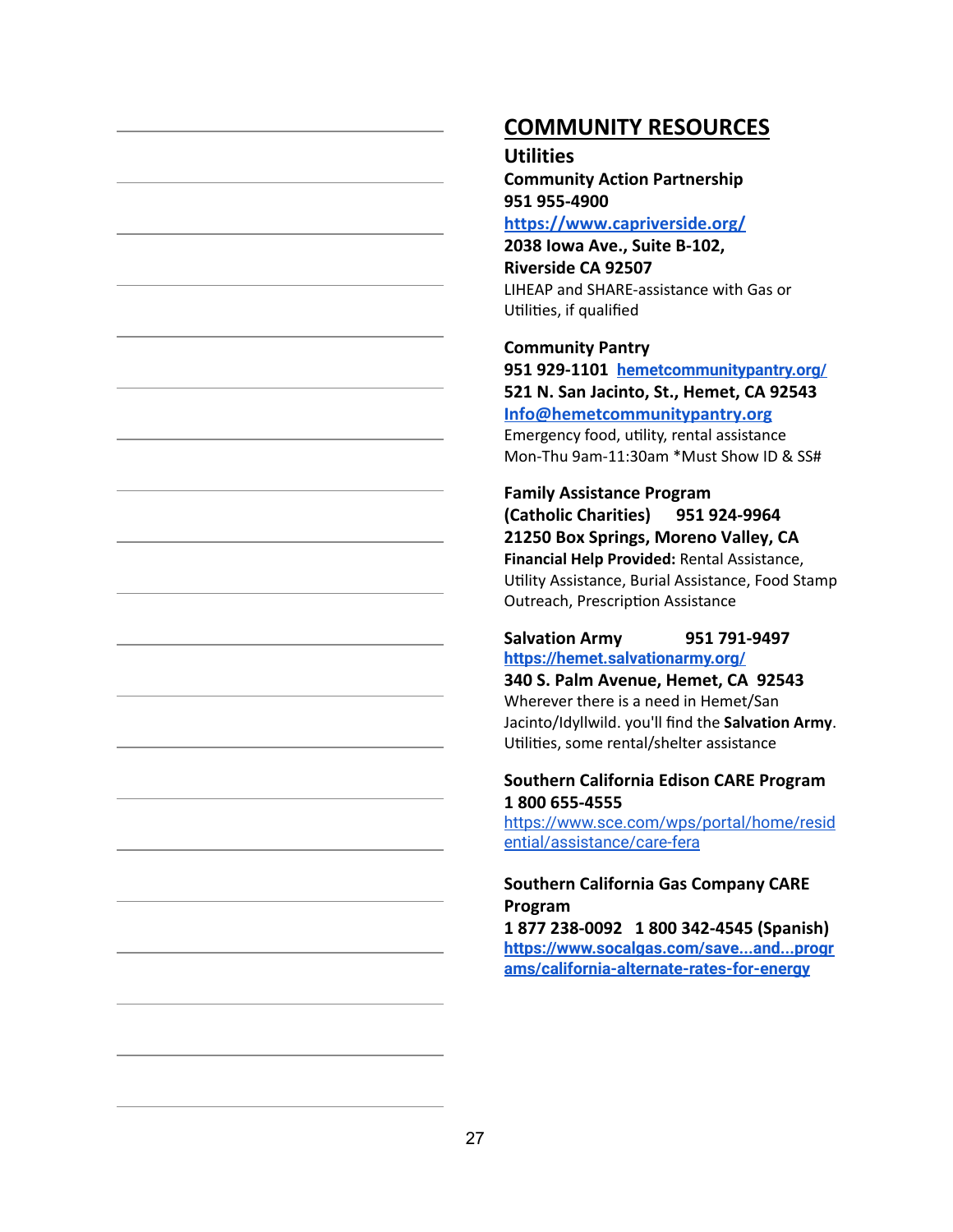# **COMMUNITY RESOURCES**

#### **Utilities**

**Community Action Partnership 951 955-4900**

**<https://www.capriverside.org/>**

**2038 Iowa Ave., Suite B-102, Riverside CA 92507** LIHEAP and SHARE-assistance with Gas or Utilities, if qualified

**Community Pantry 951 929-1101 [hemetcommunitypantry.org/](http://hemetcommunitypantry.org/) 521 N. San Jacinto, St., Hemet, CA 92543 [Info@hemetcommunitypantry.org](mailto:Info@hemetcommunitypantry.org)**

Emergency food, utility, rental assistance Mon-Thu 9am-11:30am \*Must Show ID & SS#

**Family Assistance Program (Catholic Charities) 951 924-9964 21250 Box Springs, Moreno Valley, CA Financial Help Provided:** Rental Assistance, Utility Assistance, Burial Assistance, Food Stamp Outreach, Prescription Assistance

#### **Salvation Army 951 791-9497 <https://hemet.salvationarmy.org/>**

**340 S. Palm Avenue, Hemet, CA 92543** Wherever there is a need in Hemet/San Jacinto/Idyllwild. you'll find the **Salvation Army**. Utilities, some rental/shelter assistance

#### **Southern California Edison CARE Program 1 800 655-4555**

[https://www.sce.com/wps/portal/home/resid](https://www.sce.com/wps/portal/home/residential/assistance/care-fera) [ential/assistance/care-fera](https://www.sce.com/wps/portal/home/residential/assistance/care-fera)

#### **Southern California Gas Company CARE Program**

**1 877 238-0092 1 800 342-4545 (Spanish) [https://www.socalgas.com/save...and...progr](https://www.socalgas.com/save...and...programs/california-alternate-rates-for-energy) [ams/california-alternate-rates-for-energy](https://www.socalgas.com/save...and...programs/california-alternate-rates-for-energy)**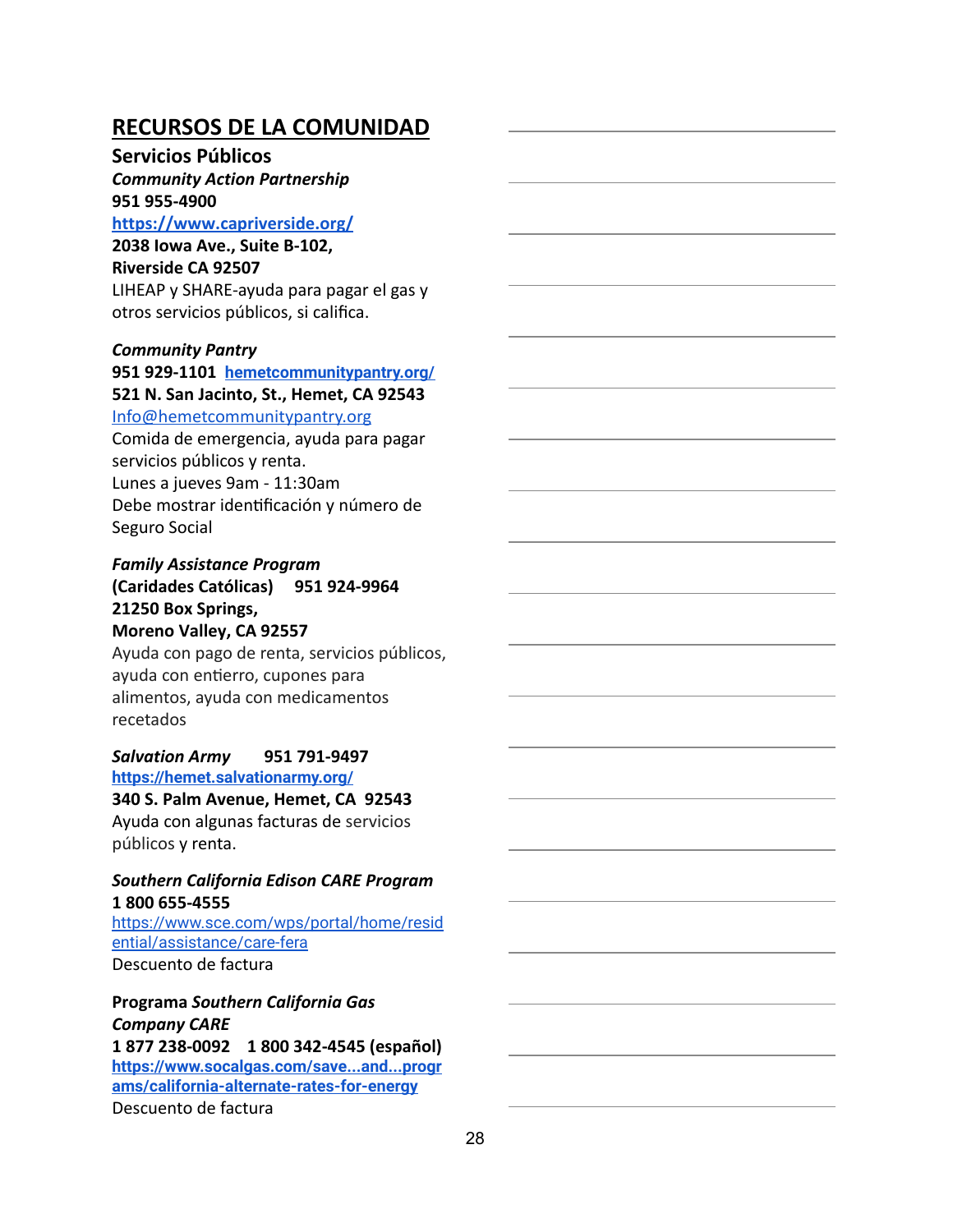#### **Servicios Públicos**

# *Community Action Partnership* **951 955-4900**

**<https://www.capriverside.org/>**

# **2038 Iowa Ave., Suite B-102,**

**Riverside CA 92507**

LIHEAP y SHARE-ayuda para pagar el gas y otros servicios públicos, si califica.

#### *Community Pantry*

**951 929-1101 [hemetcommunitypantry.org/](http://hemetcommunitypantry.org/) 521 N. San Jacinto, St., Hemet, CA 92543** [Info@hemetcommunitypantry.org](mailto:Info@hemetcommunitypantry.org)

Comida de emergencia, ayuda para pagar servicios públicos y renta. Lunes a jueves 9am - 11:30am Debe mostrar idenficación y número de Seguro Social

#### *Family Assistance Program* **(Caridades Católicas) 951 924-9964 21250 Box Springs, Moreno Valley, CA 92557**

Ayuda con pago de renta, servicios públicos, ayuda con entierro, cupones para alimentos, ayuda con medicamentos recetados

#### *Salvation Army* **951 791-9497 <https://hemet.salvationarmy.org/>**

**340 S. Palm Avenue, Hemet, CA 92543** Ayuda con algunas facturas de servicios públicos y renta.

#### *Southern California Edison CARE Program* **1 800 655-4555**

[https://www.sce.com/wps/portal/home/resid](https://www.sce.com/wps/portal/home/residential/assistance/care-fera) [ential/assistance/care-fera](https://www.sce.com/wps/portal/home/residential/assistance/care-fera) Descuento de factura

**Programa** *Southern California Gas Company CARE* **1 877 238-0092 1 800 342-4545 (español) [https://www.socalgas.com/save...and...progr](https://www.socalgas.com/save...and...programs/california-alternate-rates-for-energy) [ams/california-alternate-rates-for-energy](https://www.socalgas.com/save...and...programs/california-alternate-rates-for-energy)** Descuento de factura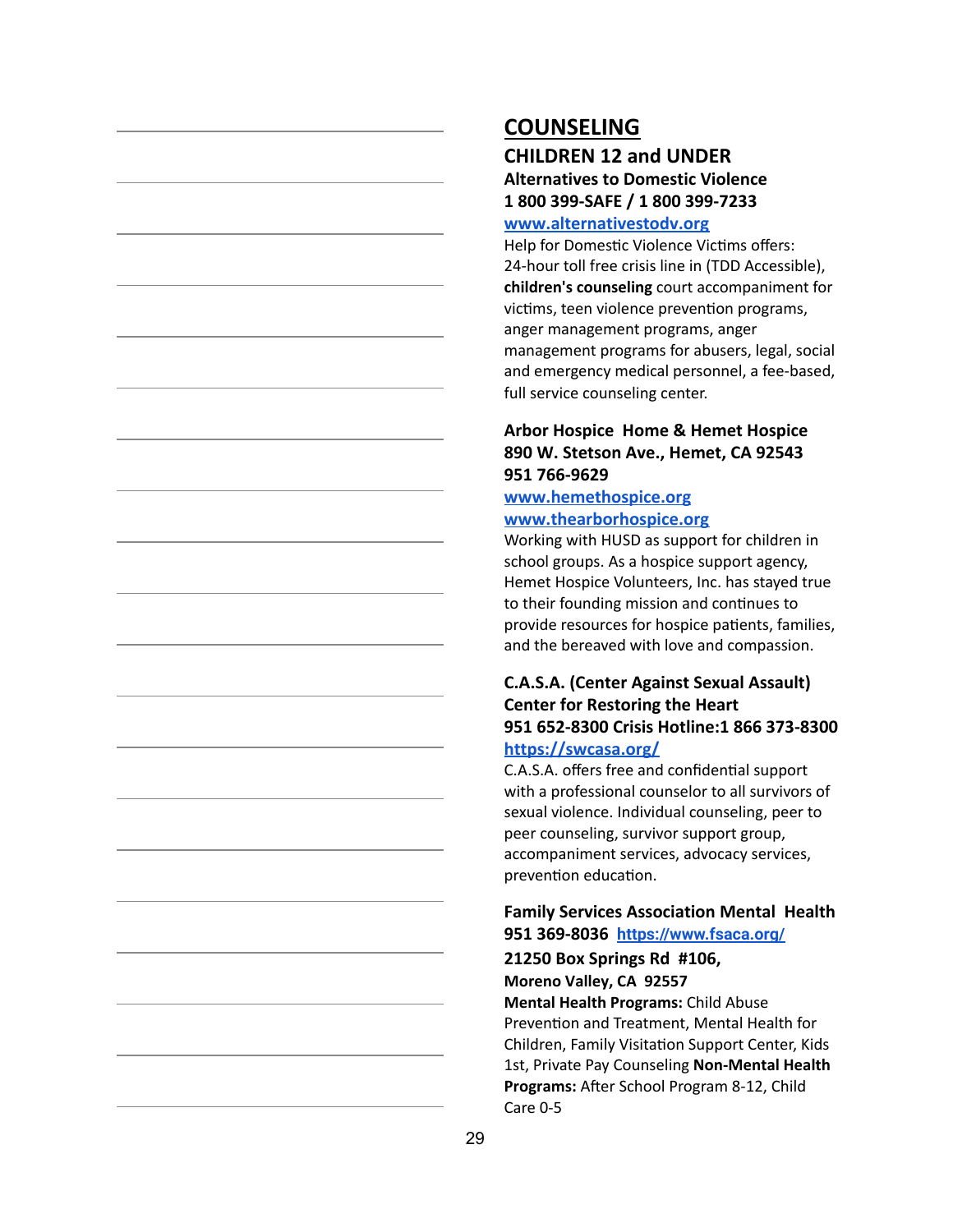# **COUNSELING**

# **CHILDREN 12 and UNDER Alternatives to Domestic Violence 1 800 399-SAFE / 1 800 399-7233**

#### **[www.alternativestodv.org](http://www.alternativestodv.org/)**

Help for Domestic Violence Victims offers: 24-hour toll free crisis line in (TDD Accessible), **children's counseling** court accompaniment for victims, teen violence prevention programs, anger management programs, anger management programs for abusers, legal, social and emergency medical personnel, a fee-based, full service counseling center.

#### **Arbor Hospice Home & Hemet Hospice 890 W. Stetson Ave., Hemet, CA 92543 951 766-9629**

#### **[www.hemethospice.org](http://www.hemethospice.org/) [www.thearborhospice.org](http://www.thearborhospice.org/)**

Working with HUSD as support for children in school groups. As a hospice support agency, Hemet Hospice Volunteers, Inc. has stayed true to their founding mission and continues to provide resources for hospice patients, families, and the bereaved with love and compassion.

#### **C.A.S.A. (Center Against Sexual Assault) Center for Restoring the Heart 951 652-8300 Crisis Hotline:1 866 373-8300 <https://swcasa.org/>**

C.A.S.A. offers free and confidential support with a professional counselor to all survivors of sexual violence. Individual counseling, peer to peer counseling, survivor support group, accompaniment services, advocacy services, prevention education.

#### **Family Services Association Mental Health 951 369-8036 <https://www.fsaca.org/>**

**21250 Box Springs Rd #106,**

**Moreno Valley, CA 92557**

**Mental Health Programs:** Child Abuse Prevention and Treatment, Mental Health for Children, Family Visitation Support Center, Kids 1st, Private Pay Counseling **Non-Mental Health** Programs: After School Program 8-12, Child Care 0-5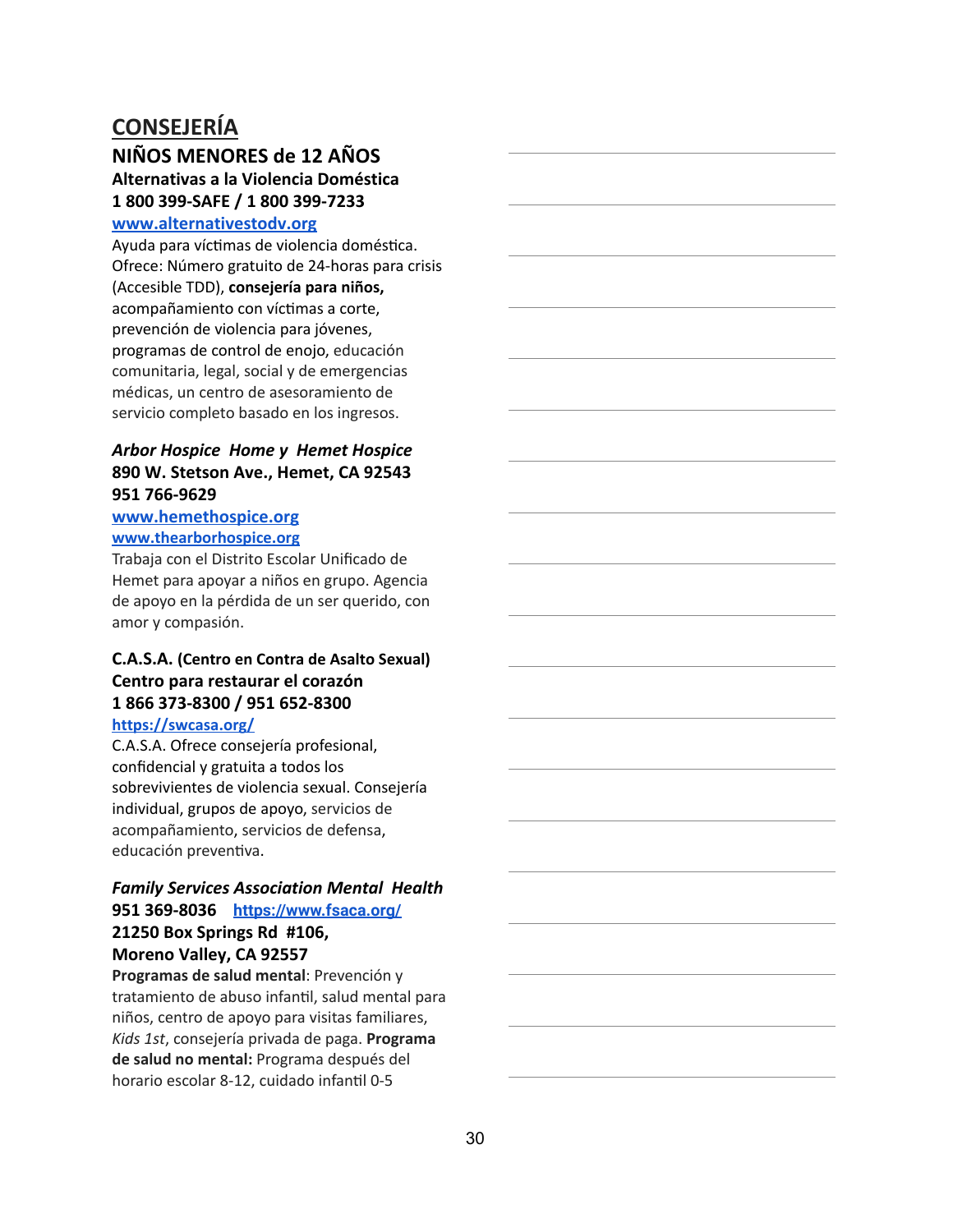# **CONSEJERÍA**

# **NIÑOS MENORES de 12 AÑOS Alternativas a la Violencia Doméstica 1 800 399-SAFE / 1 800 399-7233**

#### **[www.alternativestodv.org](http://www.alternativestodv.org/)**

Ayuda para víctimas de violencia doméstica. Ofrece: Número gratuito de 24-horas para crisis (Accesible TDD), **consejería para niños,** acompañamiento con víctimas a corte, prevención de violencia para jóvenes, programas de control de enojo, educación comunitaria, legal, social y de emergencias médicas, un centro de asesoramiento de servicio completo basado en los ingresos.

#### *Arbor Hospice Home y Hemet Hospice* **890 W. Stetson Ave., Hemet, CA 92543 951 766-9629**

#### **[www.hemethospice.org](http://www.hemethospice.org/) [www.thearborhospice.org](http://www.thearborhospice.org/)**

Trabaja con el Distrito Escolar Unificado de Hemet para apoyar a niños en grupo. Agencia de apoyo en la pérdida de un ser querido, con amor y compasión.

#### **C.A.S.A. (Centro en Contra de Asalto Sexual) Centro para restaurar el corazón 1 866 373-8300 / 951 652-8300 <https://swcasa.org/>**

C.A.S.A. Ofrece consejería profesional, confidencial y gratuita a todos los sobrevivientes de violencia sexual. Consejería individual, grupos de apoyo, servicios de acompañamiento, servicios de defensa, educación preventiva.

#### *Family Services Association Mental Health* **951 369-8036 <https://www.fsaca.org/> 21250 Box Springs Rd #106,**

# **Moreno Valley, CA 92557**

**Programas de salud mental**: Prevención y tratamiento de abuso infantil, salud mental para niños, centro de apoyo para visitas familiares, *Kids 1st*, consejería privada de paga. **Programa de salud no mental:** Programa después del horario escolar 8-12, cuidado infantil 0-5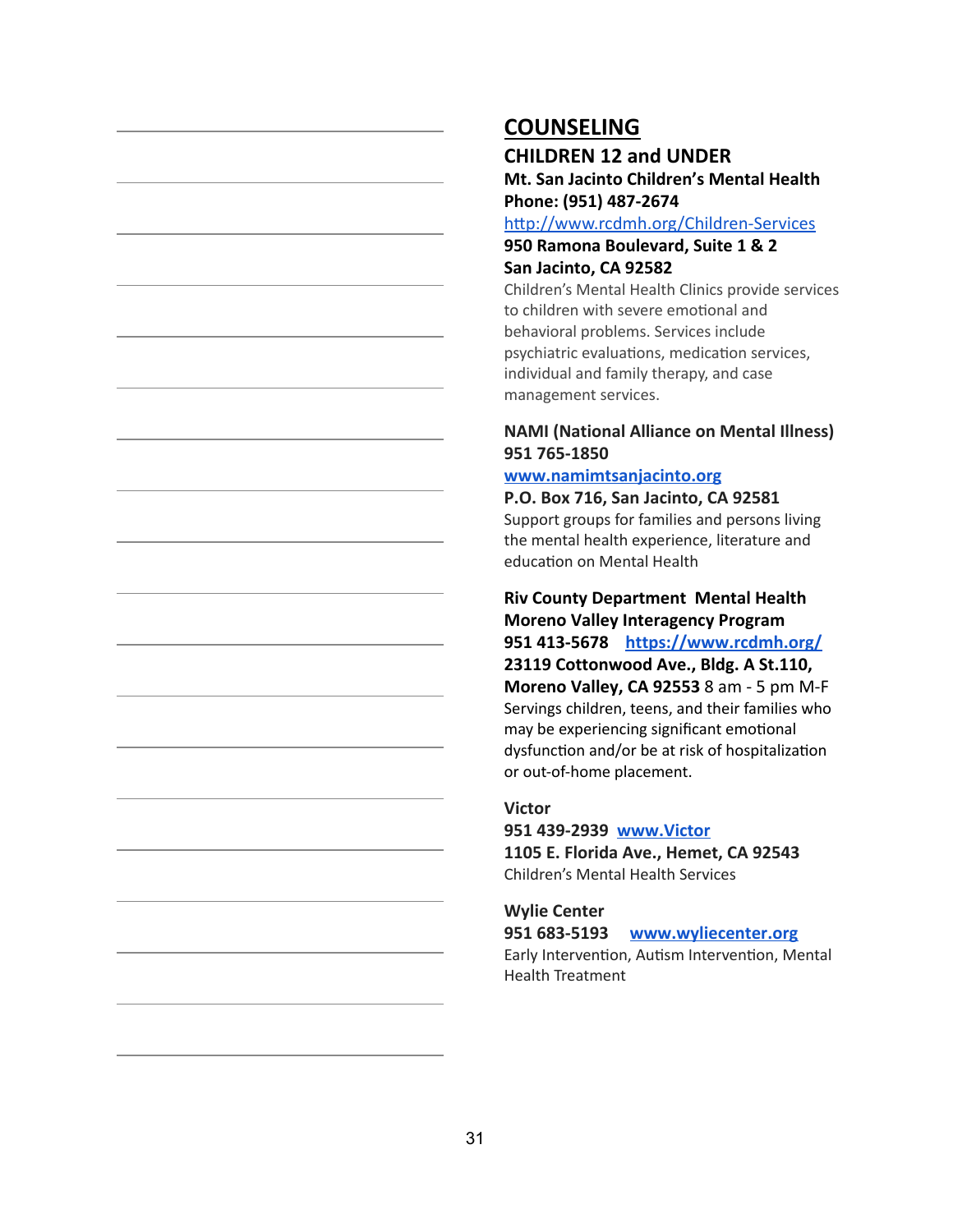### **COUNSELING**

**CHILDREN 12 and UNDER [Mt. San Jacinto Children's Mental Health](https://www.google.com/maps/place/950+N+Ramona+Blvd,+San+Jacinto,+CA+92582/@33.7953471,-116.9734538,17z/data=!3m1!4b1!4m2!3m1!1s0x80db68889e03b9cb:0xab45c27cb3e9637b) Phone: (951) 487-2674**

http://www.rcdmh.org/Children-Services

#### **950 Ramona Boulevard, Suite 1 & 2 San Jacinto, CA 92582**

Children's Mental Health Clinics provide services to children with severe emotional and behavioral problems. Services include psychiatric evaluations, medication services, individual and family therapy, and case management services.

#### **NAMI (National Alliance on Mental Illness) 951 765-1850**

#### **[www.namimtsanjacinto.org](http://www.namimtsanjacinto.org/)**

#### **P.O. Box 716, San Jacinto, CA 92581**

Support groups for families and persons living the mental health experience, literature and education on Mental Health

# **Riv County Department Mental Health Moreno Valley Interagency Program 951 413-5678 <https://www.rcdmh.org/>**

**23119 Cottonwood Ave., Bldg. A St.110, Moreno Valley, CA 92553** 8 am - 5 pm M-F Servings children, teens, and their families who may be experiencing significant emotional dysfunction and/or be at risk of hospitalization or out-of-home placement.

#### **Victor**

**951 439-2939 [www.Victor](http://www.victor/) 1105 E. Florida Ave., Hemet, CA 92543** Children's Mental Health Services

#### **Wylie Center 951 683-5193 [www.wyliecenter.org](http://www.wyliecenter.org/)** Early Intervention, Autism Intervention, Mental Health Treatment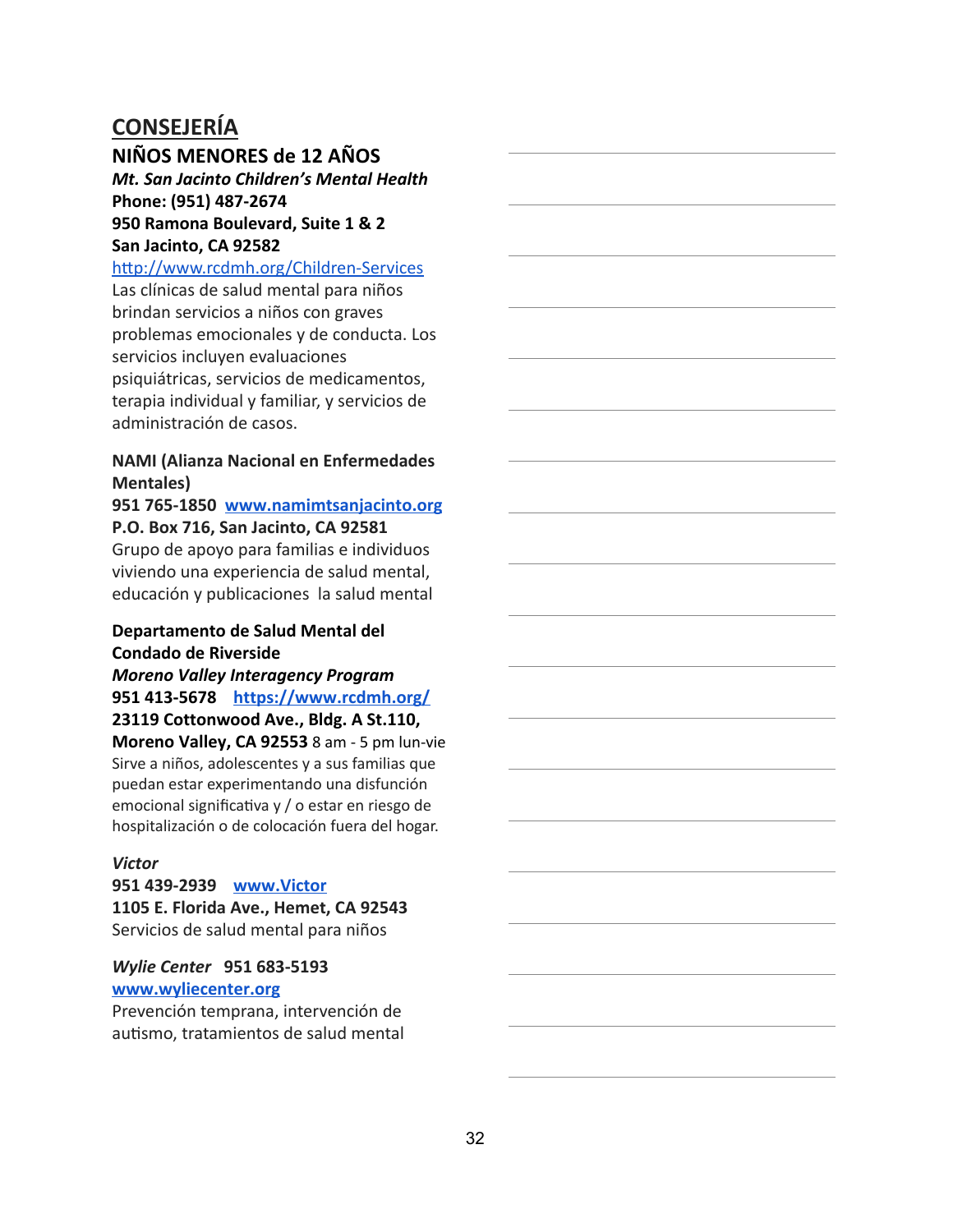# **CONSEJERÍA**

#### **NIÑOS MENORES de 12 AÑOS**

*[Mt. San Jacinto Children's Mental Health](https://www.google.com/maps/place/950+N+Ramona+Blvd,+San+Jacinto,+CA+92582/@33.7953471,-116.9734538,17z/data=!3m1!4b1!4m2!3m1!1s0x80db68889e03b9cb:0xab45c27cb3e9637b)* **Phone: (951) 487-267[4](https://www.google.com/maps/place/950+N+Ramona+Blvd,+San+Jacinto,+CA+92582/@33.7953471,-116.9734538,17z/data=!3m1!4b1!4m2!3m1!1s0x80db68889e03b9cb:0xab45c27cb3e9637b) 950 Ramona Boulevard, Suite 1 & 2 San Jacinto, CA 92582**

#### http://www.rcdmh.org/Children-Services

Las clínicas de salud mental para niños brindan servicios a niños con graves problemas emocionales y de conducta. Los servicios incluyen evaluaciones psiquiátricas, servicios de medicamentos, terapia individual y familiar, y servicios de administración de casos.

#### **NAMI (Alianza Nacional en Enfermedades Mentales)**

#### **951 765-1850 [www.namimtsanjacinto.org](http://www.namimtsanjacinto.org/) P.O. Box 716, San Jacinto, CA 92581**

Grupo de apoyo para familias e individuos viviendo una experiencia de salud mental, educación y publicaciones la salud mental

#### **Departamento de Salud Mental del Condado de Riverside**

*Moreno Valley Interagency Program* **951 413-5678 <https://www.rcdmh.org/> 23119 Cottonwood Ave., Bldg. A St.110,**

**Moreno Valley, CA 92553** 8 am - 5 pm lun-vie Sirve a niños, adolescentes y a sus familias que puedan estar experimentando una disfunción emocional significativa y / o estar en riesgo de hospitalización o de colocación fuera del hogar.

#### *Victor*

**951 439-2939 [www.Victor](http://www.victor/) 1105 E. Florida Ave., Hemet, CA 92543** Servicios de salud mental para niños

*Wylie Center* **951 683-5193 [www.wyliecenter.org](http://www.wyliecenter.org/)**

Prevención temprana, intervención de autismo, tratamientos de salud mental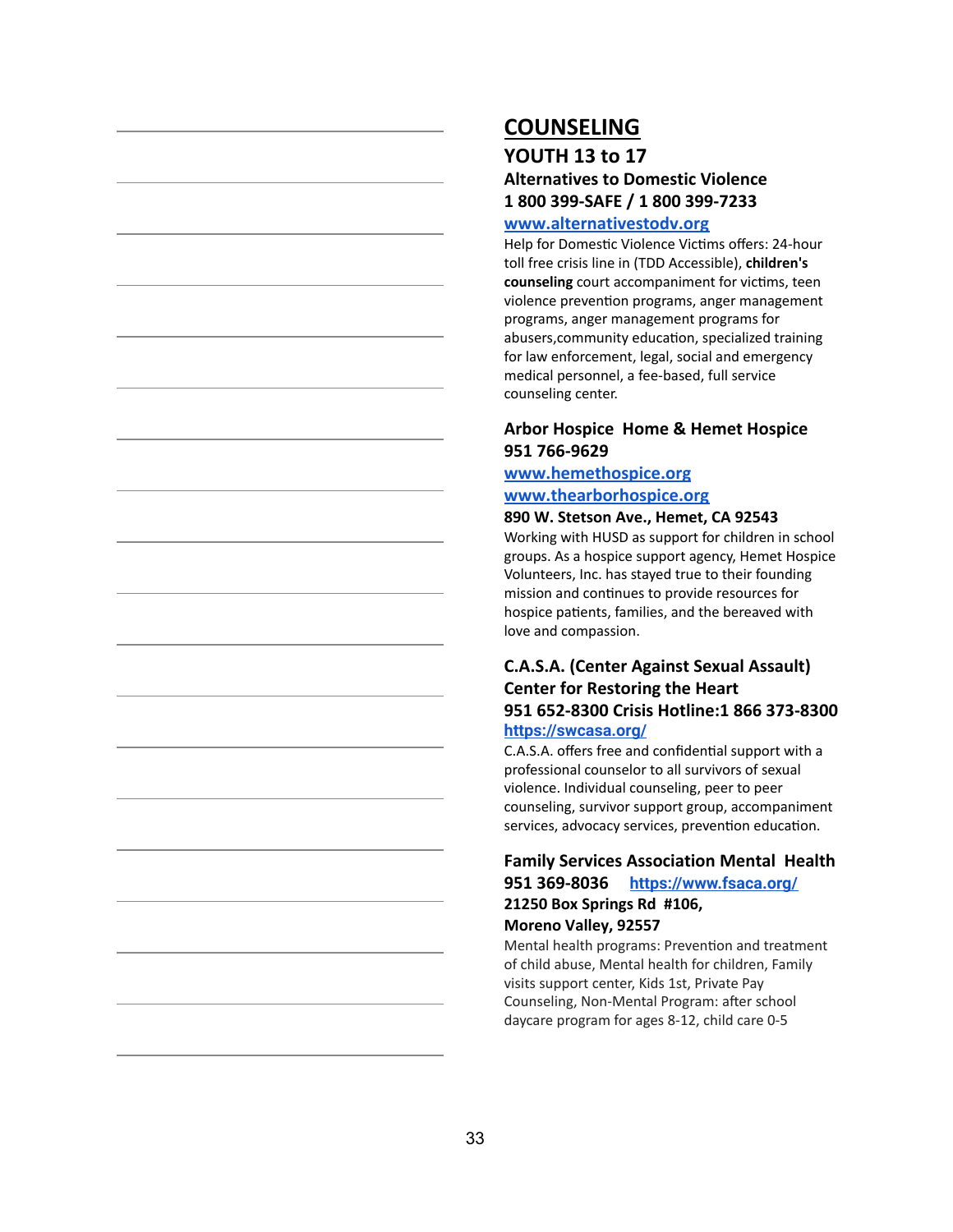# **COUNSELING**

## **YOUTH 13 to 17 Alternatives to Domestic Violence 1 800 399-SAFE / 1 800 399-7233**

#### **[www.alternativestodv.org](http://www.alternativestodv.org/)**

Help for Domestic Violence Victims offers: 24-hour toll free crisis line in (TDD Accessible), **children's** counseling court accompaniment for victims, teen violence prevention programs, anger management programs, anger management programs for abusers, community education, specialized training for law enforcement, legal, social and emergency medical personnel, a fee-based, full service counseling center.

#### **Arbor Hospice Home & Hemet Hospice 951 766-9629**

### **[www.hemethospice.org](http://www.hemethospice.org/)**

#### **[www.thearborhospice.org](http://www.thearborhospice.org/)**

#### **890 W. Stetson Ave., Hemet, CA 92543**

Working with HUSD as support for children in school groups. As a hospice support agency, Hemet Hospice Volunteers, Inc. has stayed true to their founding mission and continues to provide resources for hospice patients, families, and the bereaved with love and compassion.

#### **C.A.S.A. (Center Against Sexual Assault) Center for Restoring the Heart 951 652-8300 Crisis Hotline:1 866 373-8300 <https://swcasa.org/>**

C.A.S.A. offers free and confidential support with a professional counselor to all survivors of sexual violence. Individual counseling, peer to peer counseling, survivor support group, accompaniment services, advocacy services, prevention education.

#### **Family Services Association Mental Health 951 369-8036 <https://www.fsaca.org/> 21250 Box Springs Rd #106, Moreno Valley, 92557**

Mental health programs: Prevention and treatment of child abuse, Mental health for children, Family visits support center, Kids 1st, Private Pay Counseling, Non-Mental Program: after school daycare program for ages 8-12, child care 0-5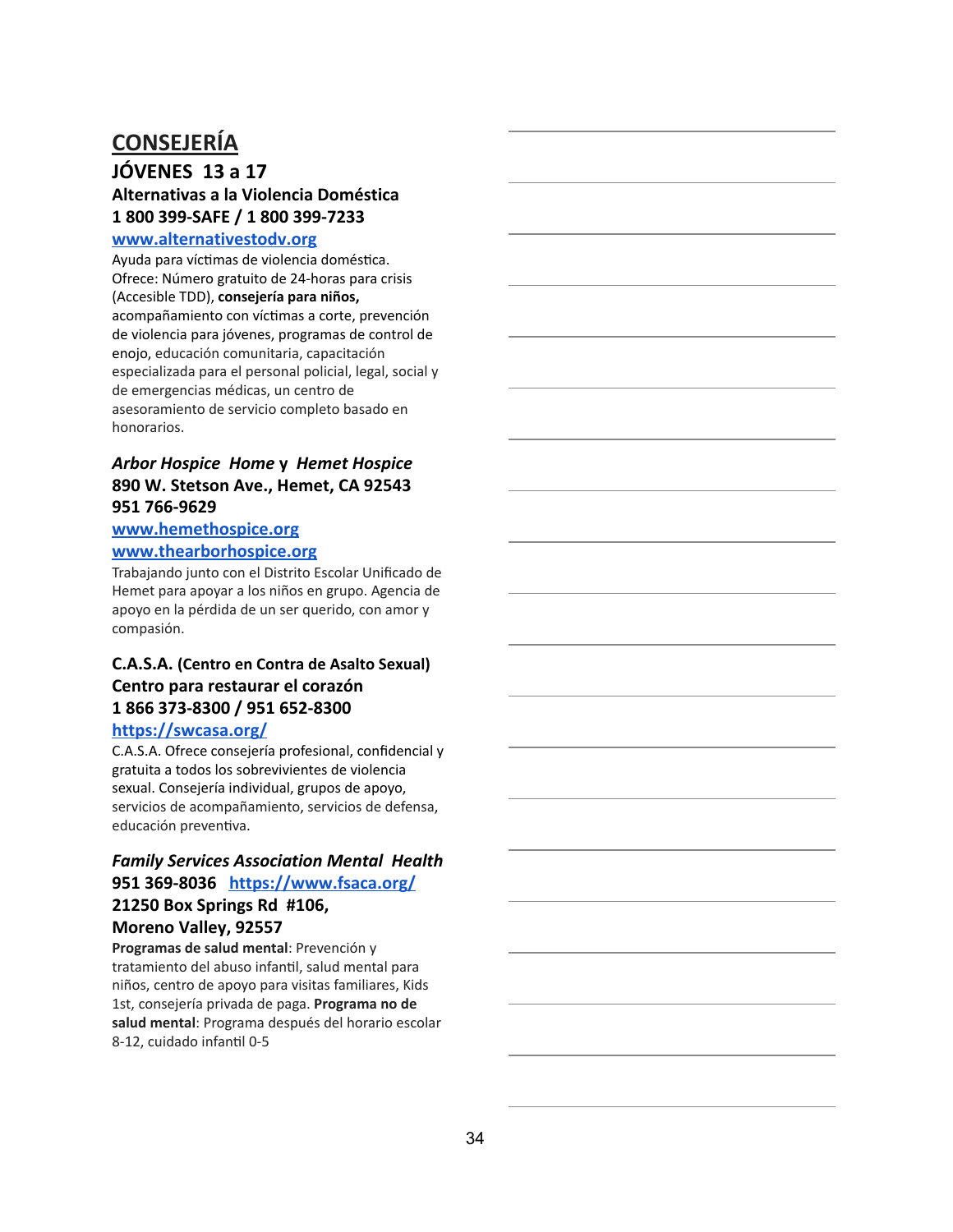# **CONSEJERÍA**

#### **JÓVENES 13 a 17 Alternativas a la Violencia Doméstica 1 800 399-SAFE / 1 800 399-7233**

#### **[www.alternativestodv.org](http://www.alternativestodv.org/)**

Ayuda para víctimas de violencia doméstica. Ofrece: Número gratuito de 24-horas para crisis (Accesible TDD), **consejería para niños,** acompañamiento con víctimas a corte, prevención de violencia para jóvenes, programas de control de enojo, educación comunitaria, capacitación especializada para el personal policial, legal, social y de emergencias médicas, un centro de asesoramiento de servicio completo basado en honorarios.

#### *Arbor Hospice Home* **y** *Hemet Hospice* **890 W. Stetson Ave., Hemet, CA 92543 951 766-9629**

# **[www.hemethospice.org](http://www.hemethospice.org/)**

#### **[www.thearborhospice.org](http://www.thearborhospice.org/)**

Trabajando junto con el Distrito Escolar Unificado de Hemet para apoyar a los niños en grupo. Agencia de apoyo en la pérdida de un ser querido, con amor y compasión.

# **C.A.S.A. (Centro en Contra de Asalto Sexual) Centro para restaurar el corazón 1 866 373-8300 / 951 652-8300**

#### **<https://swcasa.org/>**

C.A.S.A. Ofrece consejería profesional, confidencial y gratuita a todos los sobrevivientes de violencia sexual. Consejería individual, grupos de apoyo, servicios de acompañamiento, servicios de defensa, educación preventiva.

# *Family Services Association Mental Health* **951 369-8036 <https://www.fsaca.org/> 21250 Box Springs Rd #106,**

#### **Moreno Valley, 92557**

**Programas de salud mental**: Prevención y tratamiento del abuso infantil, salud mental para niños, centro de apoyo para visitas familiares, Kids 1st, consejería privada de paga. **Programa no de salud mental**: Programa después del horario escolar 8-12, cuidado infantil 0-5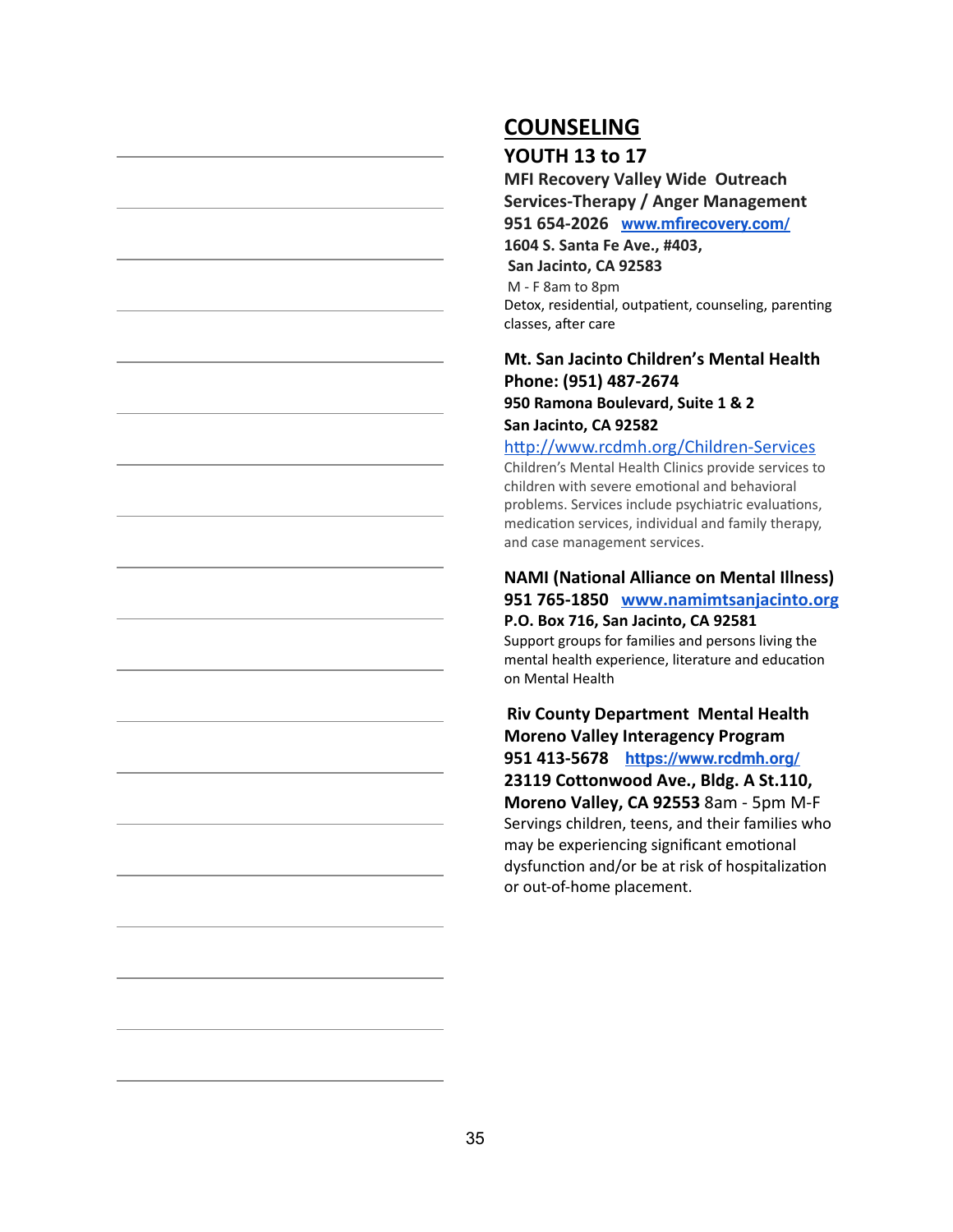# **COUNSELING**

### **YOUTH 13 to 17**

**MFI Recovery Valley Wide Outreach Services-Therapy / Anger Management 951 654-2026 [www.mfirecovery.com/](http://www.mfirecovery.com/) 1604 S. Santa Fe Ave., #403, San Jacinto, CA 92583** M - F 8am to 8pm Detox, residential, outpatient, counseling, parenting classes, after care

#### **[Mt. San Jacinto Children's Mental Health](https://www.google.com/maps/place/950+N+Ramona+Blvd,+San+Jacinto,+CA+92582/@33.7953471,-116.9734538,17z/data=!3m1!4b1!4m2!3m1!1s0x80db68889e03b9cb:0xab45c27cb3e9637b) Phone: (951) 487-267[4](https://www.google.com/maps/place/950+N+Ramona+Blvd,+San+Jacinto,+CA+92582/@33.7953471,-116.9734538,17z/data=!3m1!4b1!4m2!3m1!1s0x80db68889e03b9cb:0xab45c27cb3e9637b) 950 Ramona Boulevard, Suite 1 & 2 San Jacinto, CA 92582**

http://www.rcdmh.org/Children-Services Children's Mental Health Clinics provide services to children with severe emotional and behavioral problems. Services include psychiatric evaluations, medication services, individual and family therapy, and case management services.

# **NAMI (National Alliance on Mental Illness) 951 765-1850 [www.namimtsanjacinto.org](http://www.namimtsanjacinto.org/) P.O. Box 716, San Jacinto, CA 92581**

Support groups for families and persons living the mental health experience, literature and education on Mental Health

**Riv County Department Mental Health Moreno Valley Interagency Program 951 413-5678 <https://www.rcdmh.org/> 23119 Cottonwood Ave., Bldg. A St.110, Moreno Valley, CA 92553** 8am - 5pm M-F Servings children, teens, and their families who may be experiencing significant emotional dysfunction and/or be at risk of hospitalization or out-of-home placement.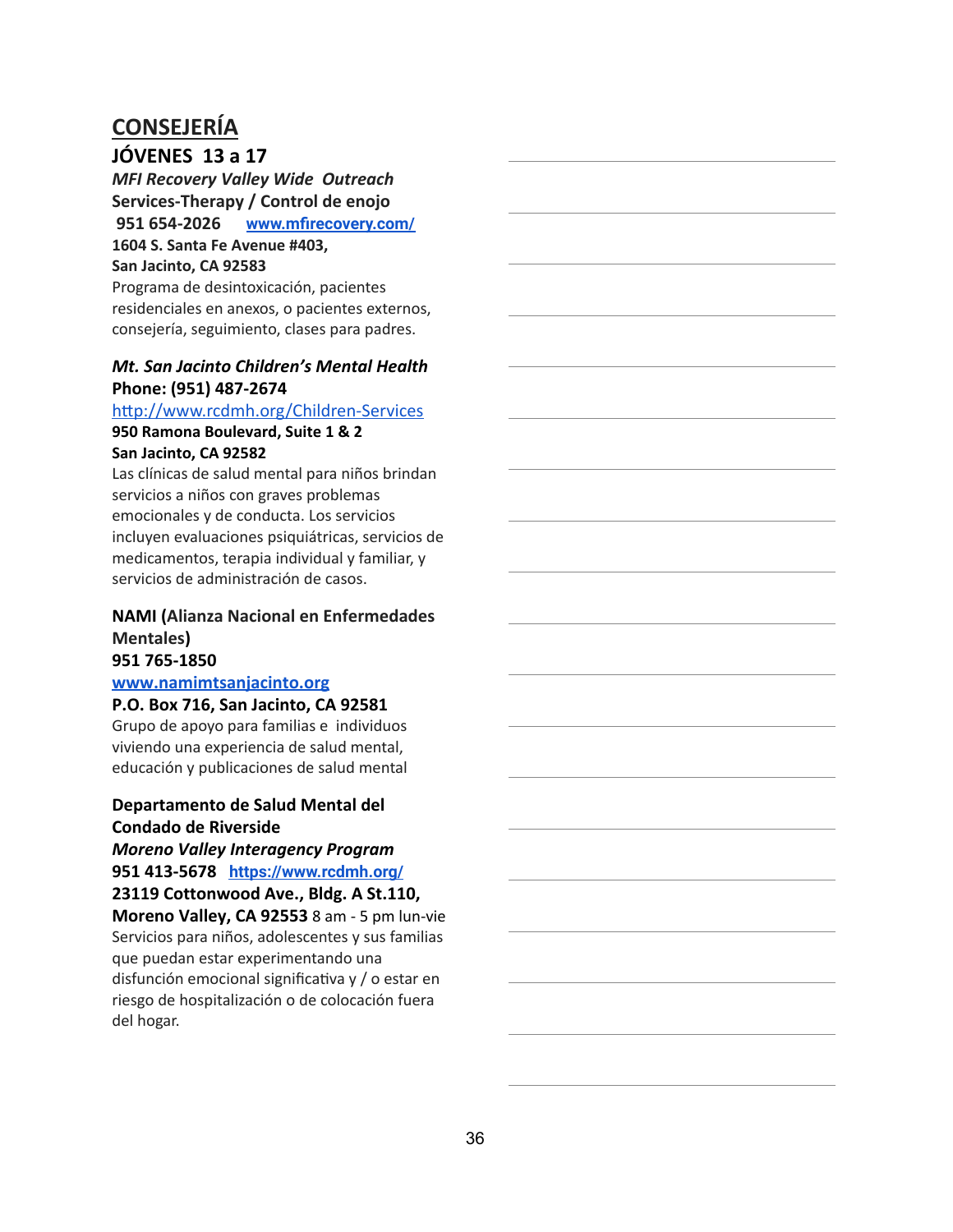### **JÓVENES 13 a 17**

*MFI Recovery Valley Wide Outreach* **Services-Therapy / Control de enojo 951 654-2026 [www.mfirecovery.com/](http://www.mfirecovery.com/) 1604 S. Santa Fe Avenue #403,**

#### **San Jacinto, CA 92583**

Programa de desintoxicación, pacientes residenciales en anexos, o pacientes externos, consejería, seguimiento, clases para padres.

#### *[Mt. San Jacinto Children's Mental Health](https://www.google.com/maps/place/950+N+Ramona+Blvd,+San+Jacinto,+CA+92582/@33.7953471,-116.9734538,17z/data=!3m1!4b1!4m2!3m1!1s0x80db68889e03b9cb:0xab45c27cb3e9637b)* **Phone: (951) 487-267[4](https://www.google.com/maps/place/950+N+Ramona+Blvd,+San+Jacinto,+CA+92582/@33.7953471,-116.9734538,17z/data=!3m1!4b1!4m2!3m1!1s0x80db68889e03b9cb:0xab45c27cb3e9637b)**

#### http://www.rcdmh.org/Children-Services

#### **950 Ramona Boulevard, Suite 1 & 2 San Jacinto, CA 92582**

Las clínicas de salud mental para niños brindan servicios a niños con graves problemas emocionales y de conducta. Los servicios incluyen evaluaciones psiquiátricas, servicios de medicamentos, terapia individual y familiar, y servicios de administración de casos.

### **NAMI ( Alianza Nacional en Enfermedades Mentales )**

### **951 765-1850**

### **[www.namimtsanjacinto.org](http://www.namimtsanjacinto.org/)**

**P.O. Box 716, San Jacinto, CA 92581**

Grupo de apoyo para familias e individuos viviendo una experiencia de salud mental, educación y publicaciones de salud mental

#### **Departamento de Salud Mental del Condado de Riverside**

#### *Moreno Valley Interagency Program* **951 413-5678 <https://www.rcdmh.org/>**

**23119 Cottonwood Ave., Bldg. A St.110,**

**Moreno Valley, CA 92553** 8 am - 5 pm lun-vie Servicios para niños, adolescentes y sus familias que puedan estar experimentando una disfunción emocional significativa y  $\prime$  o estar en riesgo de hospitalización o de colocación fuera del hogar.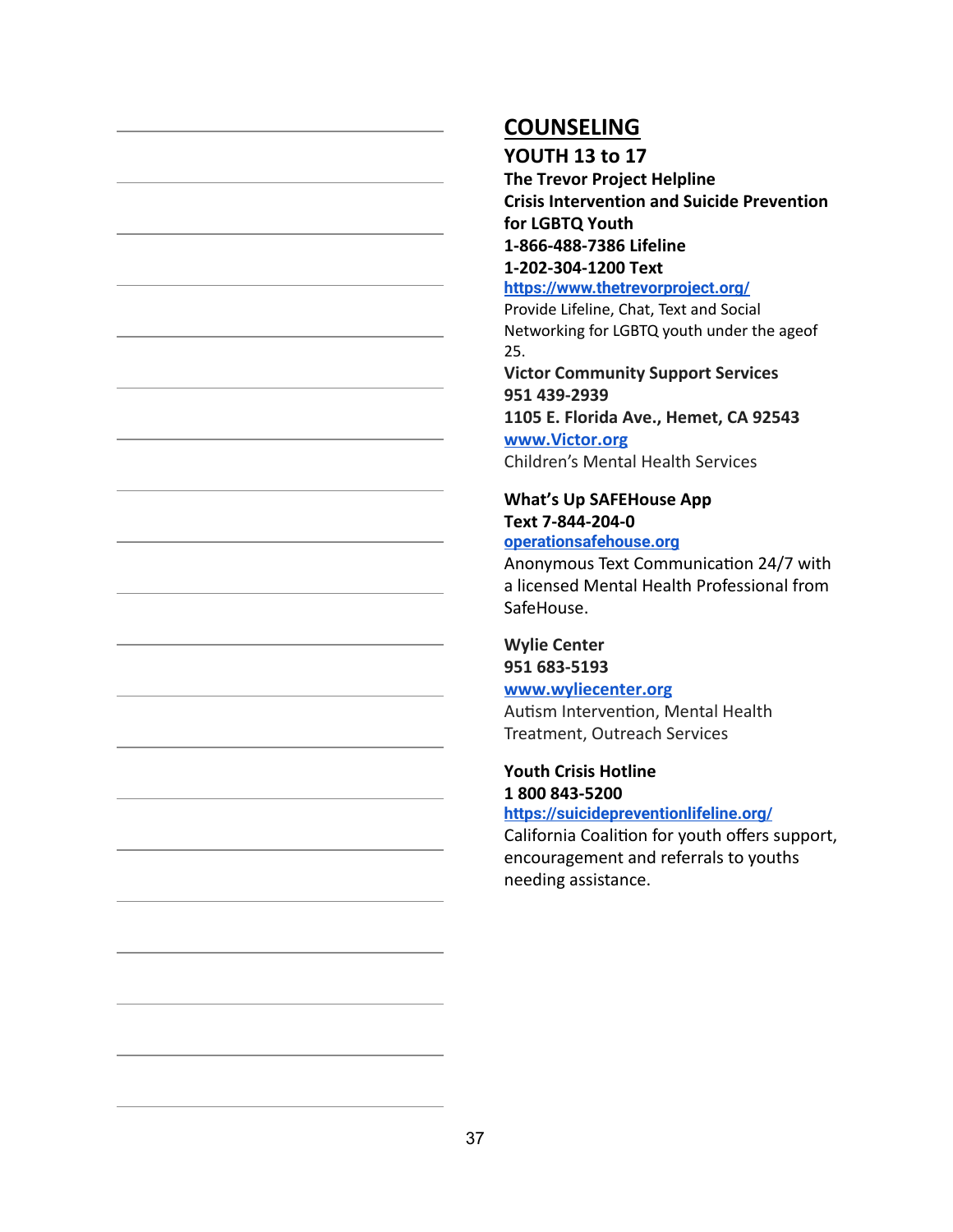#### **YOUTH 13 to 17**

**The Trevor Project Helpline Crisis Intervention and Suicide Prevention for LGBTQ Youth 1-866-488-7386 Lifeline 1-202-304-1200 Text <https://www.thetrevorproject.org/>**

Provide Lifeline, Chat, Text and Social Networking for LGBTQ youth under the ageof 25.

**Victor Community Support Services 951 439-2939**

**1105 E. Florida Ave., Hemet, CA 92543**

**[www.Victor.org](https://www.victor.org/victor-community-support-services)** Children's Mental Health Services

**What's Up SAFEHouse App Text 7-844-204-0 [operationsafehouse.org](http://safehouseofthedesert.com/whatsup-app/)**

Anonymous Text Communication 24/7 with a licensed Mental Health Professional from SafeHouse.

### **Wylie Center 951 683-5193**

**[www.wyliecenter.org](http://www.wyliecenter.org/)**

Autism Intervention, Mental Health Treatment, Outreach Services

### **Youth Crisis Hotline 1 800 843-5200**

**<https://suicidepreventionlifeline.org/>**

California Coalition for youth offers support, encouragement and referrals to youths needing assistance.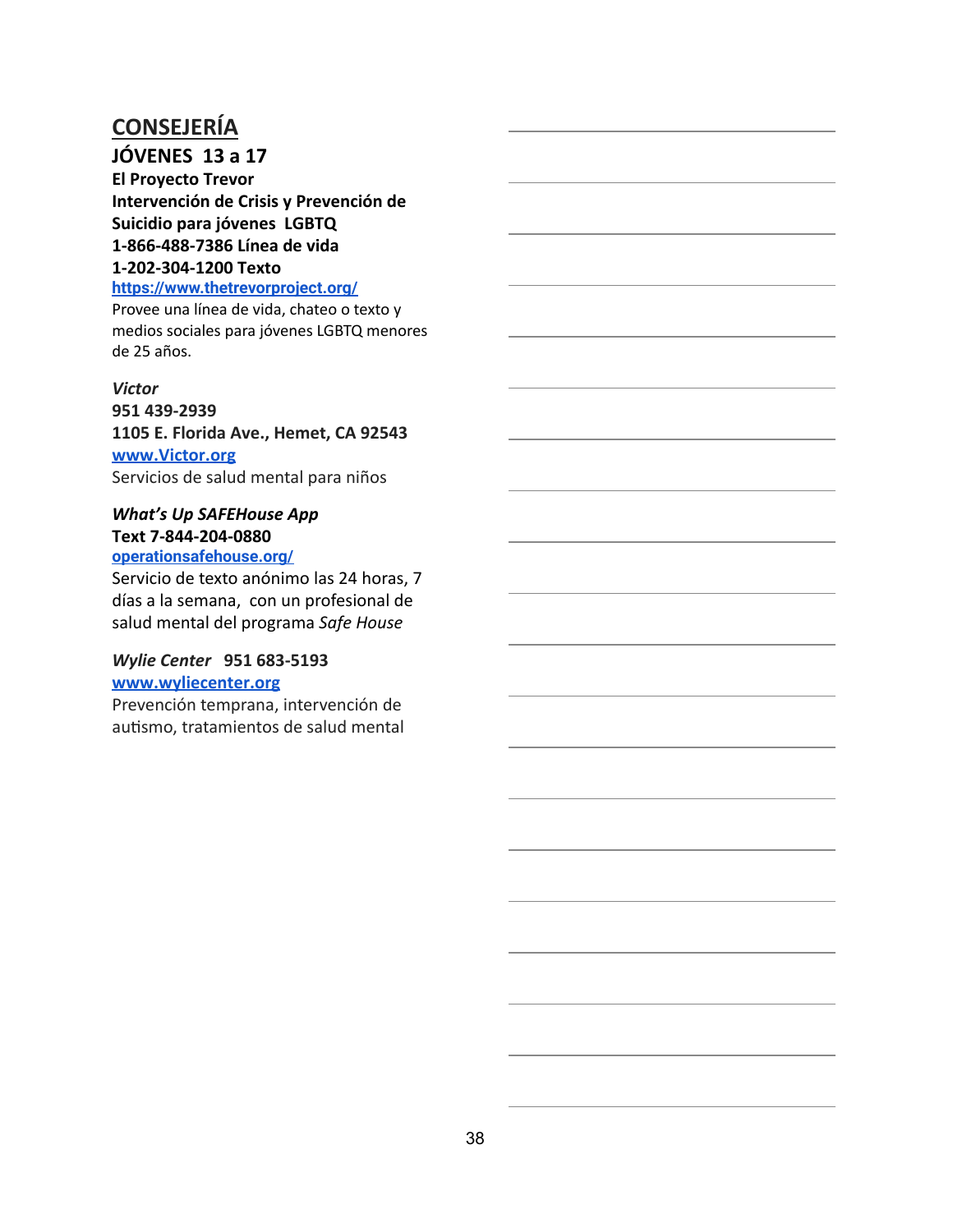### **JÓVENES 13 a 17**

**El Proyecto Trevor Intervención de Crisis y Prevención de Suicidio para jóvenes LGBTQ 1-866-488-7386 Línea de vida 1-202-304-1200 Texto**

#### **<https://www.thetrevorproject.org/>**

Provee una línea de vida, chateo o texto y medios sociales para jóvenes LGBTQ menores de 25 años.

#### *Victor*

**951 439-2939 1105 E. Florida Ave., Hemet, CA 92543 [www.Victor.org](https://www.victor.org/victor-community-support-services)** Servicios de salud mental para niños

### *What's Up SAFEHouse App* **Text 7-844-204-0880**

#### **[operationsafehouse.org/](http://www.operationsafe.org/)**

Servicio de texto anónimo las 24 horas, 7 días a la semana, con un profesional de salud mental del programa *Safe House*

#### *Wylie Center* **951 683-5193 [www.wyliecenter.org](http://www.wyliecenter.org/)**

Prevención temprana, intervención de autismo, tratamientos de salud mental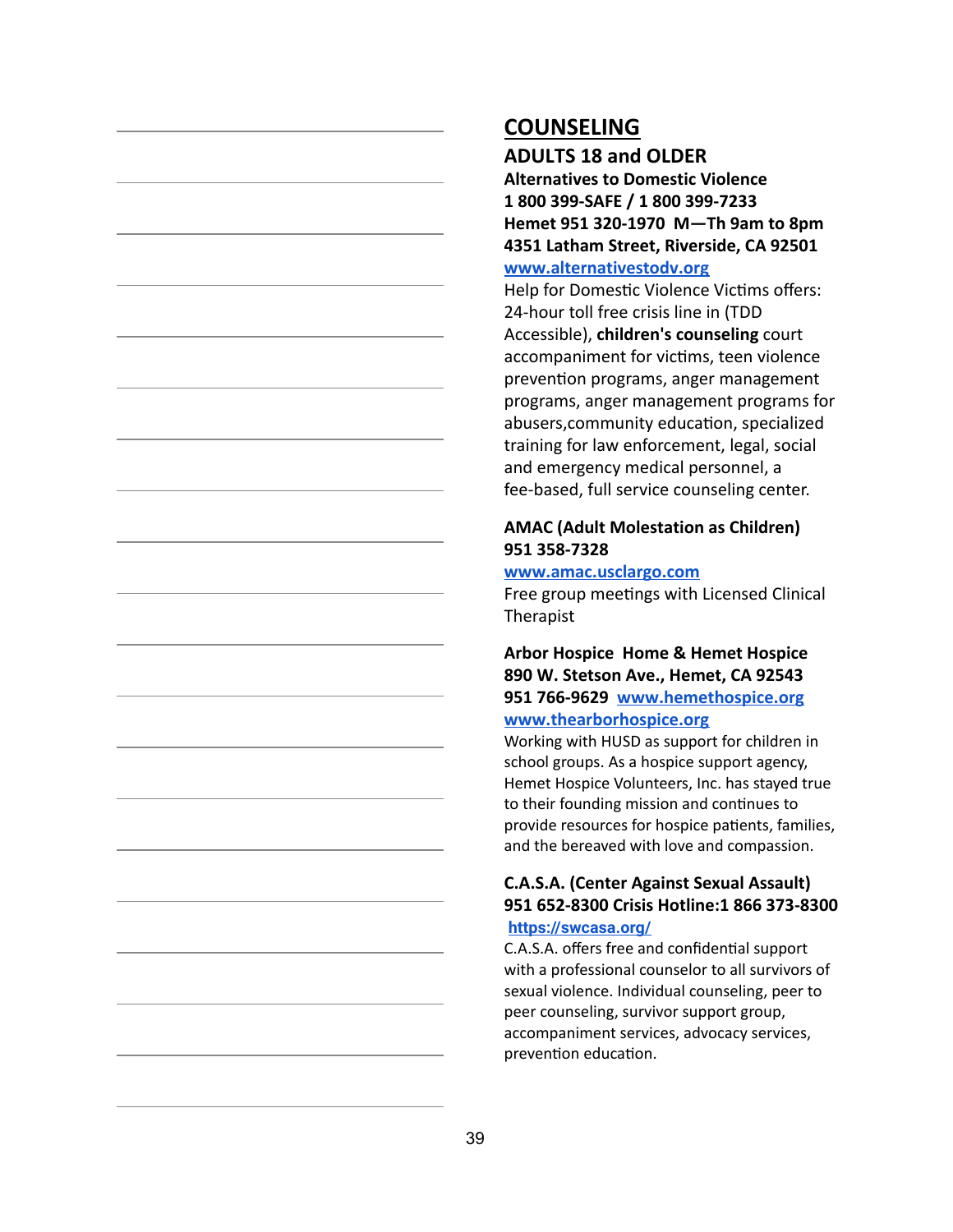#### **ADULTS 18 and OLDER**

**Alternatives to Domestic Violence 1 800 399-SAFE / 1 800 399-7233 Hemet 951 320-1970 M—Th 9am to 8pm 4351 Latham Street, Riverside, CA 92501**

#### **[www.alternativestodv.org](http://www.alternativestodv.org/)**

Help for Domestic Violence Victims offers: 24-hour toll free crisis line in (TDD Accessible), **children's counseling** court accompaniment for victims, teen violence prevention programs, anger management programs, anger management programs for abusers, community education, specialized training for law enforcement, legal, social and emergency medical personnel, a fee-based, full service counseling center.

#### **AMAC (Adult Molestation as Children) 951 358-7328**

#### **[www.amac.usclargo.com](http://www.amac.usclargo.com/)**

Free group meetings with Licensed Clinical Therapist

#### **Arbor Hospice Home & Hemet Hospice 890 W. Stetson Ave., Hemet, CA 92543 951 766-9629 [www.hemethospice.org](http://www.hemethospice.org/) [www.thearborhospice.org](http://www.thearborhospice.org/)**

Working with HUSD as support for children in school groups. As a hospice support agency, Hemet Hospice Volunteers, Inc. has stayed true to their founding mission and continues to provide resources for hospice patients, families, and the bereaved with love and compassion.

#### **C.A.S.A. (Center Against Sexual Assault) 951 652-8300 Crisis Hotline:1 866 373-8300 <https://swcasa.org/>**

C.A.S.A. offers free and confidential support with a professional counselor to all survivors of sexual violence. Individual counseling, peer to peer counseling, survivor support group, accompaniment services, advocacy services, prevention education.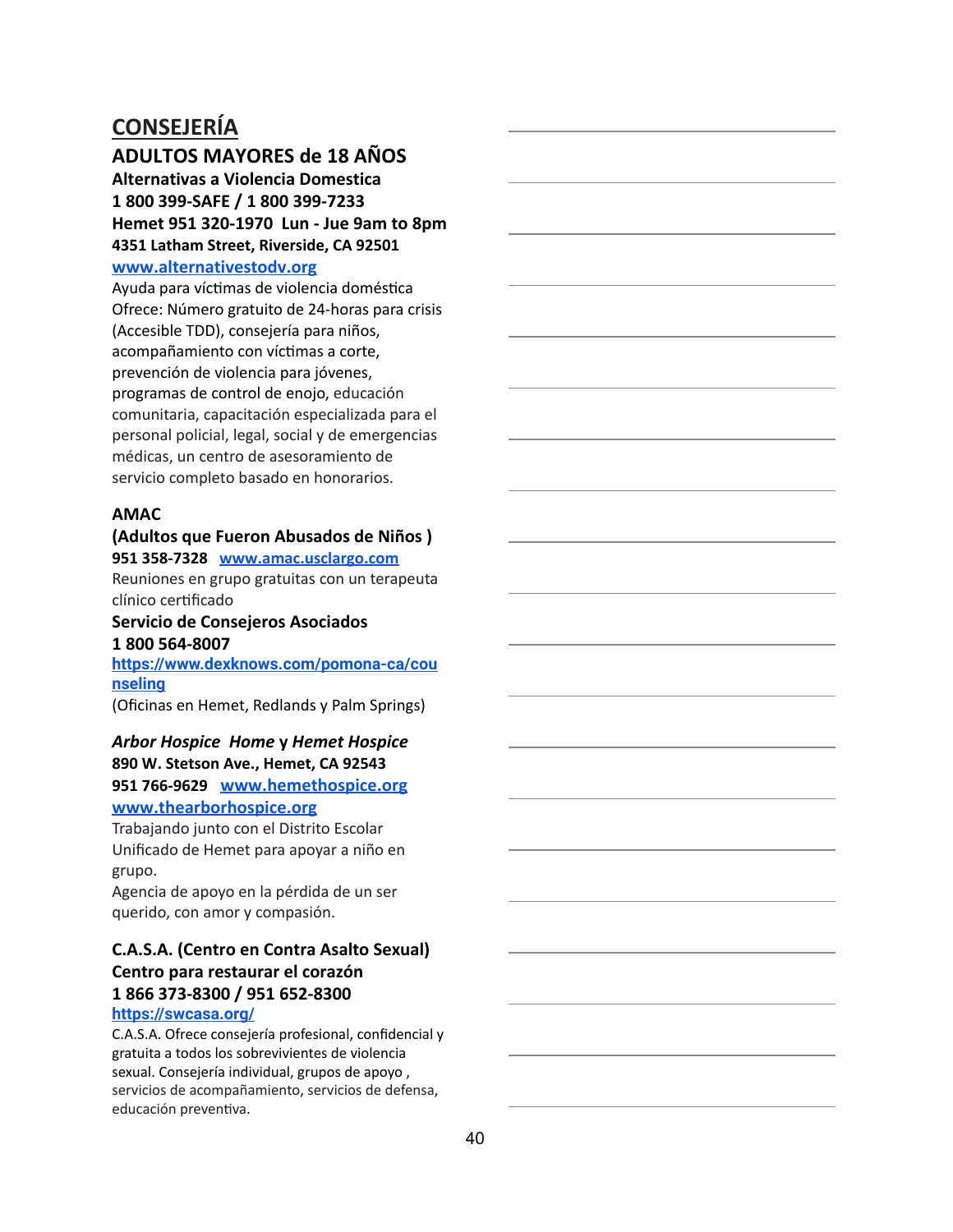#### **ADULTOS MAYORES de 18 AÑOS**

**Alternativas a Violencia Domestica 1 800 399-SAFE / 1 800 399-7233 Hemet 951 320-1970 Lun - Jue 9am to 8pm 4351 Latham Street, Riverside, CA 92501**

#### **[www.alternativestodv.org](http://www.alternativestodv.org/)**

Ayuda para víctimas de violencia doméstica Ofrece: Número gratuito de 24-horas para crisis (Accesible TDD), consejería para niños, acompañamiento con víctimas a corte, prevención de violencia para jóvenes, programas de control de enojo, educación comunitaria, capacitación especializada para el personal policial, legal, social y de emergencias médicas, un centro de asesoramiento de servicio completo basado en honorarios.

#### **AMAC**

#### **(Adultos que Fueron Abusados de Niños ) 951 358-7328 [www.amac.usclargo.com](http://www.amac.usclargo.com/)**

Reuniones en grupo gratuitas con un terapeuta clínico certificado

#### **Servicio de Consejeros Asociados 1 800 564-8007**

**[https://www.dexknows.com/pomona-ca/cou](https://www.dexknows.com/pomona-ca/counseling) [nseling](https://www.dexknows.com/pomona-ca/counseling)**

(Oficinas en Hemet, Redlands y Palm Springs)

#### *Arbor Hospice Home* **y** *Hemet Hospice* **890 W. Stetson Ave., Hemet, CA 92543 951 766-9629 [www.hemethospice.org](http://www.hemethospice.org/)**

#### **[www.thearborhospice.org](http://www.thearborhospice.org/)**

Trabajando junto con el Distrito Escolar Unificado de Hemet para apoyar a niño en grupo.

Agencia de apoyo en la pérdida de un ser querido, con amor y compasión.

### **C.A.S.A. (Centro en Contra Asalto Sexual) Centro para restaurar el corazón 1 866 373-8300 / 951 652-8300**

#### **<https://swcasa.org/>**

C.A.S.A. Ofrece consejería profesional, confidencial y gratuita a todos los sobrevivientes de violencia sexual. Consejería individual, grupos de apoyo , servicios de acompañamiento, servicios de defensa, educación preventiva.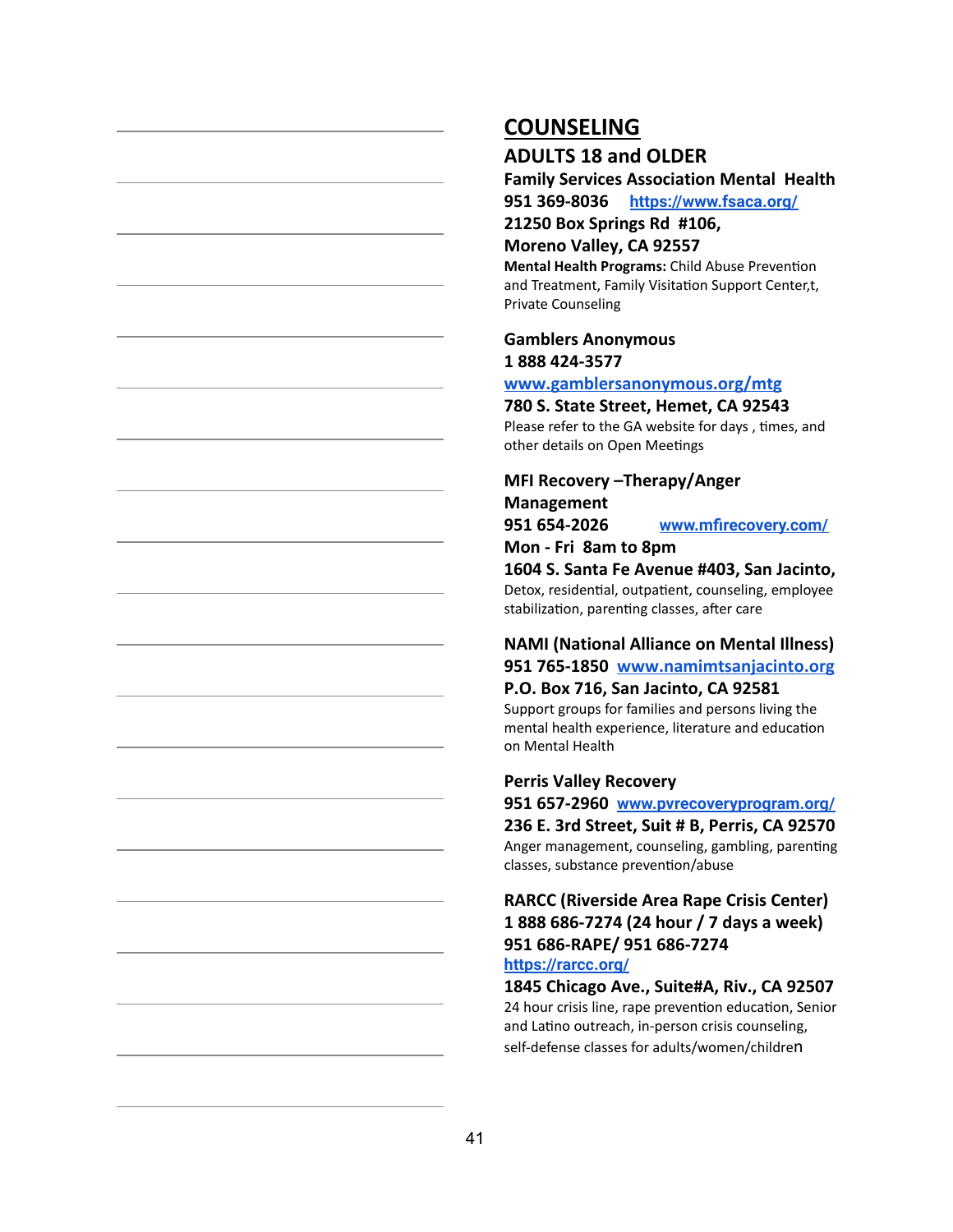#### **ADULTS 18 and OLDER**

**Family Services Association Mental Health 951 369-8036 <https://www.fsaca.org/>**

**21250 Box Springs Rd #106,**

**Moreno Valley, CA 92557**

**Mental Health Programs: Child Abuse Prevention** and Treatment, Family Visitation Support Center,t, Private Counseling

**Gamblers Anonymous 1 888 424-3577**

**[www.gamblersanonymous.org/mtg](http://www.gamblersanonymous.org/mtg)**

#### **780 S. State Street, Hemet, CA 92543**

Please refer to the GA website for days, times, and other details on Open Meetings

**MFI Recovery –Therapy/Anger Management 951 654-2026 [www.mfirecovery.com/](http://www.mfirecovery.com/) Mon - Fri 8am to 8pm**

**1604 S. Santa Fe Avenue #403, San Jacinto,** Detox, residential, outpatient, counseling, employee stabilization, parenting classes, after care

### **NAMI (National Alliance on Mental Illness) 951 765-1850 [www.namimtsanjacinto.org](http://www.namimtsanjacinto.org/)**

**P.O. Box 716, San Jacinto, CA 92581** Support groups for families and persons living the mental health experience, literature and education on Mental Health

#### **Perris Valley Recovery**

**951 657-2960 [www.pvrecoveryprogram.org/](http://www.pvrecoveryprogram.org/) 236 E. 3rd Street, Suit # B, Perris, CA 92570** Anger management, counseling, gambling, parenting classes, substance prevention/abuse

#### **RARCC (Riverside Area Rape Crisis Center) 1 888 686-7274 (24 hour / 7 days a week) 951 686-RAPE/ 951 686-7274 <https://rarcc.org/>**

#### **1845 Chicago Ave., Suite#A, Riv., CA 92507** 24 hour crisis line, rape prevention education, Senior and Latino outreach, in-person crisis counseling, self-defense classes for adults/women/children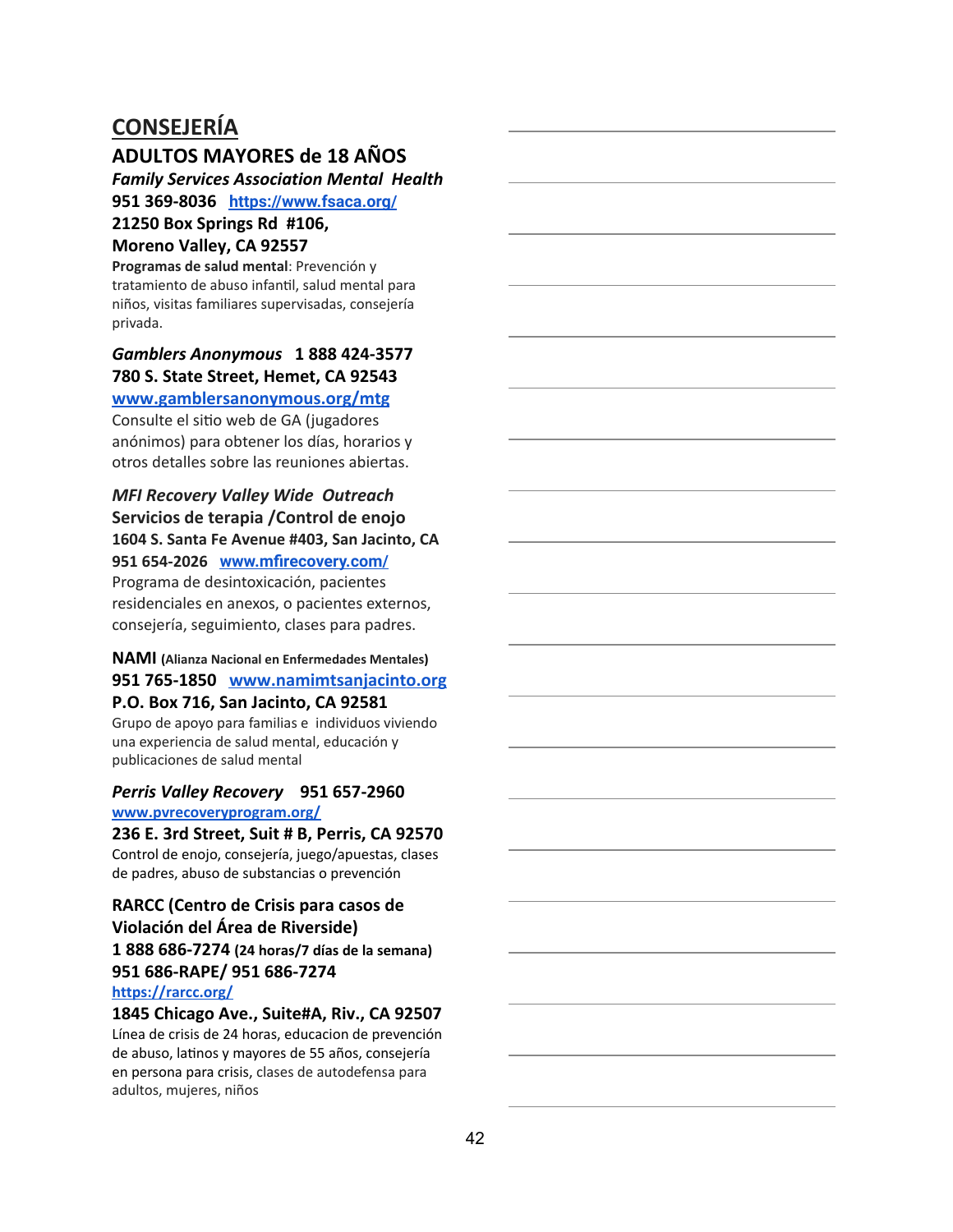#### **ADULTOS MAYORES de 18 AÑOS**

*Family Services Association Mental Health*

**951 369-8036 <https://www.fsaca.org/>**

# **21250 Box Springs Rd #106,**

### **Moreno Valley, CA 92557**

**Programas de salud mental**: Prevención y tratamiento de abuso infantil, salud mental para niños, visitas familiares supervisadas, consejería privada.

### *Gamblers Anonymous* **1 888 424-3577 780 S. State Street, Hemet, CA 92543**

### **[www.gamblersanonymous.org/mtg](http://www.gamblersanonymous.org/mtg)**

Consulte el sitio web de GA (jugadores anónimos) para obtener los días, horarios y otros detalles sobre las reuniones abiertas.

### *MFI Recovery Valley Wide Outreach* **Servicios de terapia /Control de enojo 1604 S. Santa Fe Avenue #403, San Jacinto, CA**

**951 654-2026 [www.mfirecovery.com/](http://www.mfirecovery.com/)** Programa de desintoxicación, pacientes residenciales en anexos, o pacientes externos, consejería, seguimiento, clases para padres.

#### **NAMI ( Alianza Nacional en Enfermedades Mentales ) 951 765-1850 [www.namimtsanjacinto.org](http://www.namimtsanjacinto.org/) P.O. Box 716, San Jacinto, CA 92581**

Grupo de apoyo para familias e individuos viviendo una experiencia de salud mental, educación y publicaciones de salud mental

#### *Perris Valley Recovery* **951 657-2960 [www.pvrecoveryprogram.org/](http://www.pvrecoveryprogram.org/)**

**236 E. 3rd Street, Suit # B, Perris, CA 92570** Control de enojo, consejería, juego/apuestas, clases de padres, abuso de substancias o prevención

#### **RARCC (Centro de Crisis para casos de Violación del Área de Riverside) 1 888 686-7274 (24 horas/7 días de la semana) 951 686-RAPE/ 951 686-7274 <https://rarcc.org/>**

**1845 Chicago Ave., Suite#A, Riv., CA 92507** Línea de crisis de 24 horas, educacion de prevención de abuso, latinos y mayores de 55 años, consejería en persona para crisis, clases de autodefensa para adultos, mujeres, niños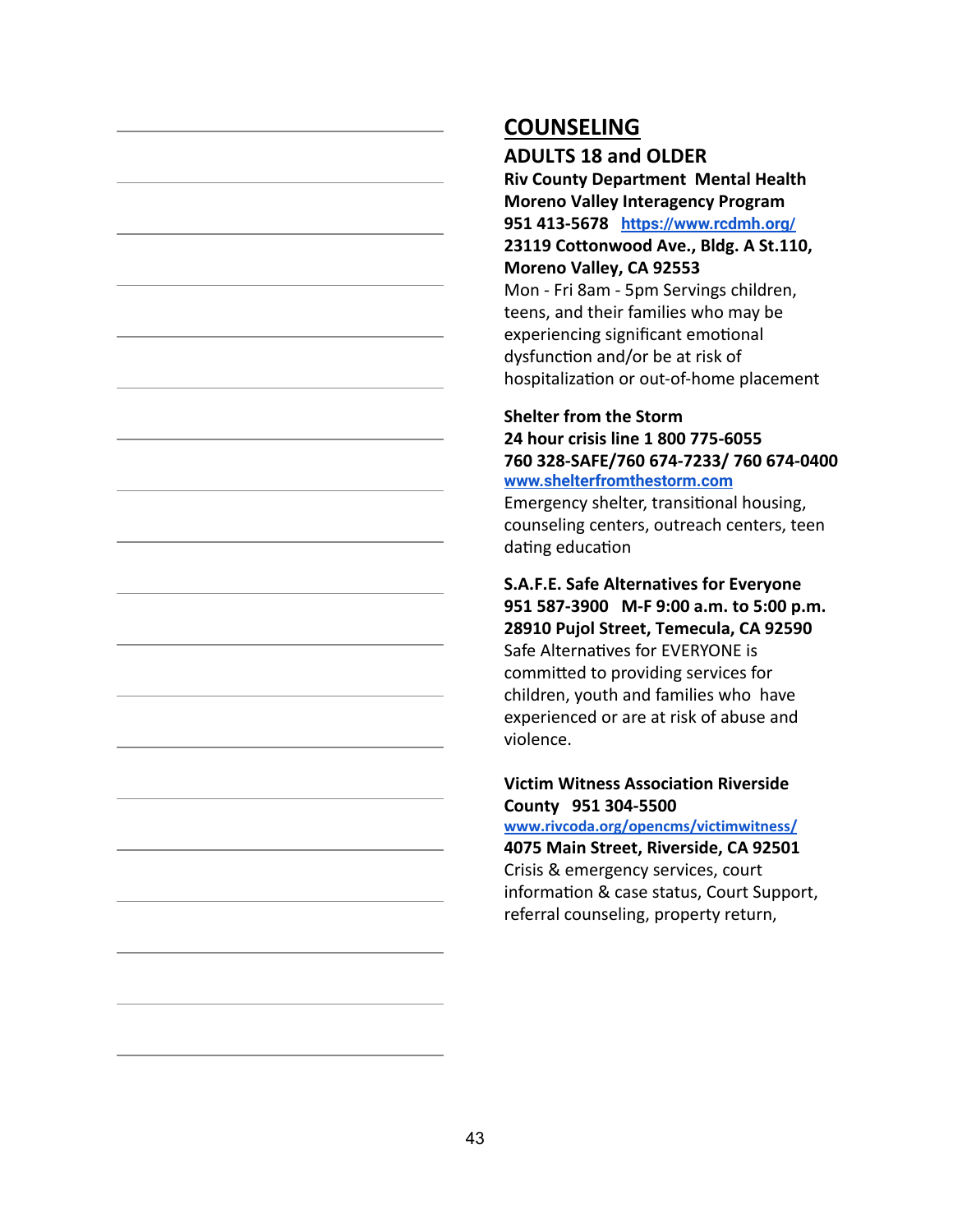**ADULTS 18 and OLDER**

**Riv County Department Mental Health Moreno Valley Interagency Program 951 413-5678 <https://www.rcdmh.org/> 23119 Cottonwood Ave., Bldg. A St.110, Moreno Valley, CA 92553** Mon - Fri 8am - 5pm Servings children, teens, and their families who may be

experiencing significant emotional dysfunction and/or be at risk of hospitalization or out-of-home placement

#### **Shelter from the Storm 24 hour crisis line 1 800 775-6055 760 328-SAFE/760 674-7233/ 760 674-0400 [www.shelterfromthestorm.com](http://www.shelterfromthestorm.com/)**

Emergency shelter, transitional housing, counseling centers, outreach centers, teen dating education

**S.A.F.E. Safe Alternatives for Everyone 951 587-3900 M-F 9:00 a.m. to 5:00 p.m. 28910 Pujol Street, Temecula, CA 92590** Safe Alternatives for EVERYONE is committed to providing services for children, youth and families who have experienced or are at risk of abuse and violence.

#### **Victim Witness Association Riverside County 951 304-5500**

**[www.rivcoda.org/opencms/victimwitness/](http://www.rivcoda.org/opencms/victimwitness/) 4075 Main Street, Riverside, CA 92501** Crisis & emergency services, court information & case status, Court Support, referral counseling, property return,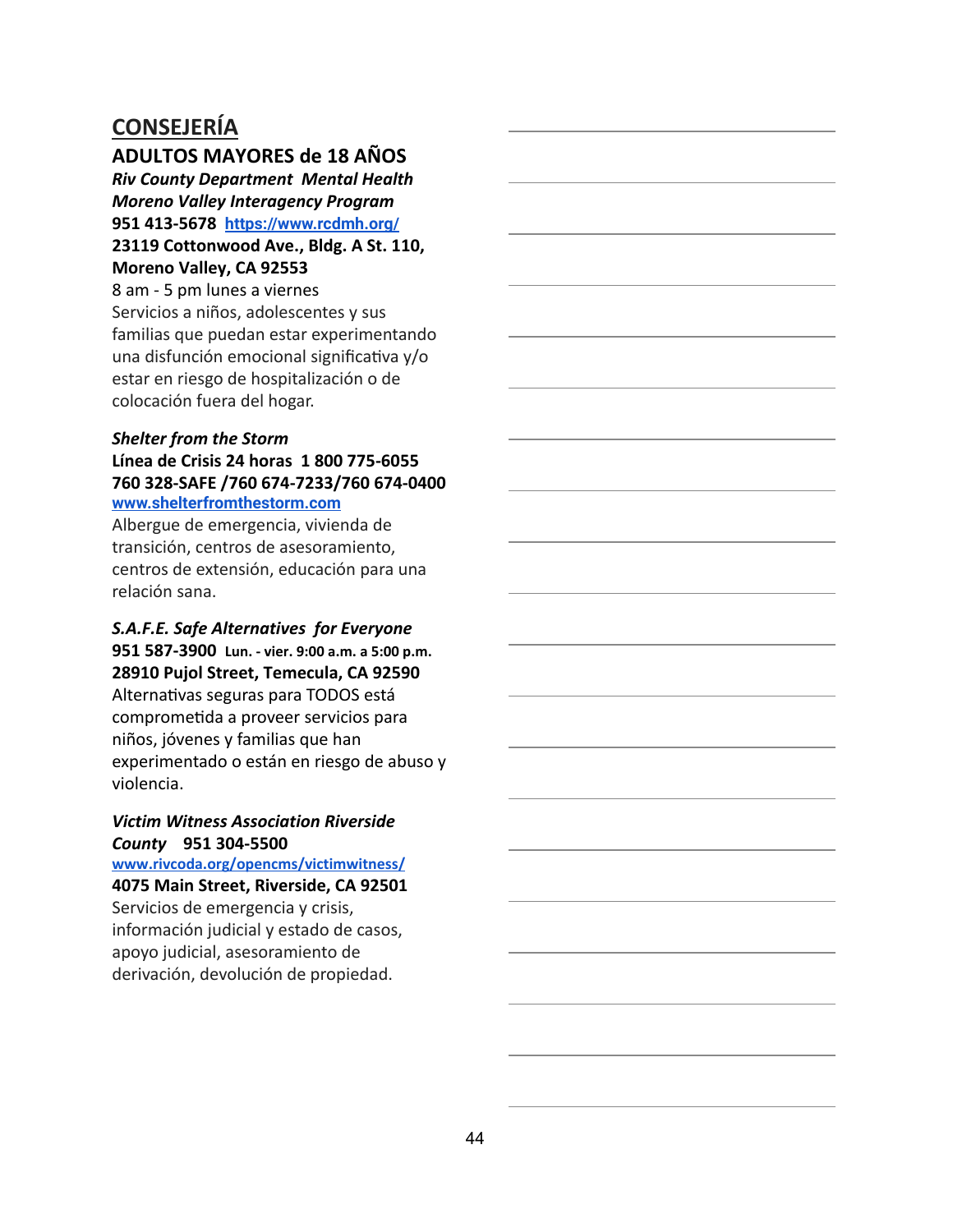**ADULTOS MAYORES de 18 AÑOS**

*Riv County Department Mental Health Moreno Valley Interagency Program* **951 413-5678 <https://www.rcdmh.org/> 23119 Cottonwood Ave., Bldg. A St. 110, Moreno Valley, CA 92553**

8 am - 5 pm lunes a viernes Servicios a niños, adolescentes y sus familias que puedan estar experimentando una disfunción emocional significativa  $y$ /o estar en riesgo de hospitalización o de colocación fuera del hogar.

#### *Shelter from the Storm* **Línea de Crisis 24 horas 1 800 775-6055 760 328-SAFE /760 674-7233/760 674-0400 [www.shelterfromthestorm.com](http://www.shelterfromthestorm.com/)**

Albergue de emergencia, vivienda de transición, centros de asesoramiento, centros de extensión, educación para una relación sana.

#### *S.A.F.E. Safe Alternatives for Everyone* **951 587-3900 Lun. - vier. 9:00 a.m. a 5:00 p.m. 28910 Pujol Street, Temecula, CA 92590** Alternativas seguras para TODOS está comprometida a proveer servicios para niños, jóvenes y familias que han experimentado o están en riesgo de abuso y violencia.

#### *Victim Witness Association Riverside County* **951 304-5500**

**[www.rivcoda.org/opencms/victimwitness/](http://www.rivcoda.org/opencms/victimwitness/) 4075 Main Street, Riverside, CA 92501** Servicios de emergencia y crisis,

información judicial y estado de casos, apoyo judicial, asesoramiento de derivación, devolución de propiedad.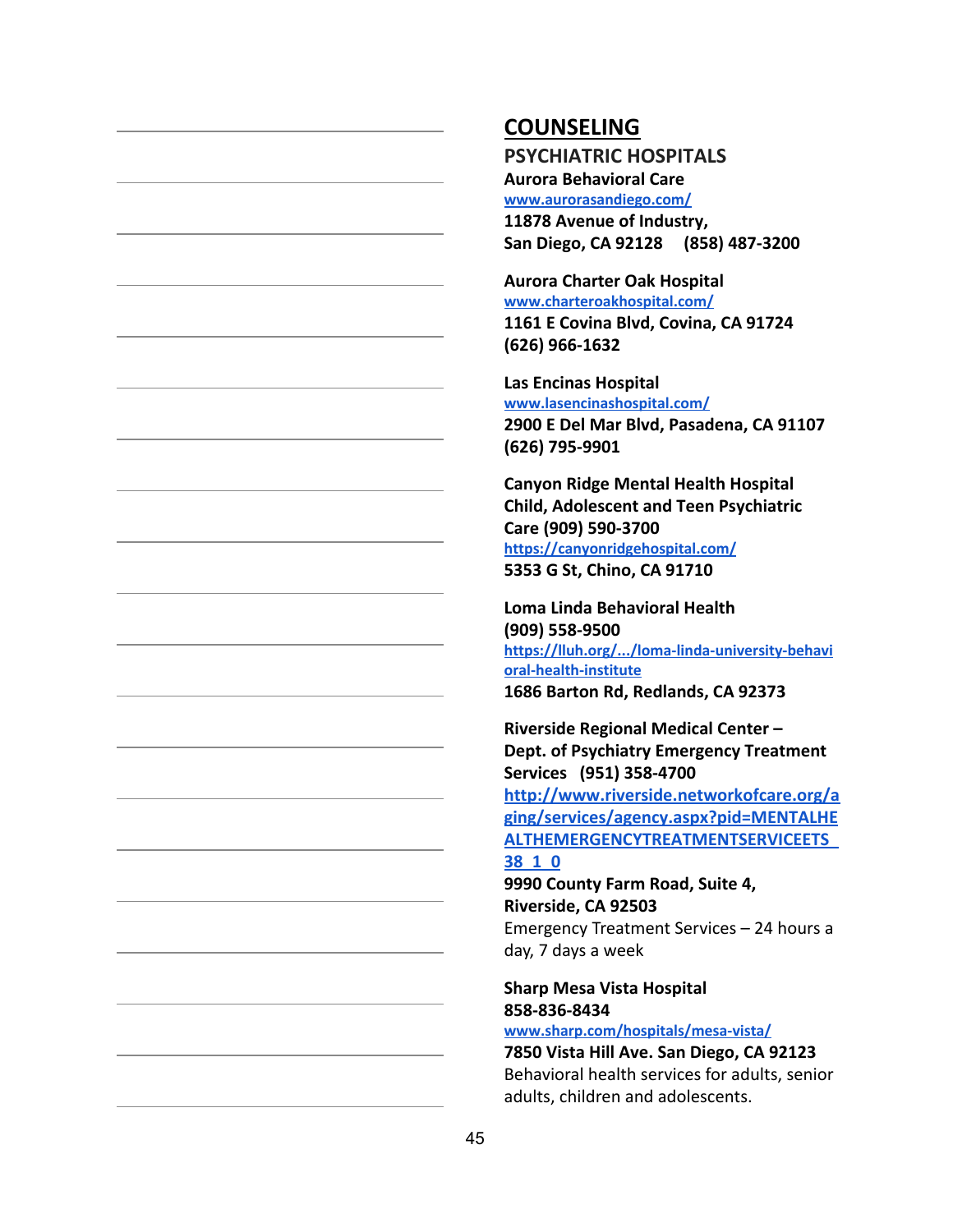**PSYCHIATRIC HOSPITALS Aurora Behavioral Care [www.aurorasandiego.com/](http://www.aurorasandiego.com/) 11878 Avenue of Industry, San Diego, CA 92128 (858) 487-3200**

**Aurora Charter Oak Hospital [www.charteroakhospital.com/](http://www.charteroakhospital.com/) 1161 E Covina Blvd, Covina, CA 91724 (626) 966-1632**

**Las Encinas Hospital [www.lasencinashospital.com/](http://www.lasencinashospital.com/) 2900 E Del Mar Blvd, Pasadena, CA 91107 (626) 795-9901**

**Canyon Ridge Mental Health Hospital Child, Adolescent and Teen Psychiatric Care (909) 590-3700 <https://canyonridgehospital.com/> 5353 G St, Chino, CA 91710**

**Loma Linda Behavioral Health (909) 558-9500 [https://lluh.org/.../loma-linda-university-behavi](https://lluh.org/.../loma-linda-university-behavioral-health-institute) [oral-health-institute](https://lluh.org/.../loma-linda-university-behavioral-health-institute) 1686 Barton Rd, Redlands, CA 92373**

**Riverside Regional Medical Center – Dept. of Psychiatry Emergency Treatment Services (951) 358-4700 [http://www.riverside.networkofcare.org/a](http://www.riverside.networkofcare.org/aging/services/agency.aspx?pid=MENTALHEALTHEMERGENCYTREATMENTSERVICEETS_38_1_0) [ging/services/agency.aspx?pid=MENTALHE](http://www.riverside.networkofcare.org/aging/services/agency.aspx?pid=MENTALHEALTHEMERGENCYTREATMENTSERVICEETS_38_1_0) [ALTHEMERGENCYTREATMENTSERVICEETS\\_](http://www.riverside.networkofcare.org/aging/services/agency.aspx?pid=MENTALHEALTHEMERGENCYTREATMENTSERVICEETS_38_1_0)**

#### **[38\\_1\\_0](http://www.riverside.networkofcare.org/aging/services/agency.aspx?pid=MENTALHEALTHEMERGENCYTREATMENTSERVICEETS_38_1_0)**

**9990 County Farm Road, Suite 4, Riverside, CA 92503** Emergency Treatment Services – 24 hours a day, 7 days a week

### **Sharp Mesa Vista Hospital 858-836-8434**

**[www.sharp.com/hospitals/mesa-vista/](http://www.sharp.com/hospitals/mesa-vista/)**

**7850 Vista Hill Ave. San Diego, CA 92123** Behavioral health services for adults, senior adults, children and adolescents.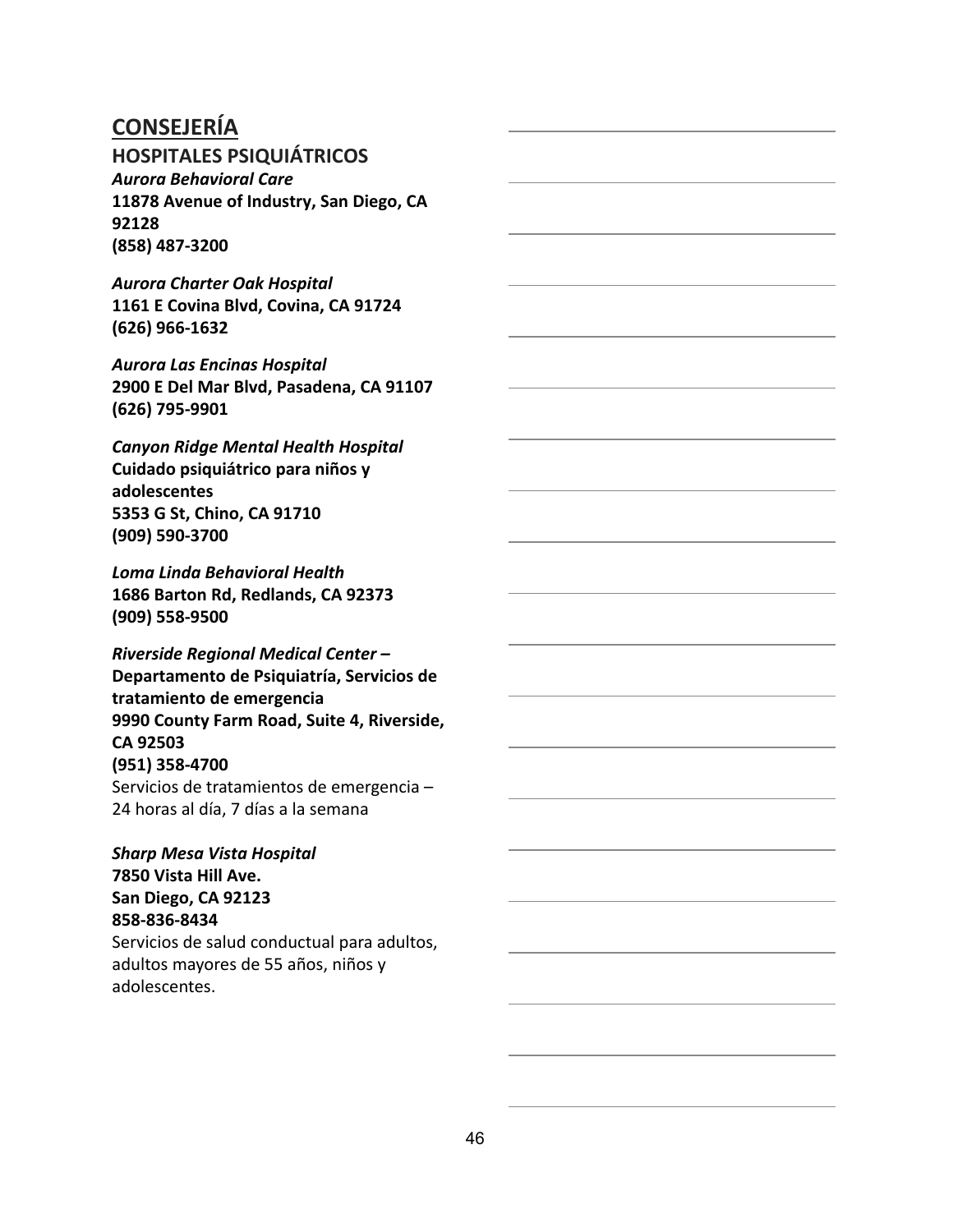**HOSPITALES PSIQUIÁTRICOS**

*Aurora Behavioral Care* **11878 Avenue of Industry, San Diego, CA 92128 (858) 487-3200**

*Aurora Charter Oak Hospital* **1161 E Covina Blvd, Covina, CA 91724 (626) 966-1632**

*Aurora Las Encinas Hospital* **2900 E Del Mar Blvd, Pasadena, CA 91107 (626) 795-9901**

*Canyon Ridge Mental Health Hospital* **Cuidado psiquiátrico para niños y adolescentes 5353 G St, Chino, CA 91710 (909) 590-3700**

*Loma Linda Behavioral Health* **1686 Barton Rd, Redlands, CA 92373 (909) 558-9500**

*Riverside Regional Medical Center –* **Departamento de Psiquiatría, Servicios de tratamiento de emergencia 9990 County Farm Road, Suite 4, Riverside, CA 92503 (951) 358-4700** Servicios de tratamientos de emergencia – 24 horas al día, 7 días a la semana

*Sharp Mesa Vista Hospital* **7850 Vista Hill Ave. San Diego, CA 92123 858-836-8434** Servicios de salud conductual para adultos, adultos mayores de 55 años, niños y adolescentes.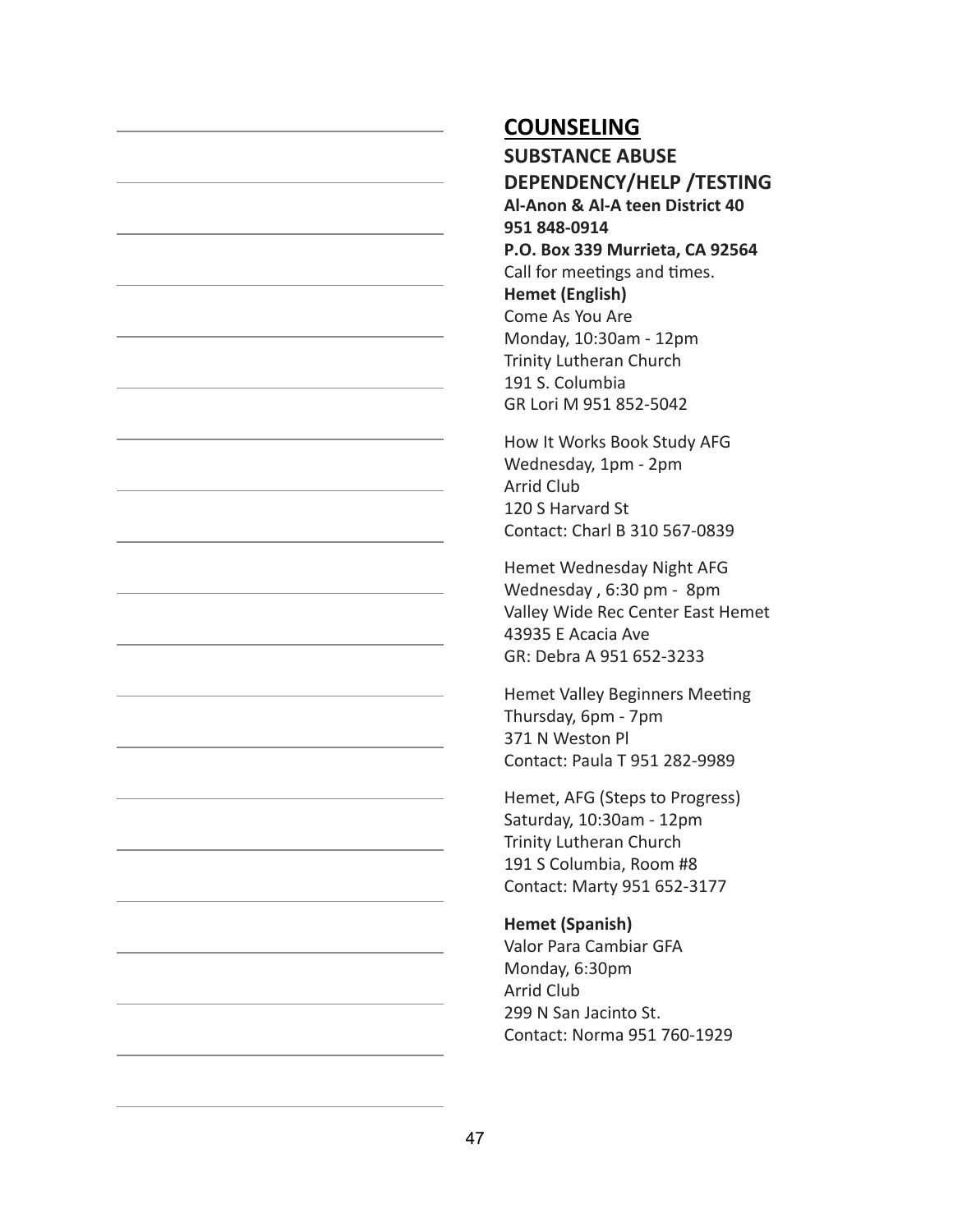**SUBSTANCE ABUSE DEPENDENCY/HELP /TESTING Al-Anon & Al-A teen District 40 951 848-0914 P.O. Box 339 Murrieta, CA 92564** Call for meetings and times. **Hemet (English)** Come As You Are Monday, 10:30am - 12pm Trinity Lutheran Church 191 S. Columbia GR Lori M 951 852-5042

How It Works Book Study AFG Wednesday, 1pm - 2pm Arrid Club 120 S Harvard St Contact: Charl B 310 567-0839

Hemet Wednesday Night AFG Wednesday , 6:30 pm - 8pm Valley Wide Rec Center East Hemet 43935 E Acacia Ave GR: Debra A 951 652-3233

Hemet Valley Beginners Meeting Thursday, 6pm - 7pm 371 N Weston Pl Contact: Paula T 951 282-9989

Hemet, AFG (Steps to Progress) Saturday, 10:30am - 12pm Trinity Lutheran Church 191 S Columbia, Room #8 Contact: Marty 951 652-3177

#### **Hemet (Spanish)**

Valor Para Cambiar GFA Monday, 6:30pm Arrid Club 299 N San Jacinto St. Contact: Norma 951 760-1929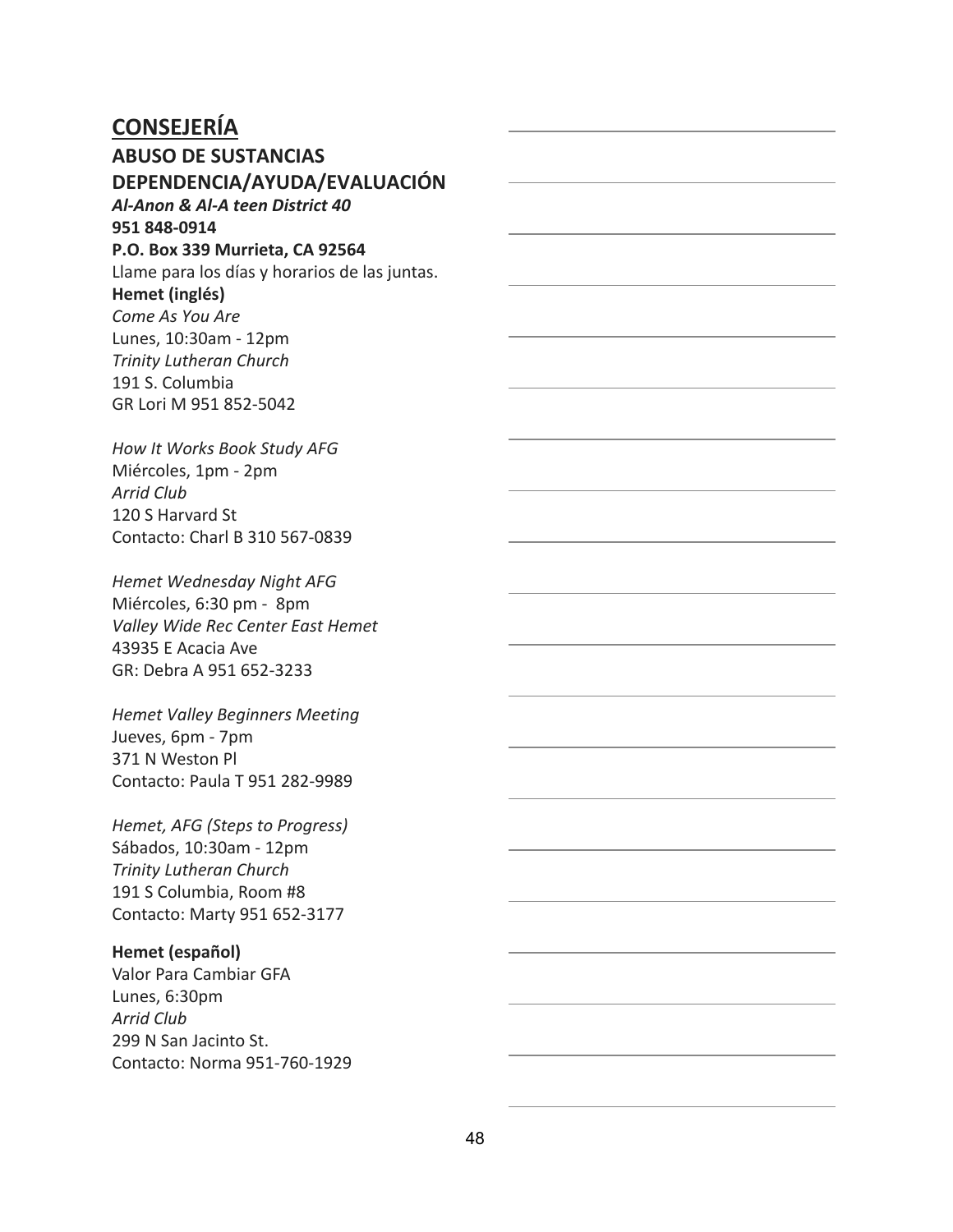**ABUSO DE SUSTANCIAS DEPENDENCIA/AYUDA/EVALUACIÓN** *Al-Anon & Al-A teen District 40* **951 848-0914 P.O. Box 339 Murrieta, CA 92564** Llame para los días y horarios de las juntas. **Hemet (inglés)** *Come As You Are* Lunes, 10:30am - 12pm *Trinity Lutheran Church* 191 S. Columbia GR Lori M 951 852-5042

*How It Works Book Study AFG* Miércoles, 1pm - 2pm *Arrid Club* 120 S Harvard St Contacto: Charl B 310 567-0839

*Hemet Wednesday Night AFG* Miércoles, 6:30 pm - 8pm *Valley Wide Rec Center East Hemet* 43935 E Acacia Ave GR: Debra A 951 652-3233

*Hemet Valley Beginners Meeting* Jueves, 6pm - 7pm 371 N Weston Pl Contacto: Paula T 951 282-9989

*Hemet, AFG (Steps to Progress)* Sábados, 10:30am - 12pm *Trinity Lutheran Church* 191 S Columbia, Room #8 Contacto: Marty 951 652-3177

#### **Hemet (español)**

Valor Para Cambiar GFA Lunes, 6:30pm *Arrid Club* 299 N San Jacinto St. Contacto: Norma 951-760-1929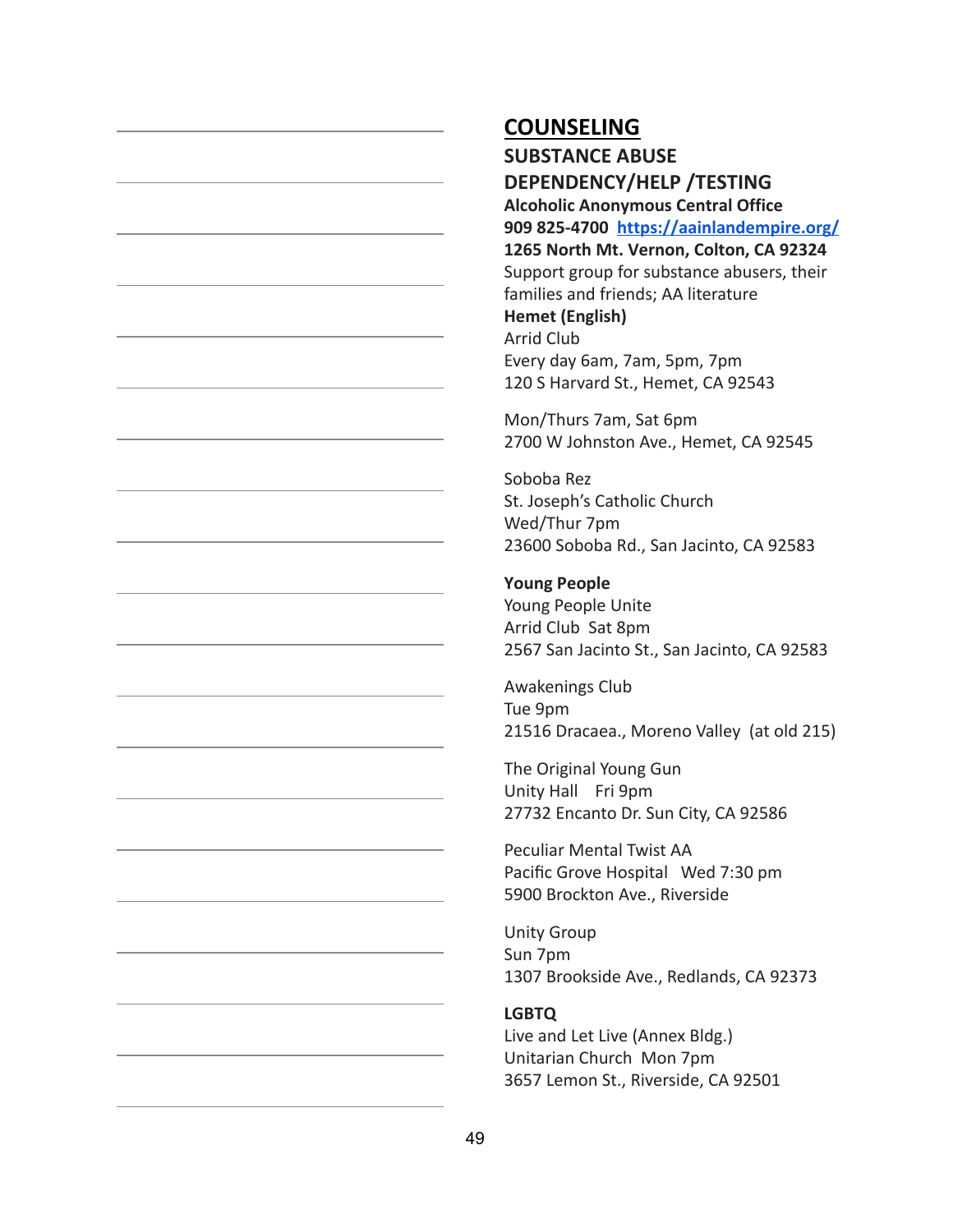**SUBSTANCE ABUSE DEPENDENCY/HELP /TESTING Alcoholic Anonymous Central Office 909 825-4700 <https://aainlandempire.org/> 1265 North Mt. Vernon, Colton, CA 92324** Support group for substance abusers, their families and friends; AA literature **Hemet (English)** Arrid Club Every day 6am, 7am, 5pm, 7pm 120 S Harvard St., Hemet, CA 92543

Mon/Thurs 7am, Sat 6pm 2700 W Johnston Ave., Hemet, CA 92545

Soboba Rez St. Joseph's Catholic Church Wed/Thur 7pm 23600 Soboba Rd., San Jacinto, CA 92583

#### **Young People**

Young People Unite Arrid Club Sat 8pm 2567 San Jacinto St., San Jacinto, CA 92583

Awakenings Club Tue 9pm 21516 Dracaea., Moreno Valley (at old 215)

The Original Young Gun Unity Hall Fri 9pm 27732 Encanto Dr. Sun City, CA 92586

Peculiar Mental Twist AA Pacific Grove Hospital Wed 7:30 pm 5900 Brockton Ave., Riverside

Unity Group Sun 7pm 1307 Brookside Ave., Redlands, CA 92373

#### **LGBTQ**

Live and Let Live (Annex Bldg.) Unitarian Church Mon 7pm 3657 Lemon St., Riverside, CA 92501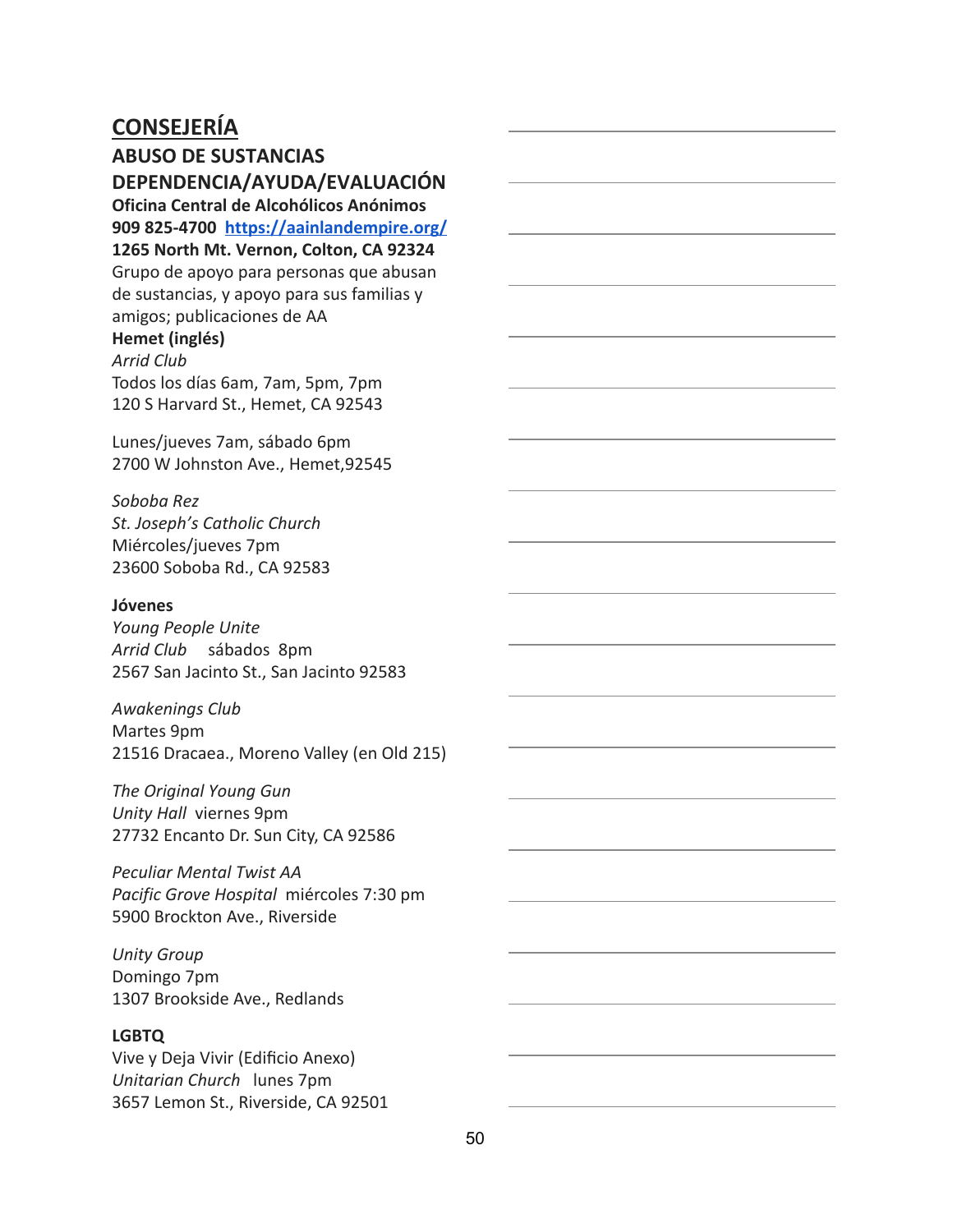**ABUSO DE SUSTANCIAS DEPENDENCIA/AYUDA/EVALUACIÓN**

**Oficina Central de Alcohólicos Anónimos 909 825-4700 <https://aainlandempire.org/> 1265 North Mt. Vernon, Colton, CA 92324** Grupo de apoyo para personas que abusan de sustancias, y apoyo para sus familias y amigos; publicaciones de AA

### **Hemet (inglés)**

*Arrid Club* Todos los días 6am, 7am, 5pm, 7pm 120 S Harvard St., Hemet, CA 92543

Lunes/jueves 7am, sábado 6pm 2700 W Johnston Ave., Hemet,92545

#### *Soboba Rez*

*St. Joseph's Catholic Church* Miércoles/jueves 7pm 23600 Soboba Rd., CA 92583

#### **Jóvenes**

*Young People Unite Arrid Club* sábados 8pm 2567 San Jacinto St., San Jacinto 92583

#### *Awakenings Club*

Martes 9pm

21516 Dracaea., Moreno Valley (en Old 215)

*The Original Young Gun Unity Hall* viernes 9pm 27732 Encanto Dr. Sun City, CA 92586

*Peculiar Mental Twist AA Pacific Grove Hospital* miércoles 7:30 pm 5900 Brockton Ave., Riverside

*Unity Group* Domingo 7pm 1307 Brookside Ave., Redlands

#### **LGBTQ**

Vive y Deja Vivir (Edificio Anexo) *Unitarian Church* lunes 7pm 3657 Lemon St., Riverside, CA 92501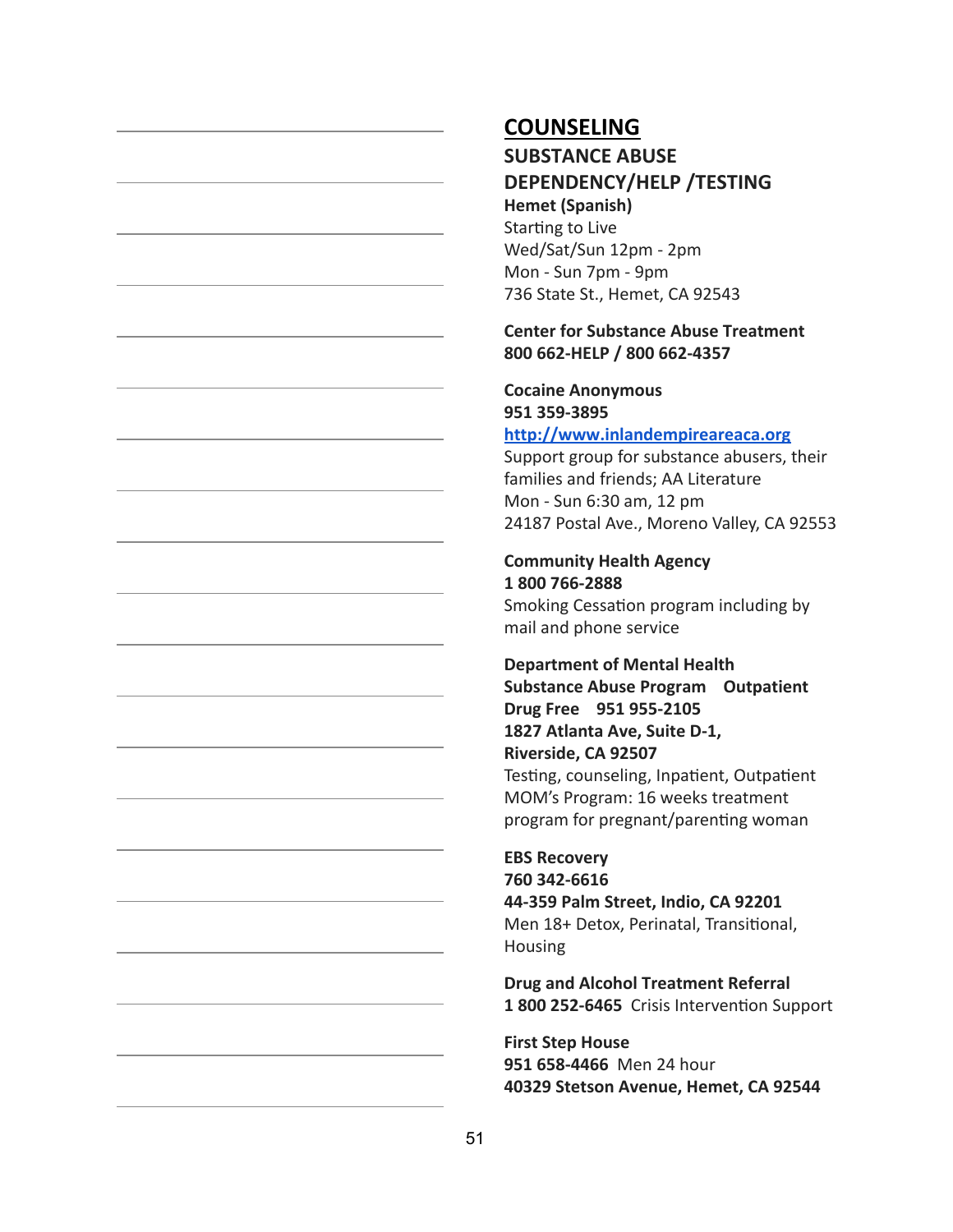### **SUBSTANCE ABUSE DEPENDENCY/HELP /TESTING Hemet (Spanish)**

Starting to Live Wed/Sat/Sun 12pm - 2pm Mon - Sun 7pm - 9pm 736 State St., Hemet, CA 92543

#### **Center for Substance Abuse Treatment 800 662-HELP / 800 662-4357**

### **Cocaine Anonymous 951 359-3895**

### **[http://www.inlandempireareaca.org](http://www.inlandempireareaca.org/)**

Support group for substance abusers, their families and friends; AA Literature Mon - Sun 6:30 am, 12 pm 24187 Postal Ave., Moreno Valley, CA 92553

### **Community Health Agency 1 800 766-2888**

Smoking Cessation program including by mail and phone service

### **Department of Mental Health Substance Abuse Program Outpatient Drug Free 951 955-2105 1827 Atlanta Ave, Suite D-1, Riverside, CA 92507** Testing, counseling, Inpatient, Outpatient MOM's Program: 16 weeks treatment program for pregnant/parenting woman

### **EBS Recovery 760 342-6616 44-359 Palm Street, Indio, CA 92201** Men 18+ Detox, Perinatal, Transitional, Housing

**Drug and Alcohol Treatment Referral** 1 800 252-6465 Crisis Intervention Support

#### **First Step House 951 658-4466** Men 24 hour **40329 Stetson Avenue, Hemet, CA 92544**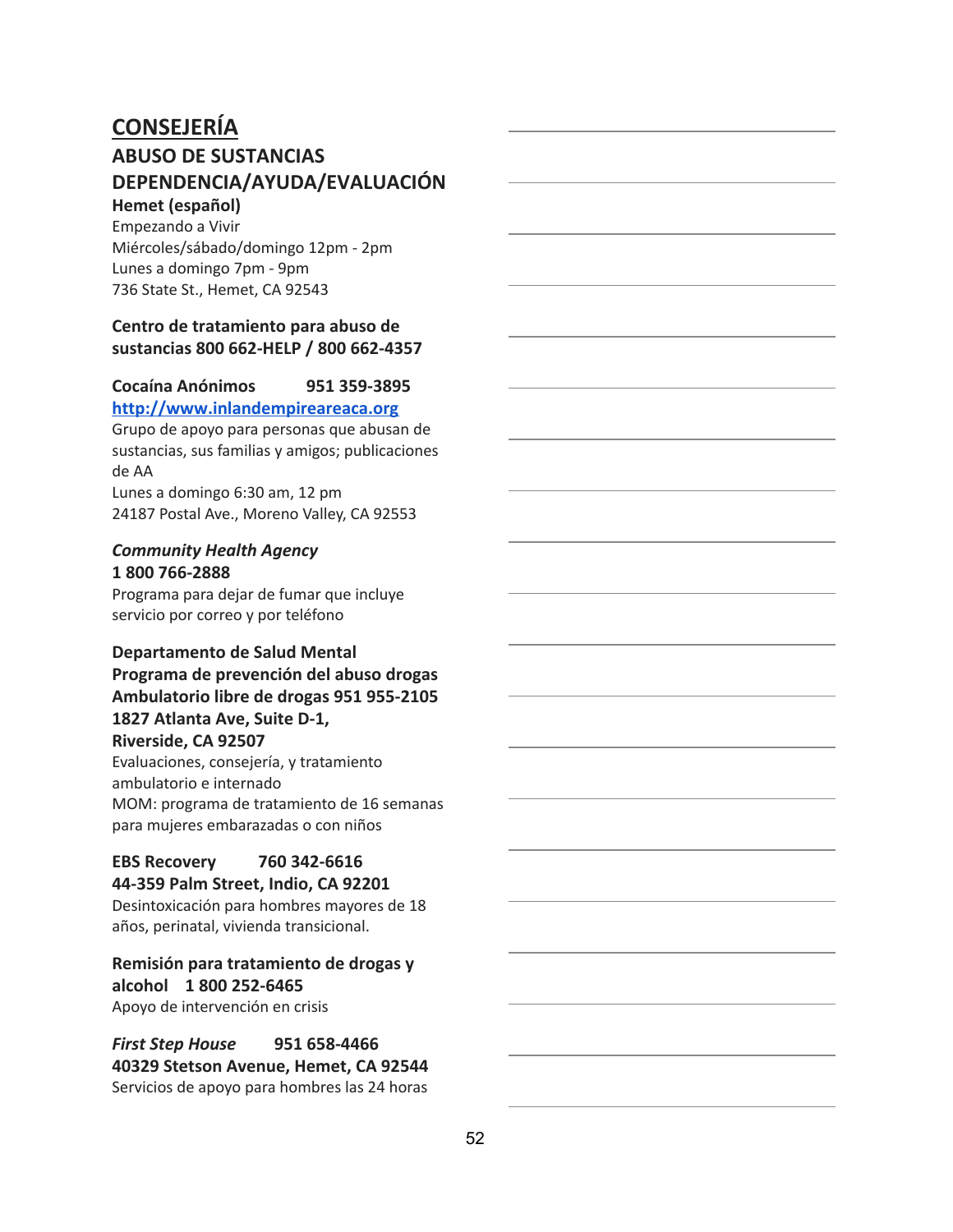# **CONSEJERÍA ABUSO DE SUSTANCIAS DEPENDENCIA/AYUDA/EVALUACIÓN**

#### **Hemet (español)** Empezando a Vivir

Miércoles/sábado/domingo 12pm - 2pm Lunes a domingo 7pm - 9pm 736 State St., Hemet, CA 92543

#### **Centro de tratamiento para abuso de sustancias 800 662-HELP / 800 662-4357**

### **Cocaína Anónimos 951 359-3895**

**[http://www.inlandempireareaca.org](http://www.inlandempireareaca.org/)**

Grupo de apoyo para personas que abusan de sustancias, sus familias y amigos; publicaciones de AA

Lunes a domingo 6:30 am, 12 pm 24187 Postal Ave., Moreno Valley, CA 92553

#### *Community Health Agency* **1 800 766-2888**

Programa para dejar de fumar que incluye servicio por correo y por teléfono

#### **Departamento de Salud Mental Programa de prevención del abuso drogas Ambulatorio libre de drogas 951 955-2105 1827 Atlanta Ave, Suite D-1, Riverside, CA 92507**

Evaluaciones, consejería, y tratamiento ambulatorio e internado MOM: programa de tratamiento de 16 semanas para mujeres embarazadas o con niños

#### **EBS Recovery 760 342-6616 44-359 Palm Street, Indio, CA 92201**

Desintoxicación para hombres mayores de 18 años, perinatal, vivienda transicional.

### **Remisión para tratamiento de drogas y alcohol 1 800 252-6465**

Apoyo de intervención en crisis

#### *First Step House* **951 658-4466 40329 Stetson Avenue, Hemet, CA 92544** Servicios de apoyo para hombres las 24 horas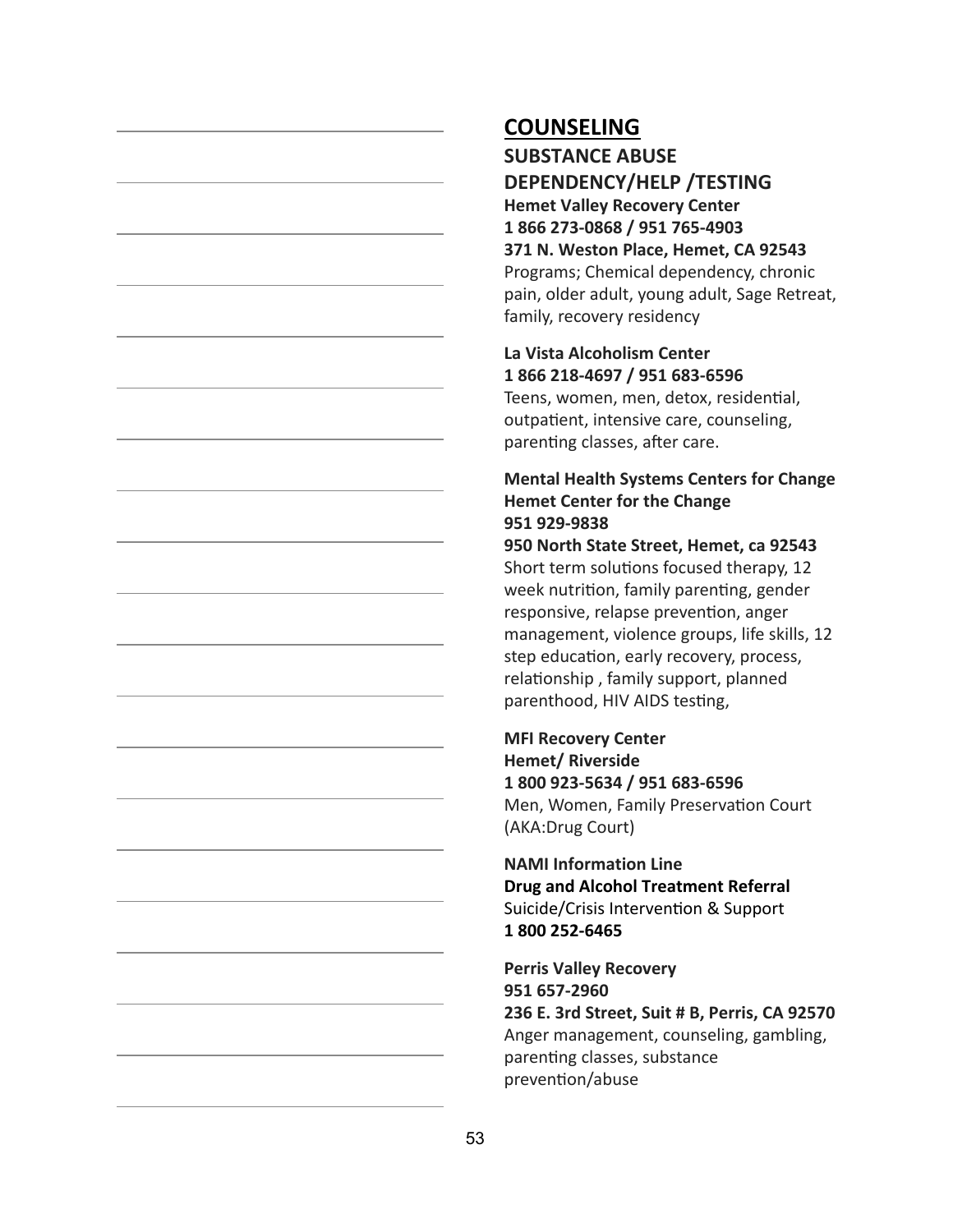**SUBSTANCE ABUSE DEPENDENCY/HELP /TESTING Hemet Valley Recovery Center 1 866 273-0868 / 951 765-4903 371 N. Weston Place, Hemet, CA 92543** Programs; Chemical dependency, chronic pain, older adult, young adult, Sage Retreat, family, recovery residency

#### **La Vista Alcoholism Center 1 866 218-4697 / 951 683-6596**

Teens, women, men, detox, residential, outpatient, intensive care, counseling, parenting classes, after care.

#### **Mental Health Systems Centers for Change Hemet Center for the Change 951 929-9838**

**950 North State Street, Hemet, ca 92543** Short term solutions focused therapy, 12 week nutrition, family parenting, gender responsive, relapse prevention, anger management, violence groups, life skills, 12 step education, early recovery, process, relationship, family support, planned parenthood, HIV AIDS testing,

**MFI Recovery Center Hemet/ Riverside 1 800 923-5634 / 951 683-6596** Men, Women, Family Preservation Court (AKA:Drug Court)

**NAMI Information Line Drug and Alcohol Treatment Referral** Suicide/Crisis Intervention & Support **1 800 252-6465**

**Perris Valley Recovery 951 657-2960 236 E. 3rd Street, Suit # B, Perris, CA 92570** Anger management, counseling, gambling, parenting classes, substance prevention/abuse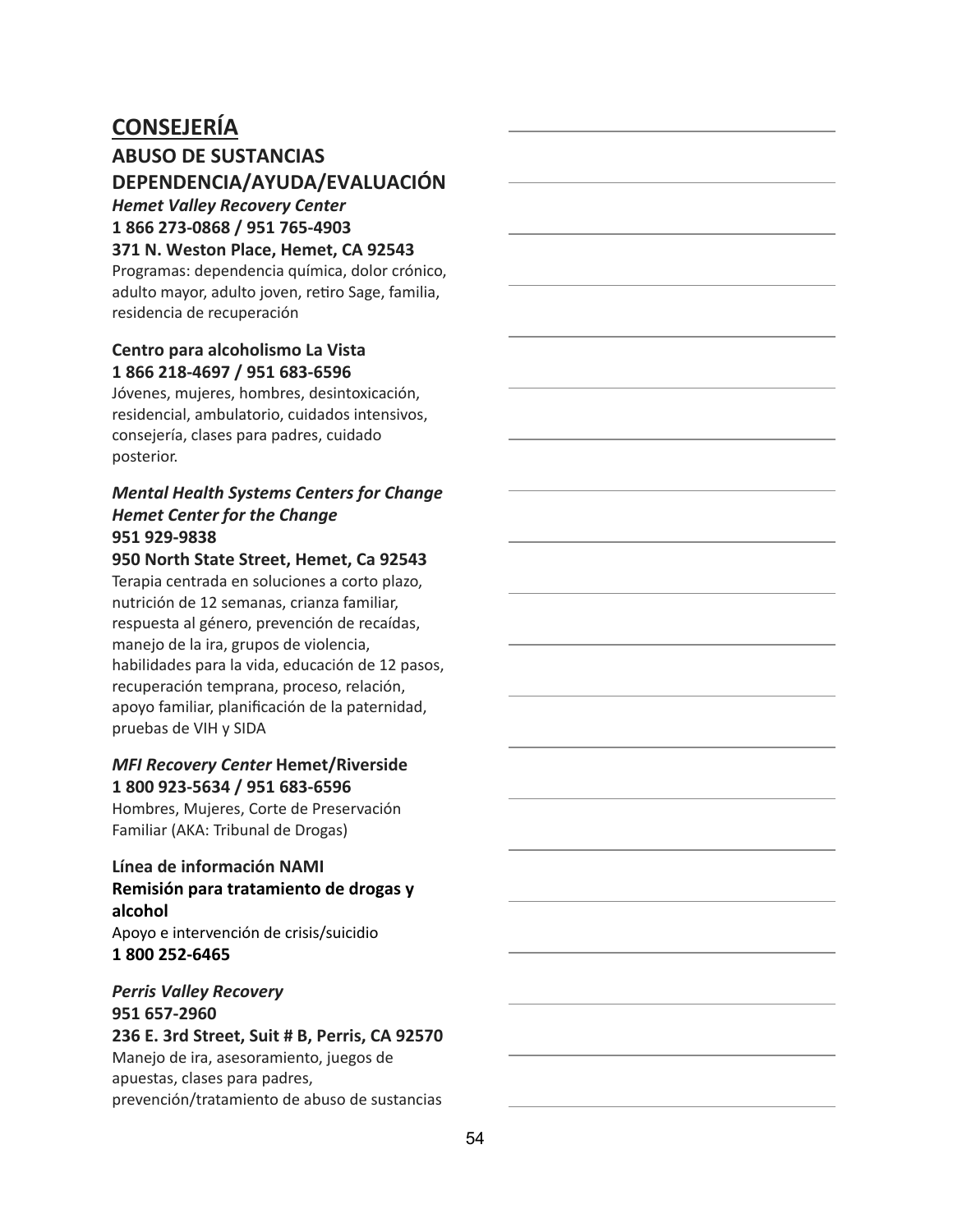### **ABUSO DE SUSTANCIAS DEPENDENCIA/AYUDA/EVALUACIÓN**

#### *Hemet Valley Recovery Center* **1 866 273-0868 / 951 765-4903**

**371 N. Weston Place, Hemet, CA 92543**

Programas: dependencia química, dolor crónico, adulto mayor, adulto joven, retiro Sage, familia, residencia de recuperación

#### **Centro para alcoholismo La Vista 1 866 218-4697 / 951 683-6596**

Jóvenes, mujeres, hombres, desintoxicación, residencial, ambulatorio, cuidados intensivos, consejería, clases para padres, cuidado posterior.

#### *Mental Health Systems Centers for Change Hemet Center for the Change* **951 929-9838**

#### **950 North State Street, Hemet, Ca 92543**

Terapia centrada en soluciones a corto plazo, nutrición de 12 semanas, crianza familiar, respuesta al género, prevención de recaídas, manejo de la ira, grupos de violencia, habilidades para la vida, educación de 12 pasos, recuperación temprana, proceso, relación, apoyo familiar, planificación de la paternidad, pruebas de VIH y SIDA

#### *MFI Recovery Center* **Hemet/Riverside 1 800 923-5634 / 951 683-6596**

Hombres, Mujeres, Corte de Preservación Familiar (AKA: Tribunal de Drogas)

#### **Línea de información NAMI Remisión para tratamiento de drogas y alcohol** Apoyo e intervención de crisis/suicidio

**1 800 252-6465**

#### *Perris Valley Recovery* **951 657-2960 236 E. 3rd Street, Suit # B, Perris, CA 92570** Manejo de ira, asesoramiento, juegos de apuestas, clases para padres,

prevención/tratamiento de abuso de sustancias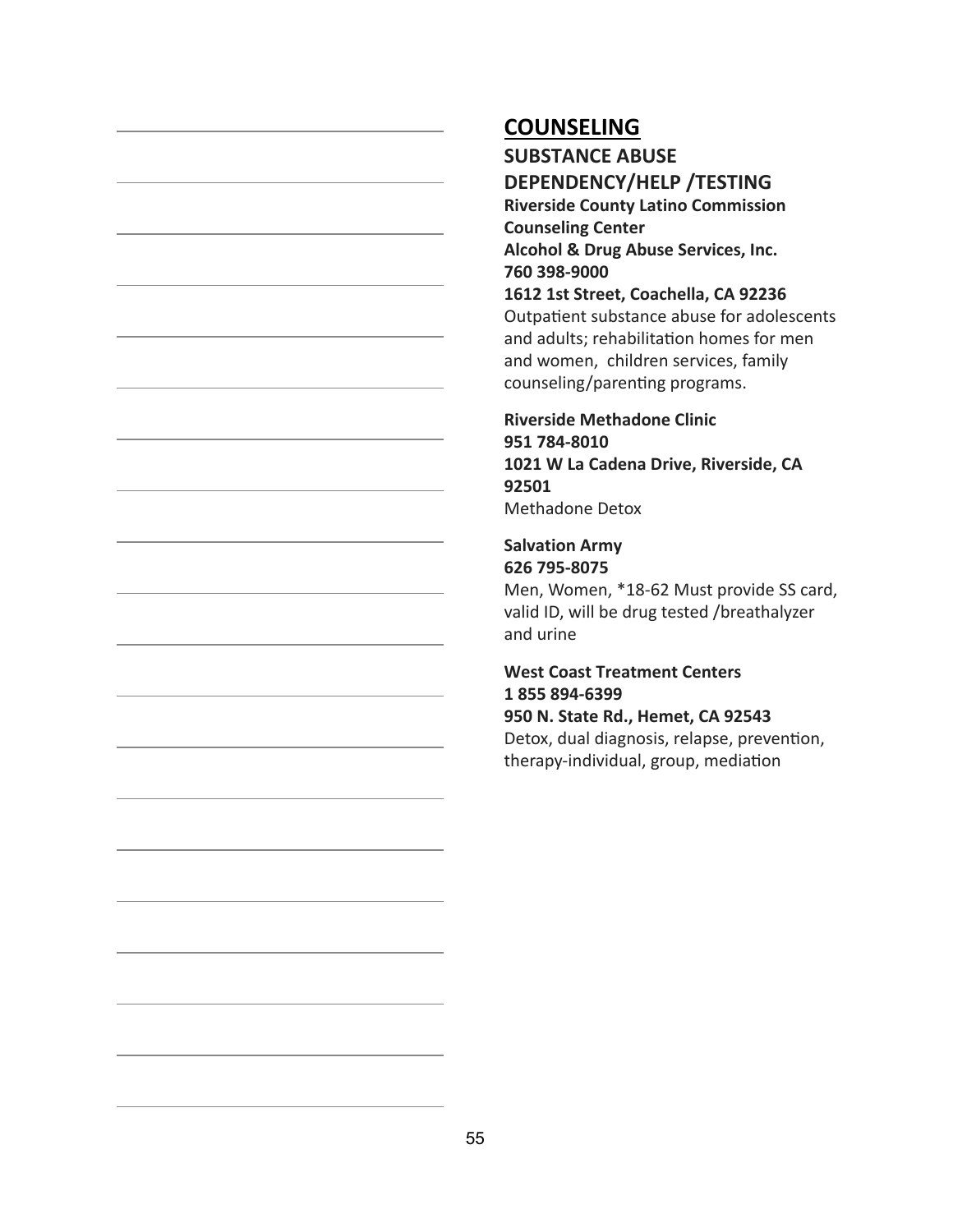**SUBSTANCE ABUSE DEPENDENCY/HELP /TESTING**

**Riverside County Latino Commission Counseling Center Alcohol & Drug Abuse Services, Inc. 760 398-9000**

**1612 1st Street, Coachella, CA 92236** Outpatient substance abuse for adolescents and adults; rehabilitation homes for men and women, children services, family counseling/parenting programs.

**Riverside Methadone Clinic 951 784-8010 1021 W La Cadena Drive, Riverside, CA 92501** Methadone Detox

#### **Salvation Army 626 795-8075**

Men, Women, \*18-62 Must provide SS card, valid ID, will be drug tested /breathalyzer and urine

#### **West Coast Treatment Centers 1 855 894-6399 950 N. State Rd., Hemet, CA 92543** Detox, dual diagnosis, relapse, prevention, therapy-individual, group, mediation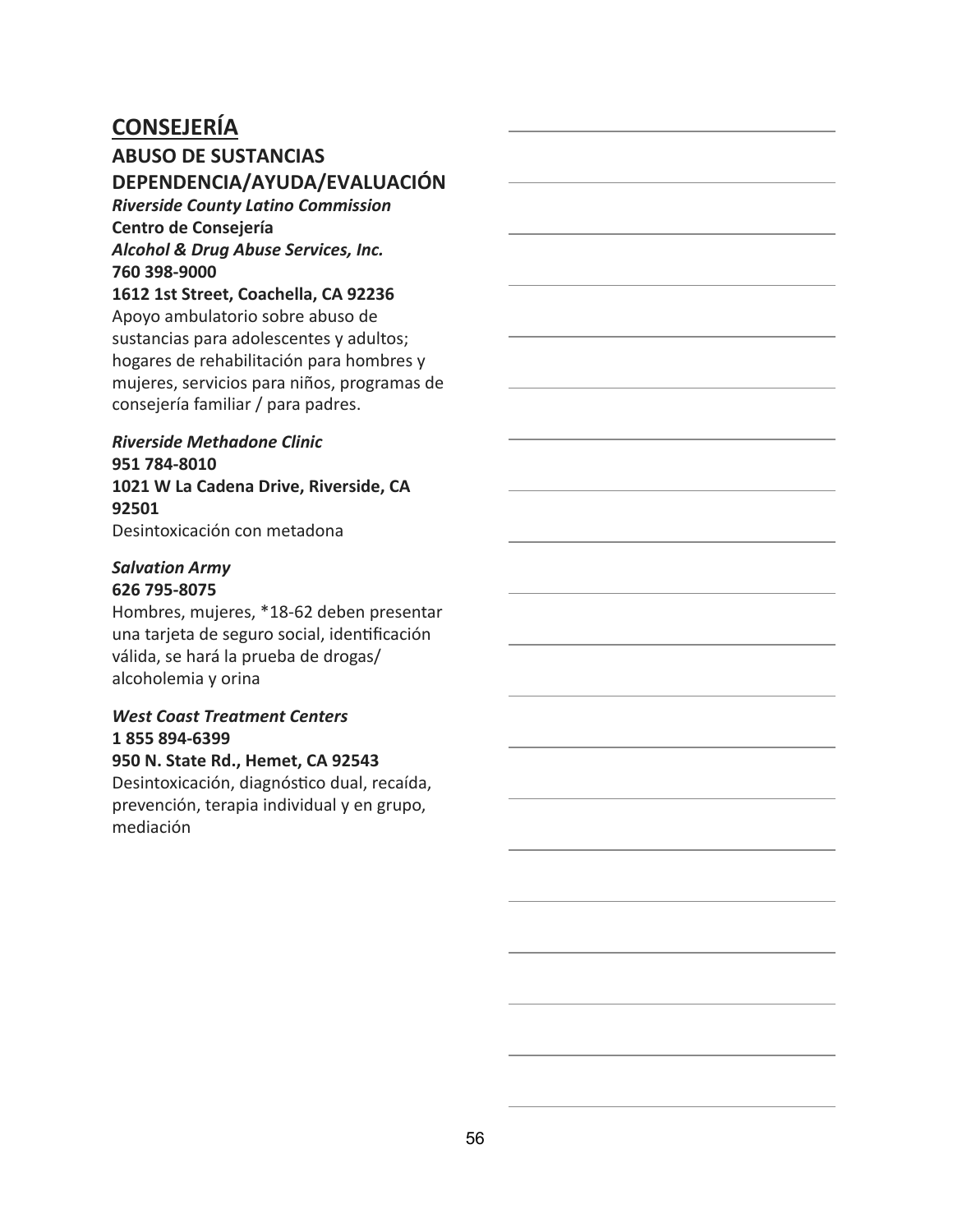### **ABUSO DE SUSTANCIAS DEPENDENCIA/AYUDA/EVALUACIÓN**

*Riverside County Latino Commission* **Centro de Consejería** *Alcohol & Drug Abuse Services, Inc.* **760 398-9000**

#### **1612 1st Street, Coachella, CA 92236**

Apoyo ambulatorio sobre abuso de sustancias para adolescentes y adultos; hogares de rehabilitación para hombres y mujeres, servicios para niños, programas de consejería familiar / para padres.

### *Riverside Methadone Clinic* **951 784-8010 1021 W La Cadena Drive, Riverside, CA 92501**

Desintoxicación con metadona

#### *Salvation Army* **626 795-8075**

Hombres, mujeres, \*18-62 deben presentar una tarjeta de seguro social, idenficación válida, se hará la prueba de drogas/ alcoholemia y orina

#### *West Coast Treatment Centers* **1 855 894-6399**

#### **950 N. State Rd., Hemet, CA 92543**

Desintoxicación, diagnóstico dual, recaída, prevención, terapia individual y en grupo, mediación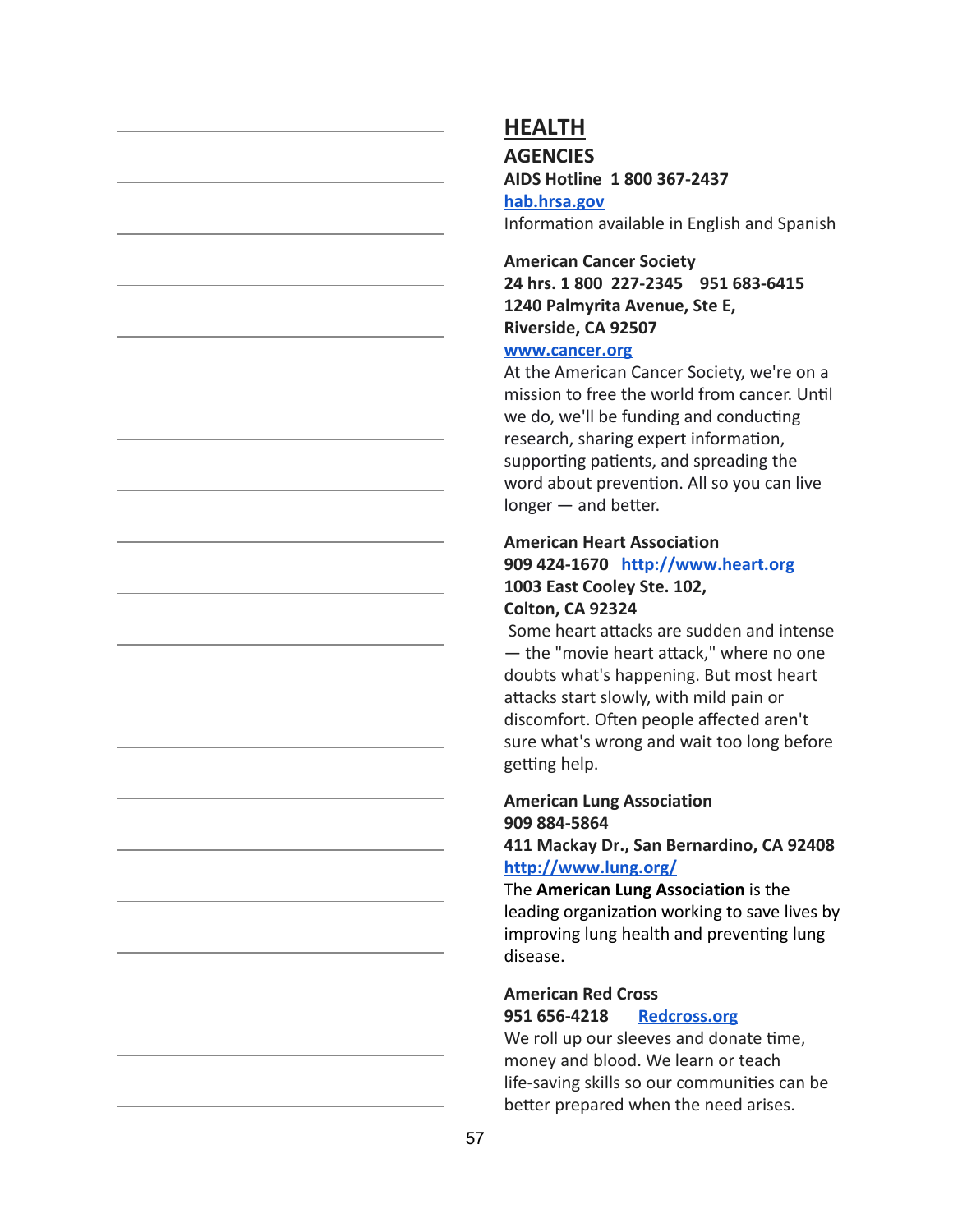#### **AGENCIES AIDS Hotline 1 800 367-2437**

**[hab.hrsa.gov](https://hab.hrsa.gov/)** Information available in English and Spanish

**American Cancer Society 24 hrs. 1 800 227-2345 951 683-6415 1240 Palmyrita Avenue, Ste E, Riverside, CA 92507**

#### **[www.cancer.org](http://www.cancer.org/)**

At the American Cancer Society, we're on a mission to free the world from cancer. Until we do, we'll be funding and conducting research, sharing expert information, supporting patients, and spreading the word about prevention. All so you can live  $longer$  — and better.

#### **American Heart Association 909 424-1670 [http://www.heart.org](http://www.heart.org/) 1003 East Cooley Ste. 102, Colton, CA 92324**

Some heart attacks are sudden and intense  $-$  the "movie heart attack," where no one doubts what's happening. But most heart attacks start slowly, with mild pain or discomfort. Often people affected aren't sure what's wrong and wait too long before getting help.

### **American Lung Association 909 884-5864**

#### **411 Mackay Dr., San Bernardino, CA 92408 <http://www.lung.org/>**

The **American Lung Association** is the leading organization working to save lives by improving lung health and preventing lung disease.

#### **American Red Cross 951 656-4218 [Redcross.org](http://www.redcross.org/)**

We roll up our sleeves and donate time. money and blood. We learn or teach life-saving skills so our communities can be better prepared when the need arises.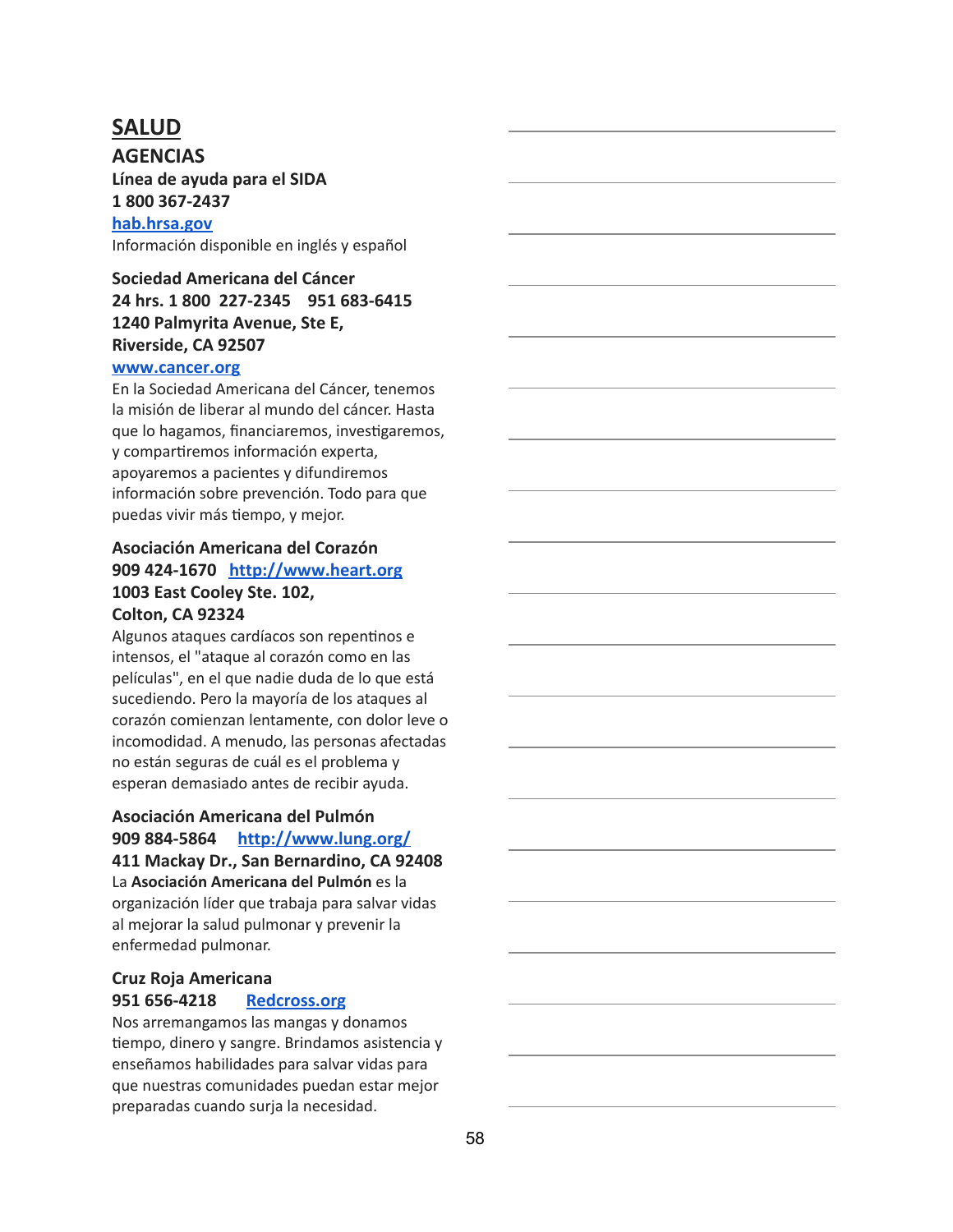### **SALUD**

**AGENCIAS Línea de ayuda para el SIDA 1 800 367-2437 [hab.hrsa.gov](https://hab.hrsa.gov/)** Información disponible en inglés y español

### **Sociedad Americana del Cáncer 24 hrs. 1 800 227-2345 951 683-6415 1240 Palmyrita Avenue, Ste E, Riverside, CA 92507**

#### **[www.cancer.org](http://www.cancer.org/)**

En la Sociedad Americana del Cáncer, tenemos la misión de liberar al mundo del cáncer. Hasta que lo hagamos, financiaremos, investigaremos, y compartiremos información experta, apoyaremos a pacientes y difundiremos información sobre prevención. Todo para que puedas vivir más tiempo, y mejor.

### **Asociación Americana del Corazón 909 424-1670 [http://www.heart.org](http://www.heart.org/) 1003 East Cooley Ste. 102, Colton, CA 92324**

Algunos ataques cardíacos son repentinos e intensos, el "ataque al corazón como en las películas", en el que nadie duda de lo que está sucediendo. Pero la mayoría de los ataques al corazón comienzan lentamente, con dolor leve o incomodidad. A menudo, las personas afectadas no están seguras de cuál es el problema y esperan demasiado antes de recibir ayuda.

#### **Asociación Americana del Pulmón 909 884-5864 <http://www.lung.org/> 411 Mackay Dr., San Bernardino, CA 92408**

La **Asociación Americana del Pulmón** es la organización líder que trabaja para salvar vidas al mejorar la salud pulmonar y prevenir la enfermedad pulmonar.

#### **Cruz Roja Americana 951 656-4218 [Redcross.org](http://www.redcross.org/)**

Nos arremangamos las mangas y donamos tiempo, dinero y sangre. Brindamos asistencia y enseñamos habilidades para salvar vidas para que nuestras comunidades puedan estar mejor preparadas cuando surja la necesidad.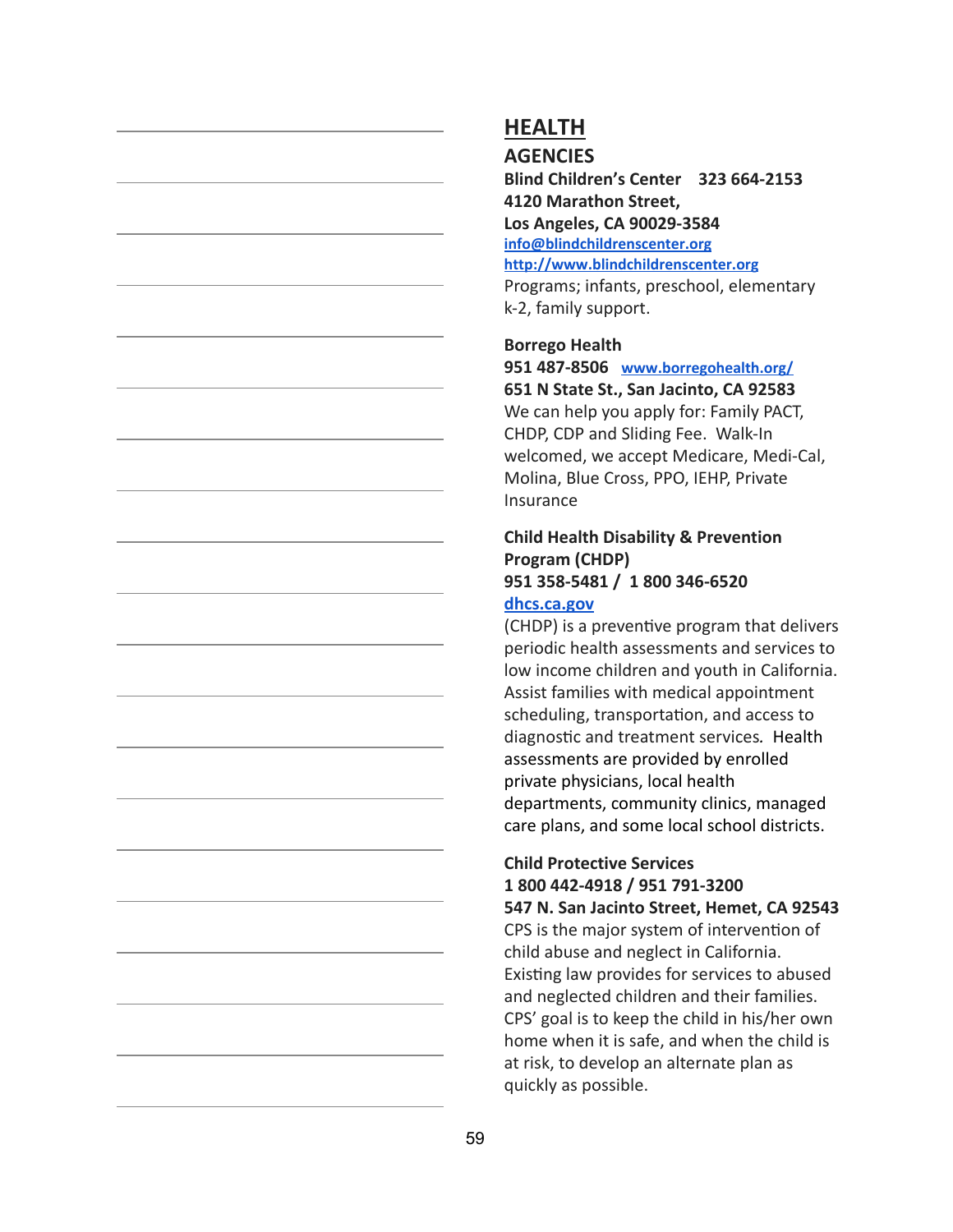```
AGENCIES
```
**Blind Children's Center 323 664-2153 4120 Marathon Street, Los Angeles, CA 90029-3584 [info@blindchildrenscenter.org](mailto:info@blindchildrenscenter.org) [http://www.blindchildrenscenter.org](http://www.blindchildrenscenter.org/)**

Programs; infants, preschool, elementary k-2, family support.

#### **Borrego Health**

**951 487-8506 [www.borregohealth.org/](http://www.borregohealth.org/) 651 N State St., San Jacinto, CA 92583** We can help you apply for: Family PACT, CHDP, CDP and Sliding Fee. Walk-In welcomed, we accept Medicare, Medi-Cal, Molina, Blue Cross, PPO, IEHP, Private Insurance

### **Child Health Disability & Prevention Program (CHDP) 951 358-5481 / 1 800 346-6520**

#### **[dhcs.ca.gov](http://www.dhcs.ca.gov/)**

(CHDP) is a preventive program that delivers periodic health assessments and services to low income children and youth in California. Assist families with medical appointment scheduling, transportation, and access to diagnostic and treatment services. Health assessments are provided by enrolled private physicians, local health departments, community clinics, managed care plans, and some local school districts.

### **Child Protective Services 1 800 442-4918 / 951 791-3200**

**547 N. San Jacinto Street, Hemet, CA 92543** CPS is the major system of intervention of child abuse and neglect in California. Existing law provides for services to abused and neglected children and their families. CPS' goal is to keep the child in his/her own home when it is safe, and when the child is at risk, to develop an alternate plan as quickly as possible.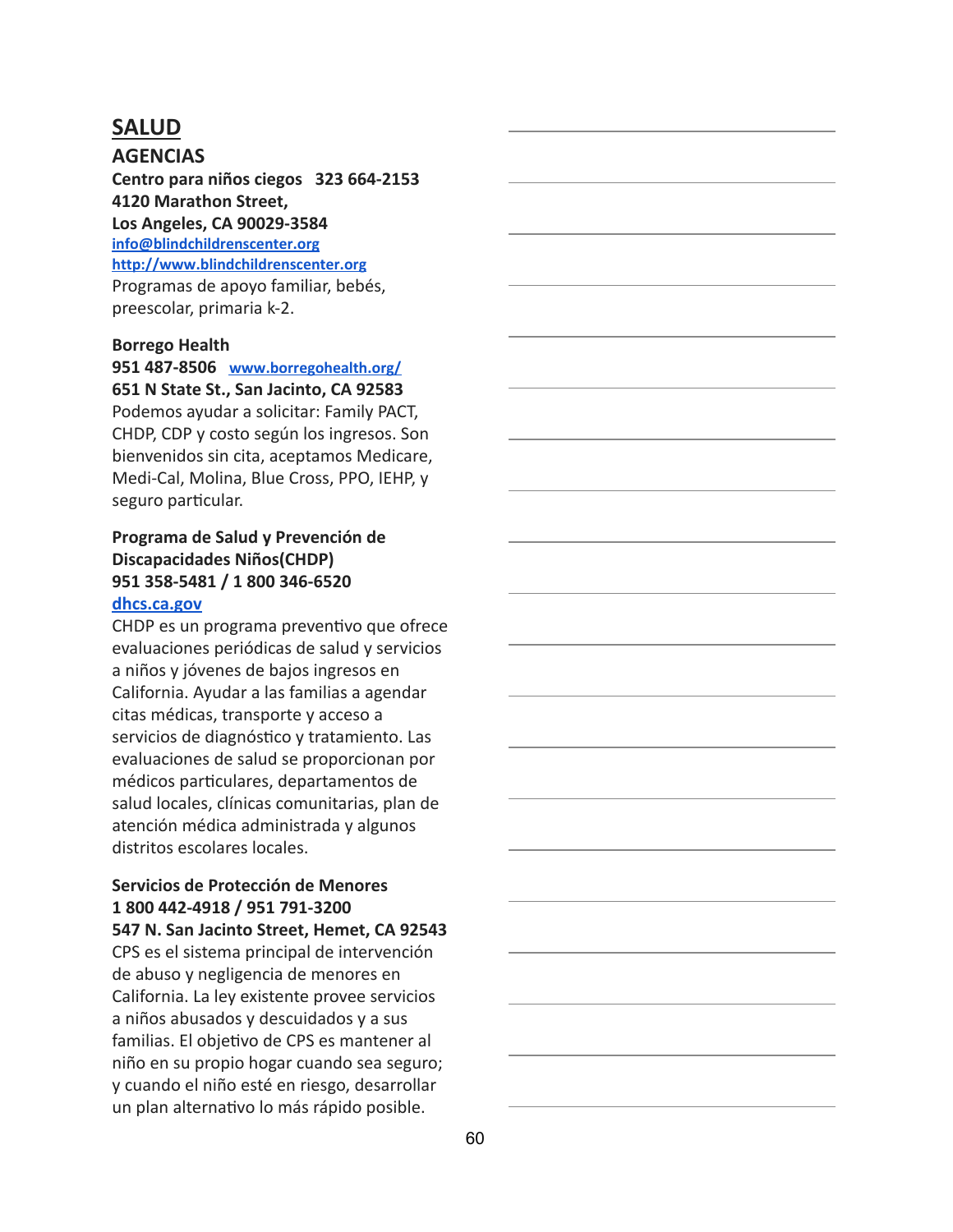### **SALUD**

**AGENCIAS Centro para niños ciegos 323 664-2153 4120 Marathon Street, Los Angeles, CA 90029-3584 [info@blindchildrenscenter.org](mailto:info@blindchildrenscenter.org) [http://www.blindchildrenscenter.org](http://www.blindchildrenscenter.org/)** Programas de apoyo familiar, bebés, preescolar, primaria k-2.

#### **Borrego Health**

**951 487-8506 [www.borregohealth.org/](http://www.borregohealth.org/) 651 N State St., San Jacinto, CA 92583**

Podemos ayudar a solicitar: Family PACT, CHDP, CDP y costo según los ingresos. Son bienvenidos sin cita, aceptamos Medicare, Medi-Cal, Molina, Blue Cross, PPO, IEHP, y seguro particular.

#### **Programa de Salud y Prevención de Discapacidades Niños(CHDP) 951 358-5481 / 1 800 346-6520 [dhcs.ca.gov](http://www.dhcs.ca.gov/)**

CHDP es un programa preventivo que ofrece evaluaciones periódicas de salud y servicios a niños y jóvenes de bajos ingresos en California. Ayudar a las familias a agendar citas médicas, transporte y acceso a servicios de diagnóstico y tratamiento. Las evaluaciones de salud se proporcionan por médicos particulares, departamentos de salud locales, clínicas comunitarias, plan de atención médica administrada y algunos distritos escolares locales.

### **Servicios de Protección de Menores 1 800 442-4918 / 951 791-3200**

**547 N. San Jacinto Street, Hemet, CA 92543** CPS es el sistema principal de intervención de abuso y negligencia de menores en California. La ley existente provee servicios a niños abusados y descuidados y a sus familias. El objetivo de CPS es mantener al niño en su propio hogar cuando sea seguro; y cuando el niño esté en riesgo, desarrollar un plan alternativo lo más rápido posible.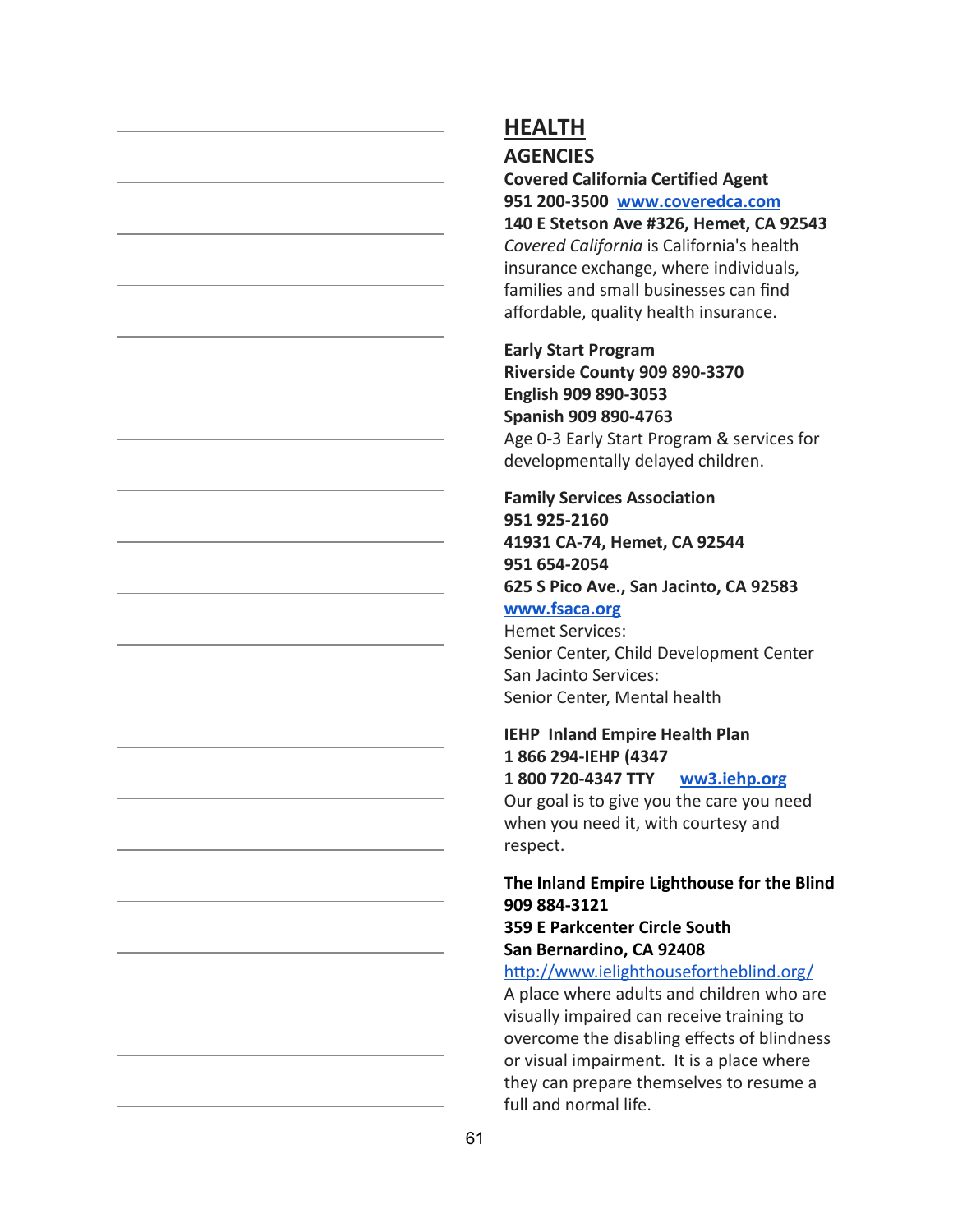#### **AGENCIES**

**Covered California Certified Agent 951 200-3500 [www.coveredca.com](http://www.coveredca.com/)**

**140 E Stetson Ave #326, Hemet, CA 92543** *Covered California* is California's health insurance exchange, where individuals, families and small businesses can find affordable, quality health insurance.

**Early Start Program Riverside County 909 890-3370 English 909 890-3053 Spanish 909 890-4763** Age 0-3 Early Start Program & services for developmentally delayed children.

### **Family Services Association 951 925-2160 41931 CA-74, Hemet, CA 92544 951 654-2054 625 S Pico Ave., San Jacinto, CA 92583 [www.fsaca.org](http://www.fsaca.org/)** Hemet Services:

Senior Center, Child Development Center San Jacinto Services: Senior Center, Mental health

#### **IEHP Inland Empire Health Plan 1 866 294-IEHP (4347 1 800 720-4347 TTY [ww3.iehp.org](https://ww3.iehp.org/en/)**

Our goal is to give you the care you need when you need it, with courtesy and respect.

### **The Inland Empire Lighthouse for the Blind 909 884-3121**

#### **359 E Parkcenter Circle South San Bernardino, CA 92408**

#### http://www.ielighthousefortheblind.org/

A place where adults and children who are visually impaired can receive training to overcome the disabling effects of blindness or visual impairment. It is a place where they can prepare themselves to resume a full and normal life.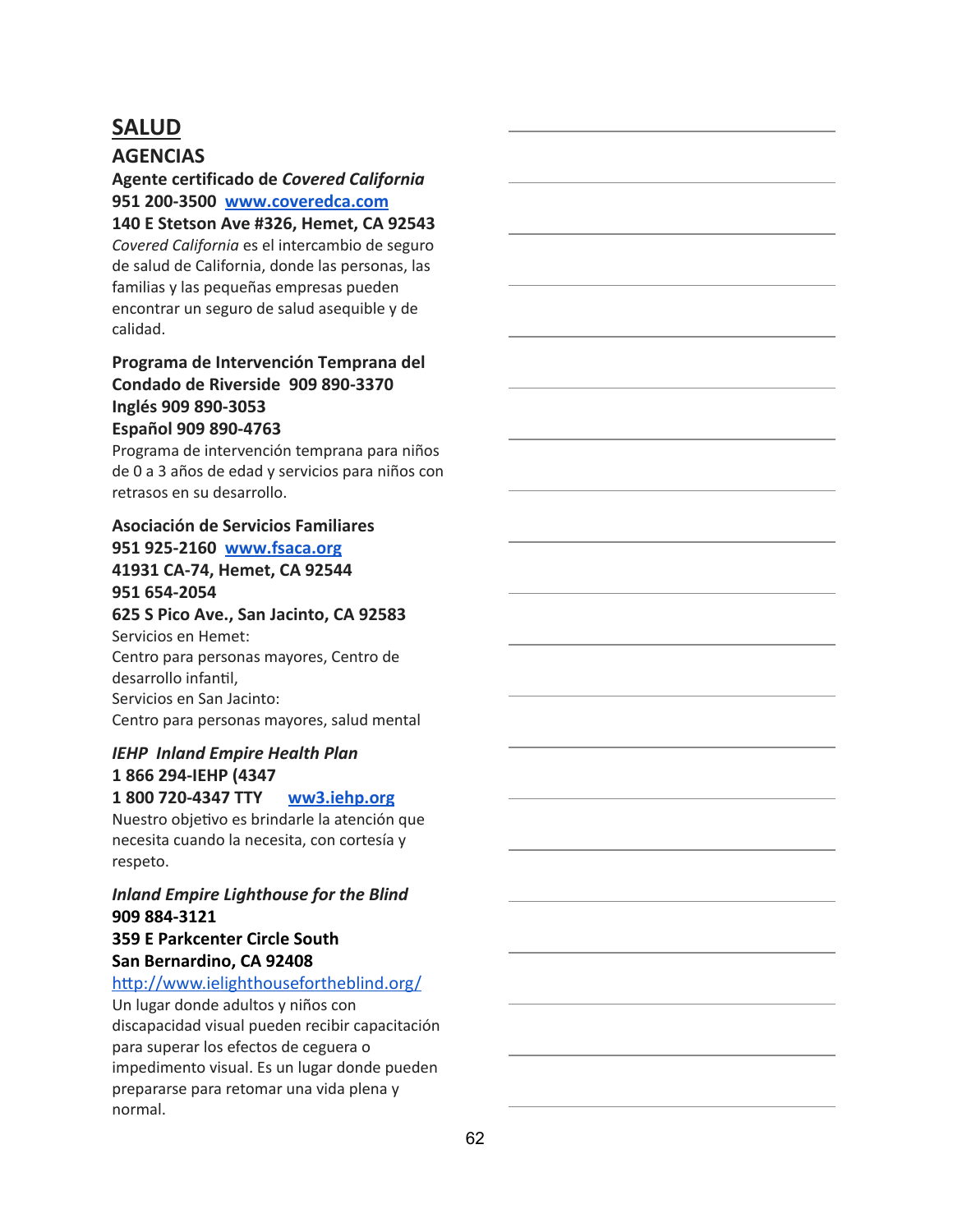# **SALUD**

### **AGENCIAS**

**Agente certificado de** *Covered California* **951 200-3500 [www.coveredca.com](http://www.coveredca.com/)**

**140 E Stetson Ave #326, Hemet, CA 92543** *Covered California* es el intercambio de seguro de salud de California, donde las personas, las familias y las pequeñas empresas pueden encontrar un seguro de salud asequible y de calidad.

### **Programa de Intervención Temprana del Condado de Riverside 909 890-3370 Inglés 909 890-3053 Español 909 890-4763**

Programa de intervención temprana para niños de 0 a 3 años de edad y servicios para niños con retrasos en su desarrollo.

#### **Asociación de Servicios Familiares**

### **951 925-2160 [www.fsaca.org](http://www.fsaca.org/)**

#### **41931 CA-74, Hemet, CA 92544 951 654-2054**

**625 S Pico Ave., San Jacinto, CA 92583**

Servicios en Hemet: Centro para personas mayores, Centro de desarrollo infantil. Servicios en San Jacinto: Centro para personas mayores, salud mental

### *IEHP Inland Empire Health Plan* **1 866 294-IEHP (4347**

### **1 800 720-4347 TTY [ww3.iehp.org](https://ww3.iehp.org/en/)**

Nuestro objetivo es brindarle la atención que necesita cuando la necesita, con cortesía y respeto.

### *Inland Empire Lighthouse for the Blind* **909 884-3121**

#### **359 E Parkcenter Circle South San Bernardino, CA 92408**

#### http://www.ielighthousefortheblind.org/

Un lugar donde adultos y niños con discapacidad visual pueden recibir capacitación para superar los efectos de ceguera o impedimento visual. Es un lugar donde pueden prepararse para retomar una vida plena y normal.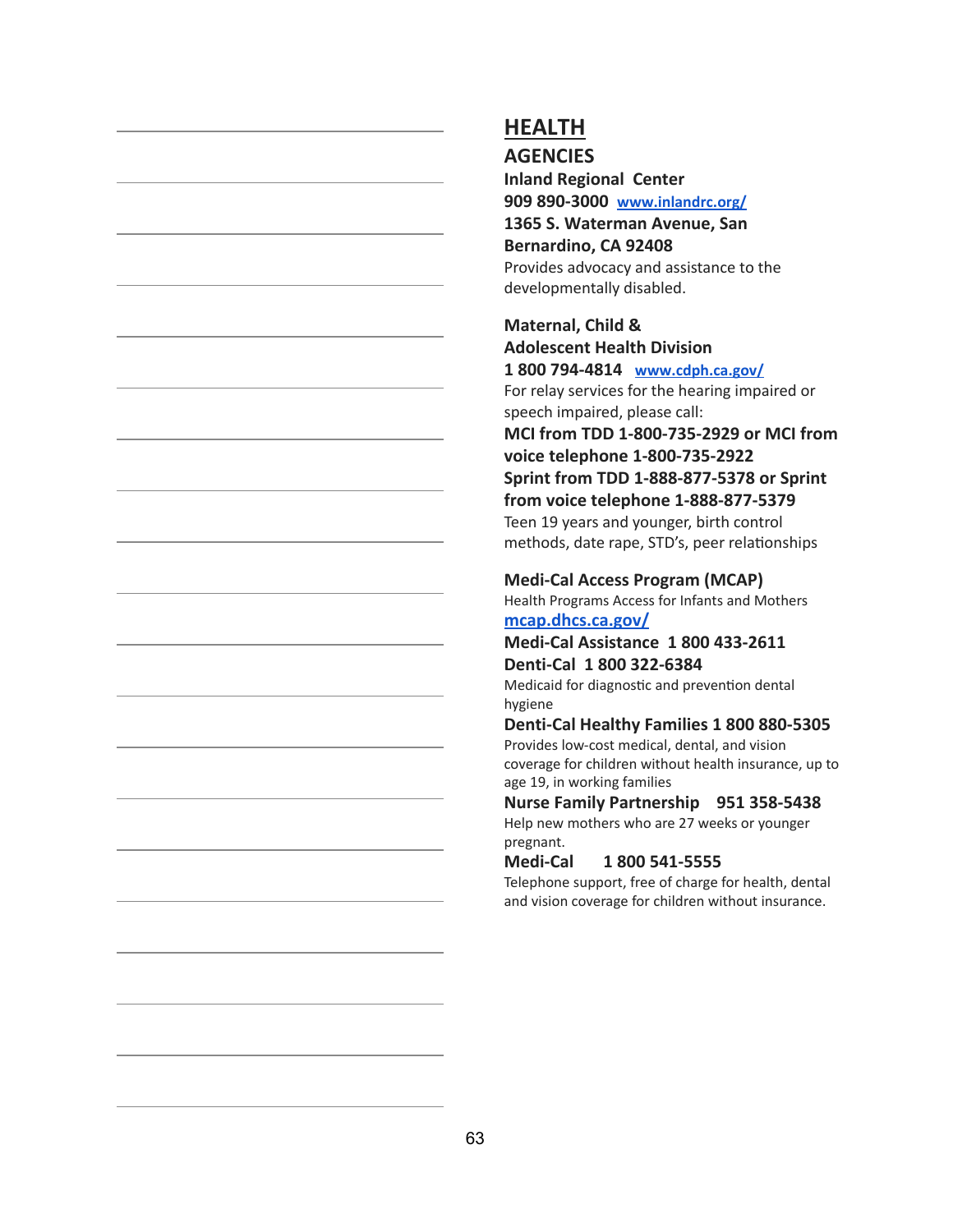**AGENCIES**

**Inland Regional Center 909 890-3000 [www.inlandrc.org/](http://www.inlandrc.org/) 1365 S. Waterman Avenue, San Bernardino, CA 92408** Provides advocacy and assistance to the developmentally disabled.

**Maternal, Child & Adolescent Health Division 1 800 794-4814 [www.cdph.ca.gov/](http://www.cdph.ca.gov/)** For relay services for the hearing impaired or speech impaired, please call: **MCI from TDD 1-800-735-2929 or MCI from voice telephone 1-800-735-2922 Sprint from TDD 1-888-877-5378 or Sprint from voice telephone 1-888-877-5379** Teen 19 years and younger, birth control methods, date rape, STD's, peer relationships

#### **Medi-Cal Access Program (MCAP)**

Health Programs Access for Infants and Mothers **[mcap.dhcs.ca.gov/](http://mcap.dhcs.ca.gov/MCAP_Program/)**

#### **Medi-Cal Assistance 1 800 433-2611 Denti-Cal 1 800 322-6384**

Medicaid for diagnostic and prevention dental hygiene

#### **Denti-Cal Healthy Families 1 800 880-5305**

Provides low-cost medical, dental, and vision coverage for children without health insurance, up to age 19, in working families

**Nurse Family Partnership 951 358-5438** Help new mothers who are 27 weeks or younger pregnant.

#### **Medi-Cal 1 800 541-5555**

Telephone support, free of charge for health, dental and vision coverage for children without insurance.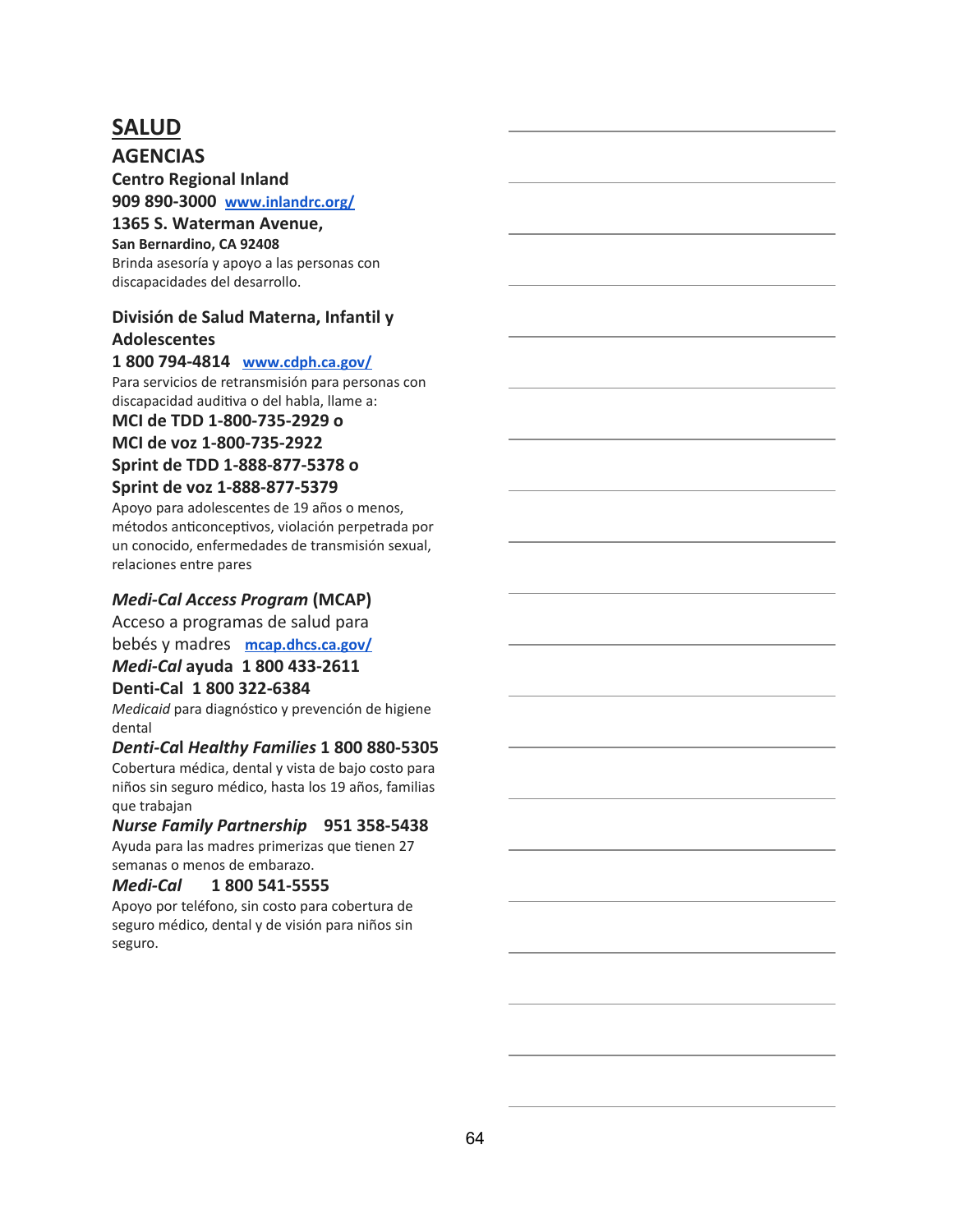### **SALUD**

**AGENCIAS**

**Centro Regional Inland 909 890-3000 [www.inlandrc.org/](http://www.inlandrc.org/)**

**1365 S. Waterman Avenue,**

**San Bernardino, CA 92408** Brinda asesoría y apoyo a las personas con discapacidades del desarrollo.

#### **División de Salud Materna, Infantil y Adolescentes**

#### **1 800 794-4814 [www.cdph.ca.gov/](http://www.cdph.ca.gov/)**

Para servicios de retransmisión para personas con discapacidad auditiva o del habla, llame a:

**MCI de TDD 1-800-735-2929 o MCI de voz 1-800-735-2922 Sprint de TDD 1-888-877-5378 o**

#### **Sprint de voz 1-888-877-5379**

Apoyo para adolescentes de 19 años o menos, métodos anticonceptivos, violación perpetrada por un conocido, enfermedades de transmisión sexual, relaciones entre pares

#### *Medi-Cal Access Program* **(MCAP)**

Acceso a programas de salud para

bebés y madres **[mcap.dhcs.ca.gov/](http://mcap.dhcs.ca.gov/MCAP_Program/)**

#### *Medi-Cal* **ayuda 1 800 433-2611**

#### **Denti-Cal 1 800 322-6384**

*Medicaid* para diagnóstico y prevención de higiene dental

#### *Denti-Ca* **l** *Healthy Families* **1 800 880-5305**

Cobertura médica, dental y vista de bajo costo para niños sin seguro médico, hasta los 19 años, familias que trabajan

#### *Nurse Family Partnership* **951 358-5438**

Ayuda para las madres primerizas que tienen 27 semanas o menos de embarazo.

#### *Medi-Cal* **1 800 541-5555**

Apoyo por teléfono, sin costo para cobertura de seguro médico, dental y de visión para niños sin seguro.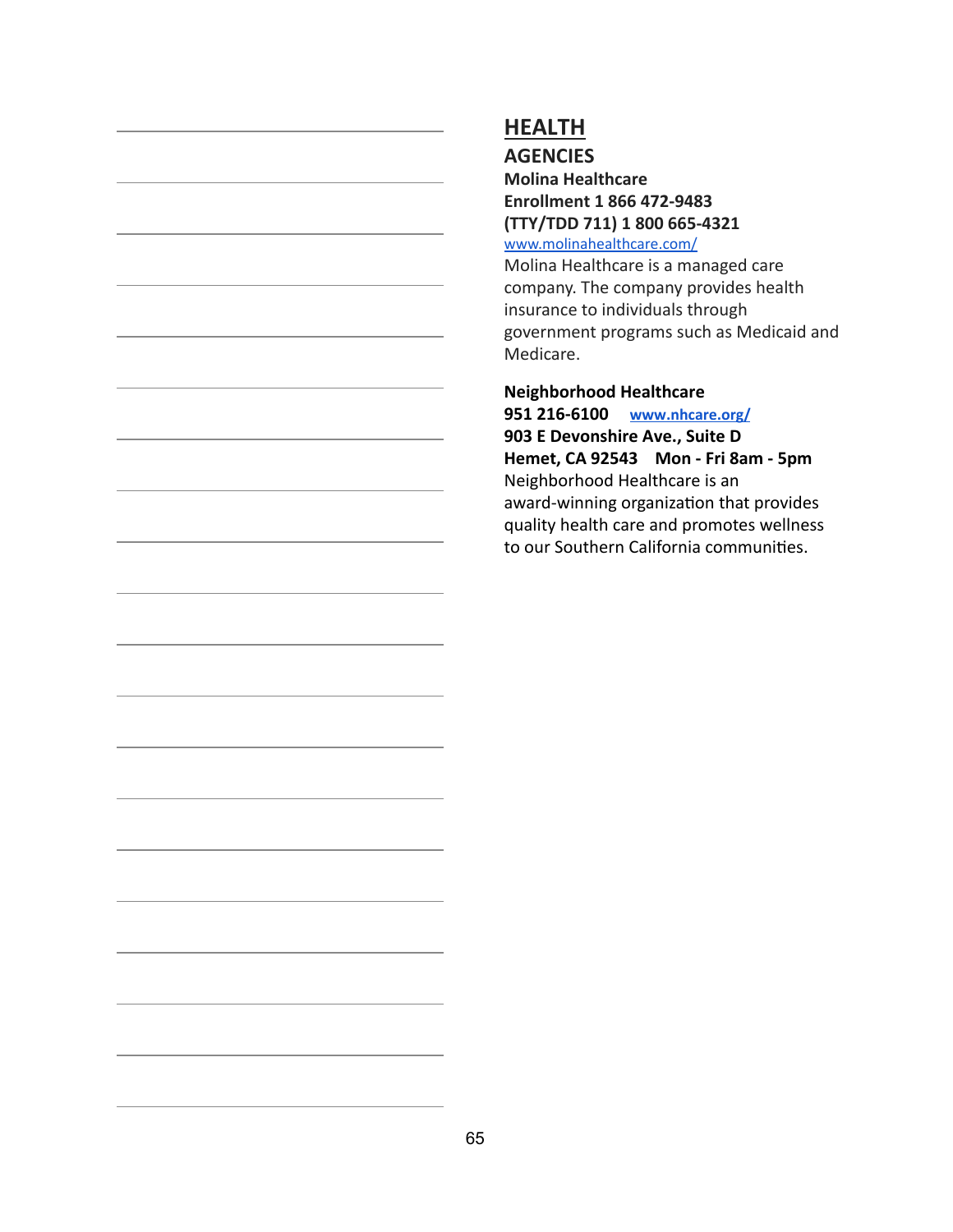**AGENCIES**

**Molina Healthcare Enrollment 1 866 472-9483 (TTY/TDD 711) 1 800 665-4321**

[www.molinahealthcare.com/](http://www.molinahealthcare.com/)

Molina Healthcare is a managed care company. The company provides health insurance to individuals through government programs such as Medicaid and Medicare.

#### **Neighborhood Healthcare 951 216-6100 [www.nhcare.org/](http://www.nhcare.org/)**

**903 E Devonshire Ave., Suite D Hemet, CA 92543 Mon - Fri 8am - 5pm** Neighborhood Healthcare is an award-winning organization that provides quality health care and promotes wellness to our Southern California communities.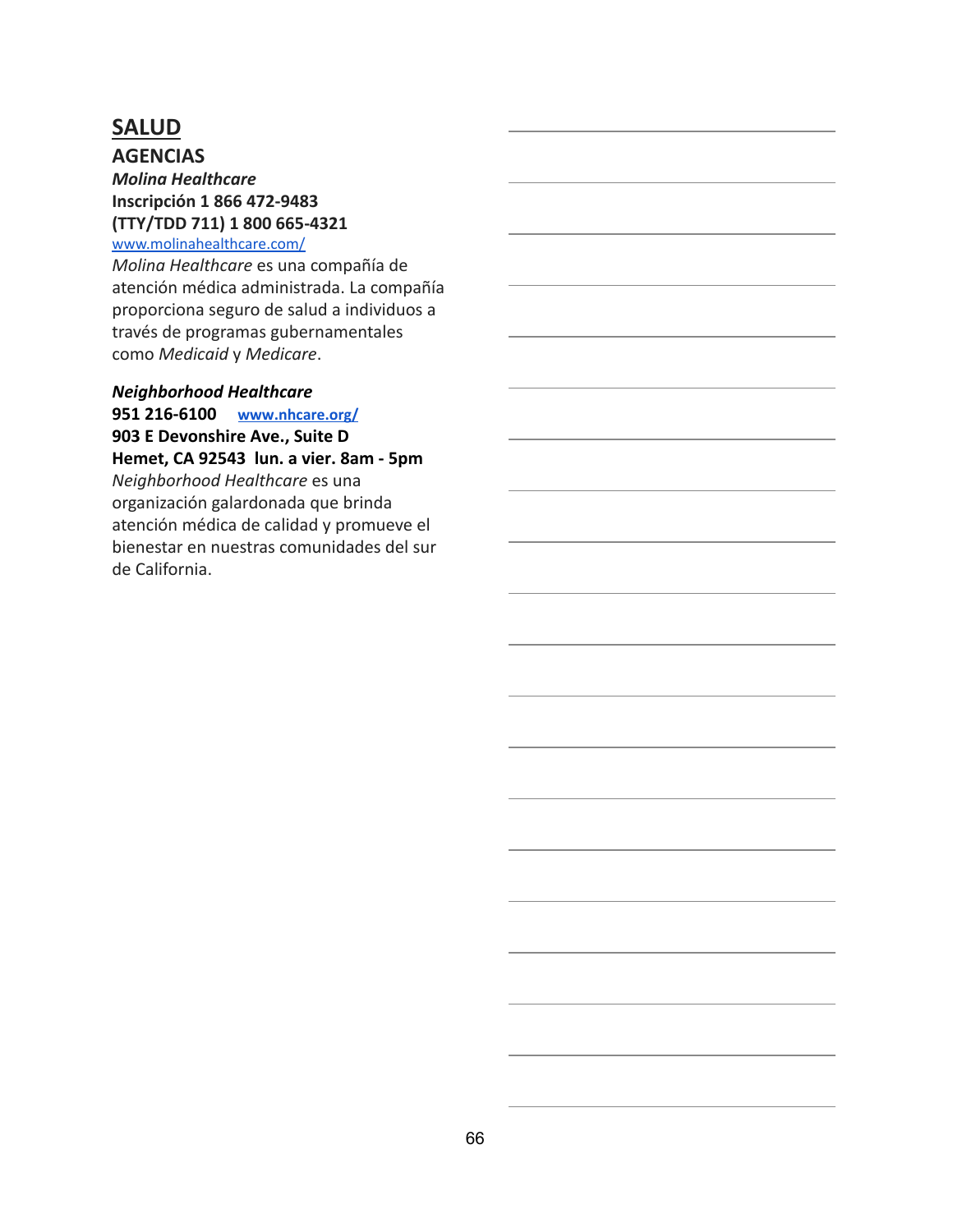## **SALUD**

**AGENCIAS** *Molina Healthcare* **Inscripción 1 866 472-9483 (TTY/TDD 711) 1 800 665-4321**

#### [www.molinahealthcare.com/](http://www.molinahealthcare.com/)

*Molina Healthcare* es una compañía de atención médica administrada. La compañía proporciona seguro de salud a individuos a través de programas gubernamentales como *Medicaid* y *Medicare* .

#### *Neighborhood Healthcare*

**951 216-6100 [www.nhcare.org/](http://www.nhcare.org/) 903 E Devonshire Ave., Suite D Hemet, CA 92543 lun. a vier. 8am - 5pm** *Neighborhood Healthcare* es una organización galardonada que brinda atención médica de calidad y promueve el bienestar en nuestras comunidades del sur de California.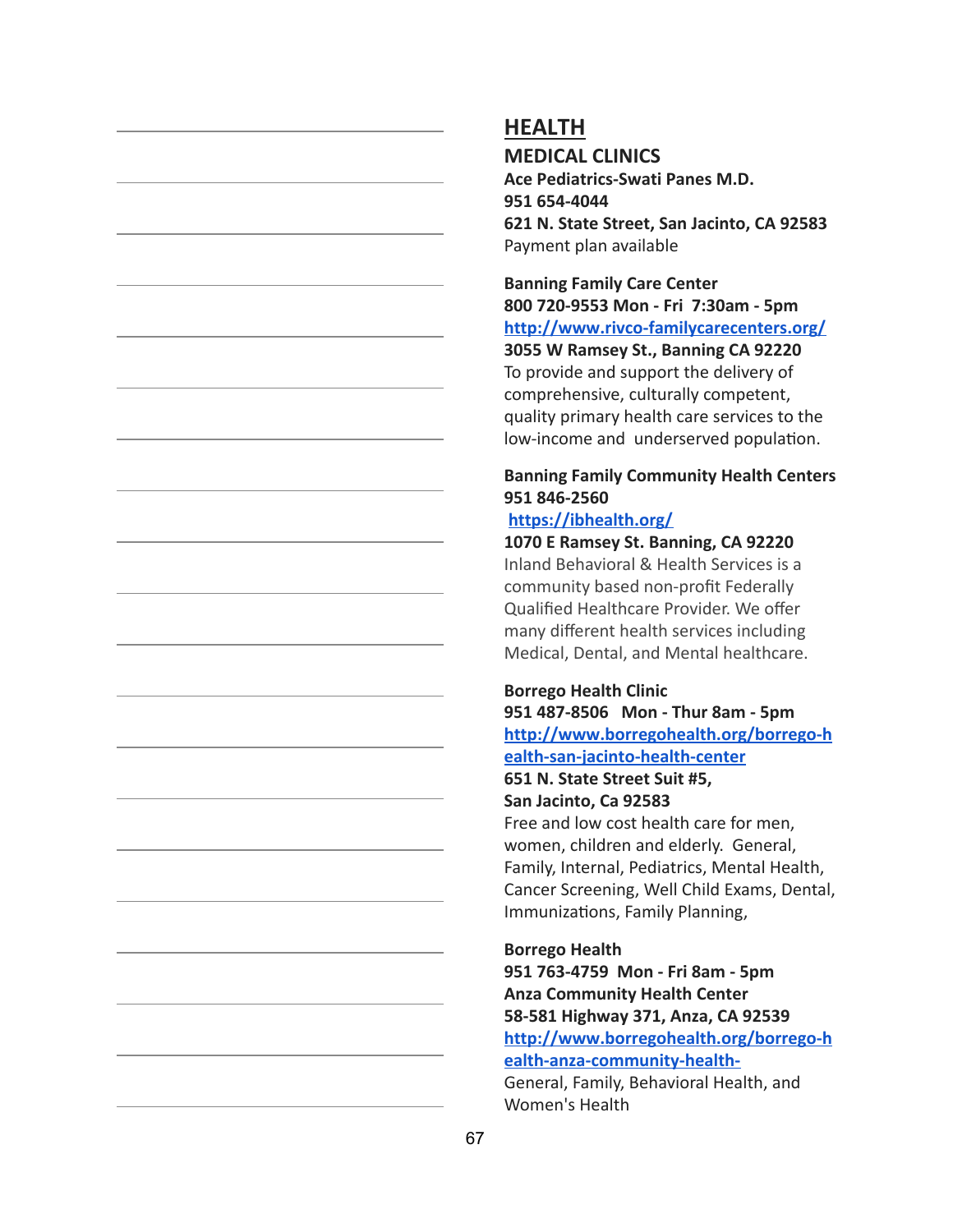**MEDICAL CLINICS**

**Ace Pediatrics-Swati Panes M.D. 951 654-4044 621 N. State Street, San Jacinto, CA 92583** Payment plan available

**Banning Family Care Center 800 720-9553 Mon - Fri 7:30am - 5pm <http://www.rivco-familycarecenters.org/> 3055 W Ramsey St., Banning CA 92220** To provide and support the delivery of comprehensive, culturally competent, quality primary health care services to the low-income and underserved population.

### **Banning Family Community Health Centers 951 846-2560**

#### **<https://ibhealth.org/>**

**1070 E Ramsey St. Banning, CA 92220** Inland Behavioral & Health Services is a community based non-profit Federally Qualified Healthcare Provider. We offer many different health services including Medical, Dental, and Mental healthcare.

#### **Borrego Health Clinic**

**951 487-8506 Mon - Thur 8am - 5pm [http://www.borregohealth.org/borrego-h](http://www.borregohealth.org/) [ealth-san-jacinto-health-center](http://www.borregohealth.org/)**

#### **651 N. State Street Suit #5, San Jacinto, Ca 92583**

Free and low cost health care for men, women, children and elderly. General, Family, Internal, Pediatrics, Mental Health, Cancer Screening, Well Child Exams, Dental, Immunizations, Family Planning,

#### **Borrego Health**

**951 763-4759 Mon - Fri 8am - 5pm Anza Community Health Center 58-581 Highway 371, Anza, CA 92539 [http://www.borregohealth.org/borrego-h](http://www.borregohealth.org/borrego-health-anza-community-health-) [ealth-anza-community-health-](http://www.borregohealth.org/borrego-health-anza-community-health-)**General, Family, Behavioral Health, and Women's Health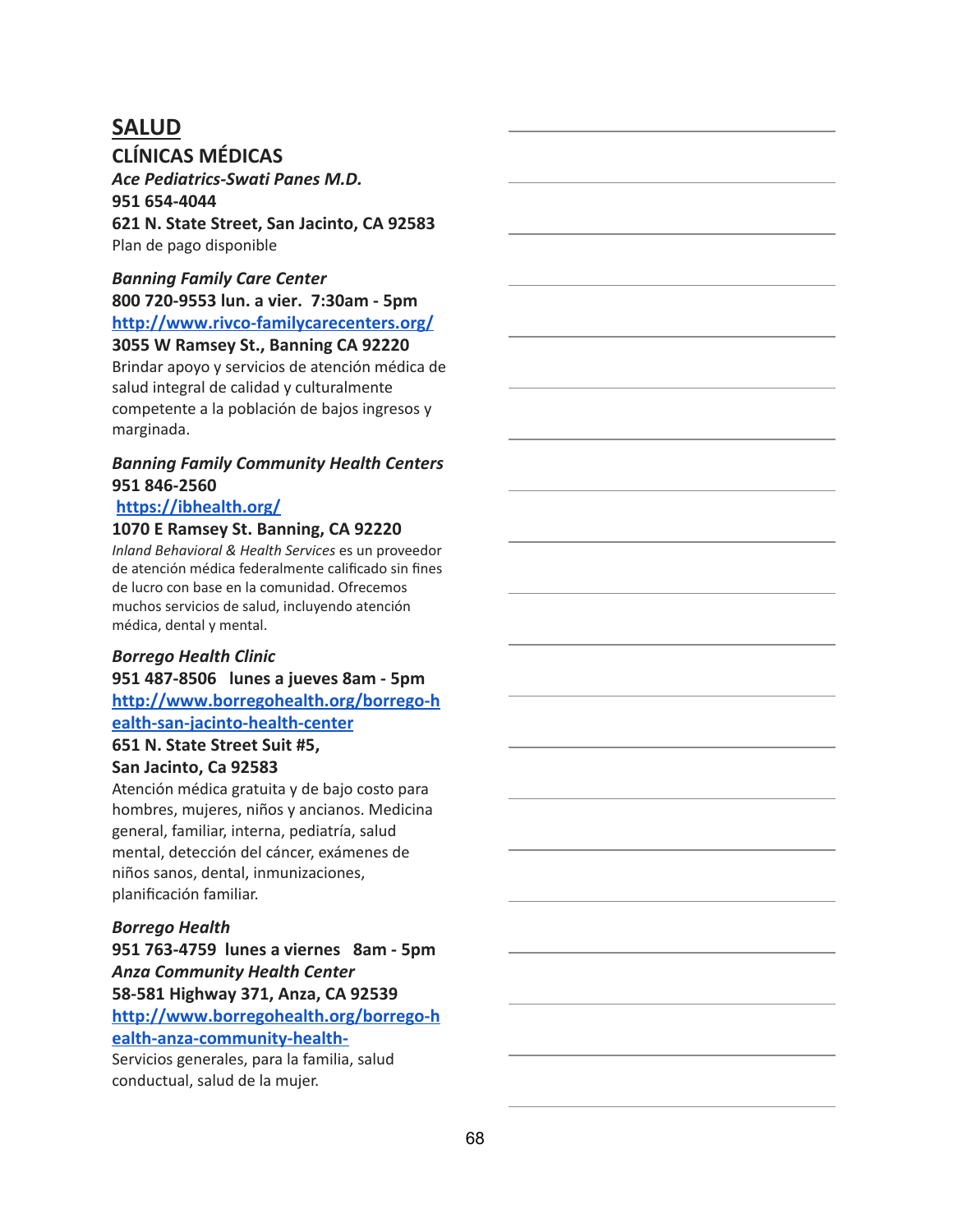### **SALUD CLÍNICAS MÉDICAS**

*Ace Pediatrics-Swati Panes M.D.* **951 654-4044 621 N. State Street, San Jacinto, CA 92583** Plan de pago disponible

#### *Banning Family Care Center* **800 720-9553 lun. a vier. 7:30am - 5pm**

**<http://www.rivco-familycarecenters.org/> 3055 W Ramsey St., Banning CA 92220**

Brindar apoyo y servicios de atención médica de salud integral de calidad y culturalmente competente a la población de bajos ingresos y marginada.

### *Banning Family Community Health Centers* **951 846-2560**

### **<https://ibhealth.org/>**

#### **1070 E Ramsey St. Banning, CA 92220**

*Inland Behavioral & Health Services* es un proveedor de atención médica federalmente calificado sin fines de lucro con base en la comunidad. Ofrecemos muchos servicios de salud, incluyendo atención médica, dental y mental.

#### *Borrego Health Clinic*

**951 487-8506 lunes a jueves 8am - 5pm [http://www.borregohealth.org/borrego-h](http://www.borregohealth.org/) [ealth-san-jacinto-health-center](http://www.borregohealth.org/)**

#### **651 N. State Street Suit #5, San Jacinto, Ca 92583**

Atención médica gratuita y de bajo costo para hombres, mujeres, niños y ancianos. Medicina general, familiar, interna, pediatría, salud mental, detección del cáncer, exámenes de niños sanos, dental, inmunizaciones, planificación familiar.

#### *Borrego Health*

**951 763-4759 lunes a viernes 8am - 5pm** *Anza Community Health Center* **58-581 Highway 371, Anza, CA 92539 [http://www.borregohealth.org/borrego-h](http://www.borregohealth.org/borrego-health-anza-community-health-) [ealth-anza-community-health-](http://www.borregohealth.org/borrego-health-anza-community-health-)**

Servicios generales, para la familia, salud conductual, salud de la mujer.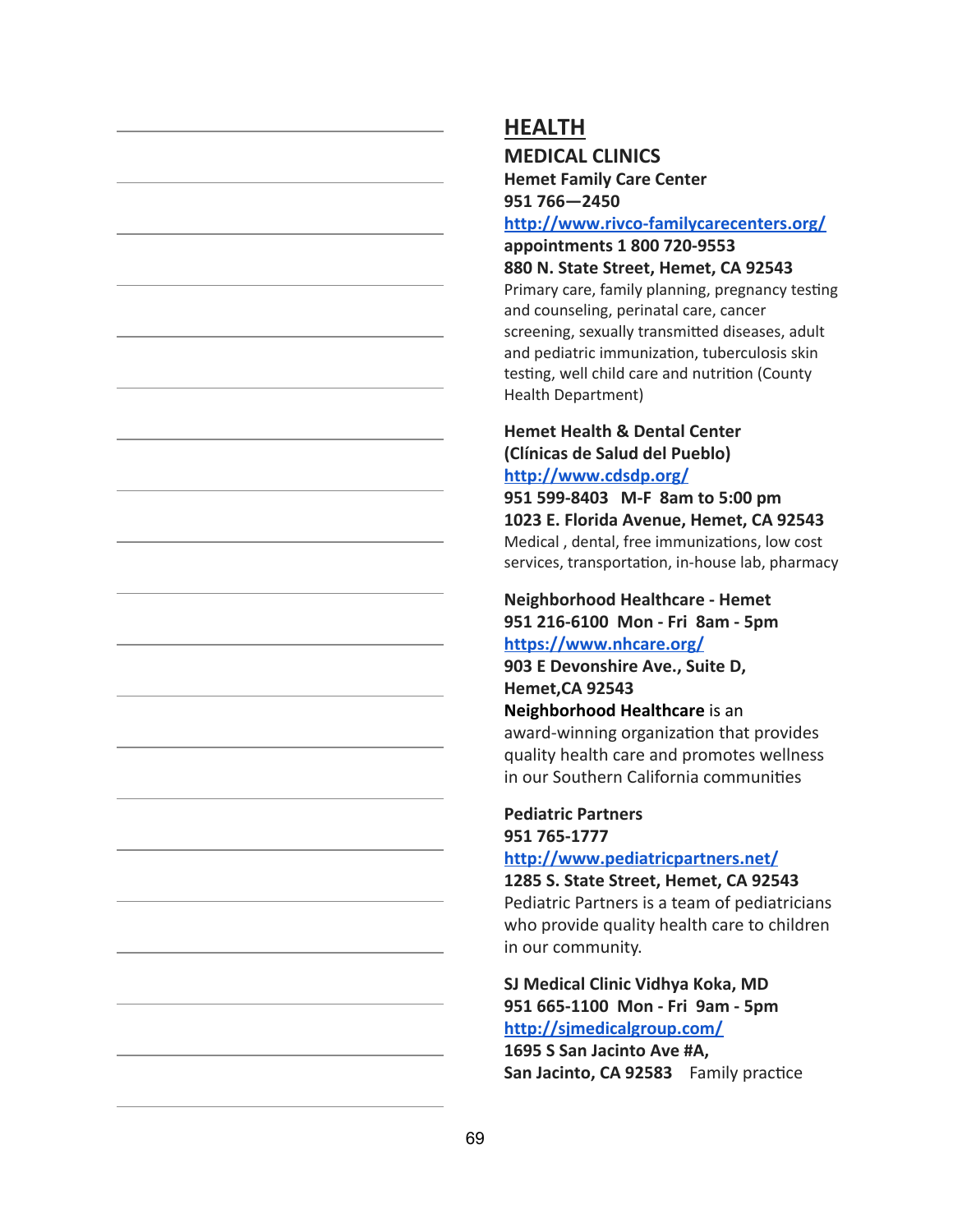### **MEDICAL CLINICS**

**Hemet Family Care Center 951 766—2450**

#### **<http://www.rivco-familycarecenters.org/>**

**appointments 1 800 720-9553 880 N. State Street, Hemet, CA 92543**

Primary care, family planning, pregnancy testing and counseling, perinatal care, cancer screening, sexually transmitted diseases, adult and pediatric immunization, tuberculosis skin testing, well child care and nutrition (County Health Department)

#### **Hemet Health & Dental Center (Clínicas de Salud del Pueblo) <http://www.cdsdp.org/>**

**951 599-8403 M-F 8am to 5:00 pm 1023 E. Florida Avenue, Hemet, CA 92543** Medical, dental, free immunizations, low cost services, transportation, in-house lab, pharmacy

**Neighborhood Healthcare - Hemet 951 216-6100 Mon - Fri 8am - 5pm <https://www.nhcare.org/>**

**903 E Devonshire Ave., Suite D, Hemet,CA 92543**

**Neighborhood Healthcare** is an award-winning organization that provides quality health care and promotes wellness in our Southern California communities

#### **Pediatric Partners 951 765-1777**

**<http://www.pediatricpartners.net/>**

**1285 S. State Street, Hemet, CA 92543** Pediatric Partners is a team of pediatricians who provide quality health care to children in our community.

### **SJ Medical Clinic Vidhya Koka, MD 951 665-1100 Mon - Fri 9am - 5pm <http://sjmedicalgroup.com/>**

**1695 S San Jacinto Ave #A,** San Jacinto, CA 92583 Family practice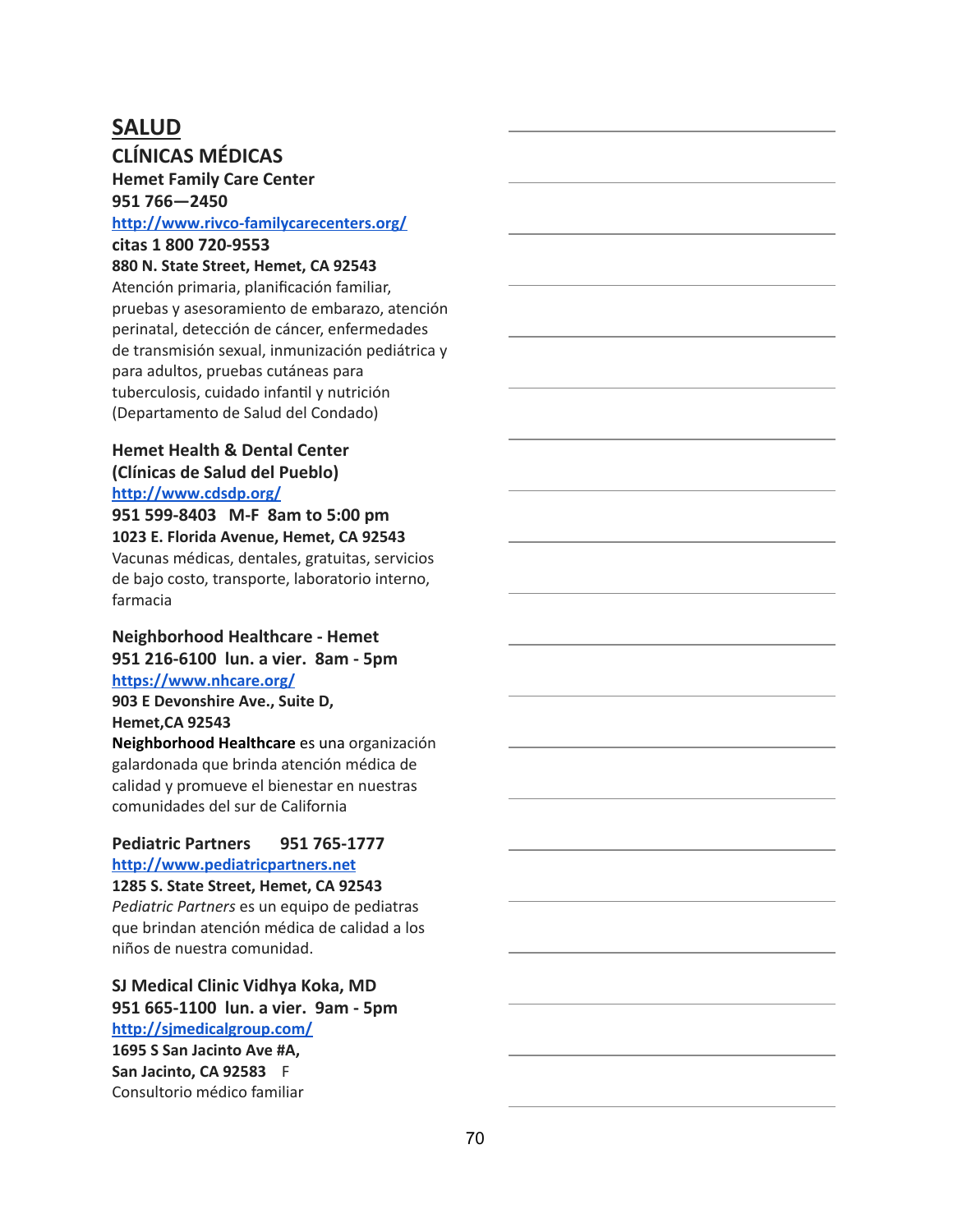# **SALUD**

# **CLÍNICAS MÉDICAS**

**Hemet Family Care Center 951 766—2450**

#### **<http://www.rivco-familycarecenters.org/>**

**citas 1 800 720-9553**

#### **880 N. State Street, Hemet, CA 92543**

Atención primaria, planificación familiar, pruebas y asesoramiento de embarazo, atención perinatal, detección de cáncer, enfermedades de transmisión sexual, inmunización pediátrica y para adultos, pruebas cutáneas para tuberculosis, cuidado infantil y nutrición (Departamento de Salud del Condado)

#### **Hemet Health & Dental Center (Clínicas de Salud del Pueblo) <http://www.cdsdp.org/>**

**951 599-8403 M-F 8am to 5:00 pm 1023 E. Florida Avenue, Hemet, CA 92543** Vacunas médicas, dentales, gratuitas, servicios de bajo costo, transporte, laboratorio interno, farmacia

#### **Neighborhood Healthcare - Hemet 951 216-6100 lun. a vier. 8am - 5pm <https://www.nhcare.org/>**

**903 E Devonshire Ave., Suite D, Hemet,CA 92543 Neighborhood Healthcare** es una organización galardonada que brinda atención médica de calidad y promueve el bienestar en nuestras comunidades del sur de California

#### **Pediatric Partners 951 765-1777 [http://www.pediatricpartners.net](http://www.pediatricpartners.net/)**

**1285 S. State Street, Hemet, CA 92543**

*Pediatric Partners* es un equipo de pediatras que brindan atención médica de calidad a los niños de nuestra comunidad.

### **SJ Medical Clinic Vidhya Koka, MD 951 665-1100 lun. a vier. 9am - 5pm <http://sjmedicalgroup.com/>**

**1695 S San Jacinto Ave #A, San Jacinto, CA 92583** F Consultorio médico familiar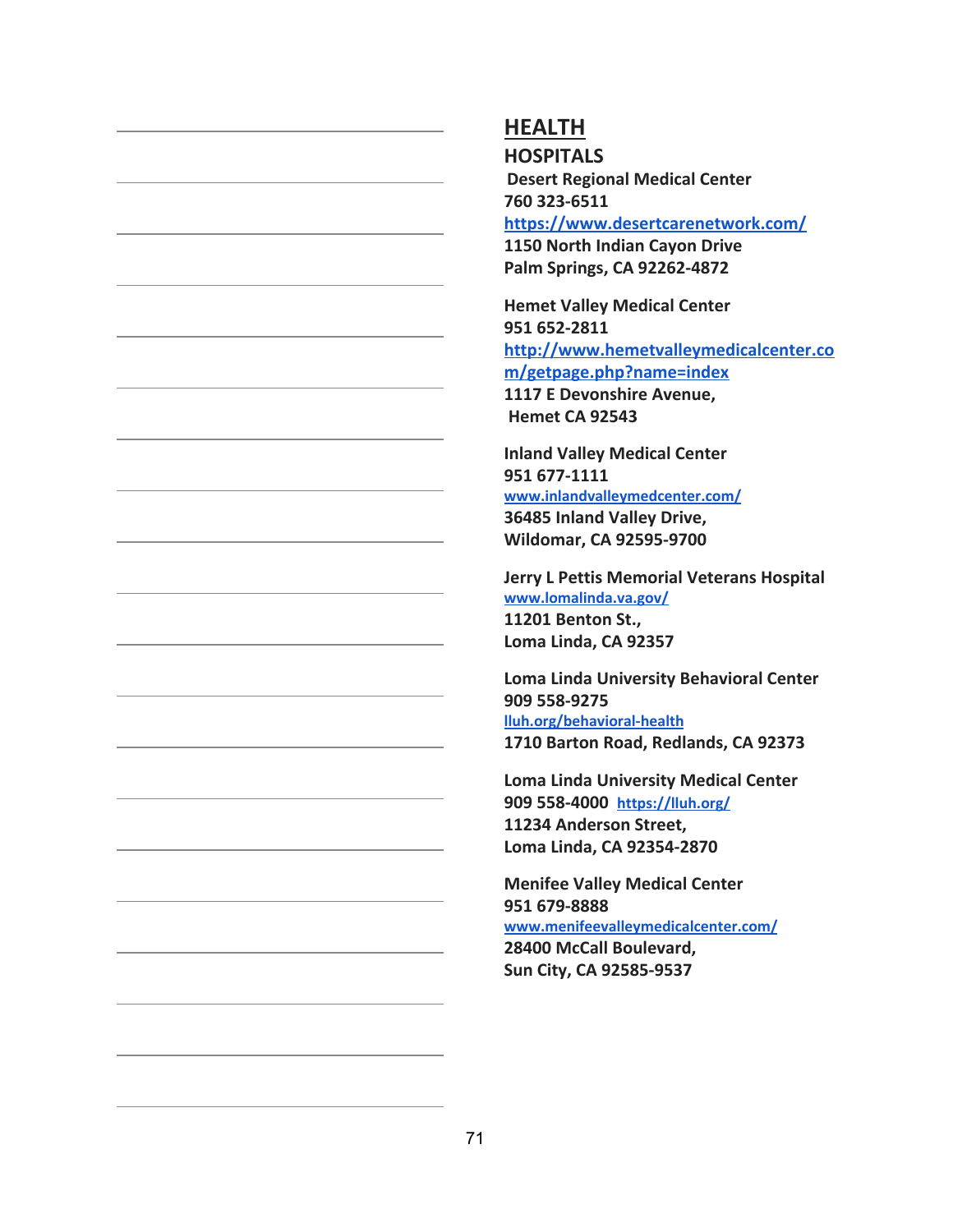**HOSPITALS Desert Regional Medical Center 760 323-6511 <https://www.desertcarenetwork.com/> 1150 North Indian Cayon Drive Palm Springs, CA 92262-4872**

**Hemet Valley Medical Center 951 652-2811 [http://www.hemetvalleymedicalcenter.co](http://www.hemetvalleymedicalcenter.com/getpage.php?name=index) [m/getpage.php?name=index](http://www.hemetvalleymedicalcenter.com/getpage.php?name=index) 1117 E Devonshire Avenue, Hemet CA 92543**

**Inland Valley Medical Center 951 677-1111 [www.inlandvalleymedcenter.com/](http://www.inlandvalleymedcenter.com/) 36485 Inland Valley Drive, Wildomar, CA 92595-9700**

**Jerry L Pettis Memorial Veterans Hospital [www.lomalinda.va.gov/](http://www.lomalinda.va.gov/) 11201 Benton St., Loma Linda, CA 92357**

**Loma Linda University Behavioral Center 909 558-9275 [lluh.org/behavioral-health](https://lluh.org/behavioral-health) 1710 Barton Road, Redlands, CA 92373**

**Loma Linda University Medical Center 909 558-4000 <https://lluh.org/> 11234 Anderson Street, Loma Linda, CA 92354-2870**

**Menifee Valley Medical Center 951 679-8888 [www.menifeevalleymedicalcenter.com/](http://www.menifeevalleymedicalcenter.com/) 28400 McCall Boulevard,**

**Sun City, CA 92585-9537**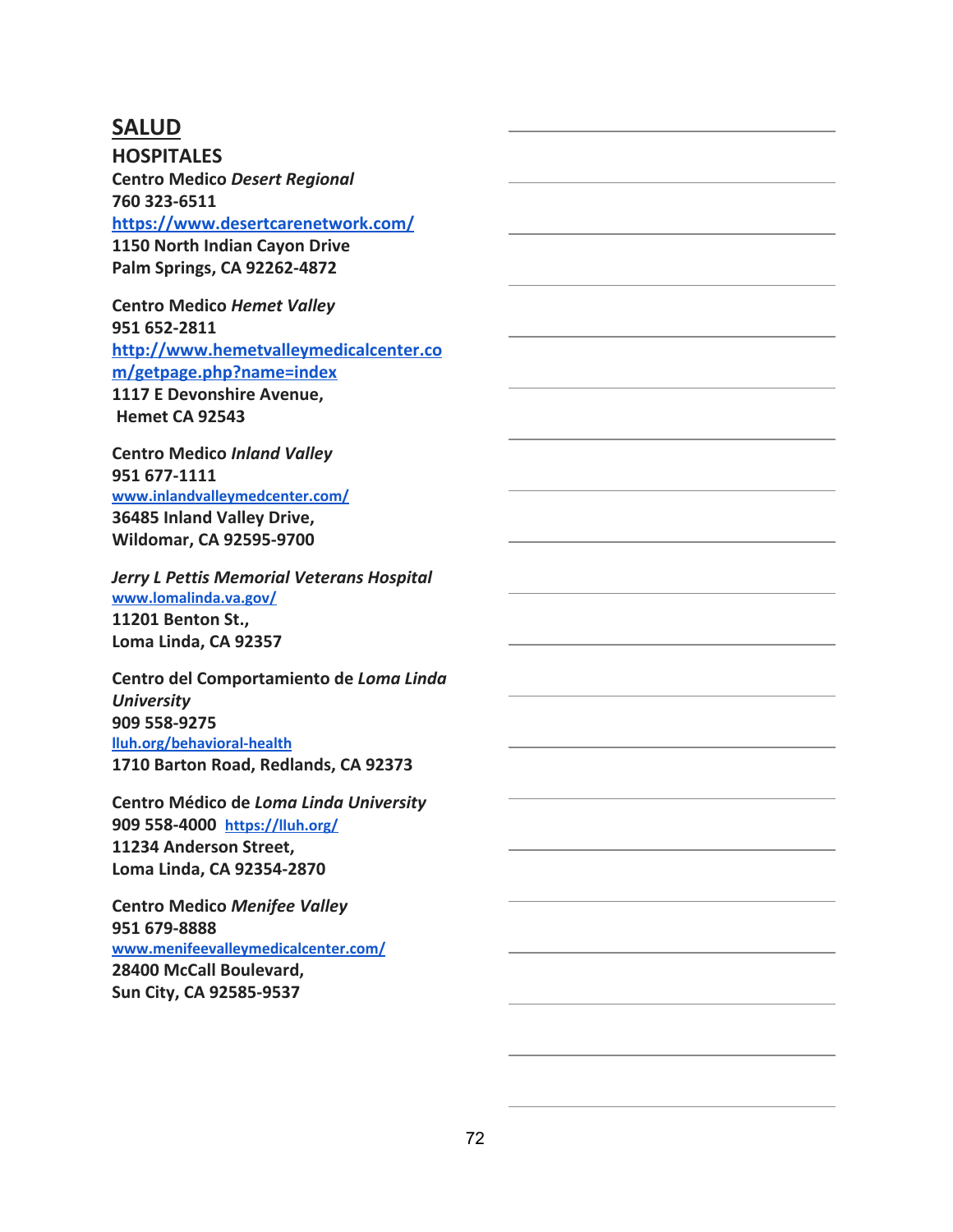### **SALUD**

**HOSPITALES Centro Medico** *Desert Regional* **760 323-6511 <https://www.desertcarenetwork.com/> 1150 North Indian Cayon Drive Palm Springs, CA 92262-4872**

**Centro Medico** *Hemet Valley* **951 652-2811 [http://www.hemetvalleymedicalcenter.co](http://www.hemetvalleymedicalcenter.com/getpage.php?name=index) [m/getpage.php?name=index](http://www.hemetvalleymedicalcenter.com/getpage.php?name=index) 1117 E Devonshire Avenue, Hemet CA 92543**

**Centro Medico** *Inland Valley* **951 677-1111 [www.inlandvalleymedcenter.com/](http://www.inlandvalleymedcenter.com/) 36485 Inland Valley Drive, Wildomar, CA 92595-9700**

*Jerry L Pettis Memorial Veterans Hospital* **[www.lomalinda.va.gov/](http://www.lomalinda.va.gov/) 11201 Benton St., Loma Linda, CA 92357**

**Centro del Comportamiento de** *Loma Linda University* **909 558-9275 [lluh.org/behavioral-health](https://lluh.org/behavioral-health) 1710 Barton Road, Redlands, CA 92373**

**Centro Médico de** *Loma Linda University* **909 558-4000 <https://lluh.org/> 11234 Anderson Street, Loma Linda, CA 92354-2870**

**Centro Medico** *Menifee Valley* **951 679-8888 [www.menifeevalleymedicalcenter.com/](http://www.menifeevalleymedicalcenter.com/) 28400 McCall Boulevard, Sun City, CA 92585-9537**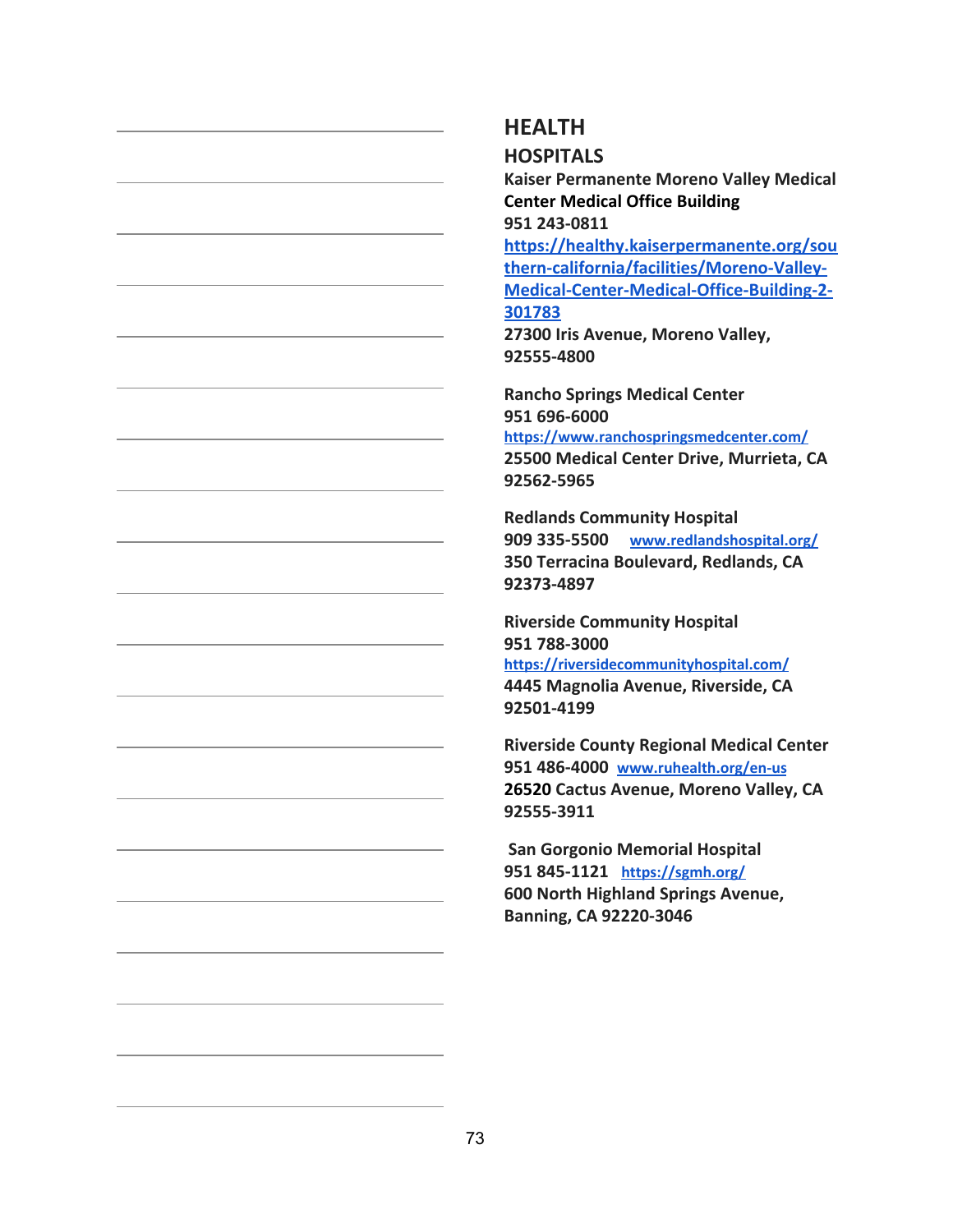### **HEALTH**

**HOSPITALS**

**Kaiser Permanente Moreno Valley Medical Center Medical Office Building 951 243-0811**

**[https://healthy.kaiserpermanente.org/sou](https://healthy.kaiserpermanente.org/southern-california/facilities/Moreno-Valley-Medical-Center-Medical-Office-Building-2-301783) [thern-california/facilities/Moreno-Valley-](https://healthy.kaiserpermanente.org/southern-california/facilities/Moreno-Valley-Medical-Center-Medical-Office-Building-2-301783)[Medical-Center-Medical-Office-Building-2-](https://healthy.kaiserpermanente.org/southern-california/facilities/Moreno-Valley-Medical-Center-Medical-Office-Building-2-301783) [301783](https://healthy.kaiserpermanente.org/southern-california/facilities/Moreno-Valley-Medical-Center-Medical-Office-Building-2-301783)**

**27300 Iris Avenue, Moreno Valley, 92555-4800**

**Rancho Springs Medical Center 951 696-6000 <https://www.ranchospringsmedcenter.com/> 25500 Medical Center Drive, Murrieta, CA 92562-5965**

**Redlands Community Hospital 909 335-5500 [www.redlandshospital.org/](http://www.redlandshospital.org/) 350 Terracina Boulevard, Redlands, CA 92373-4897**

**Riverside Community Hospital 951 788-3000 <https://riversidecommunityhospital.com/> 4445 Magnolia Avenue, Riverside, CA 92501-4199**

**Riverside County Regional Medical Center 951 486-4000 [www.ruhealth.org/en-us](http://www.ruhealth.org/en-us)** 26520 Cactus Avenue, Moreno Valley, CA **92555-3911**

 **San Gorgonio Memorial Hospital 951 845-1121 <https://sgmh.org/> 600 North Highland Springs Avenue, Banning, CA 92220-3046**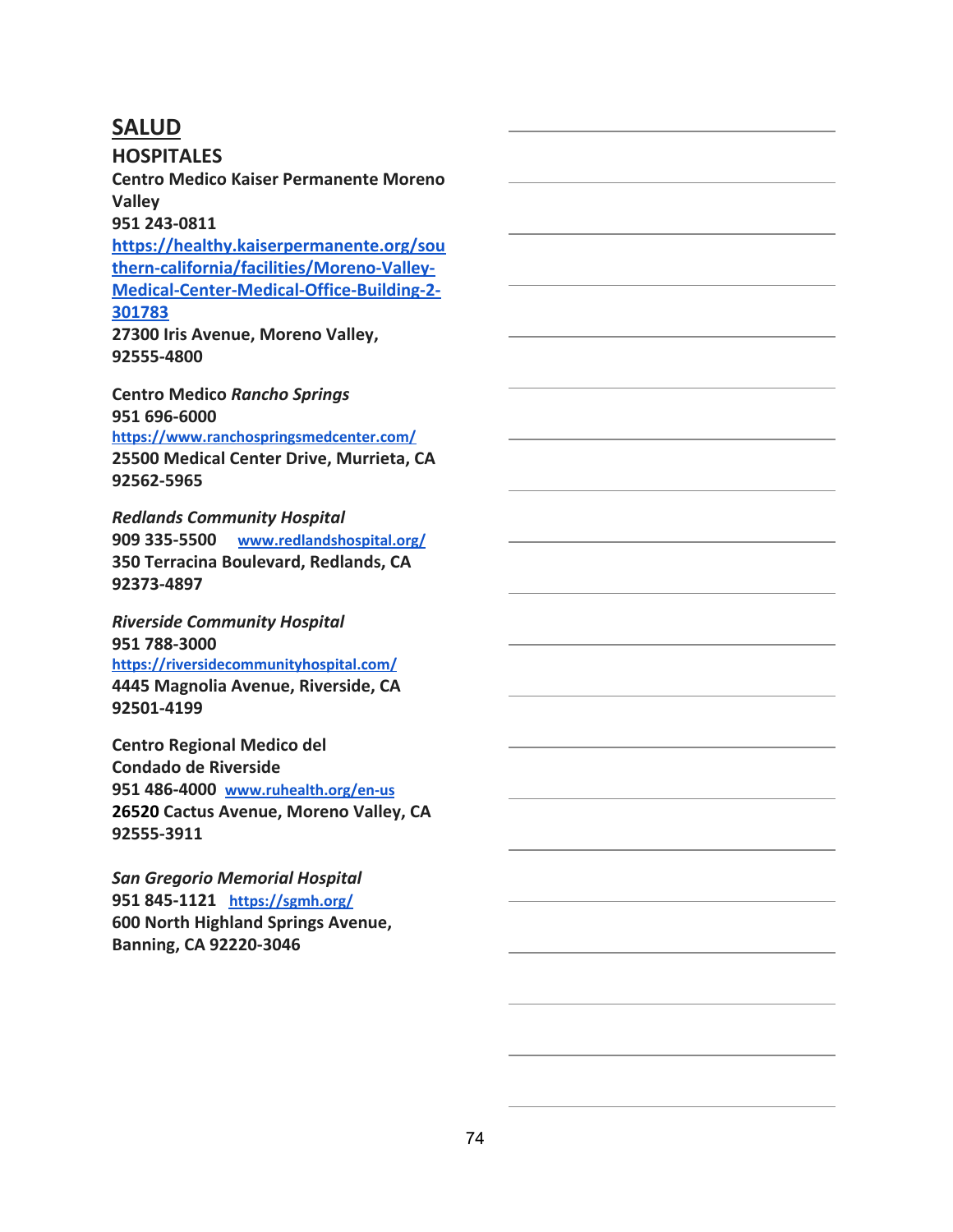### **SALUD**

**HOSPITALES**

**Centro Medico Kaiser Permanente Moreno Valley**

**951 243-0811**

**[https://healthy.kaiserpermanente.org/sou](https://healthy.kaiserpermanente.org/southern-california/facilities/Moreno-Valley-Medical-Center-Medical-Office-Building-2-301783) [thern-california/facilities/Moreno-Valley-](https://healthy.kaiserpermanente.org/southern-california/facilities/Moreno-Valley-Medical-Center-Medical-Office-Building-2-301783)[Medical-Center-Medical-Office-Building-2-](https://healthy.kaiserpermanente.org/southern-california/facilities/Moreno-Valley-Medical-Center-Medical-Office-Building-2-301783) [301783](https://healthy.kaiserpermanente.org/southern-california/facilities/Moreno-Valley-Medical-Center-Medical-Office-Building-2-301783)**

**27300 Iris Avenue, Moreno Valley, 92555-4800**

**Centro Medico** *Rancho Springs* **951 696-6000 <https://www.ranchospringsmedcenter.com/> 25500 Medical Center Drive, Murrieta, CA 92562-5965**

*Redlands Community Hospital* **909 335-5500 [www.redlandshospital.org/](http://www.redlandshospital.org/) 350 Terracina Boulevard, Redlands, CA 92373-4897**

*Riverside Community Hospital* **951 788-3000 <https://riversidecommunityhospital.com/> 4445 Magnolia Avenue, Riverside, CA 92501-4199**

**Centro Regional Medico del Condado de Riverside 951 486-4000 [www.ruhealth.org/en-us](http://www.ruhealth.org/en-us) 26520Cactus Avenue, Moreno Valley, CA 92555-3911**

*San Gregorio Memorial Hospital* **951 845-1121 <https://sgmh.org/> 600 North Highland Springs Avenue, Banning, CA 92220-3046**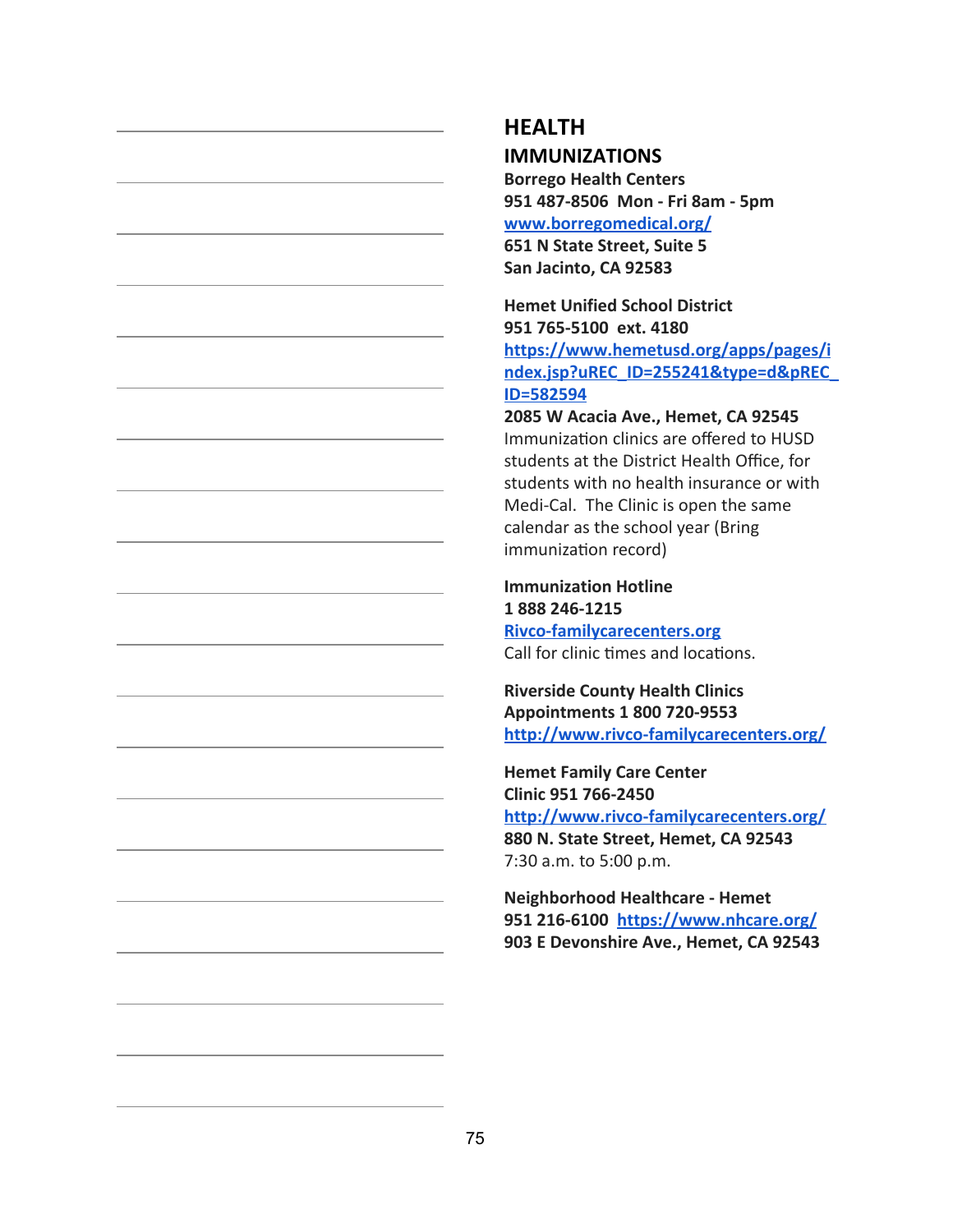### **HEALTH IMMUNIZATIONS**

**Borrego Health Centers 951 487-8506 Mon - Fri 8am - 5pm [www.borregomedical.org/](http://www.borregomedical.org/) 651 N State Street, Suite 5 San Jacinto, CA 92583**

**Hemet Unified School District 951 765-5100 ext. 4180 [https://www.hemetusd.org/apps/pages/i](https://www.hemetusd.org/apps/pages/index.jsp?uREC_ID=255241&type=d&pREC_ID=582594) [ndex.jsp?uREC\\_ID=255241&type=d&pREC\\_](https://www.hemetusd.org/apps/pages/index.jsp?uREC_ID=255241&type=d&pREC_ID=582594) [ID=582594](https://www.hemetusd.org/apps/pages/index.jsp?uREC_ID=255241&type=d&pREC_ID=582594)**

**2085 W Acacia Ave., Hemet, CA 92545** Immunization clinics are offered to HUSD students at the District Health Office, for students with no health insurance or with Medi-Cal. The Clinic is open the same calendar as the school year (Bring immunization record)

**Immunization Hotline 1 888 246-1215 [Rivco-familycarecenters.org](https://www.rivco-familycarecenters.org/)** Call for clinic times and locations.

**Riverside County Health Clinics Appointments 1 800 720-9553 <http://www.rivco-familycarecenters.org/>**

**Hemet Family Care Center Clinic 951 766-2450 <http://www.rivco-familycarecenters.org/> 880 N. State Street, Hemet, CA 92543** 7:30 a.m. to 5:00 p.m.

**Neighborhood Healthcare - Hemet 951 216-6100 <https://www.nhcare.org/> 903 E Devonshire Ave., Hemet, CA 92543**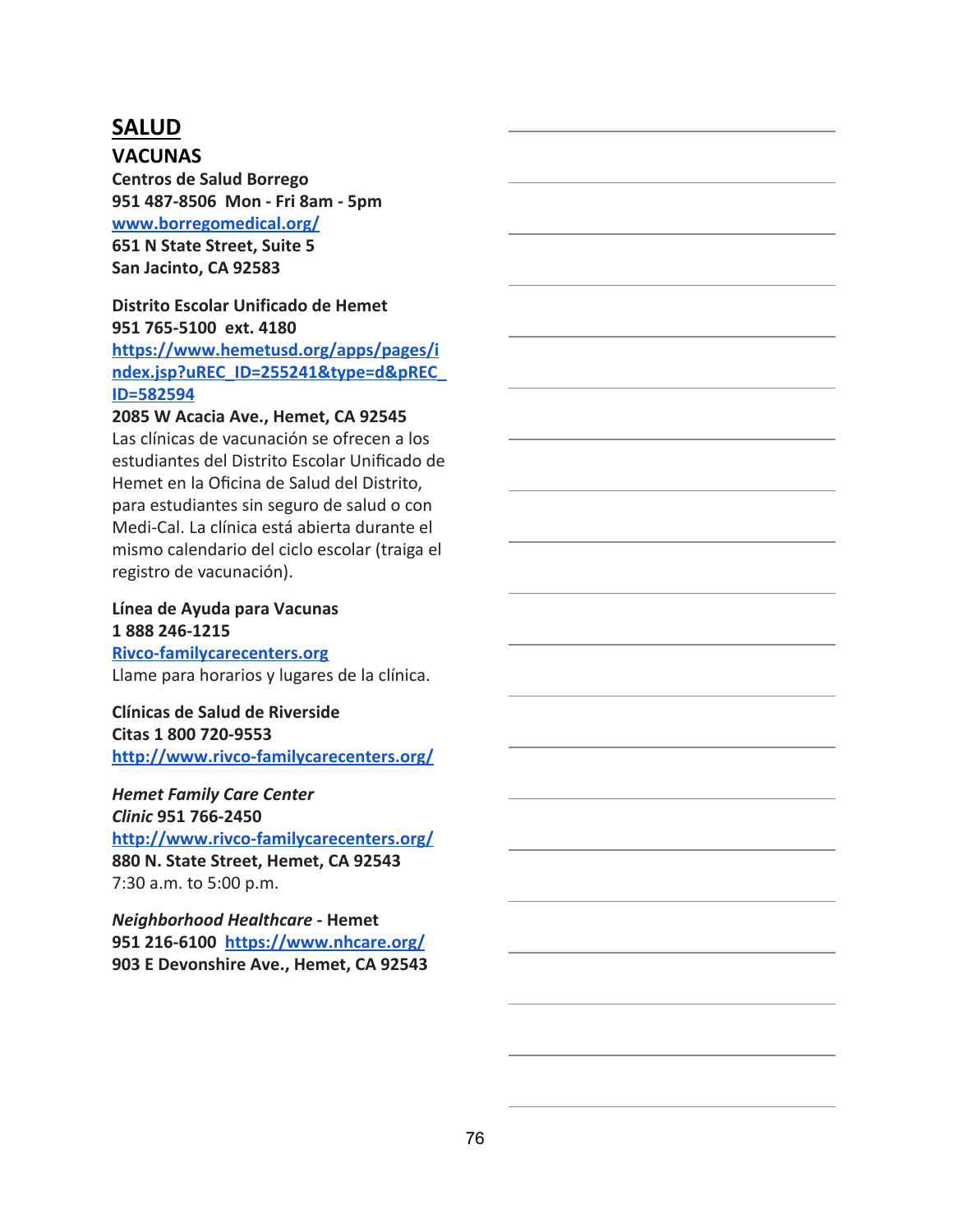## **SALUD**

### **VACUNAS**

**Centros de Salud Borrego 951 487-8506 Mon - Fri 8am - 5pm [www.borregomedical.org/](http://www.borregomedical.org/) 651 N State Street, Suite 5 San Jacinto, CA 92583**

#### **Distrito Escolar Unificado de Hemet 951 765-5100 ext. 4180**

**[https://www.hemetusd.org/apps/pages/i](https://www.hemetusd.org/apps/pages/index.jsp?uREC_ID=255241&type=d&pREC_ID=582594) [ndex.jsp?uREC\\_ID=255241&type=d&pREC\\_](https://www.hemetusd.org/apps/pages/index.jsp?uREC_ID=255241&type=d&pREC_ID=582594) [ID=582594](https://www.hemetusd.org/apps/pages/index.jsp?uREC_ID=255241&type=d&pREC_ID=582594)**

### **2085 W Acacia Ave., Hemet, CA 92545**

Las clínicas de vacunación se ofrecen a los estudiantes del Distrito Escolar Unificado de Hemet en la Oficina de Salud del Distrito, para estudiantes sin seguro de salud o con Medi-Cal. La clínica está abierta durante el mismo calendario del ciclo escolar (traiga el registro de vacunación).

#### **Línea de Ayuda para Vacunas 1 888 246-1215**

**[Rivco-familycarecenters.org](https://www.rivco-familycarecenters.org/)** Llame para horarios y lugares de la clínica.

#### **Clínicas de Salud de Riverside Citas 1 800 720-9553 <http://www.rivco-familycarecenters.org/>**

#### *Hemet Family Care Center Clinic* **951 766-2450**

**<http://www.rivco-familycarecenters.org/> 880 N. State Street, Hemet, CA 92543** 7:30 a.m. to 5:00 p.m.

*Neighborhood Healthcare* **- Hemet 951 216-6100 <https://www.nhcare.org/> 903 E Devonshire Ave., Hemet, CA 92543**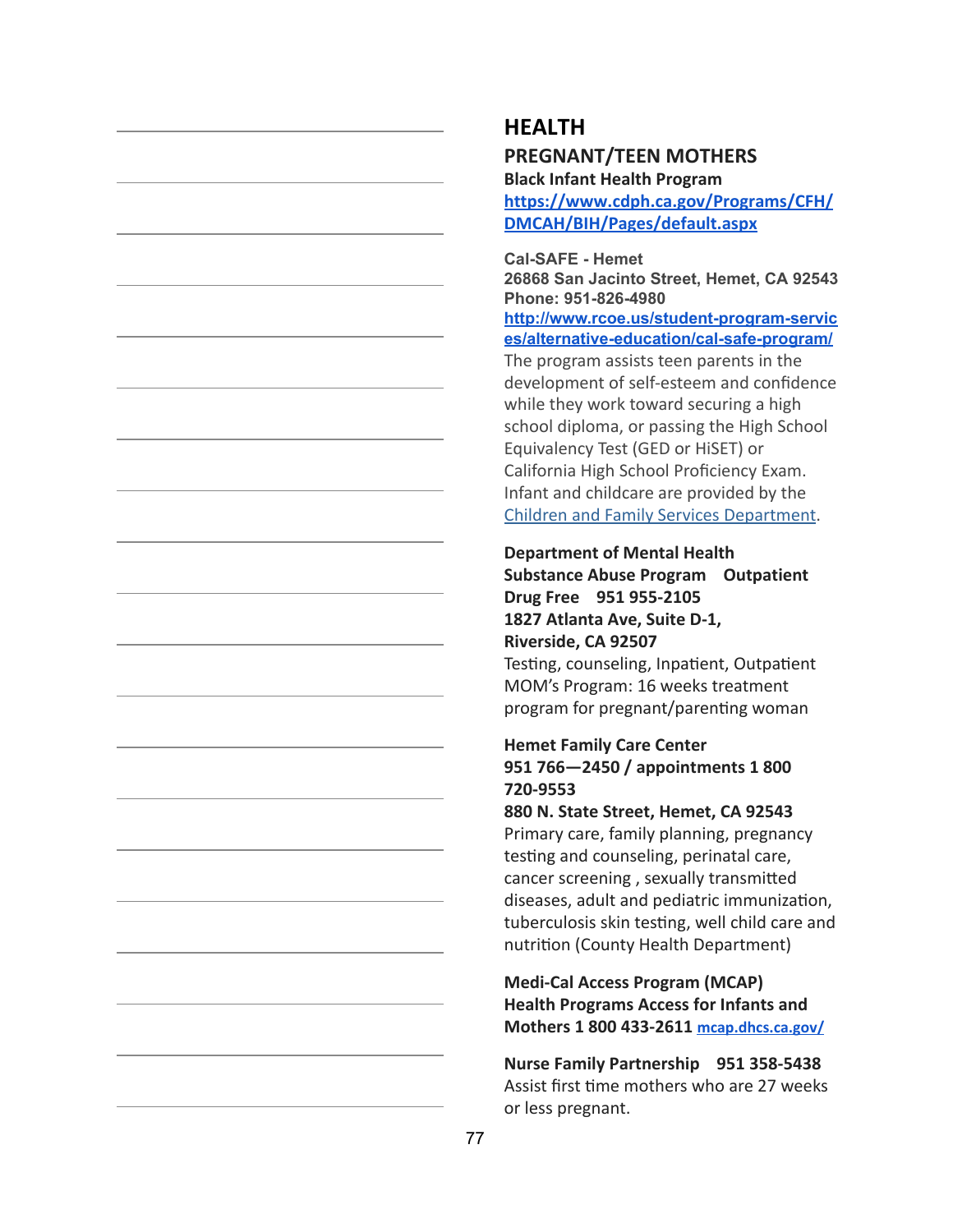## **HEALTH**

### **PREGNANT/TEEN MOTHERS**

**Black Infant Health Program**

**[https://www.cdph.ca.gov/Programs/CFH/](https://www.cdph.ca.gov/Programs/CFH/DMCAH/BIH/Pages/default.aspx) [DMCAH/BIH/Pages/default.aspx](https://www.cdph.ca.gov/Programs/CFH/DMCAH/BIH/Pages/default.aspx)**

**Cal-SAFE - Hemet**

**26868 San Jacinto Street, Hemet, CA 92543 Phone: 951-826-4980**

**[http://www.rcoe.us/student-program-servic](http://www.rcoe.us/student-program-services/alternative-education/cal-safe-program/) [es/alternative-education/cal-safe-program/](http://www.rcoe.us/student-program-services/alternative-education/cal-safe-program/)**

The program assists teen parents in the development of self-esteem and confidence while they work toward securing a high school diploma, or passing the High School Equivalency Test (GED or HiSET) or California High School Proficiency Exam. Infant and childcare are provided by the [Children and Family Services Department](http://www.rcoe.us/children-family-services/).

## **Department of Mental Health**

**Substance Abuse Program Outpatient Drug Free 951 955-2105 1827 Atlanta Ave, Suite D-1, Riverside, CA 92507**

Testing, counseling, Inpatient, Outpatient MOM's Program: 16 weeks treatment program for pregnant/parenting woman

### **Hemet Family Care Center 951 766—2450 / appointments 1 800 720-9553**

#### **880 N. State Street, Hemet, CA 92543**

Primary care, family planning, pregnancy testing and counseling, perinatal care, cancer screening, sexually transmitted diseases, adult and pediatric immunization, tuberculosis skin testing, well child care and nutrition (County Health Department)

**Medi-Cal Access Program (MCAP) Health Programs Access for Infants and Mothers 1 800 433-2611 [mcap.dhcs.ca.gov/](http://mcap.dhcs.ca.gov/MCAP_Program/)**

**Nurse Family Partnership 951 358-5438** Assist first time mothers who are 27 weeks or less pregnant.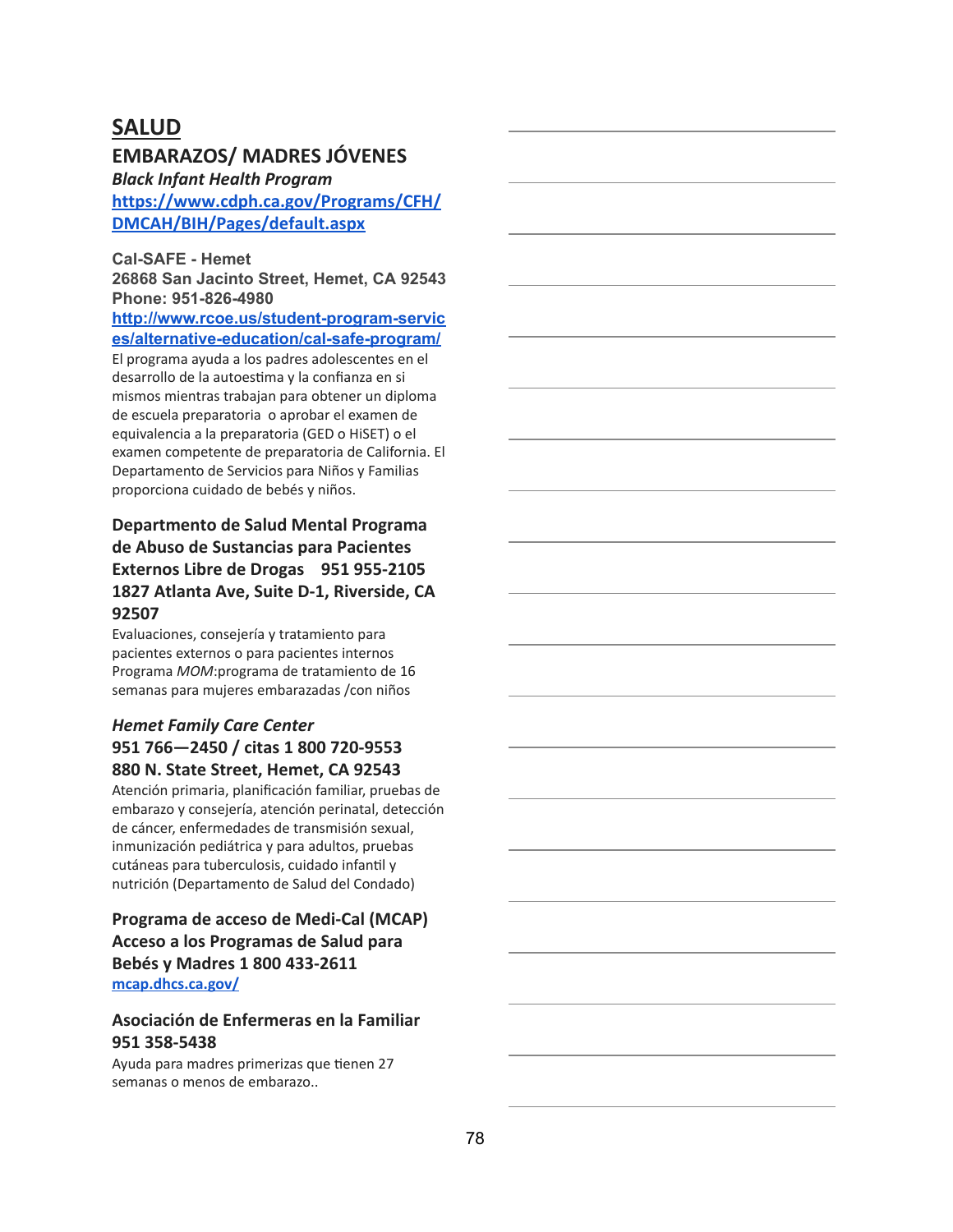## **SALUD**

### **EMBARAZOS/ MADRES JÓVENES**

*Black Infant Health Program*

**[https://www.cdph.ca.gov/Programs/CFH/](https://www.cdph.ca.gov/Programs/CFH/DMCAH/BIH/Pages/default.aspx) [DMCAH/BIH/Pages/default.aspx](https://www.cdph.ca.gov/Programs/CFH/DMCAH/BIH/Pages/default.aspx)**

**Cal-SAFE - Hemet**

**26868 San Jacinto Street, Hemet, CA 92543 Phone: 951-826-4980**

**[http://www.rcoe.us/student-program-servic](http://www.rcoe.us/student-program-services/alternative-education/cal-safe-program/) [es/alternative-education/cal-safe-program/](http://www.rcoe.us/student-program-services/alternative-education/cal-safe-program/)**

El programa ayuda a los padres adolescentes en el desarrollo de la autoestima y la confianza en si mismos mientras trabajan para obtener un diploma de escuela preparatoria o aprobar el examen de equivalencia a la preparatoria (GED o HiSET) o el examen competente de preparatoria de California. El Departamento de Servicios para Niños y Familias proporciona cuidado de bebés y niños.

### **Departmento de Salud Mental Programa de Abuso de Sustancias para Pacientes Externos Libre de Drogas 951 955-2105 1827 Atlanta Ave, Suite D-1, Riverside, CA 92507**

Evaluaciones, consejería y tratamiento para pacientes externos o para pacientes internos Programa *MOM*:programa de tratamiento de 16 semanas para mujeres embarazadas /con niños

#### *Hemet Family Care Center* **951 766—2450 / citas 1 800 720-9553 880 N. State Street, Hemet, CA 92543**

Atención primaria, planificación familiar, pruebas de embarazo y consejería, atención perinatal, detección de cáncer, enfermedades de transmisión sexual, inmunización pediátrica y para adultos, pruebas cutáneas para tuberculosis, cuidado infantil y nutrición (Departamento de Salud del Condado)

### **Programa de acceso de Medi-Cal (MCAP) Acceso a los Programas de Salud para Bebés y Madres 1 800 433-2611 [mcap.dhcs.ca.gov/](http://mcap.dhcs.ca.gov/MCAP_Program/)**

#### **Asociación de Enfermeras en la Familiar 951 358-5438**

Ayuda para madres primerizas que tienen 27 semanas o menos de embarazo..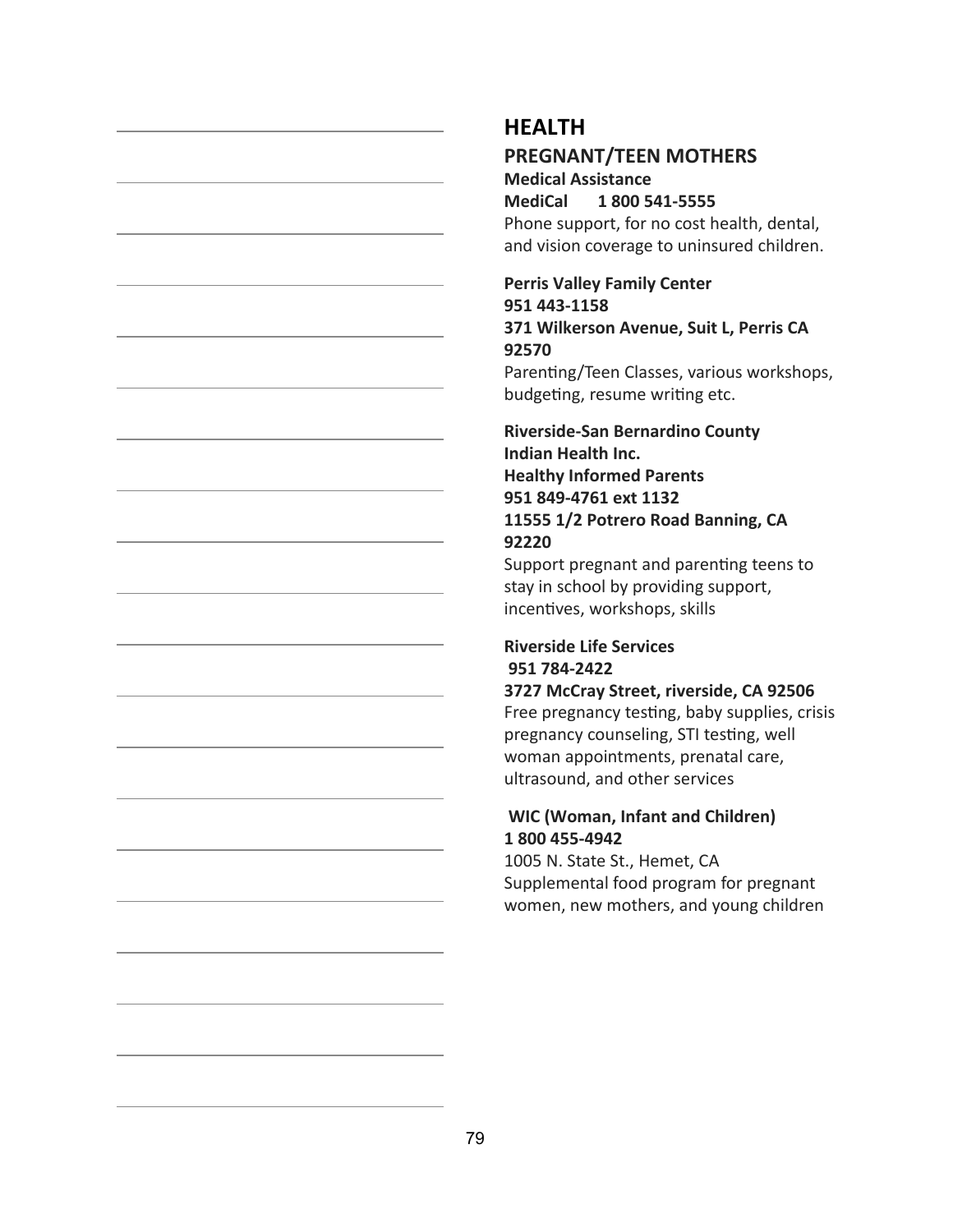### **HEALTH**

### **PREGNANT/TEEN MOTHERS**

**Medical Assistance MediCal 1 800 541-5555** Phone support, for no cost health, dental, and vision coverage to uninsured children.

### **Perris Valley Family Center 951 443-1158 371 Wilkerson Avenue, Suit L, Perris CA 92570**

Parenting/Teen Classes, various workshops, budgeting, resume writing etc.

### **Riverside-San Bernardino County Indian Health Inc. Healthy Informed Parents 951 849-4761 ext 1132 11555 1/2 Potrero Road Banning, CA 92220**

Support pregnant and parenting teens to stay in school by providing support, incentives, workshops, skills

### **Riverside Life Services 951 784-2422**

**3727 McCray Street, riverside, CA 92506**

Free pregnancy testing, baby supplies, crisis pregnancy counseling, STI testing, well woman appointments, prenatal care, ultrasound, and other services

#### **WIC (Woman, Infant and Children) 1 800 455-4942**

1005 N. State St., Hemet, CA Supplemental food program for pregnant women, new mothers, and young children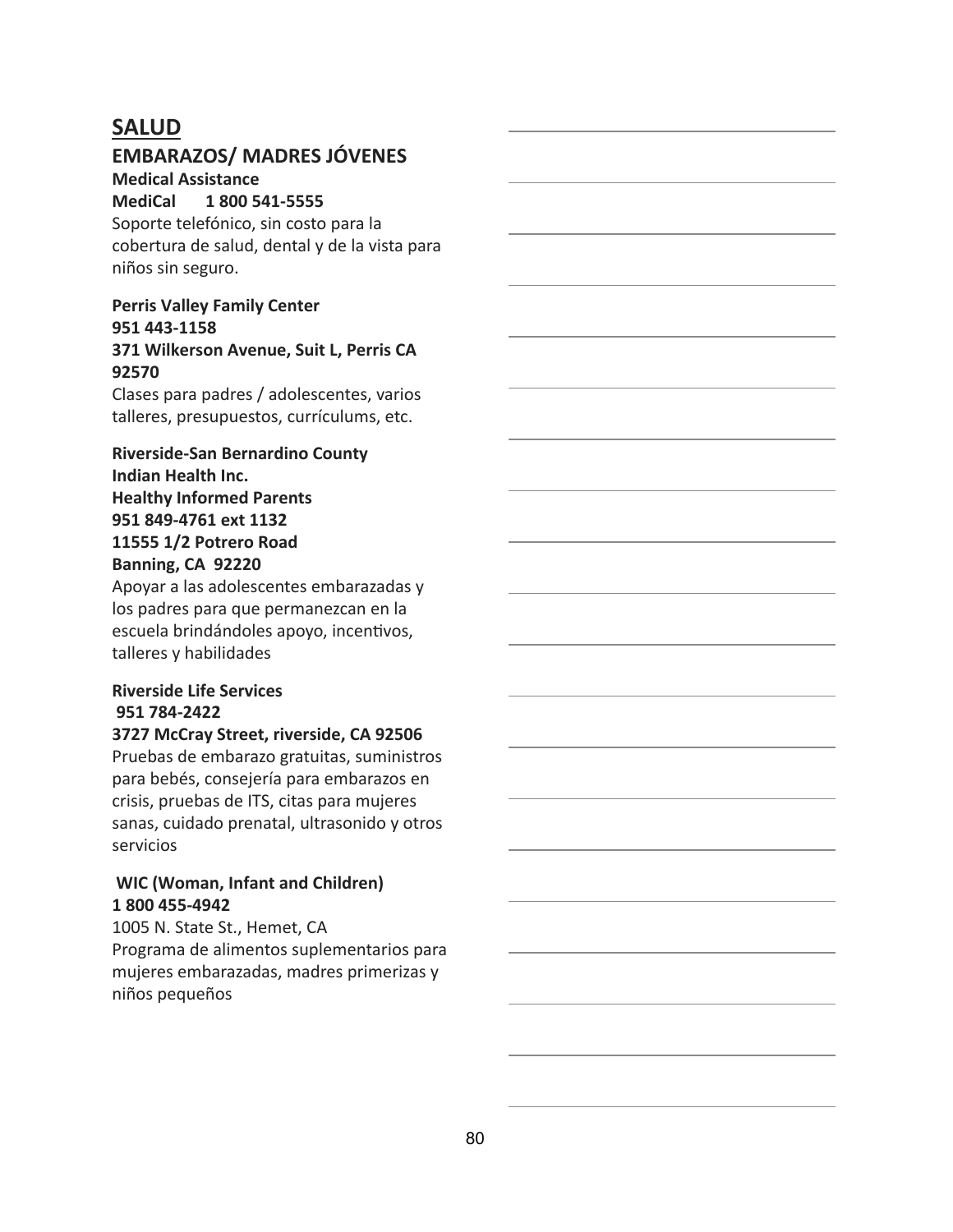## **SALUD**

### **EMBARAZOS/ MADRES JÓVENES**

#### **Medical Assistance**

**MediCal 1 800 541-5555** Soporte telefónico, sin costo para la cobertura de salud, dental y de la vista para niños sin seguro.

#### **Perris Valley Family Center 951 443-1158 371 Wilkerson Avenue, Suit L, Perris CA 92570**

Clases para padres / adolescentes, varios talleres, presupuestos, currículums, etc.

**Riverside-San Bernardino County Indian Health Inc. Healthy Informed Parents 951 849-4761 ext 1132 11555 1/2 Potrero Road Banning, CA 92220**

Apoyar a las adolescentes embarazadas y los padres para que permanezcan en la escuela brindándoles apoyo, incentivos, talleres y habilidades

### **Riverside Life Services 951 784-2422**

#### **3727 McCray Street, riverside, CA 92506**

Pruebas de embarazo gratuitas, suministros para bebés, consejería para embarazos en crisis, pruebas de ITS, citas para mujeres sanas, cuidado prenatal, ultrasonido y otros servicios

#### **WIC (Woman, Infant and Children) 1 800 455-4942**

1005 N. State St., Hemet, CA Programa de alimentos suplementarios para mujeres embarazadas, madres primerizas y niños pequeños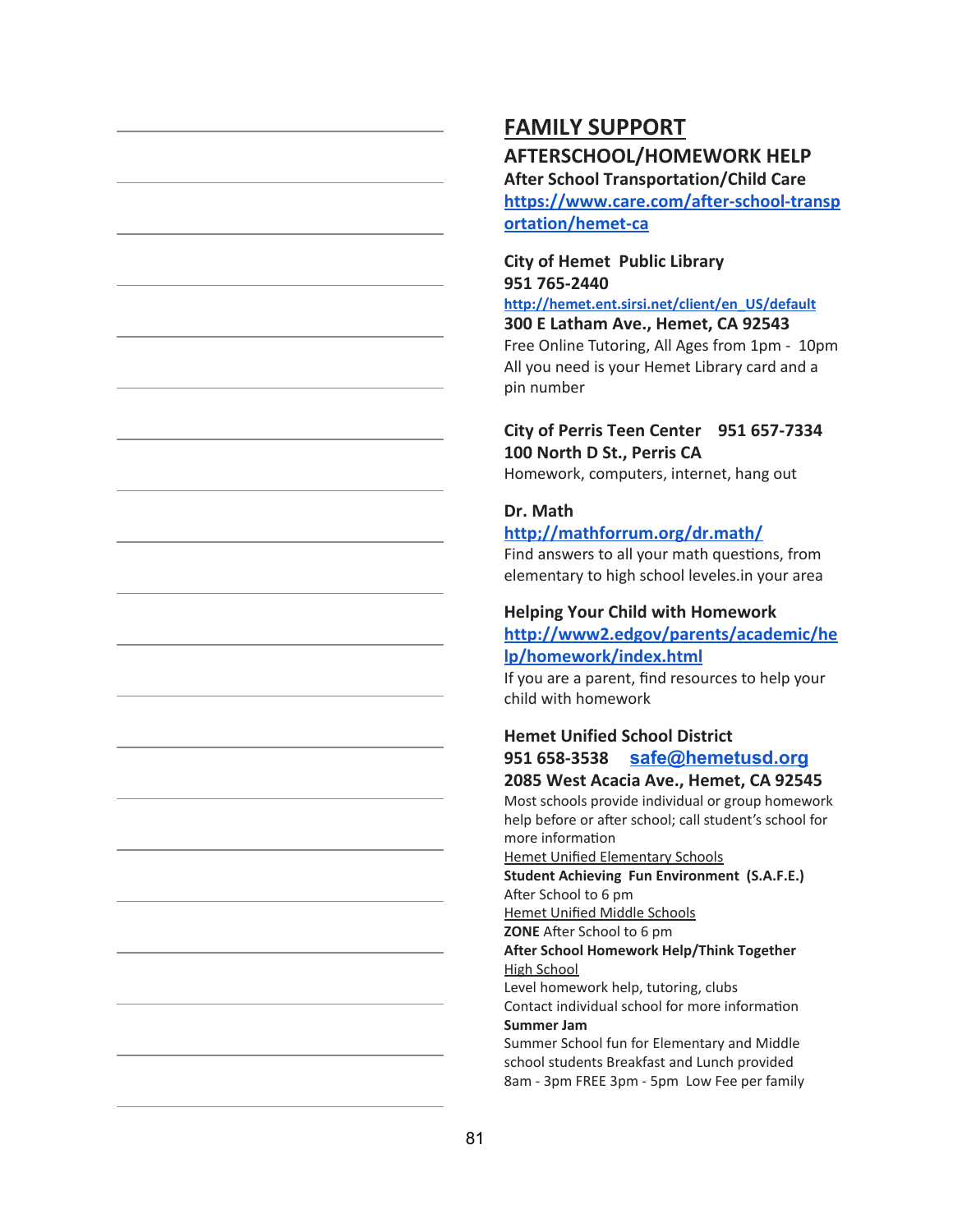## **FAMILY SUPPORT AFTERSCHOOL/HOMEWORK HELP**

**After School Transportation/Child Care [https://www.care.com/after-school-transp](https://www.care.com/after-school-transportation/hemet-ca) [ortation/hemet-ca](https://www.care.com/after-school-transportation/hemet-ca)**

#### **City of Hemet Public Library 951 765-2440**

**[http://hemet.ent.sirsi.net/client/en\\_US/default](http://hemet.ent.sirsi.net/client/en_US/default) 300 E Latham Ave., Hemet, CA 92543** Free Online Tutoring, All Ages from 1pm - 10pm All you need is your Hemet Library card and a pin number

#### **City of Perris Teen Center 951 657-7334 100 North D St., Perris CA**

Homework, computers, internet, hang out

### **Dr. Math**

#### **[http;//mathforrum.org/dr.math/](http://mathforum.org/dr.math/)**

Find answers to all your math questions, from elementary to high school leveles.in your area

#### **Helping Your Child with Homework [http://www2.edgov/parents/academic/he](http://www2.edgov/parents/academic/help/homework/index.html)**

## **[lp/homework/index.html](http://www2.edgov/parents/academic/help/homework/index.html)**

If you are a parent, find resources to help your child with homework

### **Hemet Unified School District 951 658-3538 [safe@hemetusd.org](mailto:safe@hemetusd.org) 2085 West Acacia Ave., Hemet, CA 92545**

#### Most schools provide individual or group homework help before or after school; call student's school for more information

Hemet Unified Elementary Schools

**Student Achieving Fun Environment (S.A.F.E.)** After School to 6 pm

Hemet Unified Middle Schools

**ZONE** After School to 6 pm

**After School Homework Help/Think Together** High School

Level homework help, tutoring, clubs Contact individual school for more information **Summer Jam**

Summer School fun for Elementary and Middle school students Breakfast and Lunch provided 8am - 3pm FREE 3pm - 5pm Low Fee per family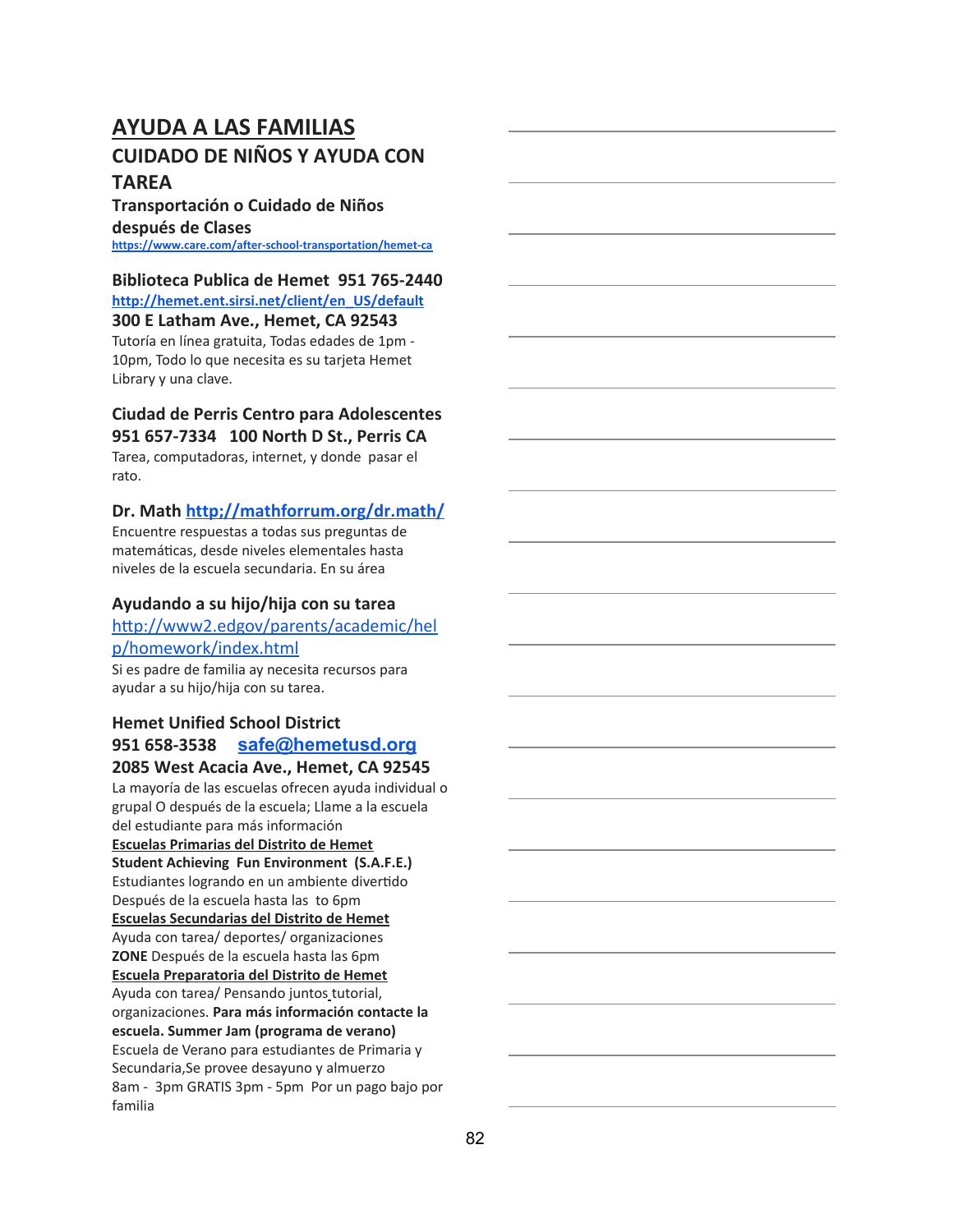## **AYUDA A LAS FAMILIAS CUIDADO DE NIÑOS Y AYUDA CON TAREA**

### **Transportación o Cuidado de Niños después de Clases**

**<https://www.care.com/after-school-transportation/hemet-ca>**

#### **Biblioteca Publica de Hemet 951 765-2440 [http://hemet.ent.sirsi.net/client/en\\_US/default](http://hemet.ent.sirsi.net/client/en_US/default)**

**300 E Latham Ave., Hemet, CA 92543**

Tutoría en línea gratuita, Todas edades de 1pm - 10pm, Todo lo que necesita es su tarjeta Hemet Library y una clave.

## **Ciudad de Perris Centro para Adolescentes**

**951 657-7334 100 North D St., Perris CA**

Tarea, computadoras, internet, y donde pasar el rato.

### **Dr. Math [http;//mathforrum.org/dr.math/](http://mathforum.org/dr.math/)**

Encuentre respuestas a todas sus preguntas de matemáticas, desde niveles elementales hasta niveles de la escuela secundaria. En su área

#### **Ayudando a su hijo/hija con su tarea**

#### http://www2.edgov/parents/academic/hel [p/homework/index.html](http://www2.edgov/parents/academic/help/homework/index.html)

Si es padre de familia ay necesita recursos para ayudar a su hijo/hija con su tarea.

## **Hemet Unified School District 951 658-3538 [safe@hemetusd.org](mailto:safe@hemetusd.org)**

**2085 West Acacia Ave., Hemet, CA 92545** La mayoría de las escuelas ofrecen ayuda individual o grupal O después de la escuela; Llame a la escuela del estudiante para más información **Escuelas Primarias del Distrito de Hemet Student Achieving Fun Environment (S.A.F.E.)** Estudiantes logrando en un ambiente divertido Después de la escuela hasta las to 6pm **Escuelas Secundarias del Distrito de Hemet** Ayuda con tarea/ deportes/ organizaciones **ZONE** Después de la escuela hasta las 6pm **Escuela Preparatoria del Distrito de Hemet** Ayuda con tarea/ Pensando juntos tutorial, organizaciones. **Para más información contacte la escuela. Summer Jam (programa de verano)** Escuela de Verano para estudiantes de Primaria y Secundaria,Se provee desayuno y almuerzo 8am - 3pm GRATIS 3pm - 5pm Por un pago bajo por familia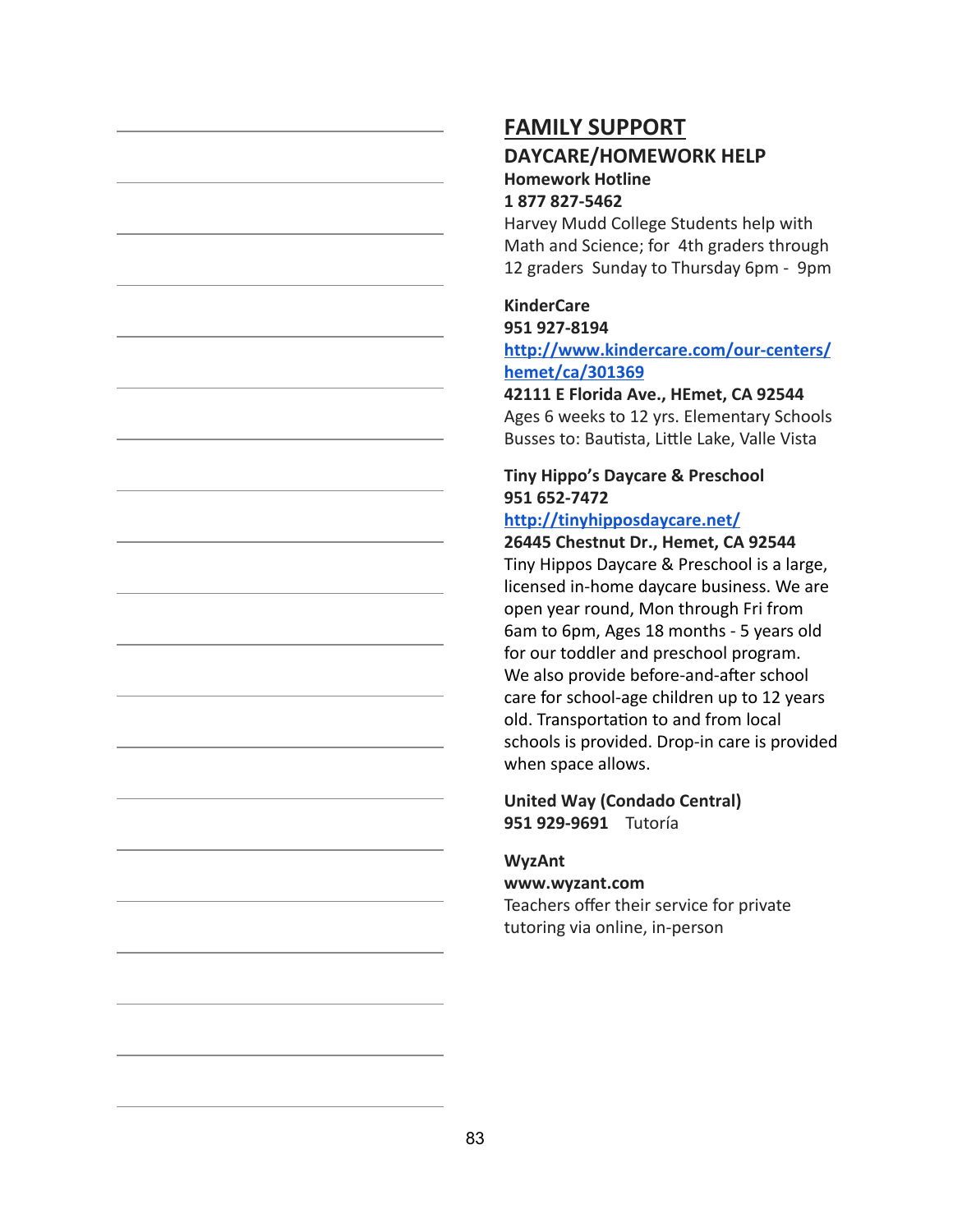### **FAMILY SUPPORT DAYCARE/HOMEWORK HELP Homework Hotline**

#### **1 877 827-5462**

Harvey Mudd College Students help with Math and Science; for 4th graders through 12 graders Sunday to Thursday 6pm - 9pm

### **KinderCare**

### **951 927-8194 [http://www.kindercare.com/our-centers/](http://www.kindercare.com/our-centers/hemet/ca/301369)**

#### **[hemet/ca/301369](http://www.kindercare.com/our-centers/hemet/ca/301369)**

### **42111 E Florida Ave., HEmet, CA 92544**

Ages 6 weeks to 12 yrs. Elementary Schools Busses to: Bautista, Little Lake, Valle Vista

### **Tiny Hippo's Daycare & Preschool 951 652-7472**

#### **<http://tinyhipposdaycare.net/>**

**26445 Chestnut Dr., Hemet, CA 92544** Tiny Hippos Daycare & Preschool is a large, licensed in-home daycare business. We are open year round, Mon through Fri from 6am to 6pm, Ages 18 months - 5 years old for our toddler and preschool program. We also provide before-and-after school care for school-age children up to 12 years old. Transportation to and from local schools is provided. Drop-in care is provided when space allows.

#### **United Way (Condado Central) 951 929-9691** Tutoría

#### **WyzAnt**

#### **www.wyzant.com**

Teachers offer their service for private tutoring via online, in-person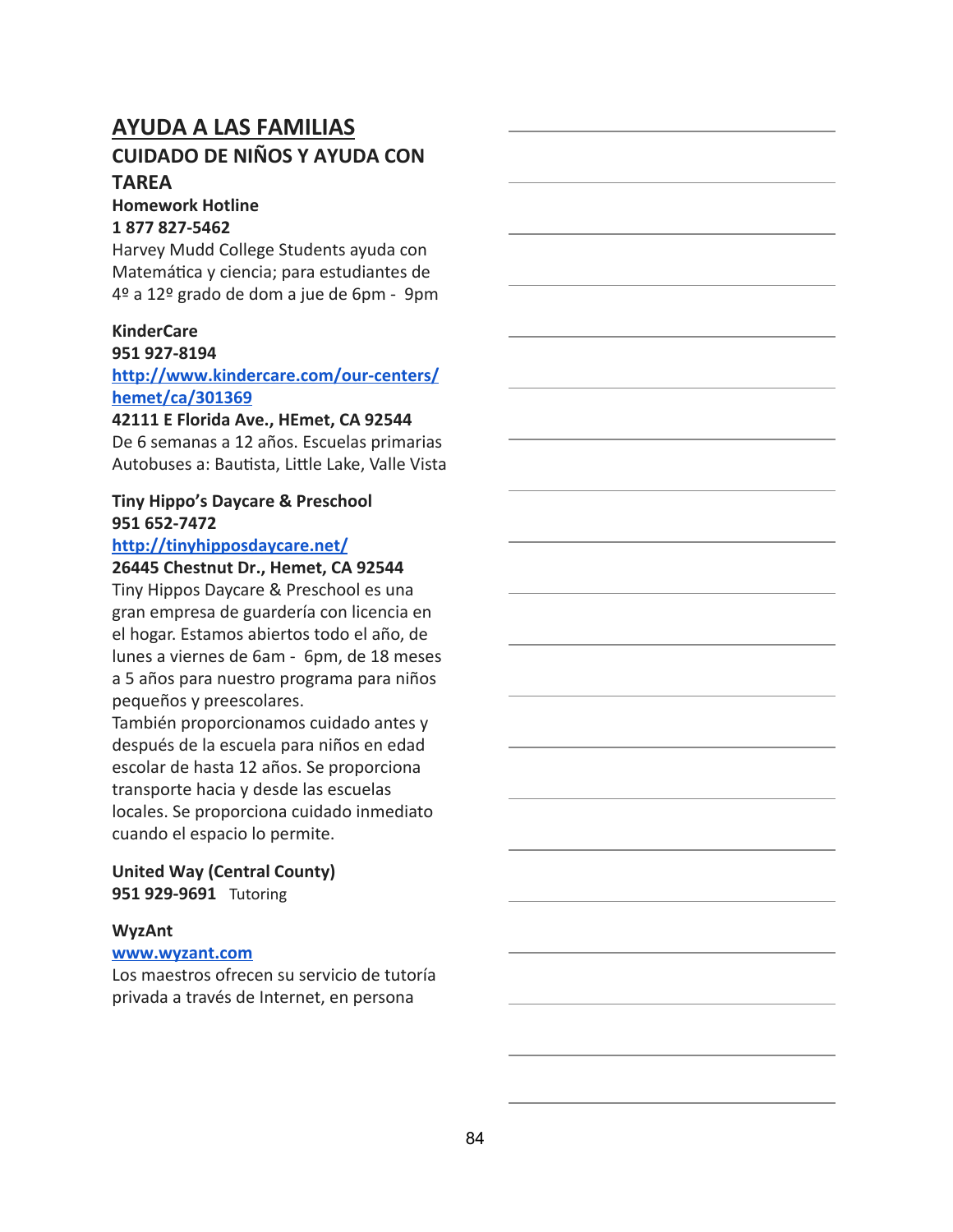### **AYUDA A LAS FAMILIAS CUIDADO DE NIÑOS Y AYUDA CON TAREA**

#### **Homework Hotline 1 877 827-5462**

Harvey Mudd College Students ayuda con Matemática y ciencia; para estudiantes de 4º a 12º grado de dom a jue de 6pm - 9pm

#### **KinderCare**

#### **951 927-8194**

**[http://www.kindercare.com/our-centers/](http://www.kindercare.com/our-centers/hemet/ca/301369) [hemet/ca/301369](http://www.kindercare.com/our-centers/hemet/ca/301369)**

#### **42111 E Florida Ave., HEmet, CA 92544**

De 6 semanas a 12 años. Escuelas primarias Autobuses a: Bautista, Little Lake, Valle Vista

### **Tiny Hippo's Daycare & Preschool 951 652-7472**

#### **<http://tinyhipposdaycare.net/>**

#### **26445 Chestnut Dr., Hemet, CA 92544**

Tiny Hippos Daycare & Preschool es una gran empresa de guardería con licencia en el hogar. Estamos abiertos todo el año, de lunes a viernes de 6am - 6pm, de 18 meses a 5 años para nuestro programa para niños pequeños y preescolares.

También proporcionamos cuidado antes y después de la escuela para niños en edad escolar de hasta 12 años. Se proporciona transporte hacia y desde las escuelas locales. Se proporciona cuidado inmediato cuando el espacio lo permite.

**United Way (Central County) 951 929-9691** Tutoring

#### **WyzAnt**

#### **[www.wyzant.com](http://www.wyzant.com/)**

Los maestros ofrecen su servicio de tutoría privada a través de Internet, en persona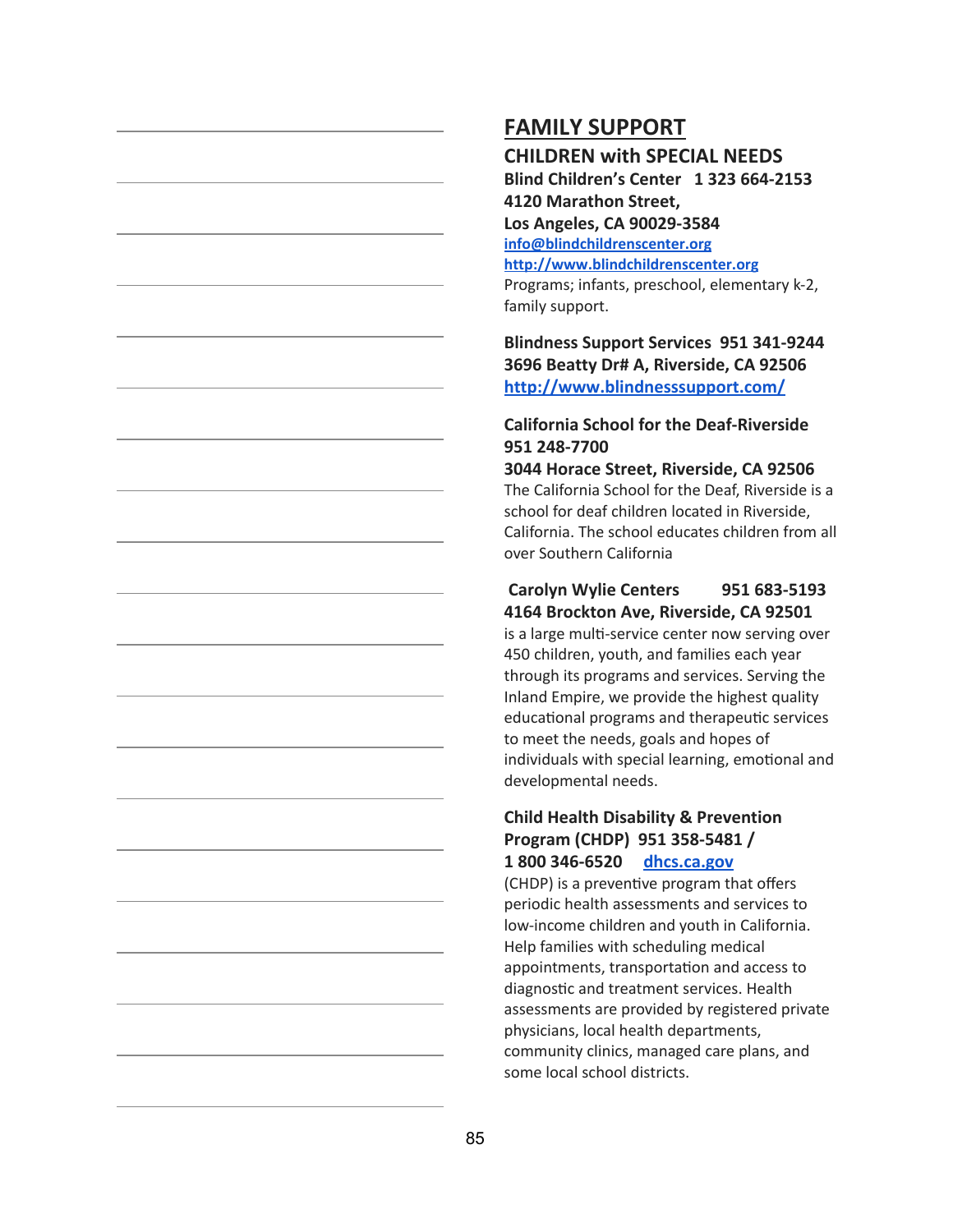**CHILDREN with SPECIAL NEEDS Blind Children's Center 1 323 664-2153 4120 Marathon Street, Los Angeles, CA 90029-3584 [info@blindchildrenscenter.org](mailto:info@blindchildrenscenter.org) [http://www.blindchildrenscenter.org](http://www.blindchildrenscenter.org/)** Programs; infants, preschool, elementary k-2, family support.

**Blindness Support Services 951 341-9244 3696 Beatty Dr# A, Riverside, CA 92506 <http://www.blindnesssupport.com/>**

#### **California School for the Deaf-Riverside 951 248-7700**

**3044 Horace Street, Riverside, CA 92506** The California School for the Deaf, Riverside is a school for deaf children located in Riverside, California. The school educates children from all over Southern California

#### **Carolyn Wylie Centers 951 683-5193 4164 Brockton Ave, Riverside, CA 92501**

is a large multi-service center now serving over 450 children, youth, and families each year through its programs and services. Serving the Inland Empire, we provide the highest quality educational programs and therapeutic services to meet the needs, goals and hopes of individuals with special learning, emotional and developmental needs.

#### **Child Health Disability & Prevention Program (CHDP) 951 358-5481 / 1 800 346-6520 [dhcs.ca.gov](http://www.dhcs.ca.gov/)**

(CHDP) is a preventive program that offers periodic health assessments and services to low-income children and youth in California. Help families with scheduling medical appointments, transportation and access to diagnostic and treatment services. Health assessments are provided by registered private physicians, local health departments, community clinics, managed care plans, and some local school districts.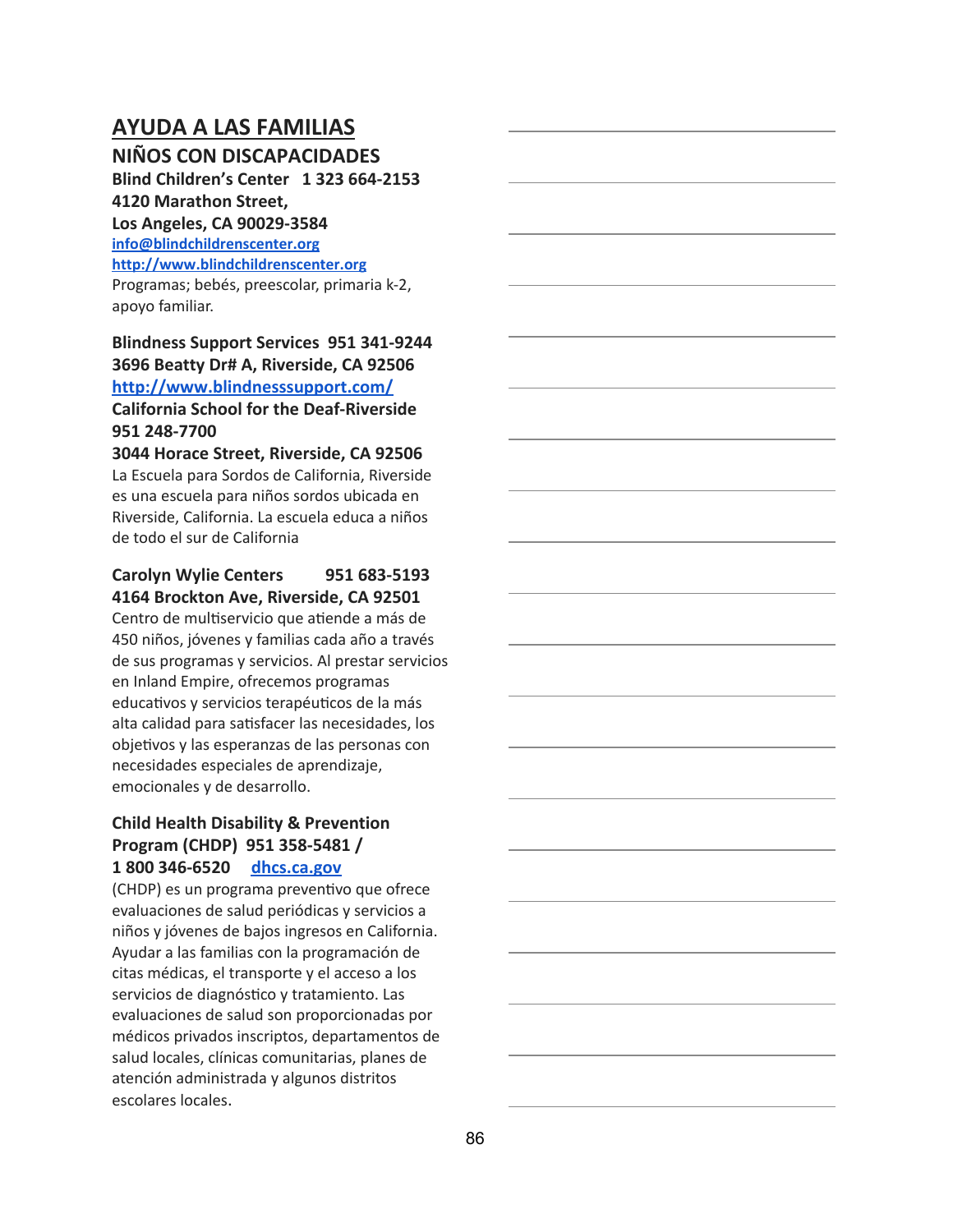## **AYUDA A LAS FAMILIAS**

#### **NIÑOS CON DISCAPACIDADES**

**Blind Children's Center 1 323 664-2153 4120 Marathon Street, Los Angeles, CA 90029-3584 [info@blindchildrenscenter.org](mailto:info@blindchildrenscenter.org) [http://www.blindchildrenscenter.org](http://www.blindchildrenscenter.org/)** Programas; bebés, preescolar, primaria k-2, apoyo familiar.

### **Blindness Support Services 951 341-9244 3696 Beatty Dr# A, Riverside, CA 92506 <http://www.blindnesssupport.com/> California School for the Deaf-Riverside 951 248-7700**

**3044 Horace Street, Riverside, CA 92506** La Escuela para Sordos de California, Riverside es una escuela para niños sordos ubicada en Riverside, California. La escuela educa a niños de todo el sur de California

#### **Carolyn Wylie Centers 951 683-5193 4164 Brockton Ave, Riverside, CA 92501**

Centro de multiservicio que atiende a más de 450 niños, jóvenes y familias cada año a través de sus programas y servicios. Al prestar servicios en Inland Empire, ofrecemos programas educativos y servicios terapéuticos de la más alta calidad para satisfacer las necesidades, los objetivos y las esperanzas de las personas con necesidades especiales de aprendizaje, emocionales y de desarrollo.

#### **Child Health Disability & Prevention Program (CHDP) 951 358-5481 / 1 800 346-6520 [dhcs.ca.gov](http://www.dhcs.ca.gov/)**

(CHDP) es un programa preventivo que ofrece evaluaciones de salud periódicas y servicios a niños y jóvenes de bajos ingresos en California. Ayudar a las familias con la programación de citas médicas, el transporte y el acceso a los servicios de diagnóstico y tratamiento. Las evaluaciones de salud son proporcionadas por médicos privados inscriptos, departamentos de salud locales, clínicas comunitarias, planes de atención administrada y algunos distritos escolares locales.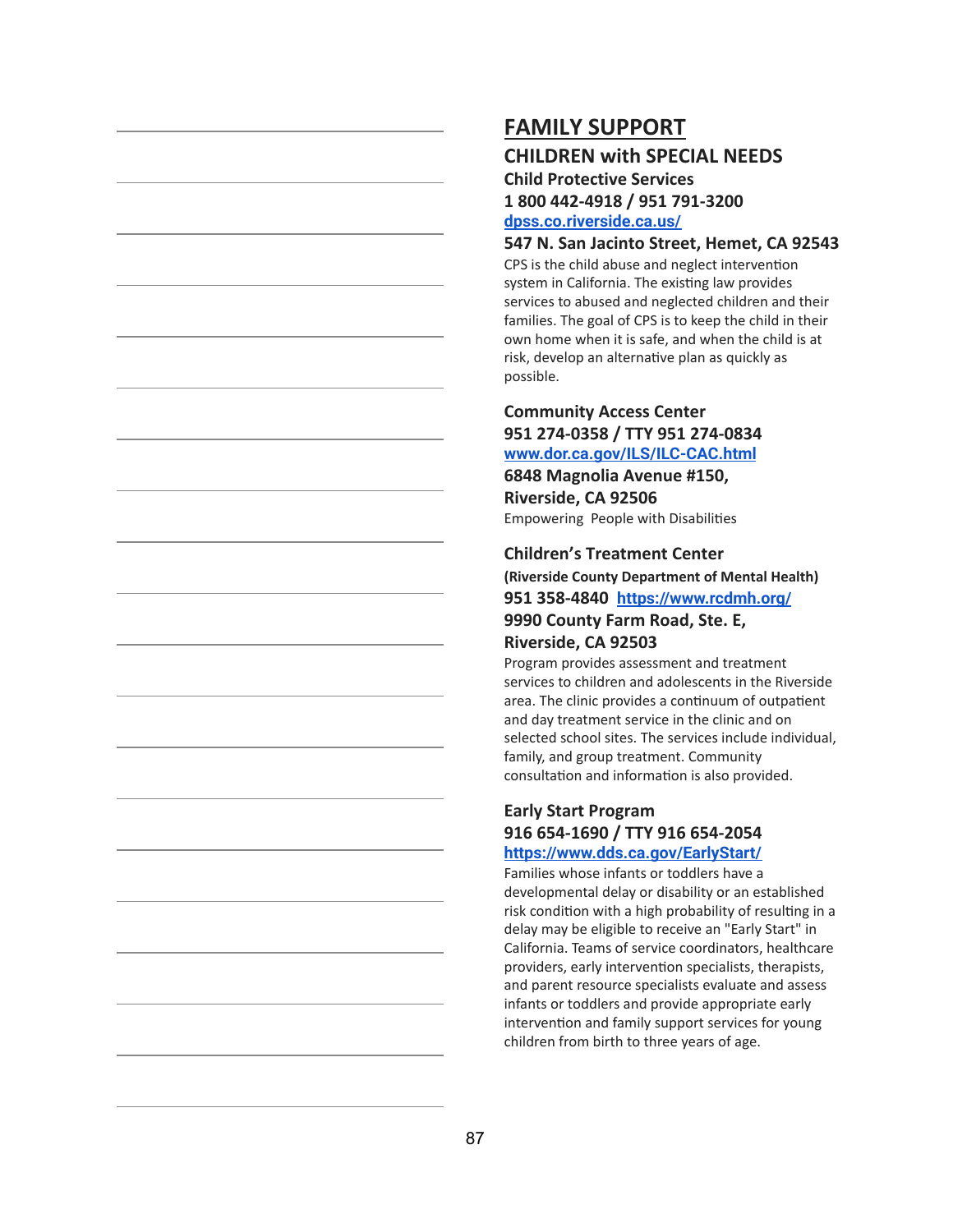## **CHILDREN with SPECIAL NEEDS**

**Child Protective Services 1 800 442-4918 / 951 791-3200 [dpss.co.riverside.ca.us/](http://dpss.co.riverside.ca.us/)**

#### **547 N. San Jacinto Street, Hemet, CA 92543**

CPS is the child abuse and neglect intervention system in California. The existing law provides services to abused and neglected children and their families. The goal of CPS is to keep the child in their own home when it is safe, and when the child is at risk, develop an alternative plan as quickly as possible.

### **Community Access Center 951 274-0358 / TTY 951 274-0834 [www.dor.ca.gov/ILS/ILC-CAC.html](http://www.dor.ca.gov/ILS/ILC-CAC.html)**

**6848 Magnolia Avenue #150, Riverside, CA 92506** Empowering People with Disabilies

#### **Children's Treatment Center**

**(Riverside County Department of Mental Health) 951 358-4840 <https://www.rcdmh.org/> 9990 County Farm Road, Ste. E, Riverside, CA 92503**

Program provides assessment and treatment services to children and adolescents in the Riverside area. The clinic provides a continuum of outpatient and day treatment service in the clinic and on selected school sites. The services include individual, family, and group treatment. Community consultation and information is also provided.

#### **Early Start Program 916 654-1690 / TTY 916 654-2054 <https://www.dds.ca.gov/EarlyStart/>**

Families whose infants or toddlers have a developmental delay or disability or an established risk condition with a high probability of resulting in a delay may be eligible to receive an "Early Start" in California. Teams of service coordinators, healthcare providers, early intervention specialists, therapists, and parent resource specialists evaluate and assess infants or toddlers and provide appropriate early intervention and family support services for young children from birth to three years of age.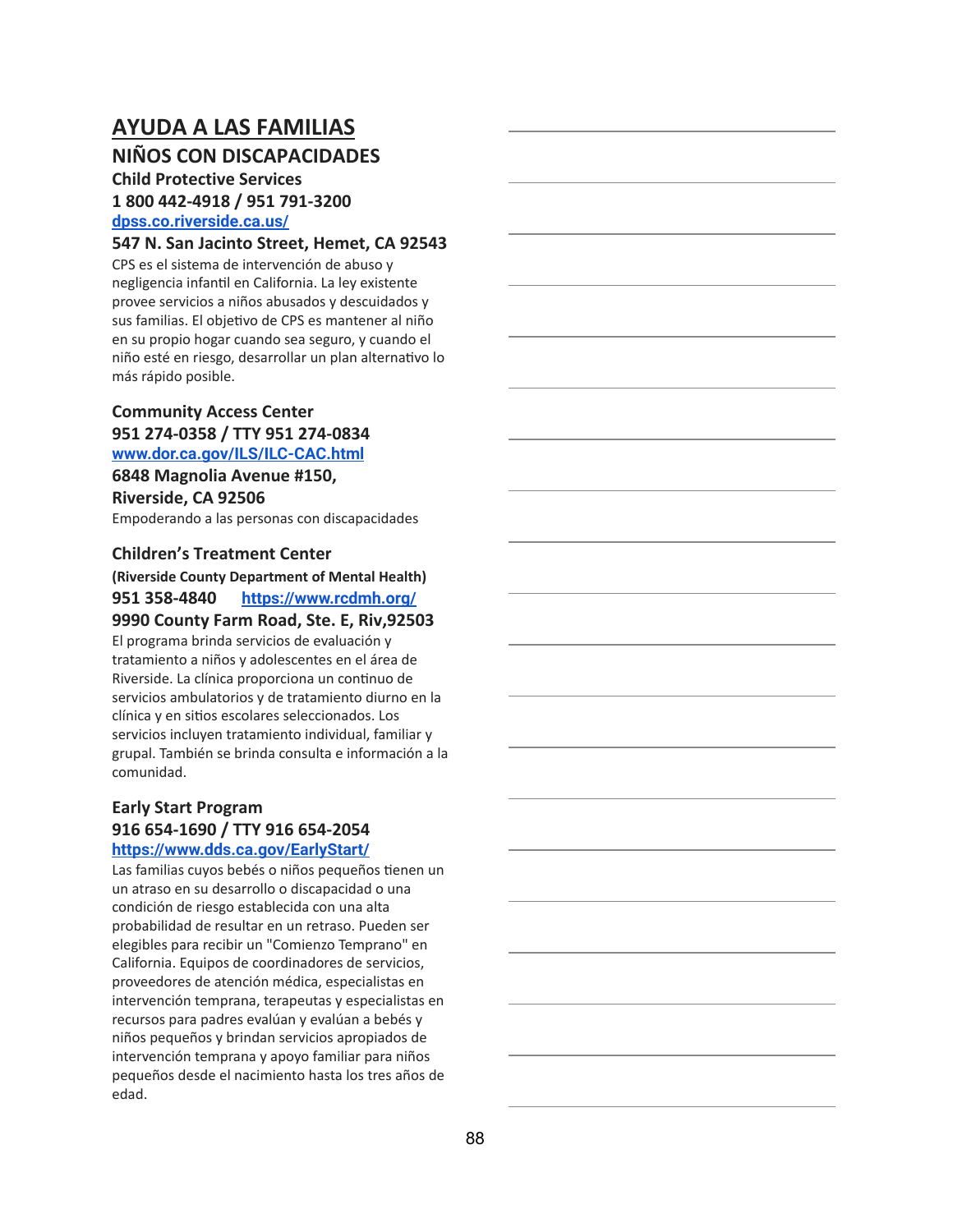## **AYUDA A LAS FAMILIAS NIÑOS CON DISCAPACIDADES**

#### **Child Protective Services 1 800 442-4918 / 951 791-3200 [dpss.co.riverside.ca.us/](http://dpss.co.riverside.ca.us/)**

#### **547 N. San Jacinto Street, Hemet, CA 92543**

CPS es el sistema de intervención de abuso y negligencia infantil en California. La ley existente provee servicios a niños abusados y descuidados y sus familias. El objetivo de CPS es mantener al niño en su propio hogar cuando sea seguro, y cuando el niño esté en riesgo, desarrollar un plan alternativo lo más rápido posible.

#### **Community Access Center 951 274-0358 / TTY 951 274-0834 [www.dor.ca.gov/ILS/ILC-CAC.html](http://www.dor.ca.gov/ILS/ILC-CAC.html)**

**6848 Magnolia Avenue #150, Riverside, CA 92506** Empoderando a las personas con discapacidades

#### **Children's Treatment Center**

**(Riverside County Department of Mental Health) 951 358-4840 <https://www.rcdmh.org/> 9990 County Farm Road, Ste. E, Riv,92503** El programa brinda servicios de evaluación y tratamiento a niños y adolescentes en el área de Riverside. La clínica proporciona un continuo de servicios ambulatorios y de tratamiento diurno en la clínica y en sitios escolares seleccionados. Los servicios incluyen tratamiento individual, familiar y grupal. También se brinda consulta e información a la comunidad.

#### **Early Start Program 916 654-1690 / TTY 916 654-2054 <https://www.dds.ca.gov/EarlyStart/>**

Las familias cuyos bebés o niños pequeños tienen un un atraso en su desarrollo o discapacidad o una condición de riesgo establecida con una alta probabilidad de resultar en un retraso. Pueden ser elegibles para recibir un "Comienzo Temprano" en California. Equipos de coordinadores de servicios, proveedores de atención médica, especialistas en intervención temprana, terapeutas y especialistas en recursos para padres evalúan y evalúan a bebés y niños pequeños y brindan servicios apropiados de intervención temprana y apoyo familiar para niños pequeños desde el nacimiento hasta los tres años de edad.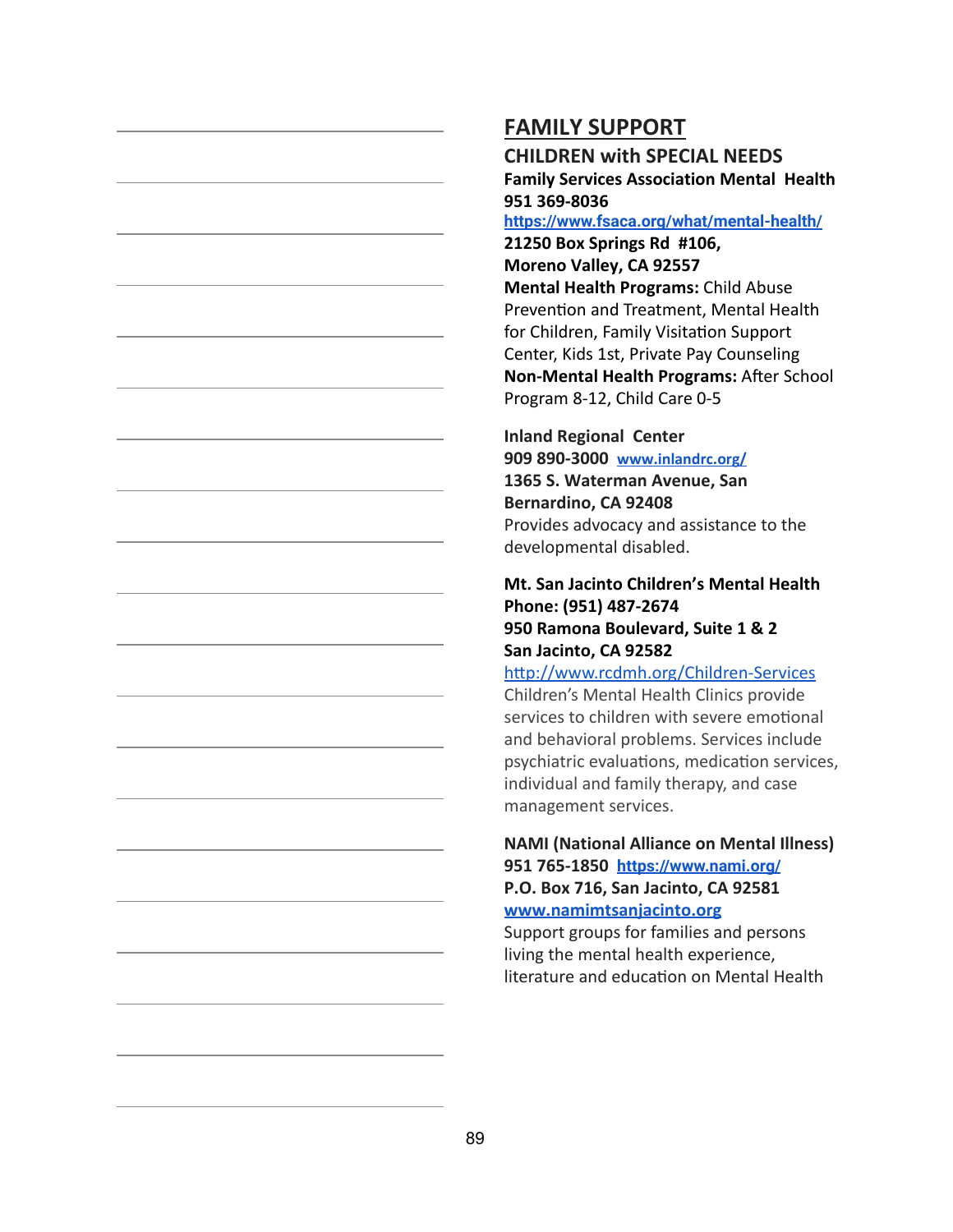**CHILDREN with SPECIAL NEEDS Family Services Association Mental Health 951 369-8036**

#### **<https://www.fsaca.org/what/mental-health/>**

**21250 Box Springs Rd #106, Moreno Valley, CA 92557 Mental Health Programs:** Child Abuse Prevention and Treatment, Mental Health for Children, Family Visitation Support Center, Kids 1st, Private Pay Counseling **Non-Mental Health Programs: After School** Program 8-12, Child Care 0-5

### **Inland Regional Center 909 890-3000 [www.inlandrc.org/](http://www.inlandrc.org/) 1365 S. Waterman Avenue, San Bernardino, CA 92408** Provides advocacy and assistance to the developmental disabled.

#### **[Mt. San Jacinto Children's Mental Health](https://www.google.com/maps/place/950+N+Ramona+Blvd,+San+Jacinto,+CA+92582/@33.7953471,-116.9734538,17z/data=!3m1!4b1!4m2!3m1!1s0x80db68889e03b9cb:0xab45c27cb3e9637b) Phone: (951) 487-267[4](https://www.google.com/maps/place/950+N+Ramona+Blvd,+San+Jacinto,+CA+92582/@33.7953471,-116.9734538,17z/data=!3m1!4b1!4m2!3m1!1s0x80db68889e03b9cb:0xab45c27cb3e9637b) 950 Ramona Boulevard, Suite 1 & 2 San Jacinto, CA 92582**

http://www.rcdmh.org/Children-Services

Children's Mental Health Clinics provide services to children with severe emotional and behavioral problems. Services include psychiatric evaluations, medication services, individual and family therapy, and case management services.

### **NAMI (National Alliance on Mental Illness) 951 765-1850 <https://www.nami.org/> P.O. Box 716, San Jacinto, CA 92581**

#### **[www.namimtsanjacinto.org](http://www.namimtsanjacinto.org/)**

Support groups for families and persons living the mental health experience, literature and education on Mental Health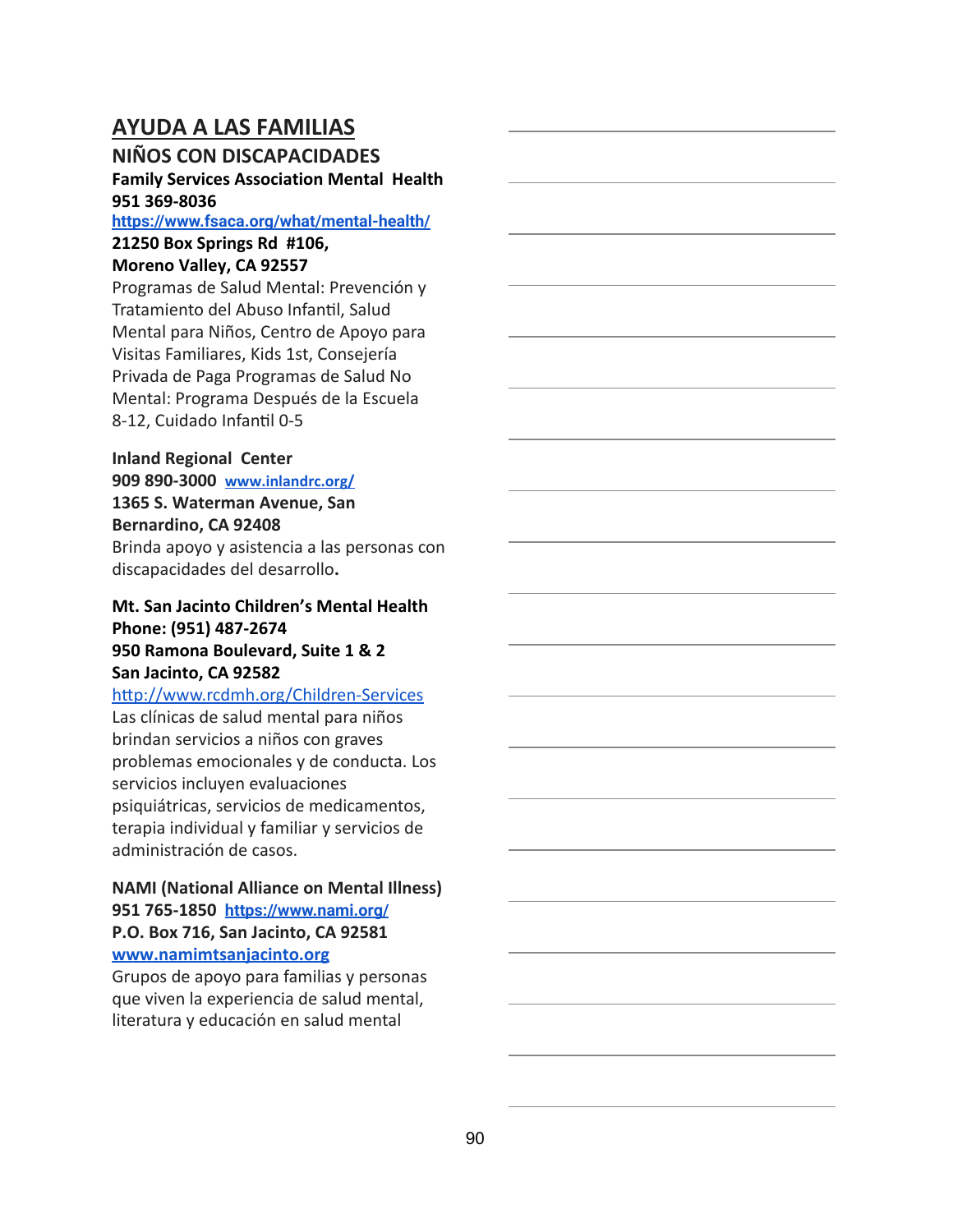## **AYUDA A LAS FAMILIAS**

### **NIÑOS CON DISCAPACIDADES**

### **Family Services Association Mental Health 951 369-8036**

#### **<https://www.fsaca.org/what/mental-health/>**

## **21250 Box Springs Rd #106,**

### **Moreno Valley, CA 92557**

Programas de Salud Mental: Prevención y Tratamiento del Abuso Infantil, Salud Mental para Niños, Centro de Apoyo para Visitas Familiares, Kids 1st, Consejería Privada de Paga Programas de Salud No Mental: Programa Después de la Escuela 8-12, Cuidado Infantil 0-5

#### **Inland Regional Center 909 890-3000 [www.inlandrc.org/](http://www.inlandrc.org/)**

**1365 S. Waterman Avenue, San**

## **Bernardino, CA 92408**

Brinda apoyo y asistencia a las personas con discapacidades del desarrollo **.**

#### **[Mt. San Jacinto Children's Mental Health](https://www.google.com/maps/place/950+N+Ramona+Blvd,+San+Jacinto,+CA+92582/@33.7953471,-116.9734538,17z/data=!3m1!4b1!4m2!3m1!1s0x80db68889e03b9cb:0xab45c27cb3e9637b) Phone: (951) 487-267[4](https://www.google.com/maps/place/950+N+Ramona+Blvd,+San+Jacinto,+CA+92582/@33.7953471,-116.9734538,17z/data=!3m1!4b1!4m2!3m1!1s0x80db68889e03b9cb:0xab45c27cb3e9637b) 950 Ramona Boulevard, Suite 1 & 2 San Jacinto, CA 92582**

#### http://www.rcdmh.org/Children-Services

Las clínicas de salud mental para niños brindan servicios a niños con graves problemas emocionales y de conducta. Los servicios incluyen evaluaciones psiquiátricas, servicios de medicamentos, terapia individual y familiar y servicios de administración de casos.

### **NAMI (National Alliance on Mental Illness) 951 765-1850 <https://www.nami.org/> P.O. Box 716, San Jacinto, CA 92581**

#### **[www.namimtsanjacinto.org](http://www.namimtsanjacinto.org/)**

Grupos de apoyo para familias y personas que viven la experiencia de salud mental, literatura y educación en salud mental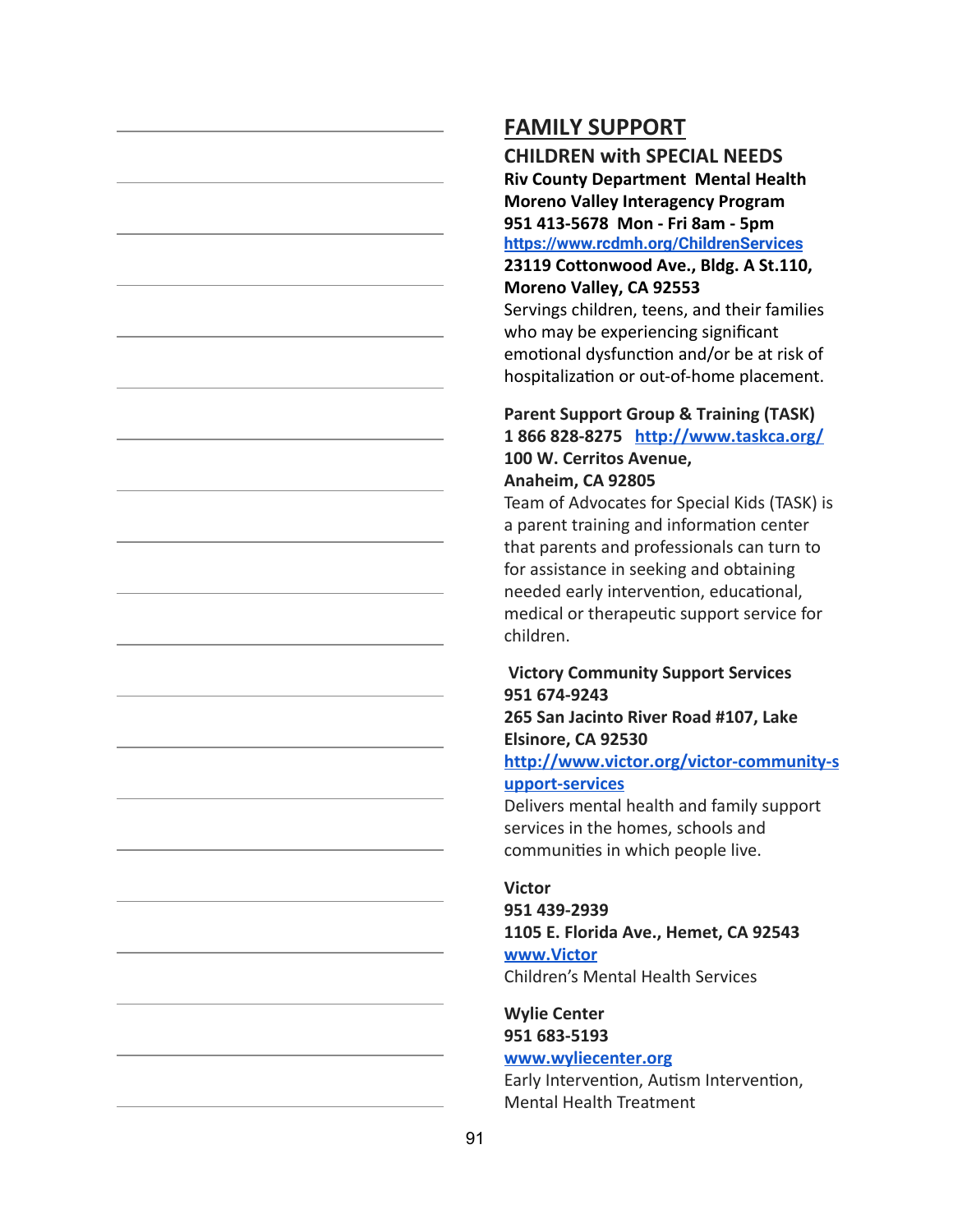**CHILDREN with SPECIAL NEEDS Riv County Department Mental Health Moreno Valley Interagency Program 951 413-5678 Mon - Fri 8am - 5pm <https://www.rcdmh.org/ChildrenServices> 23119 Cottonwood Ave., Bldg. A St.110, Moreno Valley, CA 92553** Servings children, teens, and their families

who may be experiencing significant emotional dysfunction and/or be at risk of hospitalization or out-of-home placement.

### **Parent Support Group & Training (TASK) 1 866 828-8275 <http://www.taskca.org/> 100 W. Cerritos Avenue, Anaheim, CA 92805**

Team of Advocates for Special Kids (TASK) is a parent training and information center that parents and professionals can turn to for assistance in seeking and obtaining needed early intervention, educational, medical or therapeutic support service for children.

#### **Victory Community Support Services 951 674-9243 265 San Jacinto River Road #107, Lake**

**Elsinore, CA 92530**

**[http://www.victor.org/victor-community-s](http://www.victor.org/victor-community-support-services) [upport-services](http://www.victor.org/victor-community-support-services)**

Delivers mental health and family support services in the homes, schools and communities in which people live.

#### **Victor**

**951 439-2939 1105 E. Florida Ave., Hemet, CA 92543 [www.Victor](http://www.victor/)**

Children's Mental Health Services

#### **Wylie Center 951 683-5193**

#### **[www.wyliecenter.org](http://www.wyliecenter.org/)**

Early Intervention, Autism Intervention, Mental Health Treatment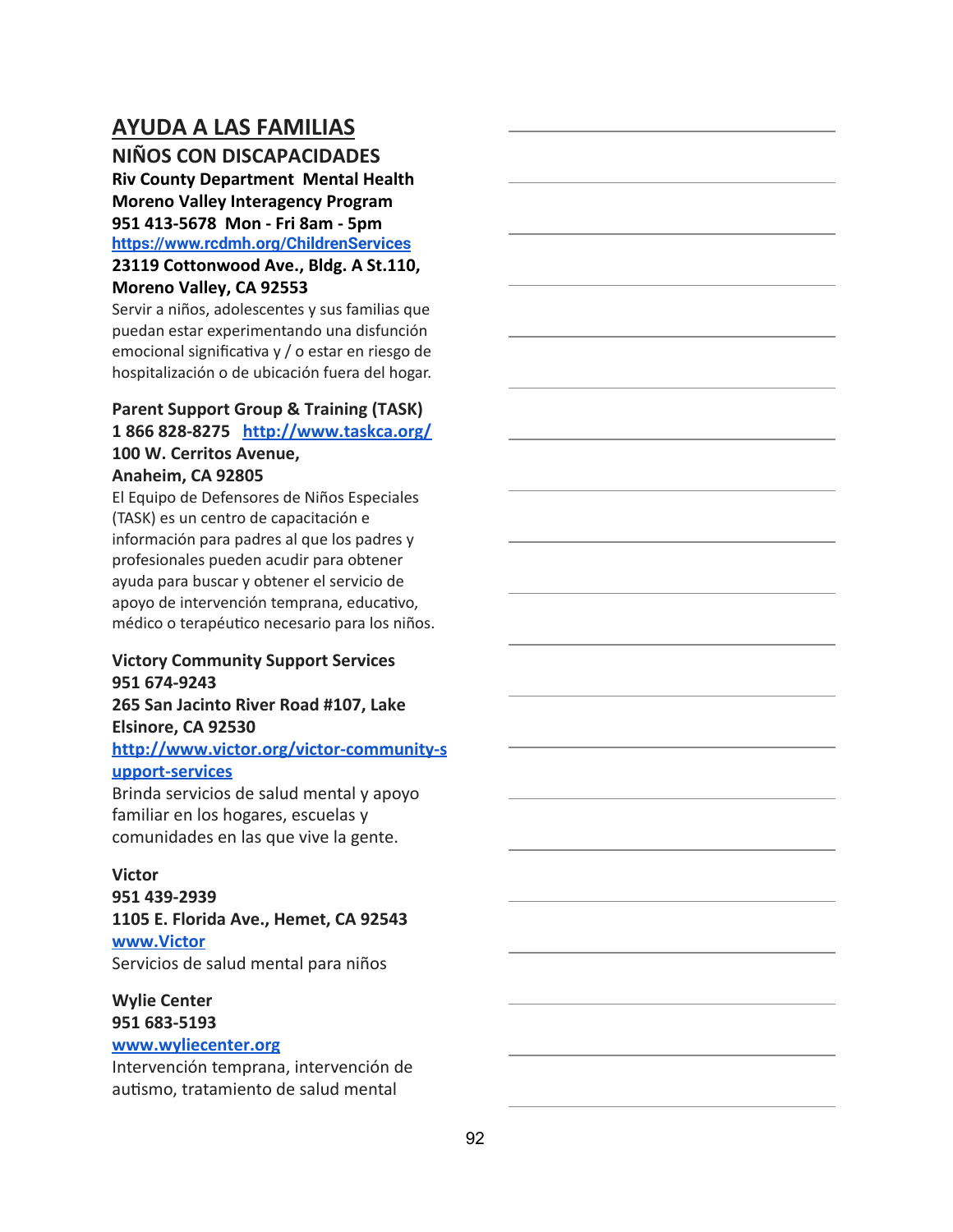## **AYUDA A LAS FAMILIAS**

**NIÑOS CON DISCAPACIDADES**

**Riv County Department Mental Health Moreno Valley Interagency Program 951 413-5678 Mon - Fri 8am - 5pm <https://www.rcdmh.org/ChildrenServices>**

### **23119 Cottonwood Ave., Bldg. A St.110, Moreno Valley, CA 92553**

Servir a niños, adolescentes y sus familias que puedan estar experimentando una disfunción emocional significativa y / o estar en riesgo de hospitalización o de ubicación fuera del hogar.

## **Parent Support Group & Training (TASK) 1 866 828-8275 <http://www.taskca.org/> 100 W. Cerritos Avenue,**

### **Anaheim, CA 92805**

El Equipo de Defensores de Niños Especiales (TASK) es un centro de capacitación e información para padres al que los padres y profesionales pueden acudir para obtener ayuda para buscar y obtener el servicio de apoyo de intervención temprana, educativo, médico o terapéutico necesario para los niños.

#### **Victory Community Support Services 951 674-9243**

### **265 San Jacinto River Road #107, Lake Elsinore, CA 92530 [http://www.victor.org/victor-community-s](http://www.victor.org/victor-community-support-services)**

#### **[upport-services](http://www.victor.org/victor-community-support-services)**

Brinda servicios de salud mental y apoyo familiar en los hogares, escuelas y comunidades en las que vive la gente.

#### **Victor**

**951 439-2939 1105 E. Florida Ave., Hemet, CA 92543 [www.Victor](http://www.victor/)** Servicios de salud mental para niños

#### **Wylie Center 951 683-5193 [www.wyliecenter.org](http://www.wyliecenter.org/)**

Intervención temprana, intervención de autismo, tratamiento de salud mental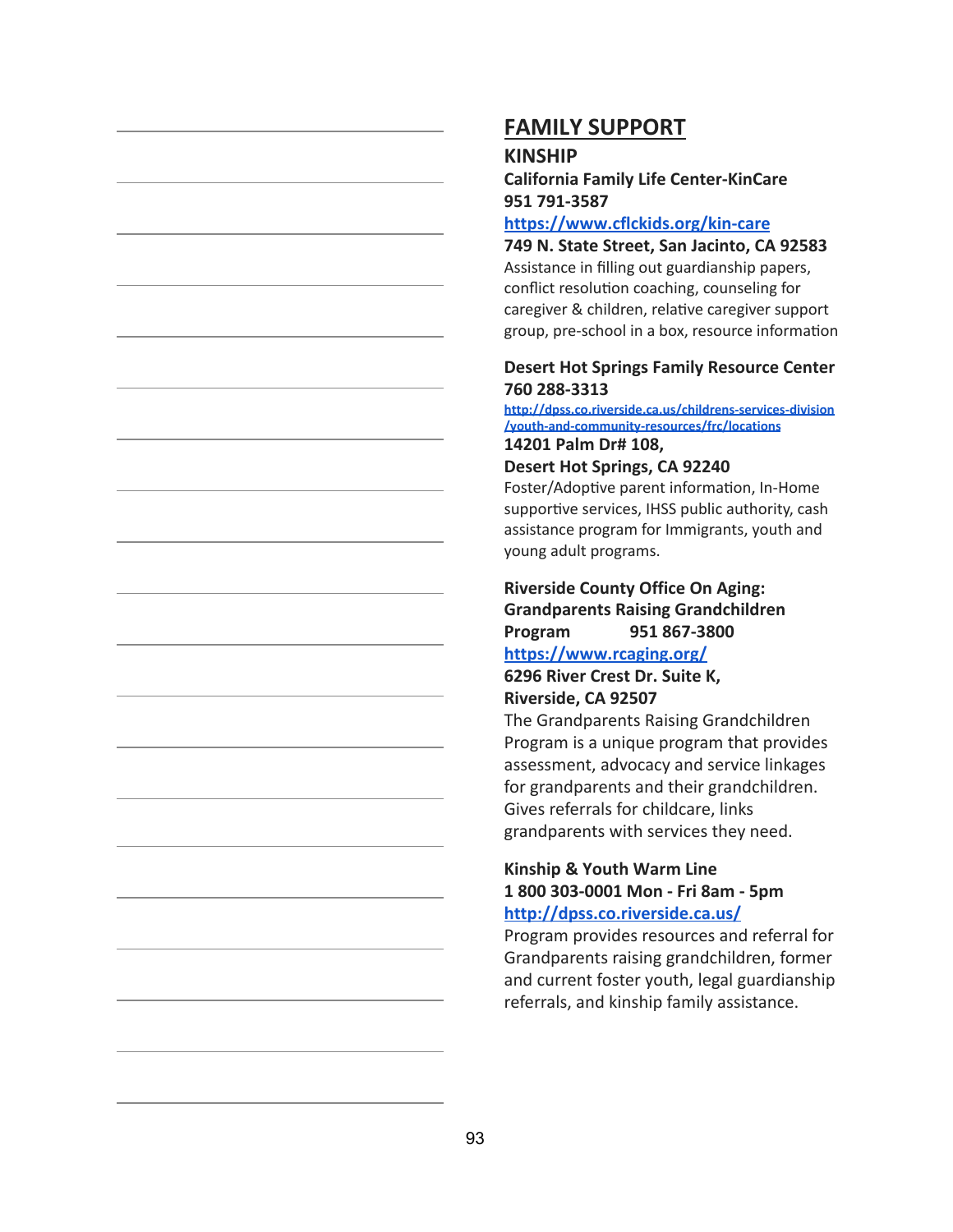#### **KINSHIP**

### **California Family Life Center-KinCare 951 791-3587**

#### **<https://www.cflckids.org/kin-care>**

**749 N. State Street, San Jacinto, CA 92583** Assistance in filling out guardianship papers, conflict resolution coaching, counseling for caregiver & children, relative caregiver support group, pre-school in a box, resource information

#### **Desert Hot Springs Family Resource Center 760 288-3313**

**[http://dpss.co.riverside.ca.us/childrens-services-division](http://dpss.co.riverside.ca.us/childrens-services-division/youth-and-community-resources/frc/locations) [/youth-and-community-resources/frc/locations](http://dpss.co.riverside.ca.us/childrens-services-division/youth-and-community-resources/frc/locations) 14201 Palm Dr# 108,**

#### **Desert Hot Springs, CA 92240**

Foster/Adoptive parent information, In-Home supportive services, IHSS public authority, cash assistance program for Immigrants, youth and young adult programs.

## **Riverside County Office On Aging: Grandparents Raising Grandchildren Program 951 867-3800**

### **<https://www.rcaging.org/>**

**6296 River Crest Dr. Suite K, Riverside, CA 92507**

The Grandparents Raising Grandchildren Program is a unique program that provides assessment, advocacy and service linkages for grandparents and their grandchildren. Gives referrals for childcare, links grandparents with services they need.

#### **Kinship & Youth Warm Line 1 800 303-0001 Mon - Fri 8am - 5pm <http://dpss.co.riverside.ca.us/>**

Program provides resources and referral for Grandparents raising grandchildren, former and current foster youth, legal guardianship referrals, and kinship family assistance.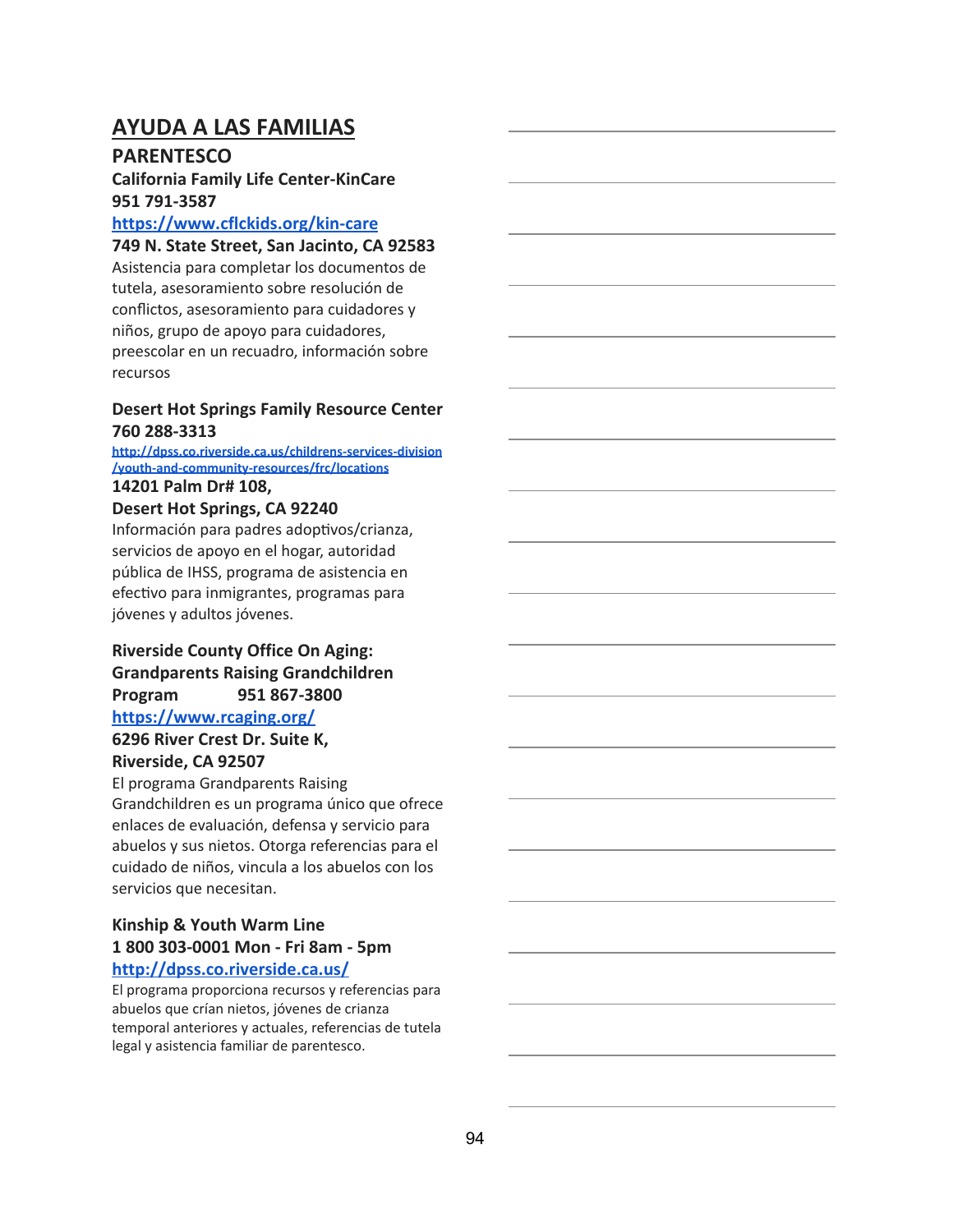## **AYUDA A LAS FAMILIAS**

### **PARENTESCO**

### **California Family Life Center-KinCare 951 791-3587**

#### **<https://www.cflckids.org/kin-care>**

**749 N. State Street, San Jacinto, CA 92583**

Asistencia para completar los documentos de tutela, asesoramiento sobre resolución de conflictos, asesoramiento para cuidadores y niños, grupo de apoyo para cuidadores, preescolar en un recuadro, información sobre recursos

#### **Desert Hot Springs Family Resource Center 760 288-3313**

### **[http://dpss.co.riverside.ca.us/childrens-services-division](http://dpss.co.riverside.ca.us/childrens-services-division/youth-and-community-resources/frc/locations) [/youth-and-community-resources/frc/locations](http://dpss.co.riverside.ca.us/childrens-services-division/youth-and-community-resources/frc/locations)**

#### **14201 Palm Dr# 108,**

### **Desert Hot Springs, CA 92240**

Información para padres adoptivos/crianza, servicios de apoyo en el hogar, autoridad pública de IHSS, programa de asistencia en efectivo para inmigrantes, programas para jóvenes y adultos jóvenes.

### **Riverside County Office On Aging: Grandparents Raising Grandchildren Program 951 867-3800 <https://www.rcaging.org/>**

# **6296 River Crest Dr. Suite K,**

## **Riverside, CA 92507**

El programa Grandparents Raising Grandchildren es un programa único que ofrece enlaces de evaluación, defensa y servicio para abuelos y sus nietos. Otorga referencias para el cuidado de niños, vincula a los abuelos con los servicios que necesitan.

#### **Kinship & Youth Warm Line 1 800 303-0001 Mon - Fri 8am - 5pm <http://dpss.co.riverside.ca.us/>**

El programa proporciona recursos y referencias para abuelos que crían nietos, jóvenes de crianza temporal anteriores y actuales, referencias de tutela legal y asistencia familiar de parentesco.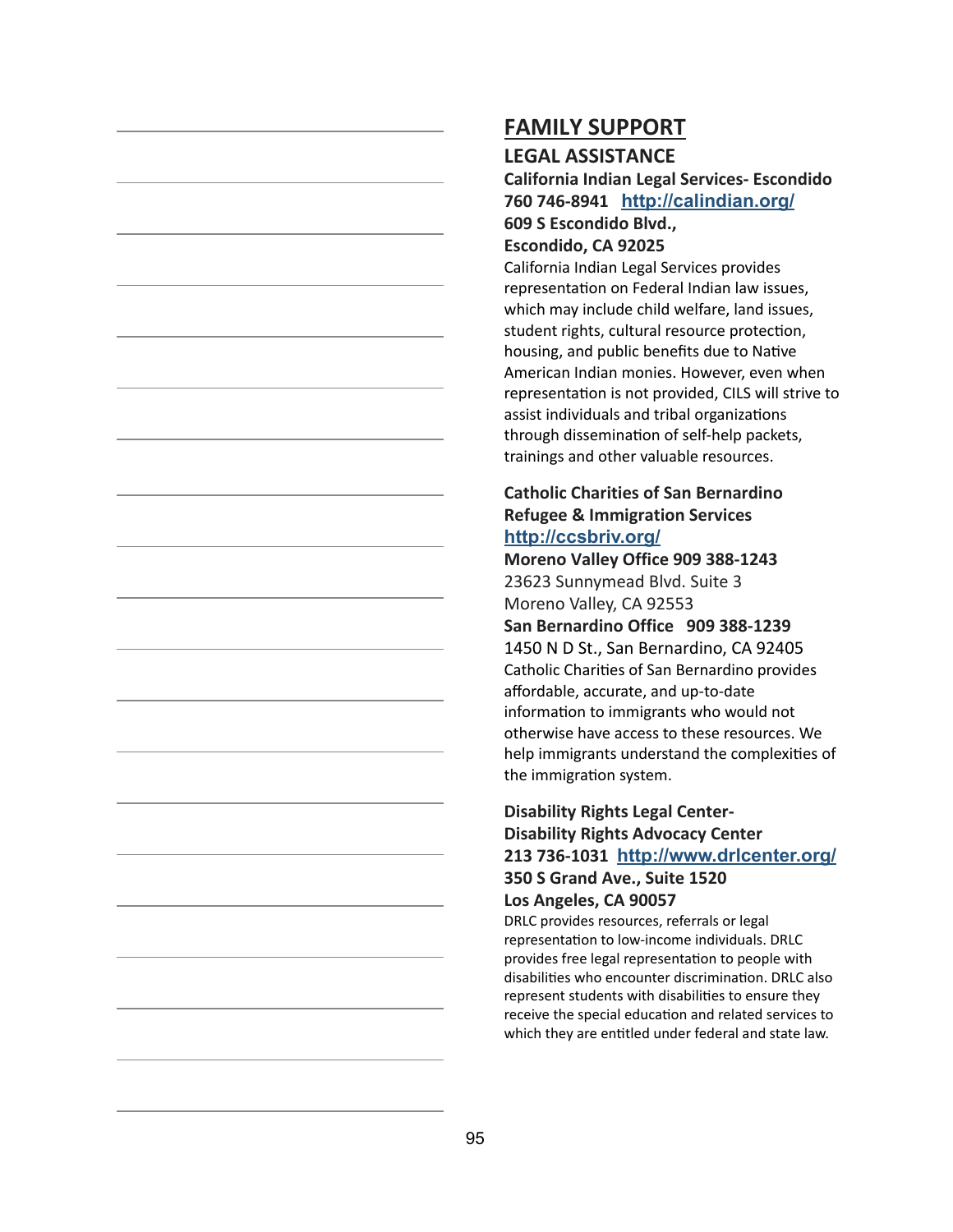#### **LEGAL ASSISTANCE**

**California Indian Legal Services- Escondido 760 746-8941 <http://calindian.org/> 609 S Escondido Blvd.,**

### **Escondido, CA 92025**

California Indian Legal Services provides representation on Federal Indian law issues, which may include child welfare, land issues, student rights, cultural resource protection, housing, and public benefits due to Native American Indian monies. However, even when representation is not provided, CILS will strive to assist individuals and tribal organizations through dissemination of self-help packets, trainings and other valuable resources.

#### **Catholic Charities of San Bernardino Refugee & Immigration Services <http://ccsbriv.org/>**

**Moreno Valley Office 909 388-1243** 23623 Sunnymead Blvd. Suite 3 Moreno Valley, CA 92553 **San Bernardino Office 909 388-1239** 1450 N D St., San Bernardino, CA 92405 Catholic Charities of San Bernardino provides affordable, accurate, and up-to-date information to immigrants who would not otherwise have access to these resources. We help immigrants understand the complexities of the immigration system.

#### **Disability Rights Legal Center-Disability Rights Advocacy Center 213 736-1031 <http://www.drlcenter.org/> 350 S Grand Ave., Suite 1520 Los Angeles, CA 90057**

DRLC provides resources, referrals or legal representation to low-income individuals. DRLC provides free legal representation to people with disabilities who encounter discrimination. DRLC also represent students with disabilities to ensure they receive the special education and related services to which they are entitled under federal and state law.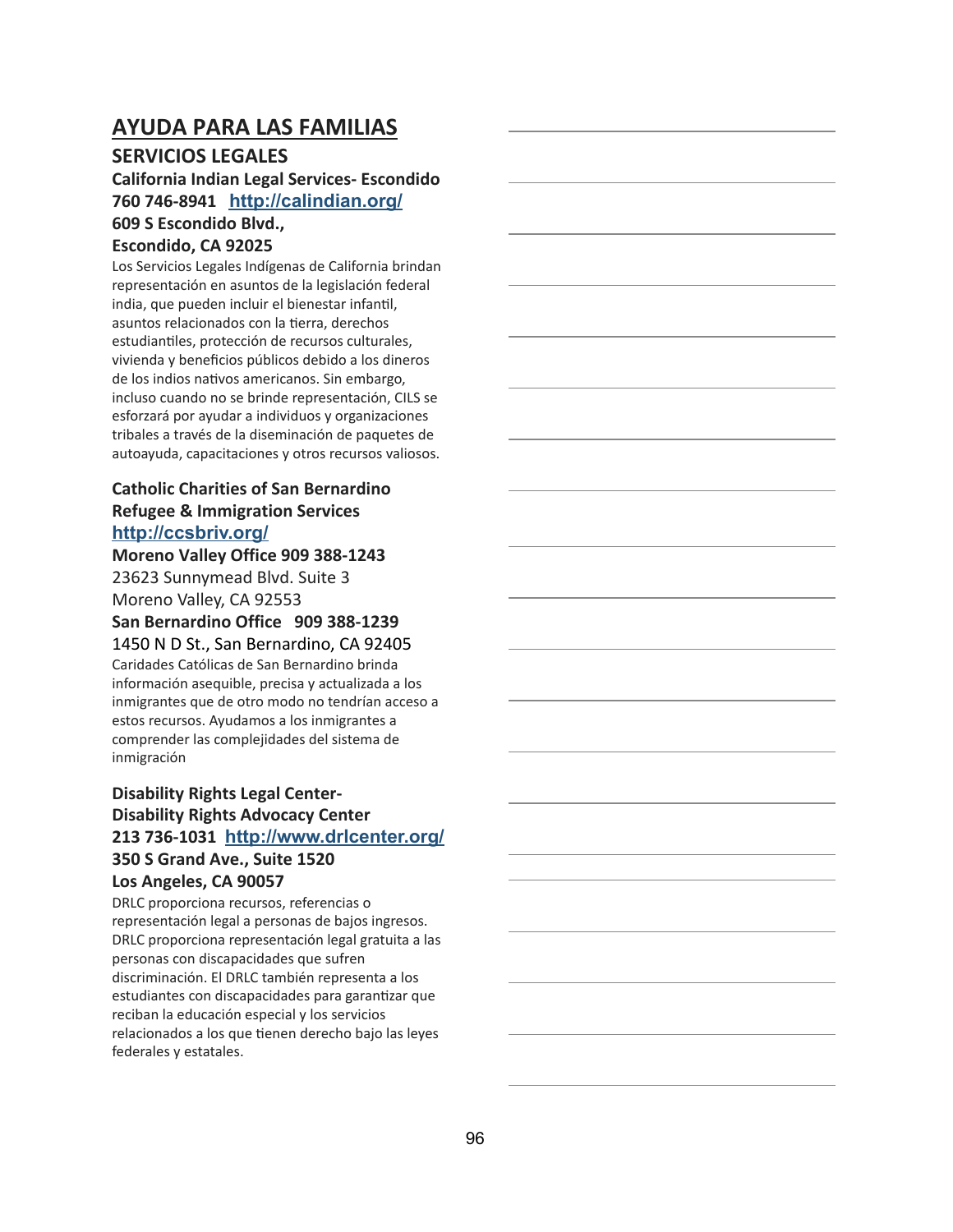## **AYUDA PARA LAS FAMILIAS**

### **SERVICIOS LEGALES**

#### **California Indian Legal Services- Escondido 760 746-8941 <http://calindian.org/> 609 S Escondido Blvd., Escondido, CA 92025**

Los Servicios Legales Indígenas de California brindan representación en asuntos de la legislación federal india, que pueden incluir el bienestar infantil, asuntos relacionados con la tierra, derechos estudiantiles, protección de recursos culturales, vivienda y beneficios públicos debido a los dineros de los indios nativos americanos. Sin embargo, incluso cuando no se brinde representación, CILS se esforzará por ayudar a individuos y organizaciones tribales a través de la diseminación de paquetes de autoayuda, capacitaciones y otros recursos valiosos.

### **Catholic Charities of San Bernardino Refugee & Immigration Services <http://ccsbriv.org/>**

**Moreno Valley Office 909 388-1243** 23623 Sunnymead Blvd. Suite 3 Moreno Valley, CA 92553 **San Bernardino Office 909 388-1239** 1450 N D St., San Bernardino, CA 92405 Caridades Católicas de San Bernardino brinda información asequible, precisa y actualizada a los inmigrantes que de otro modo no tendrían acceso a estos recursos. Ayudamos a los inmigrantes a comprender las complejidades del sistema de inmigración

### **Disability Rights Legal Center-Disability Rights Advocacy Center 213 736-1031 <http://www.drlcenter.org/> 350 S Grand Ave., Suite 1520 Los Angeles, CA 90057**

DRLC proporciona recursos, referencias o representación legal a personas de bajos ingresos. DRLC proporciona representación legal gratuita a las personas con discapacidades que sufren discriminación. El DRLC también representa a los estudiantes con discapacidades para garantizar que reciban la educación especial y los servicios relacionados a los que tienen derecho bajo las leyes federales y estatales.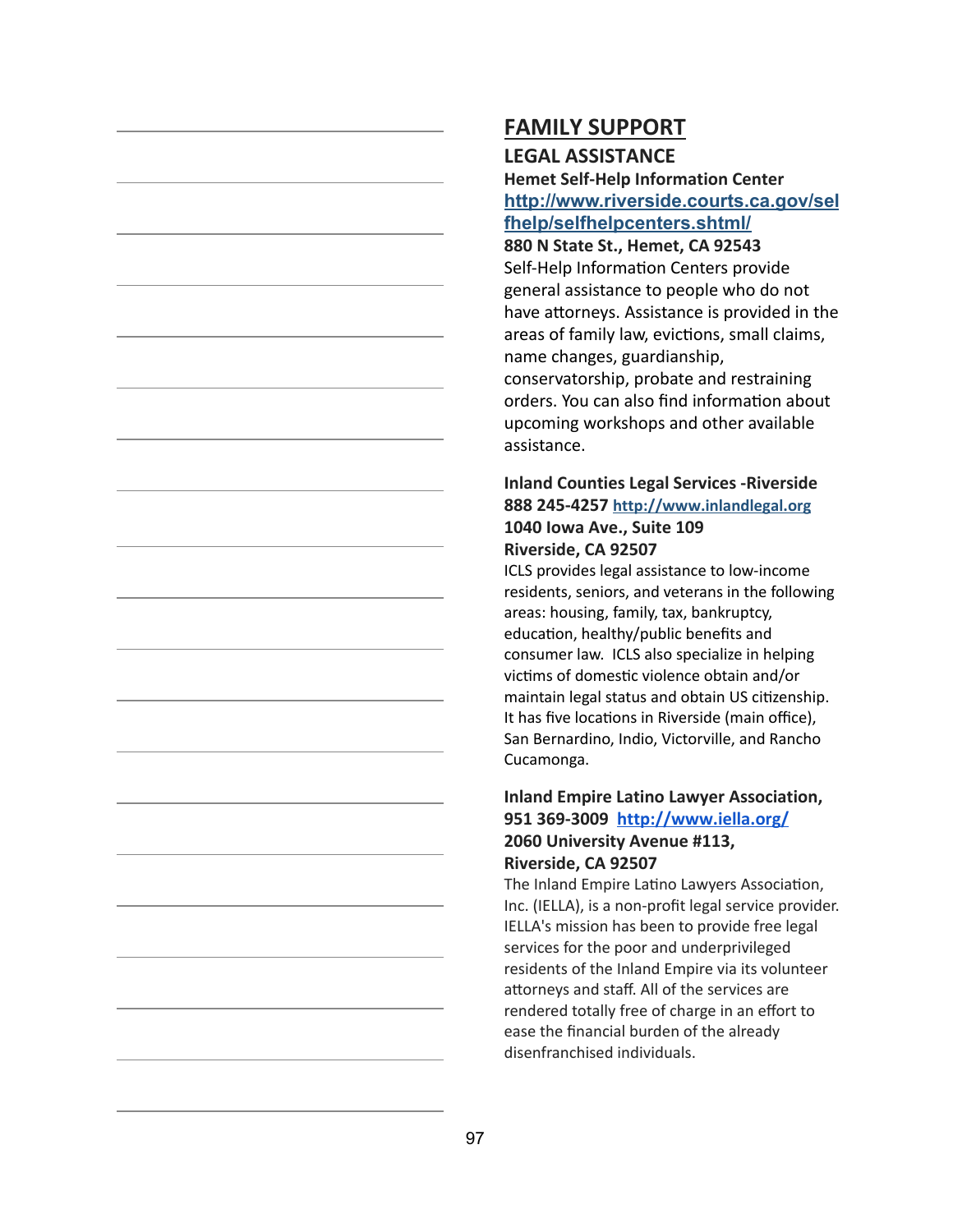### **LEGAL ASSISTANCE**

**Hemet Self-Help Information Center [http://www.riverside.courts.ca.gov/sel](http://www.riverside.courts.ca.gov/selfhelp/selfhelpcenters.shtml/) [fhelp/selfhelpcenters.shtml/](http://www.riverside.courts.ca.gov/selfhelp/selfhelpcenters.shtml/)**

**880 N State St., Hemet, CA 92543** Self-Help Information Centers provide general assistance to people who do not have attorneys. Assistance is provided in the areas of family law, evictions, small claims, name changes, guardianship, conservatorship, probate and restraining orders. You can also find information about upcoming workshops and other available assistance.

#### **Inland Counties Legal Services -Riverside 888 245-4257 [http://www.inlandlegal.org](http://www.inlandlegal.org/) 1040 Iowa Ave., Suite 109 Riverside, CA 92507**

ICLS provides legal assistance to low-income residents, seniors, and veterans in the following areas: housing, family, tax, bankruptcy, education, healthy/public benefits and consumer law. ICLS also specialize in helping victims of domestic violence obtain and/or maintain legal status and obtain US citizenship. It has five locations in Riverside (main office), San Bernardino, Indio, Victorville, and Rancho Cucamonga.

### **Inland Empire Latino Lawyer Association, 951 369-3009 <http://www.iella.org/> 2060 University Avenue #113, Riverside, CA 92507**

The Inland Empire Latino Lawyers Association, Inc. (IELLA), is a non-profit legal service provider. IELLA's mission has been to provide free legal services for the poor and underprivileged residents of the Inland Empire via its volunteer attorneys and staff. All of the services are rendered totally free of charge in an effort to ease the financial burden of the already disenfranchised individuals.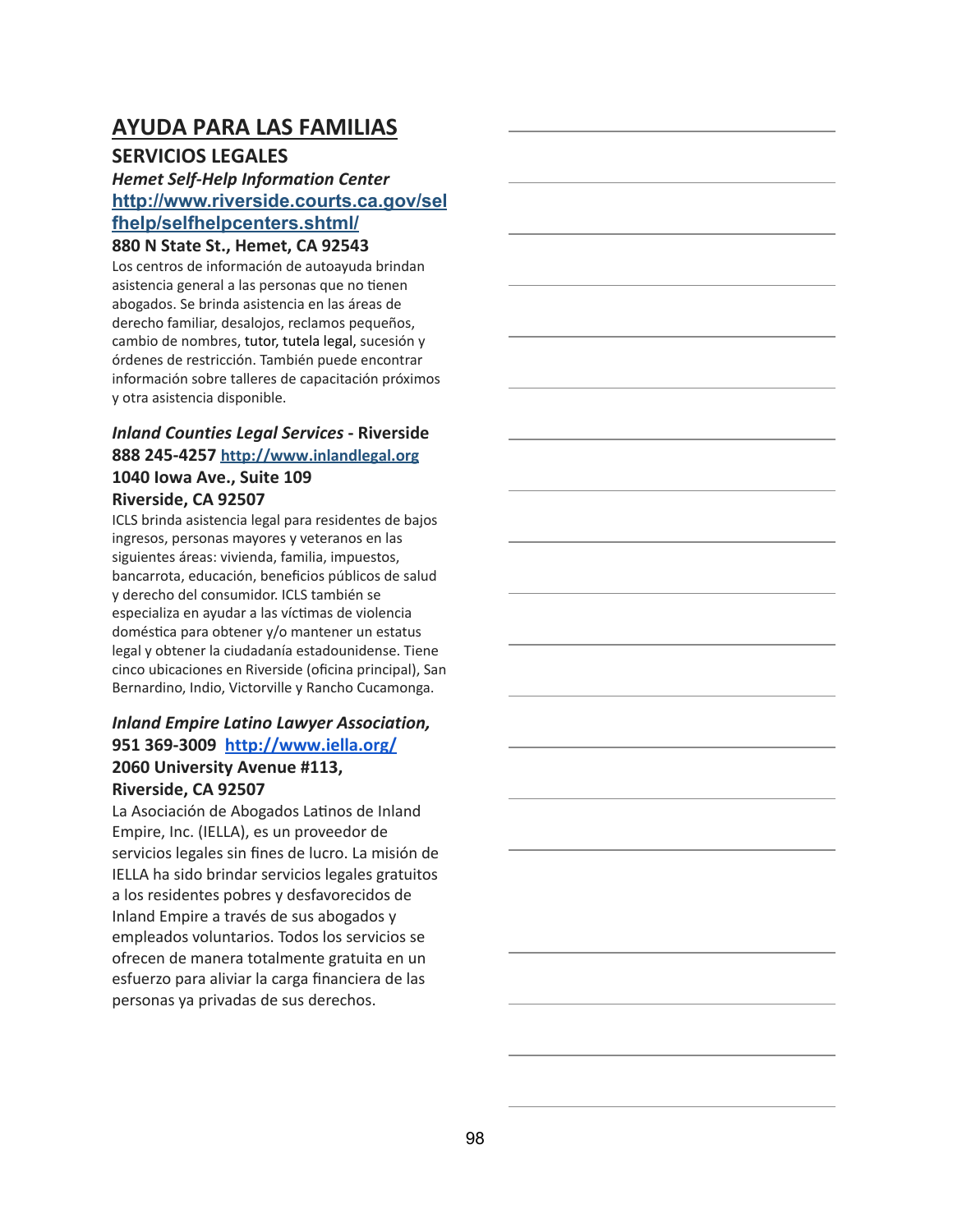## **AYUDA PARA LAS FAMILIAS**

### **SERVICIOS LEGALES**

### *Hemet Self-Help Information Center* **[http://www.riverside.courts.ca.gov/sel](http://www.riverside.courts.ca.gov/selfhelp/selfhelpcenters.shtml/) [fhelp/selfhelpcenters.shtml/](http://www.riverside.courts.ca.gov/selfhelp/selfhelpcenters.shtml/)**

#### **880 N State St., Hemet, CA 92543**

Los centros de información de autoayuda brindan asistencia general a las personas que no tienen abogados. Se brinda asistencia en las áreas de derecho familiar, desalojos, reclamos pequeños, cambio de nombres, tutor, tutela legal, sucesión y órdenes de restricción. También puede encontrar información sobre talleres de capacitación próximos y otra asistencia disponible.

#### *Inland Counties Legal Services* **- Riverside 888 245-4257 [http://www.inlandlegal.org](http://www.inlandlegal.org/) 1040 Iowa Ave., Suite 109 Riverside, CA 92507**

ICLS brinda asistencia legal para residentes de bajos ingresos, personas mayores y veteranos en las siguientes áreas: vivienda, familia, impuestos, bancarrota, educación, beneficios públicos de salud y derecho del consumidor. ICLS también se especializa en ayudar a las víctimas de violencia doméstica para obtener y/o mantener un estatus legal y obtener la ciudadanía estadounidense. Tiene cinco ubicaciones en Riverside (oficina principal), San Bernardino, Indio, Victorville y Rancho Cucamonga.

### *Inland Empire Latino Lawyer Association,* **951 369-3009 <http://www.iella.org/> 2060 University Avenue #113, Riverside, CA 92507**

La Asociación de Abogados Latinos de Inland Empire, Inc. (IELLA), es un proveedor de servicios legales sin fines de lucro. La misión de IELLA ha sido brindar servicios legales gratuitos a los residentes pobres y desfavorecidos de Inland Empire a través de sus abogados y empleados voluntarios. Todos los servicios se ofrecen de manera totalmente gratuita en un esfuerzo para aliviar la carga financiera de las personas ya privadas de sus derechos.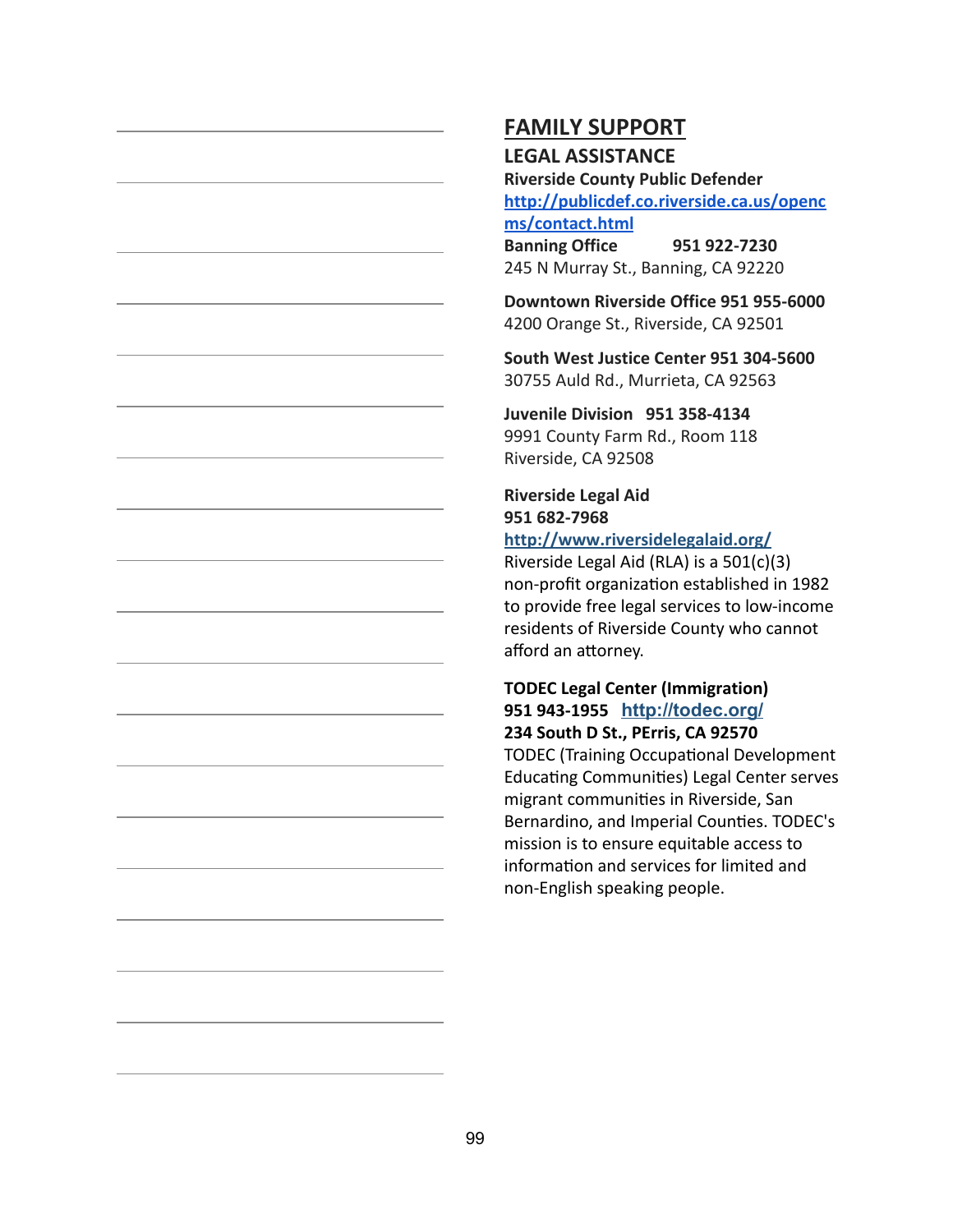#### **LEGAL ASSISTANCE**

**Riverside County Public Defender [http://publicdef.co.riverside.ca.us/openc](http://publicdef.co.riverside.ca.us/opencms/contact.html) [ms/contact.html](http://publicdef.co.riverside.ca.us/opencms/contact.html)**

**Banning Office 951 922-7230** 245 N Murray St., Banning, CA 92220

**Downtown Riverside Office 951 955-6000** 4200 Orange St., Riverside, CA 92501

**South West Justice Center 951 304-5600** 30755 Auld Rd., Murrieta, CA 92563

**Juvenile Division 951 358-4134** 9991 County Farm Rd., Room 118 Riverside, CA 92508

**Riverside Legal Aid 951 682-7968**

### **<http://www.riversidelegalaid.org/>**

Riverside Legal Aid (RLA) is a 501(c)(3) non-profit organization established in 1982 to provide free legal services to low-income residents of Riverside County who cannot afford an attorney.

#### **TODEC Legal Center (Immigration) 951 943-1955 <http://todec.org/> 234 South D St., PErris, CA 92570**

TODEC (Training Occupational Development Educating Communities) Legal Center serves migrant communities in Riverside, San Bernardino, and Imperial Counties. TODEC's mission is to ensure equitable access to information and services for limited and non-English speaking people.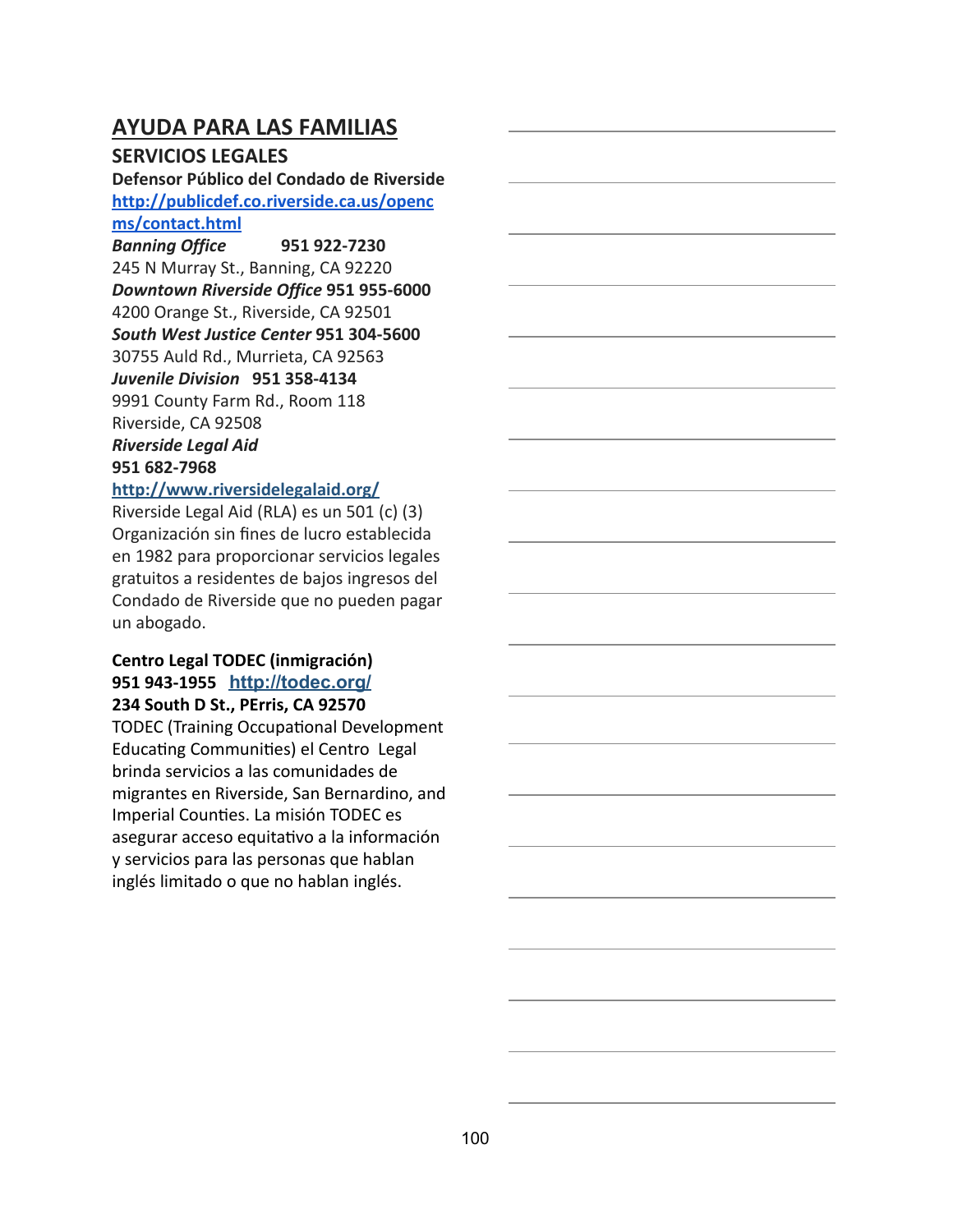## **AYUDA PARA LAS FAMILIAS**

### **SERVICIOS LEGALES**

**Defensor Público del Condado de Riverside [http://publicdef.co.riverside.ca.us/openc](http://publicdef.co.riverside.ca.us/opencms/contact.html) [ms/contact.html](http://publicdef.co.riverside.ca.us/opencms/contact.html)**

*Banning Office* **951 922-7230** 245 N Murray St., Banning, CA 92220 *Downtown Riverside Office* **951 955-6000** 4200 Orange St., Riverside, CA 92501 *South West Justice Center* **951 304-5600** 30755 Auld Rd., Murrieta, CA 92563 *Juvenile Division* **951 358-4134** 9991 County Farm Rd., Room 118 Riverside, CA 92508 *Riverside Legal Aid* **951 682-7968**

### **<http://www.riversidelegalaid.org/>**

Riverside Legal Aid (RLA) es un 501 (c) (3) Organización sin fines de lucro establecida en 1982 para proporcionar servicios legales gratuitos a residentes de bajos ingresos del Condado de Riverside que no pueden pagar un abogado.

#### **Centro Legal TODEC (inmigración) 951 943-1955 <http://todec.org/> 234 South D St., PErris, CA 92570**

TODEC (Training Occupational Development Educating Communities) el Centro Legal brinda servicios a las comunidades de migrantes en Riverside, San Bernardino, and Imperial Counties. La misión TODEC es asegurar acceso equitativo a la información y servicios para las personas que hablan inglés limitado o que no hablan inglés.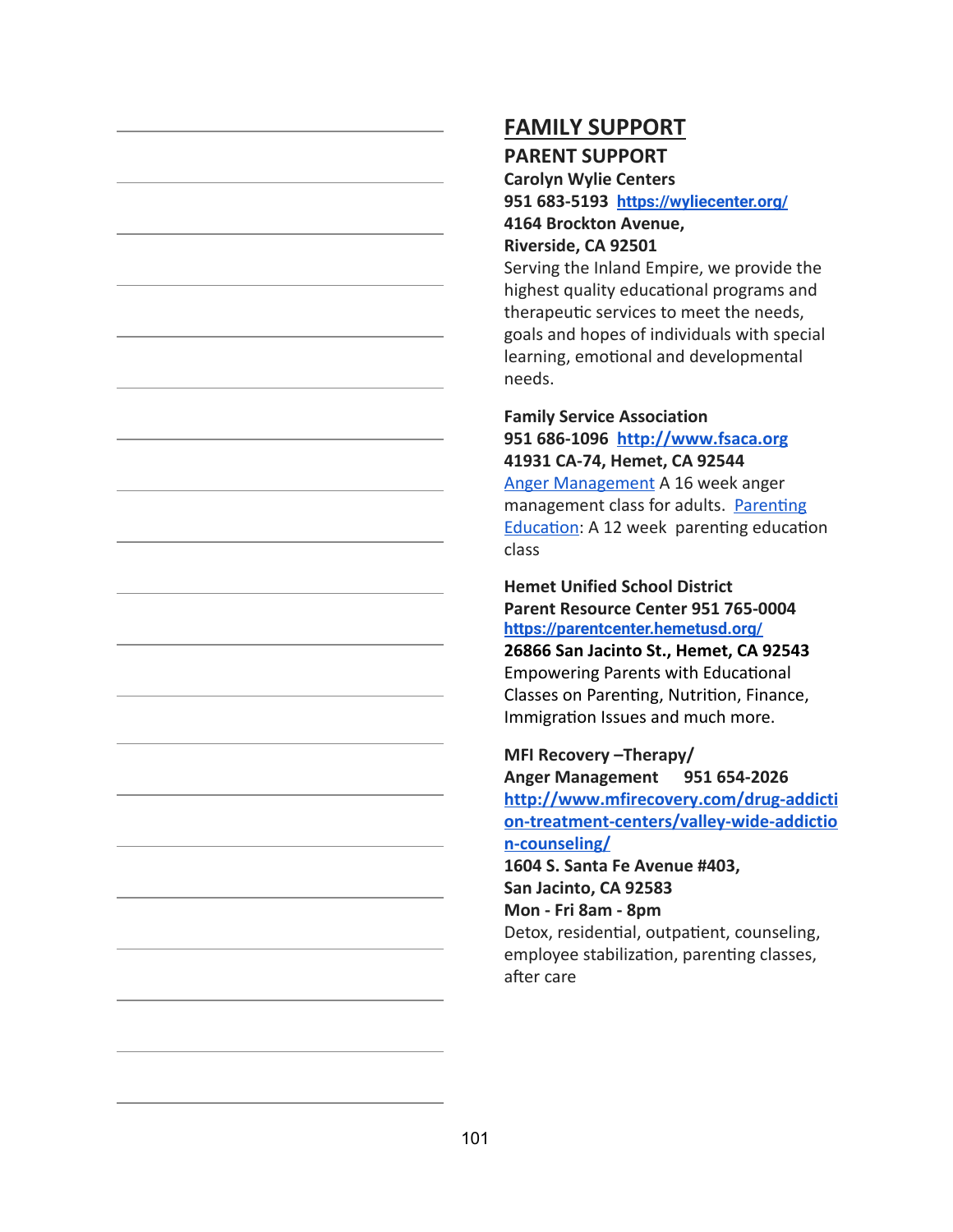## **FAMILY SUPPORT PARENT SUPPORT**

**Carolyn Wylie Centers 951 683-5193 <https://wyliecenter.org/>**

**4164 Brockton Avenue, Riverside, CA 92501**

Serving the Inland Empire, we provide the highest quality educational programs and therapeutic services to meet the needs, goals and hopes of individuals with special learning, emotional and developmental needs.

#### **Family Service Association 951 686-1096 [http://www.fsaca.org](http://www.fsaca.org/)**

**41931 CA-74, Hemet, CA 92544** [Anger Management](http://www.fsaca.org/mental-health) A 16 week anger management class for adults. Parenting Education: A 12 week parenting education class

**Hemet Unified School District Parent Resource Center 951 765-0004 <https://parentcenter.hemetusd.org/>**

**26866 San Jacinto St., Hemet, CA 92543** Empowering Parents with Educational Classes on Parenting, Nutrition, Finance, Immigration Issues and much more.

#### **MFI Recovery –Therapy/**

**Anger Management 951 654-2026 [http://www.mfirecovery.com/drug-addicti](http://www.mfirecovery.com/drug-addiction-treatment-centers/valley-wide-addiction-counseling/) [on-treatment-centers/valley-wide-addictio](http://www.mfirecovery.com/drug-addiction-treatment-centers/valley-wide-addiction-counseling/) [n-counseling/](http://www.mfirecovery.com/drug-addiction-treatment-centers/valley-wide-addiction-counseling/)**

**1604 S. Santa Fe Avenue #403, San Jacinto, CA 92583 Mon - Fri 8am - 8pm**

Detox, residential, outpatient, counseling, employee stabilization, parenting classes, after care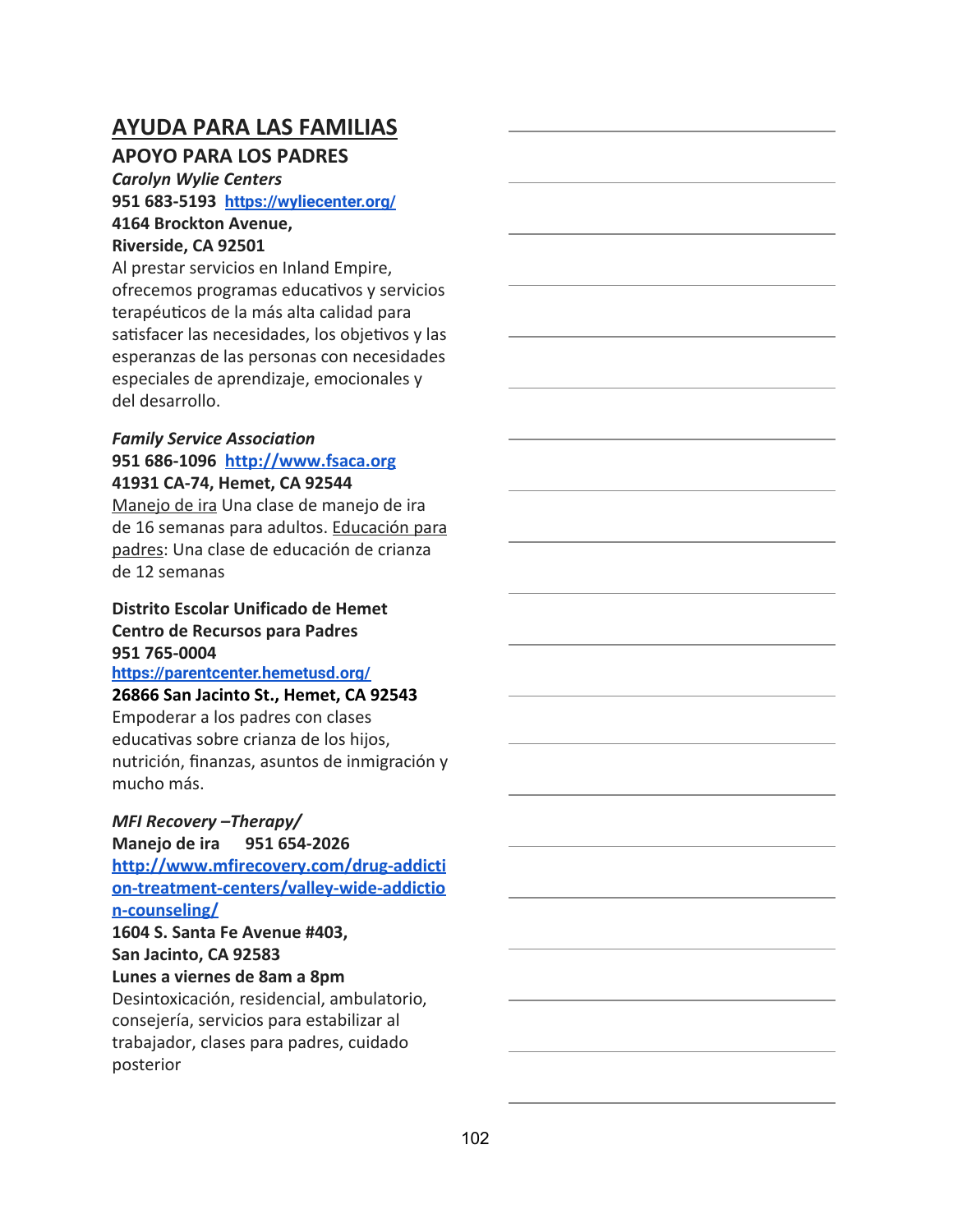## **AYUDA PARA LAS FAMILIAS**

### **APOYO PARA LOS PADRES**

*Carolyn Wylie Centers* **951 683-5193 <https://wyliecenter.org/> 4164 Brockton Avenue, Riverside, CA 92501**

Al prestar servicios en Inland Empire, ofrecemos programas educativos y servicios terapéuticos de la más alta calidad para satisfacer las necesidades, los objetivos y las esperanzas de las personas con necesidades especiales de aprendizaje, emocionales y del desarrollo.

#### *Family Service Association* **951 686-1096 [http://www.fsaca.org](http://www.fsaca.org/) 41931 CA-74, Hemet, CA 92544**

Manejo de ira Una clase de manejo de ira de 16 semanas para adultos. Educación para padres: Una clase de educación de crianza de 12 semanas

### **Distrito Escolar Unificado de Hemet Centro de Recursos para Padres 951 765-0004**

**<https://parentcenter.hemetusd.org/>**

#### **26866 San Jacinto St., Hemet, CA 92543**

Empoderar a los padres con clases educativas sobre crianza de los hijos, nutrición, finanzas, asuntos de inmigración y mucho más.

#### *MFI Recovery –Therapy/*

**Manejo de ira 951 654-2026**

**[http://www.mfirecovery.com/drug-addicti](http://www.mfirecovery.com/drug-addiction-treatment-centers/valley-wide-addiction-counseling/) [on-treatment-centers/valley-wide-addictio](http://www.mfirecovery.com/drug-addiction-treatment-centers/valley-wide-addiction-counseling/) [n-counseling/](http://www.mfirecovery.com/drug-addiction-treatment-centers/valley-wide-addiction-counseling/) 1604 S. Santa Fe Avenue #403, San Jacinto, CA 92583**

### **Lunes a viernes de 8am a 8pm**

Desintoxicación, residencial, ambulatorio, consejería, servicios para estabilizar al trabajador, clases para padres, cuidado posterior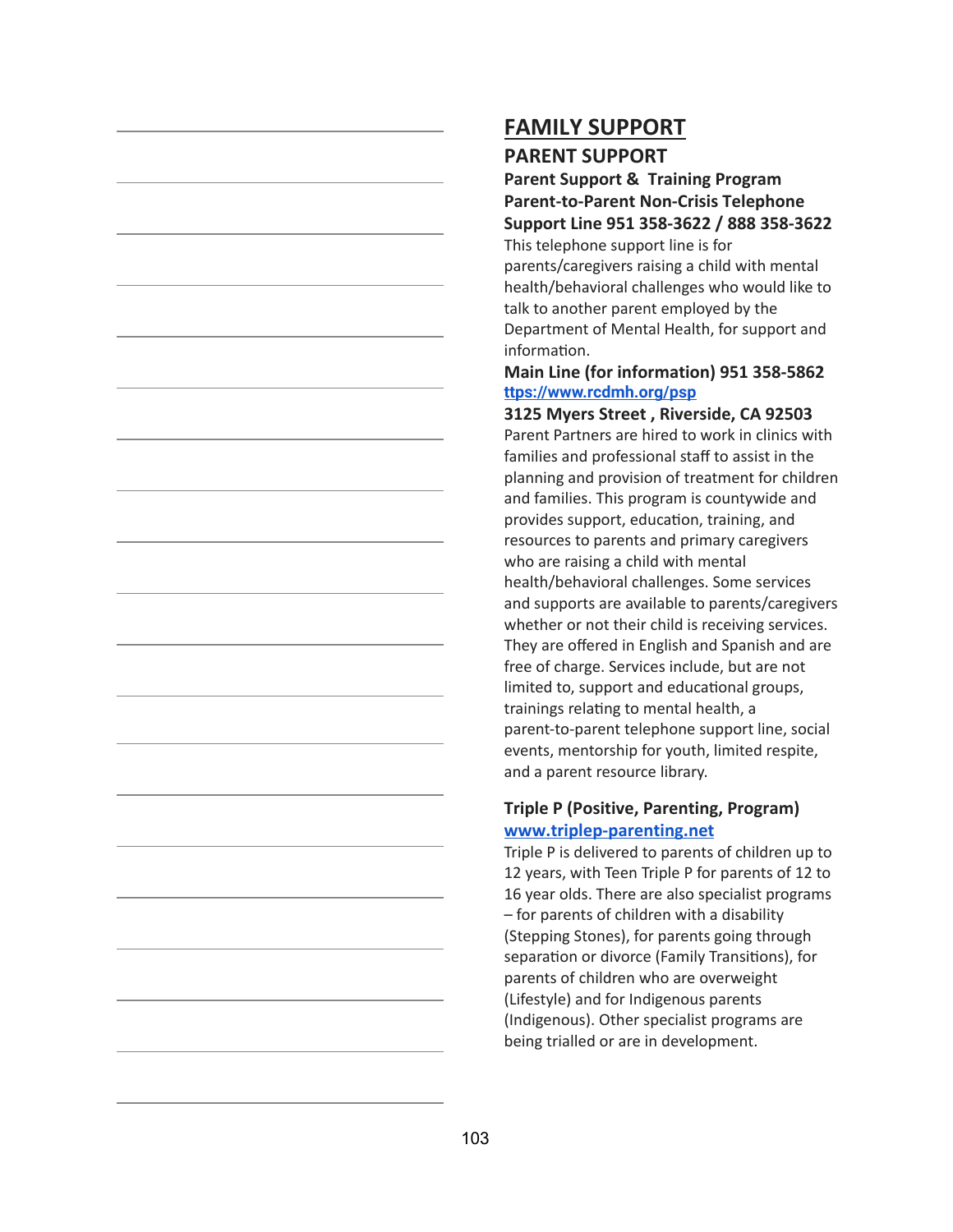## **FAMILY SUPPORT PARENT SUPPORT**

### **Parent Support & Training Program Parent-to-Parent Non-Crisis Telephone Support Line 951 358-3622 / 888 358-3622**

This telephone support line is for parents/caregivers raising a child with mental health/behavioral challenges who would like to talk to another parent employed by the Department of Mental Health, for support and information.

#### **Main Line (for information) 951 358-5862 [ttps://www.rcdmh.org/psp](https://www.rcdmh.org/psp)**

**3125 Myers Street , Riverside, CA 92503** Parent Partners are hired to work in clinics with families and professional staff to assist in the planning and provision of treatment for children and families. This program is countywide and provides support, education, training, and resources to parents and primary caregivers who are raising a child with mental health/behavioral challenges. Some services and supports are available to parents/caregivers whether or not their child is receiving services. They are offered in English and Spanish and are free of charge. Services include, but are not limited to, support and educational groups, trainings relating to mental health, a parent-to-parent telephone support line, social events, mentorship for youth, limited respite, and a parent resource library.

#### **Triple P (Positive, Parenting, Program) [www.triplep-parenting.net](http://www.triplep-parenting.net/)**

Triple P is delivered to parents of children up to 12 years, with Teen Triple P for parents of 12 to 16 year olds. There are also specialist programs – for parents of children with a disability (Stepping Stones), for parents going through separation or divorce (Family Transitions), for parents of children who are overweight (Lifestyle) and for Indigenous parents (Indigenous). Other specialist programs are being trialled or are in development.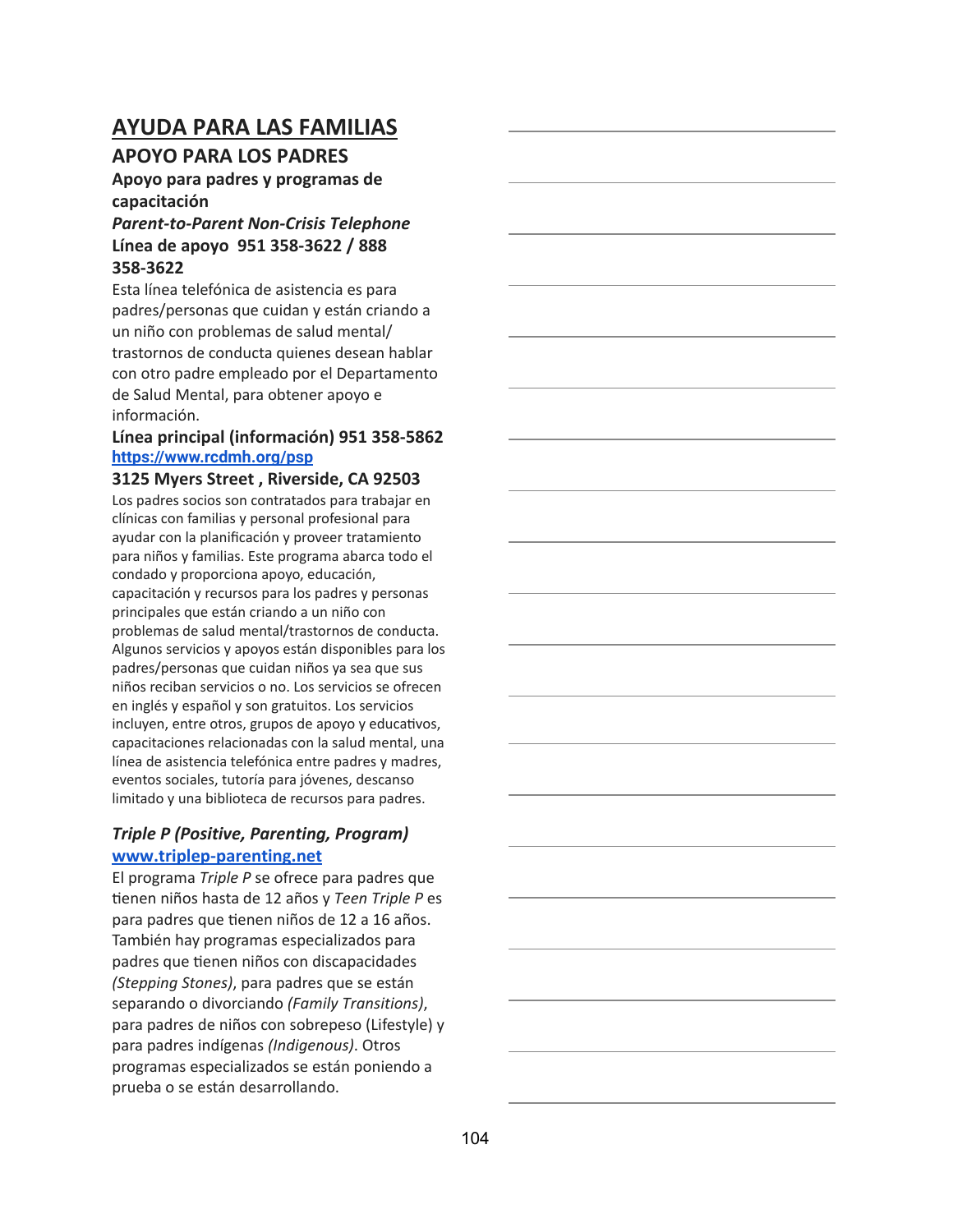## **AYUDA PARA LAS FAMILIAS**

### **APOYO PARA LOS PADRES**

### **Apoyo para padres y programas de capacitación**

#### *Parent-to-Parent Non-Crisis Telephone* **Línea de apoyo 951 358-3622 / 888 358-3622**

Esta línea telefónica de asistencia es para padres/personas que cuidan y están criando a un niño con problemas de salud mental/ trastornos de conducta quienes desean hablar con otro padre empleado por el Departamento de Salud Mental, para obtener apoyo e información.

#### **Línea principal (información) 951 358-5862 <https://www.rcdmh.org/psp>**

#### **3125 Myers Street , Riverside, CA 92503**

Los padres socios son contratados para trabajar en clínicas con familias y personal profesional para ayudar con la planificación y proveer tratamiento para niños y familias. Este programa abarca todo el condado y proporciona apoyo, educación, capacitación y recursos para los padres y personas principales que están criando a un niño con problemas de salud mental/trastornos de conducta. Algunos servicios y apoyos están disponibles para los padres/personas que cuidan niños ya sea que sus niños reciban servicios o no. Los servicios se ofrecen en inglés y español y son gratuitos. Los servicios incluyen, entre otros, grupos de apoyo y educativos, capacitaciones relacionadas con la salud mental, una línea de asistencia telefónica entre padres y madres, eventos sociales, tutoría para jóvenes, descanso limitado y una biblioteca de recursos para padres.

#### *Triple P (Positive, Parenting, Program)* **[www.triplep-parenting.net](http://www.triplep-parenting.net/)**

El programa *Triple P* se ofrece para padres que enen niños hasta de 12 años y *Teen Triple P* es para padres que tienen niños de 12 a 16 años. También hay programas especializados para padres que tienen niños con discapacidades *(Stepping Stones)*, para padres que se están separando o divorciando *(Family Transitions)*, para padres de niños con sobrepeso (Lifestyle) y para padres indígenas *(Indigenous)*. Otros programas especializados se están poniendo a prueba o se están desarrollando.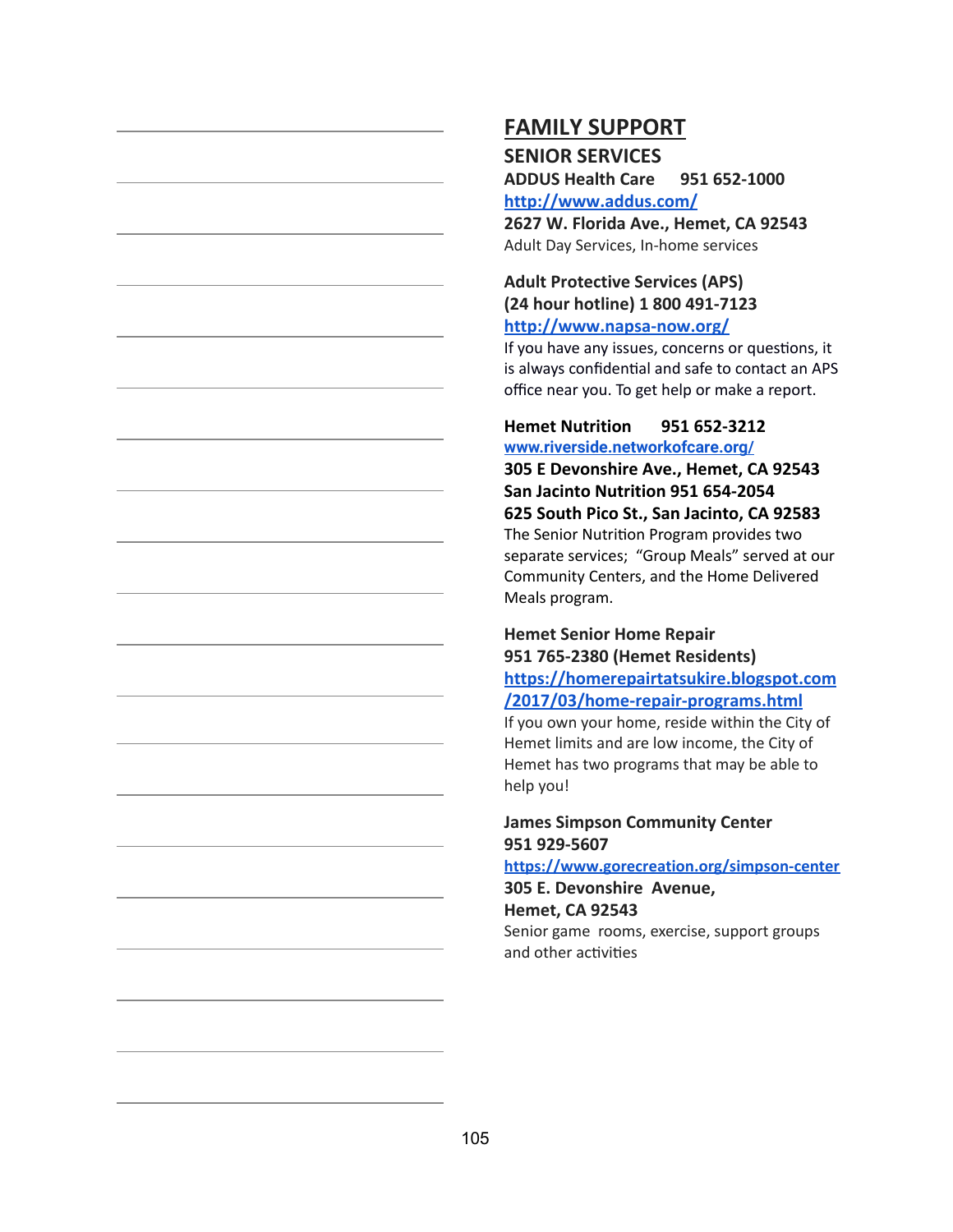## **FAMILY SUPPORT SENIOR SERVICES**

**ADDUS Health Care 951 652-1000 <http://www.addus.com/>**

**2627 W. Florida Ave., Hemet, CA 92543** Adult Day Services, In-home services

#### **Adult Protective Services (APS) (24 hour hotline) 1 800 491-7123 <http://www.napsa-now.org/>**

If you have any issues, concerns or questions, it is always confidential and safe to contact an APS office near you. To get help or make a report.

#### **Hemet Nutrition 951 652-3212 [www.riverside.networkofcare.org/](http://www.riverside.networkofcare.org/)**

**305 E Devonshire Ave., Hemet, CA 92543 San Jacinto Nutrition 951 654-2054 625 South Pico St., San Jacinto, CA 92583** The Senior Nutrition Program provides two separate services; "Group Meals" served at our Community Centers, and the Home Delivered Meals program.

### **Hemet Senior Home Repair 951 765-2380 (Hemet Residents) [https://homerepairtatsukire.blogspot.com](https://homerepairtatsukire.blogspot.com/2017/03/home-repair-programs.html) [/2017/03/home-repair-programs.html](https://homerepairtatsukire.blogspot.com/2017/03/home-repair-programs.html)**

If you own your home, reside within the City of Hemet limits and are low income, the City of Hemet has two programs that may be able to help you!

#### **James Simpson Community Center 951 929-5607**

**<https://www.gorecreation.org/simpson-center>**

**305 E. Devonshire Avenue, Hemet, CA 92543**

Senior game rooms, exercise, support groups and other activities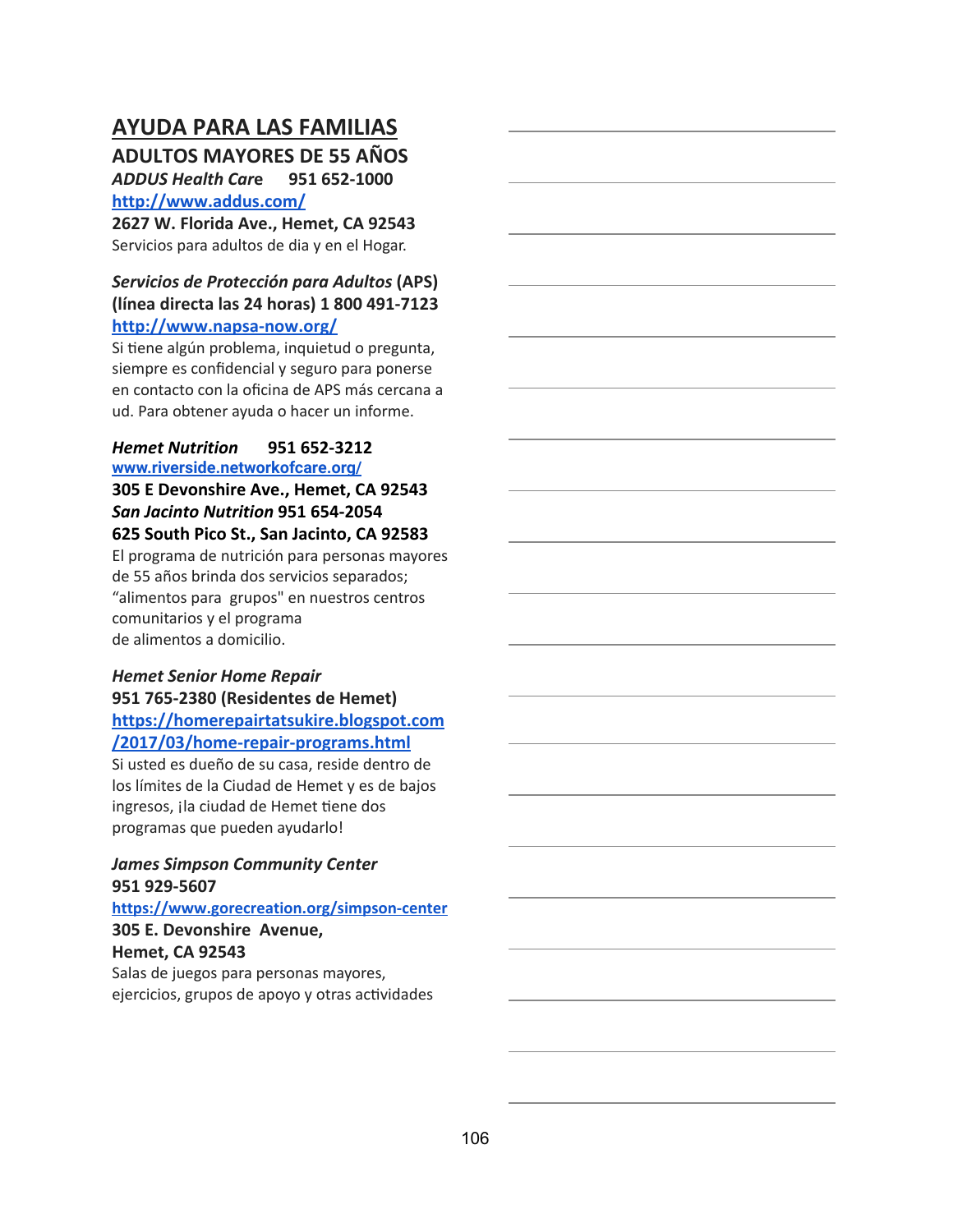## **AYUDA PARA LAS FAMILIAS**

**ADULTOS MAYORES DE 55 AÑOS**

*ADDUS Health Car* **e 951 652-1000 <http://www.addus.com/>**

**2627 W. Florida Ave., Hemet, CA 92543** Servicios para adultos de dia y en el Hogar.

### *Servicios de Protección para Adultos* **(APS) (línea directa las 24 horas) 1 800 491-7123 <http://www.napsa-now.org/>**

Si tiene algún problema, inquietud o pregunta, siempre es confidencial y seguro para ponerse en contacto con la oficina de APS más cercana a ud. Para obtener ayuda o hacer un informe.

#### *Hemet Nutrition* **951 652-3212 [www.riverside.networkofcare.org/](http://www.riverside.networkofcare.org/)**

**305 E Devonshire Ave., Hemet, CA 92543** *San Jacinto Nutrition* **951 654-2054 625 South Pico St., San Jacinto, CA 92583** El programa de nutrición para personas mayores de 55 años brinda dos servicios separados; "alimentos para grupos" en nuestros centros comunitarios y el programa

de alimentos a domicilio.

### *Hemet Senior Home Repair* **951 765-2380 (Residentes de Hemet) [https://homerepairtatsukire.blogspot.com](https://homerepairtatsukire.blogspot.com/2017/03/home-repair-programs.html)**

**[/2017/03/home-repair-programs.html](https://homerepairtatsukire.blogspot.com/2017/03/home-repair-programs.html)**

Si usted es dueño de su casa, reside dentro de los límites de la Ciudad de Hemet y es de bajos ingresos, ¡la ciudad de Hemet tiene dos programas que pueden ayudarlo!

#### *James Simpson Community Center* **951 929-5607**

**<https://www.gorecreation.org/simpson-center> 305 E. Devonshire Avenue, Hemet, CA 92543** Salas de juegos para personas mayores, ejercicios, grupos de apoyo y otras actividades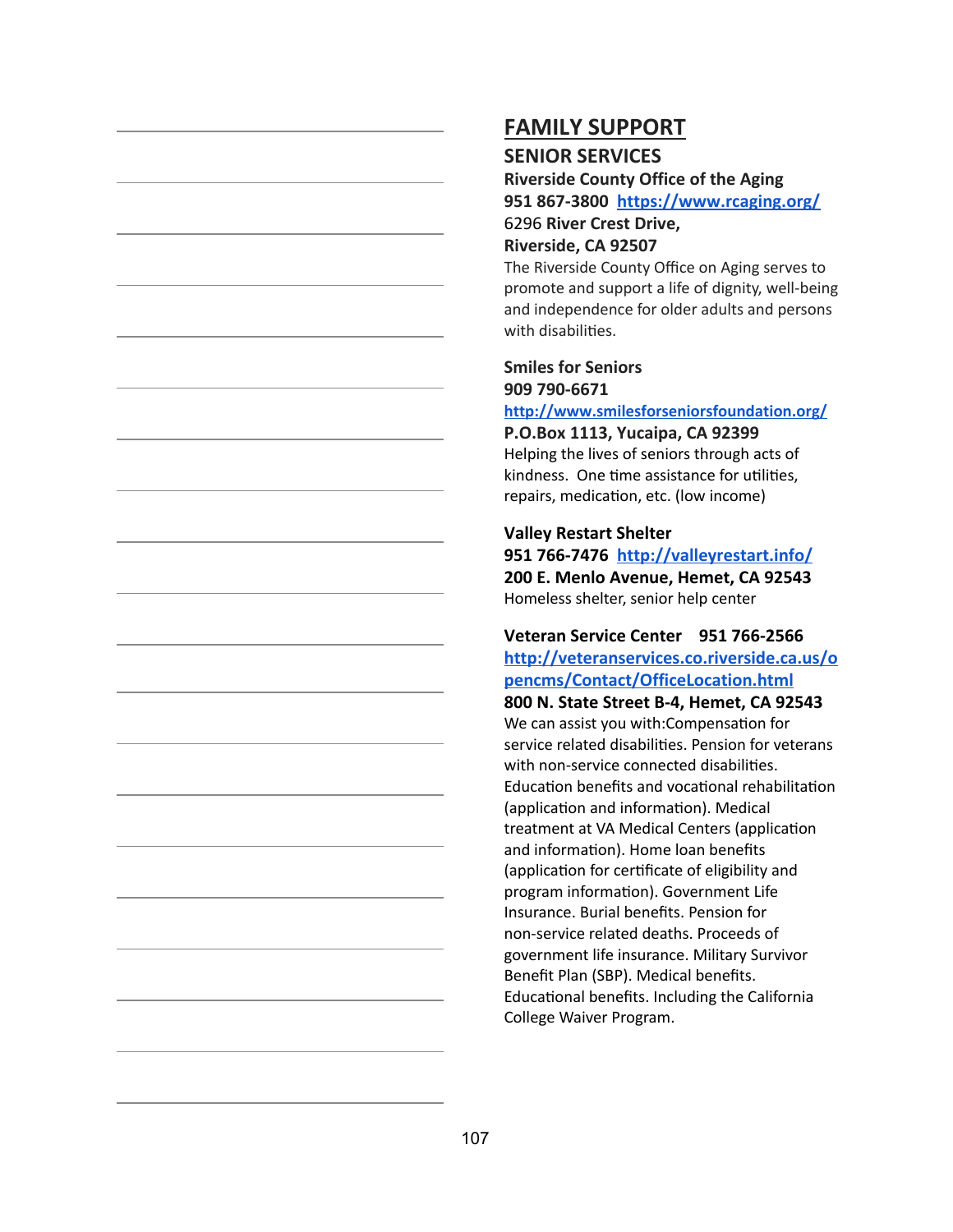### **SENIOR SERVICES**

**Riverside County Office of the Aging 951 867-3800 <https://www.rcaging.org/>** 6296 **River Crest Drive, Riverside, CA 92507**

The Riverside County Office on Aging serves to promote and support a life of dignity, well-being and independence for older adults and persons with disabilities.

### **Smiles for Seniors 909 790-6671**

**<http://www.smilesforseniorsfoundation.org/>**

**P.O.Box 1113, Yucaipa, CA 92399** Helping the lives of seniors through acts of kindness. One time assistance for utilities, repairs, medication, etc. (low income)

### **Valley Restart Shelter**

**951 766-7476 <http://valleyrestart.info/> 200 E. Menlo Avenue, Hemet, CA 92543** Homeless shelter, senior help center

### **Veteran Service Center 951 766-2566 [http://veteranservices.co.riverside.ca.us/o](http://veteranservices.co.riverside.ca.us/opencms/Contact/OfficeLocation.html) [pencms/Contact/OfficeLocation.html](http://veteranservices.co.riverside.ca.us/opencms/Contact/OfficeLocation.html)**

**800 N. State Street B-4, Hemet, CA 92543** We can assist you with: Compensation for service related disabilities. Pension for veterans with non-service connected disabilities. Education benefits and vocational rehabilitation (application and information). Medical treatment at VA Medical Centers (application and information). Home loan benefits (application for certificate of eligibility and program information). Government Life Insurance. Burial benefits. Pension for non-service related deaths. Proceeds of government life insurance. Military Survivor Benefit Plan (SBP). Medical benefits. Educational benefits. Including the California College Waiver Program.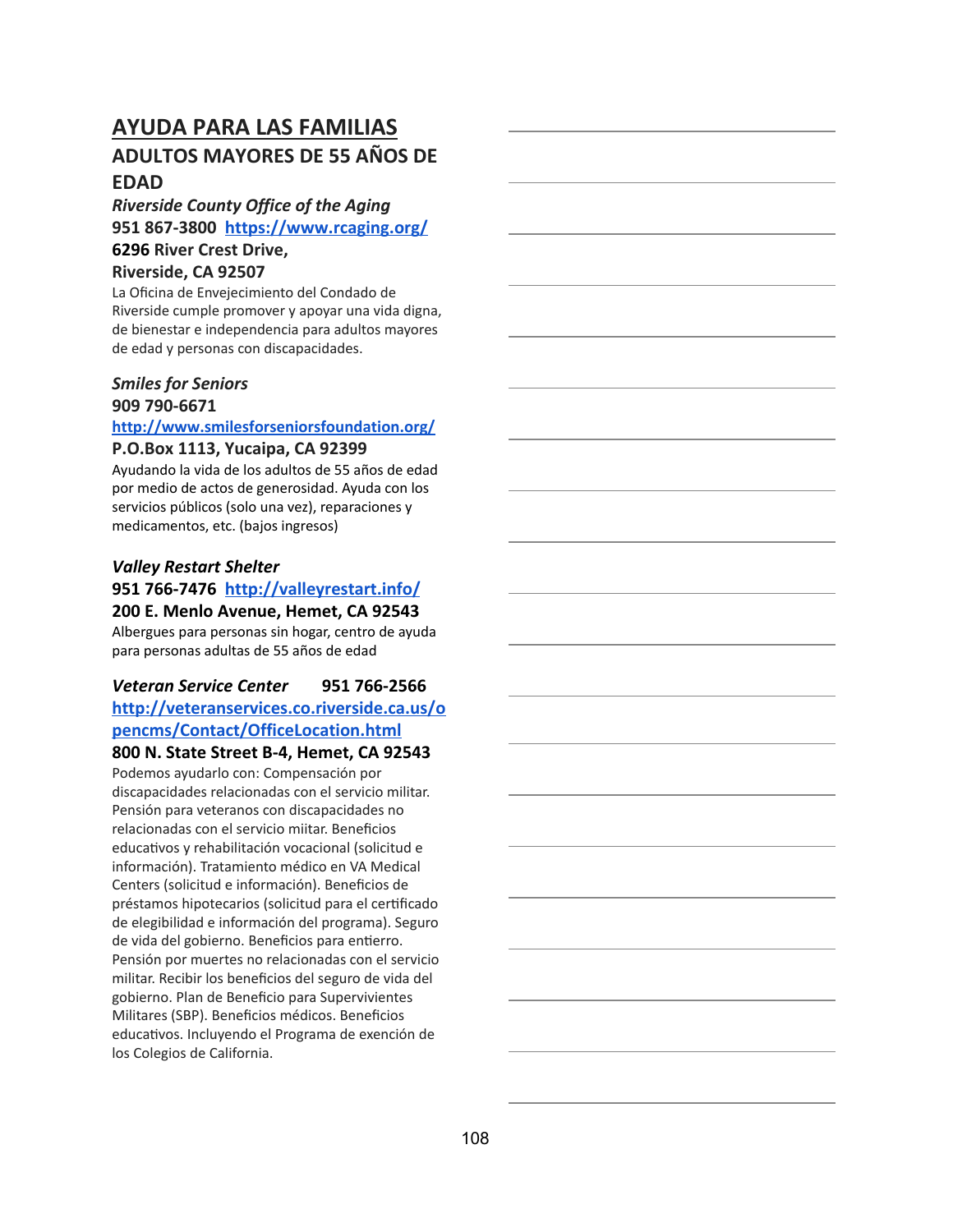# **ADULTOS MAYORES DE 55 AÑOS DE EDAD**

### *Riverside County Office of the Aging* **951 867-3800 <https://www.rcaging.org/> 6296 River Crest Drive,**

#### **Riverside, CA 92507**

La Oficina de Envejecimiento del Condado de Riverside cumple promover y apoyar una vida digna, de bienestar e independencia para adultos mayores de edad y personas con discapacidades.

### *Smiles for Seniors* **909 790-6671**

### **<http://www.smilesforseniorsfoundation.org/>**

### **P.O.Box 1113, Yucaipa, CA 92399**

Ayudando la vida de los adultos de 55 años de edad por medio de actos de generosidad. Ayuda con los servicios públicos (solo una vez), reparaciones y medicamentos, etc. (bajos ingresos)

# *Valley Restart Shelter* **951 766-7476 <http://valleyrestart.info/>**

**200 E. Menlo Avenue, Hemet, CA 92543** Albergues para personas sin hogar, centro de ayuda para personas adultas de 55 años de edad

### *Veteran Service Center* **951 766-2566 [http://veteranservices.co.riverside.ca.us/o](http://veteranservices.co.riverside.ca.us/opencms/Contact/OfficeLocation.html) [pencms/Contact/OfficeLocation.html](http://veteranservices.co.riverside.ca.us/opencms/Contact/OfficeLocation.html) 800 N. State Street B-4, Hemet, CA 92543**

Podemos ayudarlo con: Compensación por discapacidades relacionadas con el servicio militar. Pensión para veteranos con discapacidades no relacionadas con el servicio miitar. Beneficios educativos y rehabilitación vocacional (solicitud e información). Tratamiento médico en VA Medical Centers (solicitud e información). Beneficios de préstamos hipotecarios (solicitud para el cerficado de elegibilidad e información del programa). Seguro de vida del gobierno. Beneficios para entierro. Pensión por muertes no relacionadas con el servicio militar. Recibir los beneficios del seguro de vida del gobierno. Plan de Beneficio para Supervivientes Militares (SBP). Beneficios médicos. Beneficios educativos. Incluyendo el Programa de exención de los Colegios de California.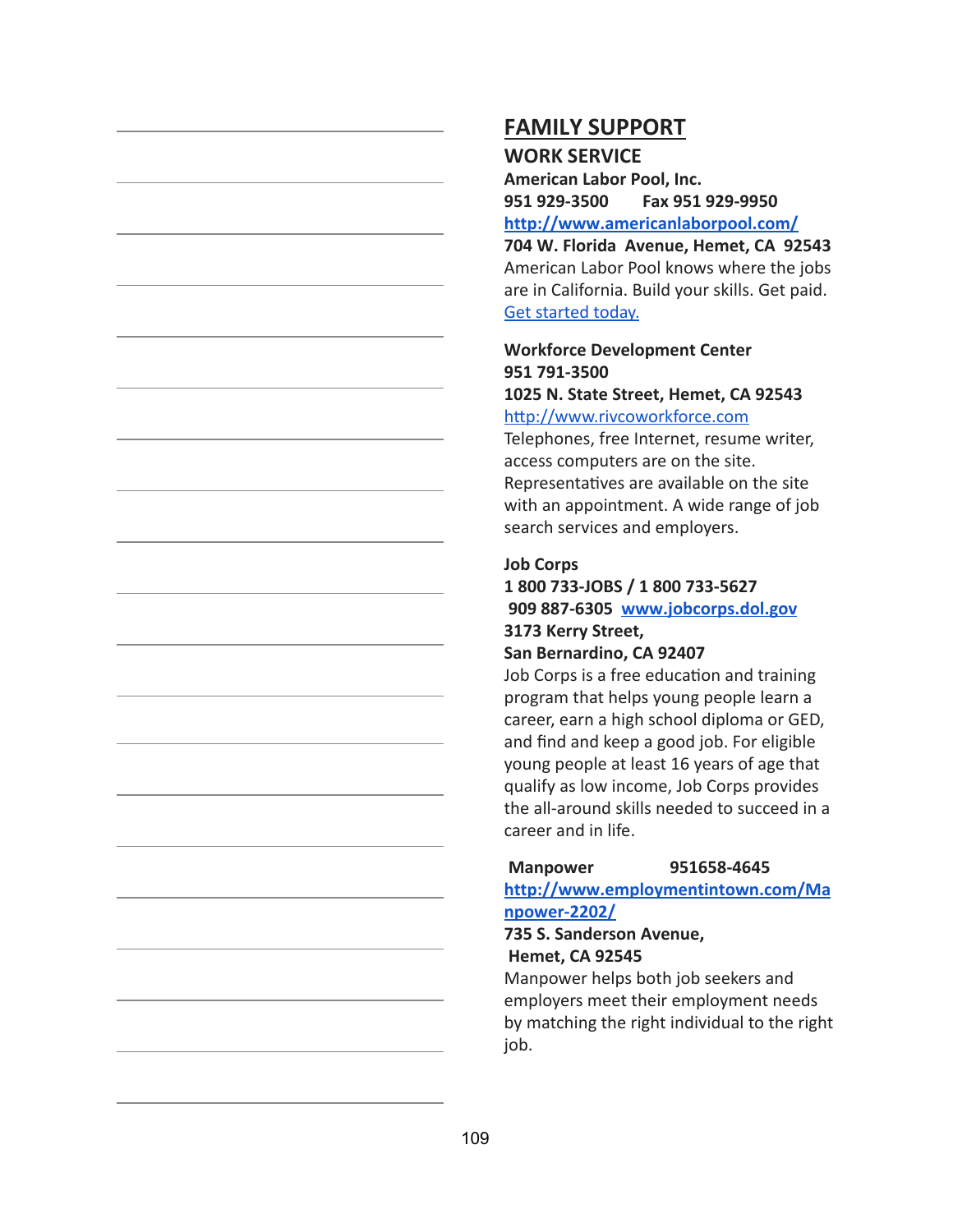## **FAMILY SUPPORT WORK SERVICE**

**American Labor Pool, Inc. 951 929-3500 Fax 951 929-9950 <http://www.americanlaborpool.com/>**

**704 W. Florida Avenue, Hemet, CA 92543** American Labor Pool knows where the jobs are in California. Build your skills. Get paid. [Get started today.](http://www.americanlaborpool.com/candidates/)

# **Workforce Development Center 951 791-3500**

#### **1025 N. State Street, Hemet, CA 92543** http://www.rivcoworkforce.com

Telephones, free Internet, resume writer, access computers are on the site. Representatives are available on the site with an appointment. A wide range of job search services and employers.

### **Job Corps**

## **1 800 733-JOBS / 1 800 733-5627 909 887-6305 [www.jobcorps.dol.gov](http://www.jobcorps.dol.gov/) 3173 Kerry Street,**

### **San Bernardino, CA 92407**

Job Corps is a free education and training program that helps young people learn a career, earn a high school diploma or GED, and find and keep a good job. For eligible young people at least 16 years of age that qualify as low income, Job Corps provides the all-around skills needed to succeed in a career and in life.

### **Manpower 951658-4645**

**[http://www.employmentintown.com/Ma](http://www.employmentintown.com/Manpower-2202/) [npower-2202/](http://www.employmentintown.com/Manpower-2202/)**

### **735 S. Sanderson Avenue, Hemet, CA 92545**

Manpower helps both job seekers and employers meet their employment needs by matching the right individual to the right job.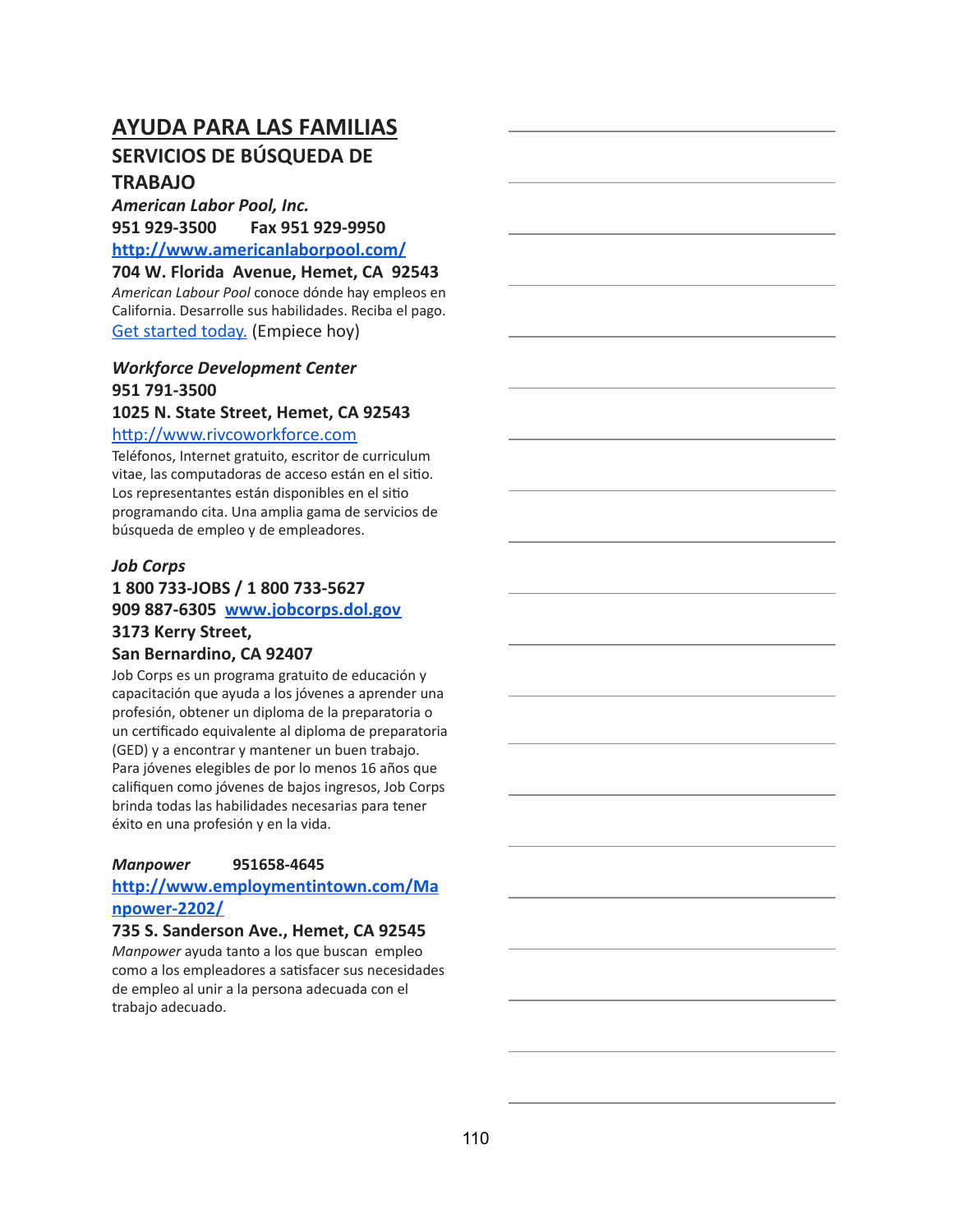# **AYUDA PARA LAS FAMILIAS SERVICIOS DE BÚSQUEDA DE TRABAJO**

*American Labor Pool, Inc.* **951 929-3500 Fax 951 929-9950 <http://www.americanlaborpool.com/>**

**704 W. Florida Avenue, Hemet, CA 92543** *American Labour Pool* conoce dónde hay empleos en California. Desarrolle sus habilidades. Reciba el pago. [Get started today.](http://www.americanlaborpool.com/candidates/) (Empiece hoy)

### *Workforce Development Center* **951 791-3500**

#### **1025 N. State Street, Hemet, CA 92543**

#### http://www.rivcoworkforce.com

Teléfonos, Internet gratuito, escritor de curriculum vitae, las computadoras de acceso están en el sitio. Los representantes están disponibles en el sitio programando cita. Una amplia gama de servicios de búsqueda de empleo y de empleadores.

#### *Job Corps*

# **1 800 733-JOBS / 1 800 733-5627 909 887-6305 [www.jobcorps.dol.gov](http://www.jobcorps.dol.gov/) 3173 Kerry Street,**

#### **San Bernardino, CA 92407**

Job Corps es un programa gratuito de educación y capacitación que ayuda a los jóvenes a aprender una profesión, obtener un diploma de la preparatoria o un cerficado equivalente al diploma de preparatoria (GED) y a encontrar y mantener un buen trabajo. Para jóvenes elegibles de por lo menos 16 años que califiquen como jóvenes de bajos ingresos, Job Corps brinda todas las habilidades necesarias para tener éxito en una profesión y en la vida.

#### *Manpower* **951658-4645**

#### **[http://www.employmentintown.com/Ma](http://www.employmentintown.com/Manpower-2202/) [npower-2202/](http://www.employmentintown.com/Manpower-2202/)**

#### **735 S. Sanderson Ave., Hemet, CA 92545**

*Manpower* ayuda tanto a los que buscan empleo como a los empleadores a satisfacer sus necesidades de empleo al unir a la persona adecuada con el trabajo adecuado.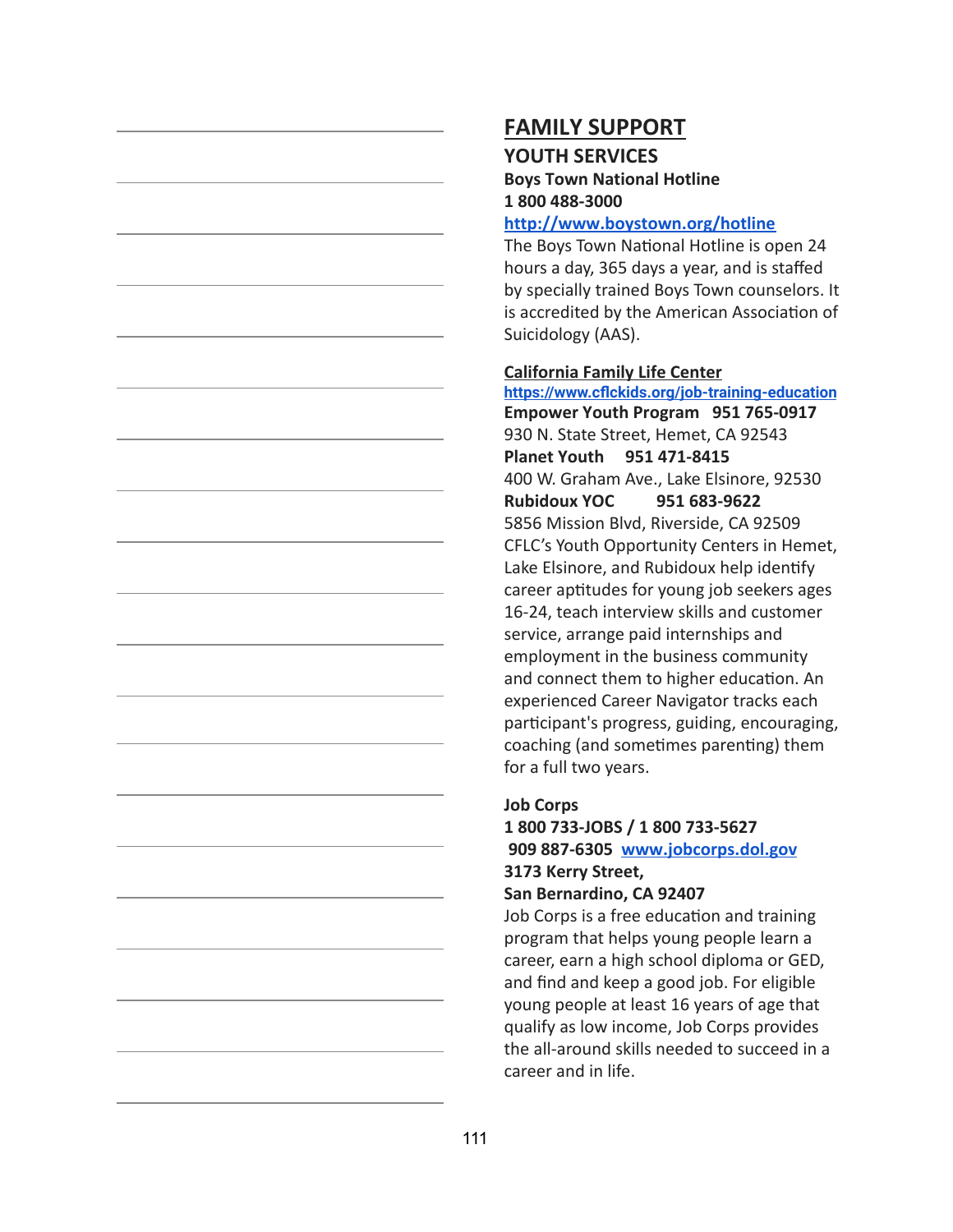# **FAMILY SUPPORT YOUTH SERVICES**

### **Boys Town National Hotline 1 800 488-3000**

#### **<http://www.boystown.org/hotline>**

The Boys Town National Hotline is open 24 hours a day, 365 days a year, and is staffed by specially trained Boys Town counselors. It is accredited by the American Association of Suicidology (AAS).

#### **California Family Life Center**

**<https://www.cflckids.org/job-training-education> Empower Youth Program 951 765-0917** 930 N. State Street, Hemet, CA 92543 **Planet Youth 951 471-8415** 400 W. Graham Ave., Lake Elsinore, 92530 **Rubidoux YOC 951 683-9622** 5856 Mission Blvd, Riverside, CA 92509 CFLC's Youth Opportunity Centers in Hemet, Lake Elsinore, and Rubidoux help identify career aptitudes for young job seekers ages 16-24, teach interview skills and customer service, arrange paid internships and employment in the business community and connect them to higher education. An experienced Career Navigator tracks each participant's progress, guiding, encouraging, coaching (and sometimes parenting) them for a full two years.

### **Job Corps**

### **1 800 733-JOBS / 1 800 733-5627 909 887-6305 [www.jobcorps.dol.gov](http://www.jobcorps.dol.gov/) 3173 Kerry Street,**

#### **San Bernardino, CA 92407**

Job Corps is a free education and training program that helps young people learn a career, earn a high school diploma or GED, and find and keep a good job. For eligible young people at least 16 years of age that qualify as low income, Job Corps provides the all-around skills needed to succeed in a career and in life.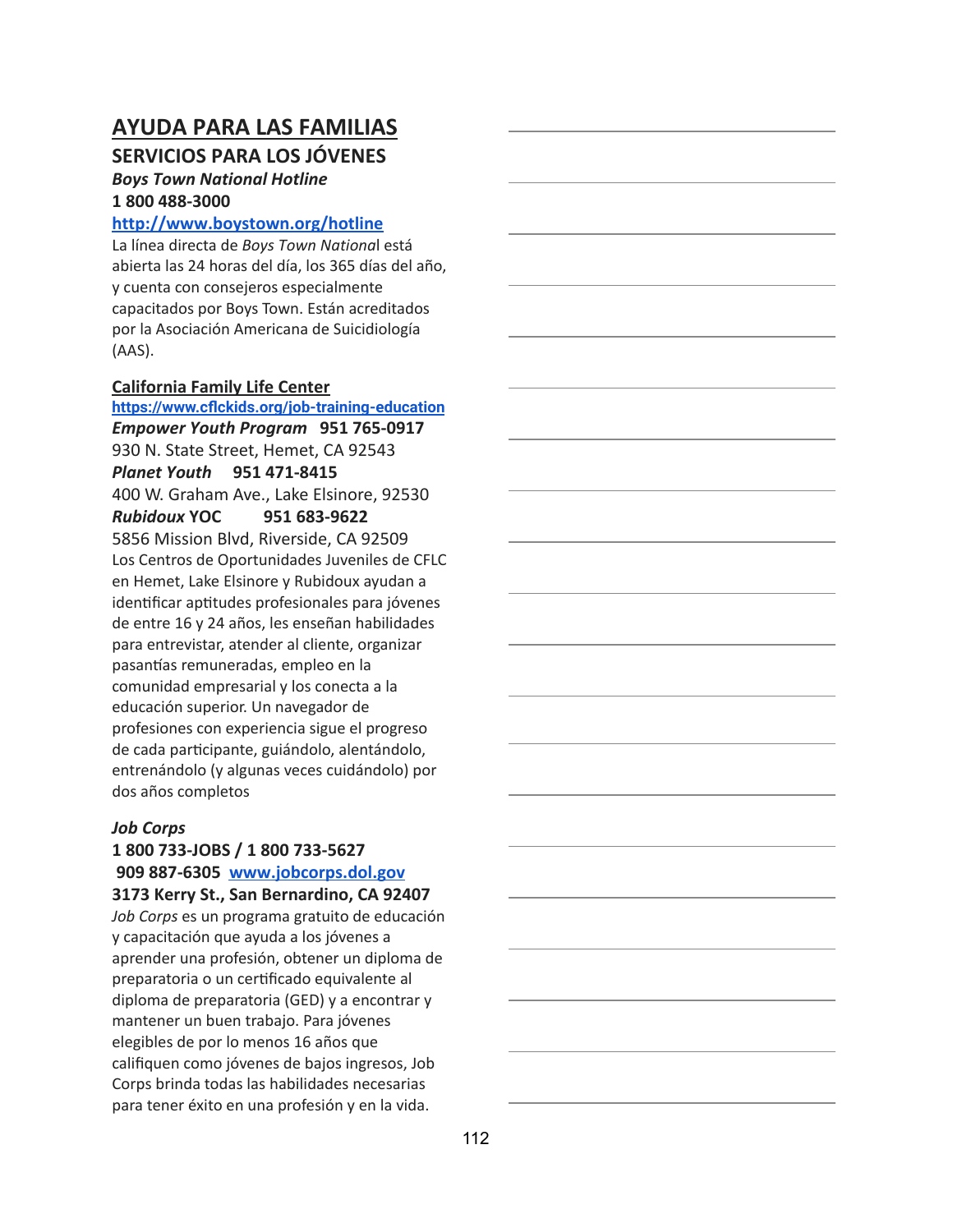### **SERVICIOS PARA LOS JÓVENES**

#### *Boys Town National Hotline* **1 800 488-3000**

#### **<http://www.boystown.org/hotline>**

La línea directa de *Boys Town Nationa*l está abierta las 24 horas del día, los 365 días del año, y cuenta con consejeros especialmente capacitados por Boys Town. Están acreditados por la Asociación Americana de Suicidiología (AAS).

#### **California Family Life Center**

**<https://www.cflckids.org/job-training-education>** *Empower Youth Program* **951 765-0917** 930 N. State Street, Hemet, CA 92543 *Planet Youth* **951 471-8415** 400 W. Graham Ave., Lake Elsinore, 92530 *Rubidoux* **YOC 951 683-9622** 5856 Mission Blvd, Riverside, CA 92509 Los Centros de Oportunidades Juveniles de CFLC en Hemet, Lake Elsinore y Rubidoux ayudan a identificar aptitudes profesionales para jóvenes de entre 16 y 24 años, les enseñan habilidades para entrevistar, atender al cliente, organizar pasantías remuneradas, empleo en la comunidad empresarial y los conecta a la educación superior. Un navegador de profesiones con experiencia sigue el progreso de cada participante, guiándolo, alentándolo, entrenándolo (y algunas veces cuidándolo) por dos años completos

#### *Job Corps*

### **1 800 733-JOBS / 1 800 733-5627 909 887-6305 [www.jobcorps.dol.gov](http://www.jobcorps.dol.gov/)**

**3173 Kerry St., San Bernardino, CA 92407** *Job Corps* es un programa gratuito de educación y capacitación que ayuda a los jóvenes a aprender una profesión, obtener un diploma de preparatoria o un cerficado equivalente al diploma de preparatoria (GED) y a encontrar y mantener un buen trabajo. Para jóvenes elegibles de por lo menos 16 años que califiquen como jóvenes de bajos ingresos, Job Corps brinda todas las habilidades necesarias para tener éxito en una profesión y en la vida.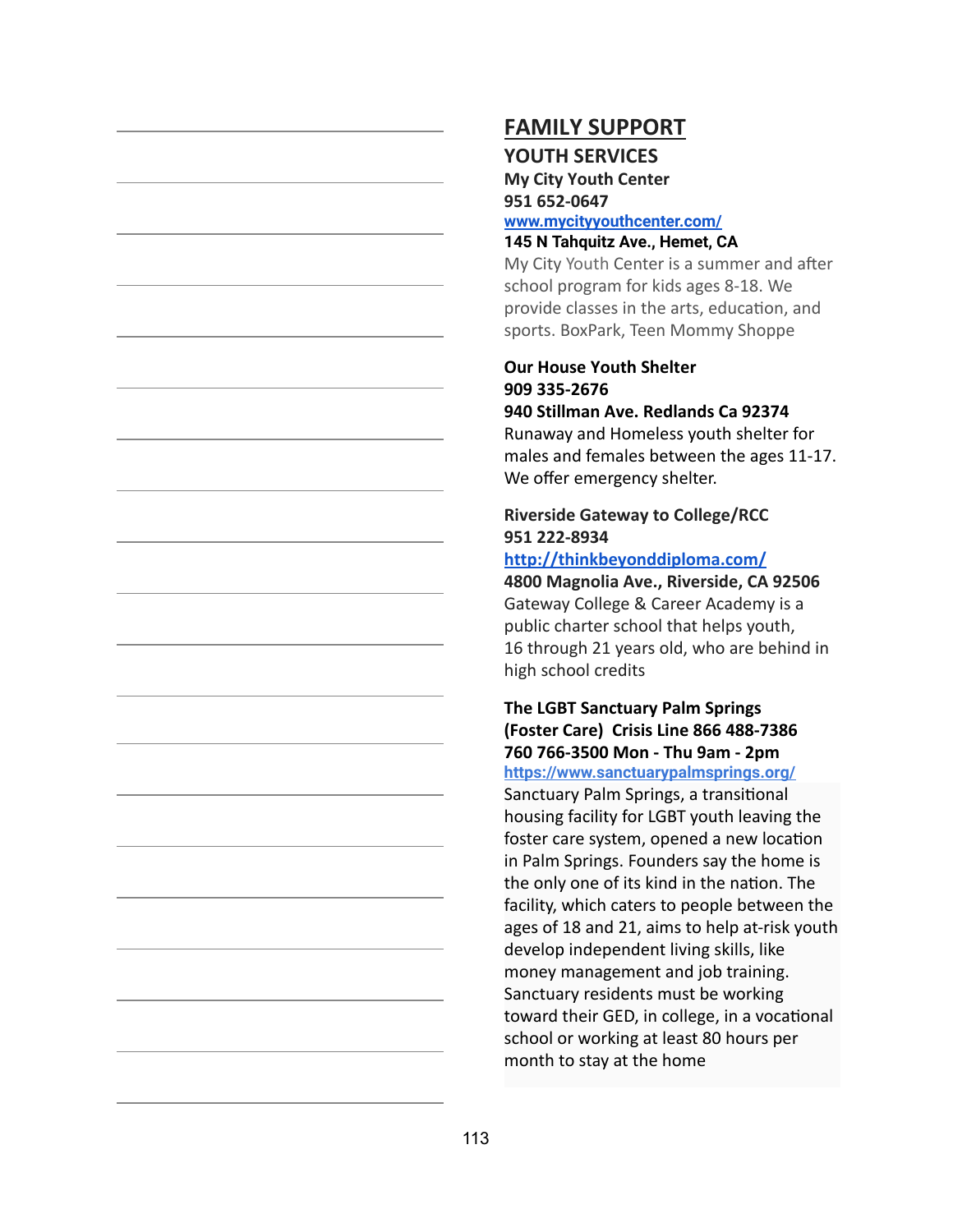### **FAMILY SUPPORT**

#### **YOUTH SERVICES**

**My City Youth Center 951 652-0647**

#### **[www.mycityyouthcenter.com/](http://www.mycityyouthcenter.com/) 145 N Tahquitz Ave., Hemet, CA**

My City Youth Center is a summer and after school program for kids ages 8-18. We provide classes in the arts, education, and sports. BoxPark, Teen Mommy Shoppe

#### **Our House Youth Shelter 909 335-2676 940 Stillman Ave. Redlands Ca 92374**

Runaway and Homeless youth shelter for males and females between the ages 11-17. We offer emergency shelter.

### **Riverside Gateway to College/RCC 951 222-8934**

### **<http://thinkbeyonddiploma.com/>**

**4800 Magnolia Ave., Riverside, CA 92506** Gateway College & Career Academy is a public charter school that helps youth, 16 through 21 years old, who are behind in high school credits

#### **The LGBT Sanctuary Palm Springs (Foster Care) Crisis Line 866 488-7386 760 766-3500 Mon - Thu 9am - 2pm <https://www.sanctuarypalmsprings.org/>**

Sanctuary Palm Springs, a transitional housing facility for LGBT youth leaving the foster care system, opened a new location in Palm Springs. Founders say the home is the only one of its kind in the nation. The facility, which caters to people between the ages of 18 and 21, aims to help at-risk youth develop independent living skills, like money management and job training. Sanctuary residents must be working toward their GED, in college, in a vocational school or working at least 80 hours per month to stay at the home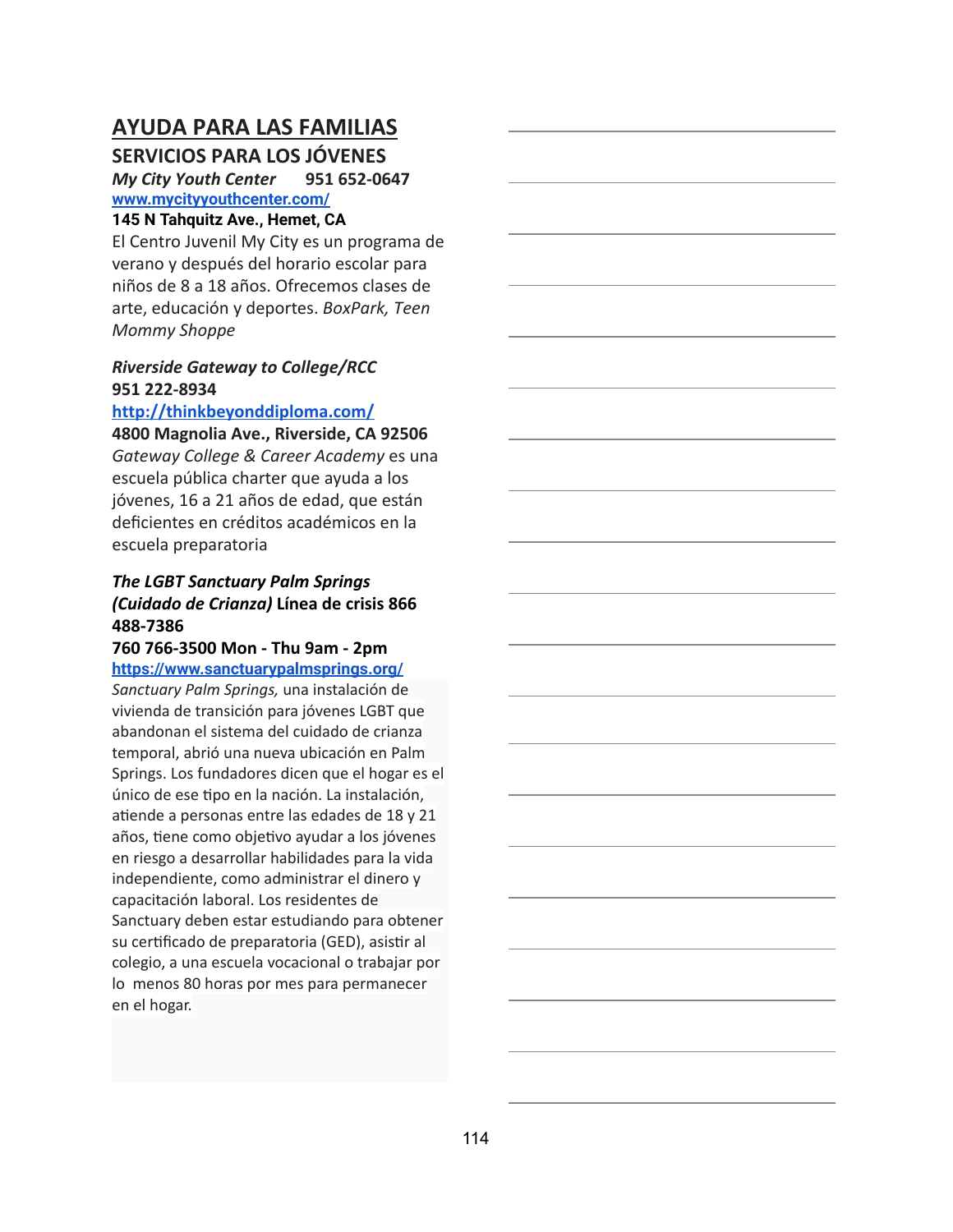### **SERVICIOS PARA LOS JÓVENES**

*My City Youth Center* **951 652-0647 [www.mycityyouthcenter.com/](http://www.mycityyouthcenter.com/)**

#### **145 N Tahquitz Ave., Hemet, CA**

El Centro Juvenil My City es un programa de verano y después del horario escolar para niños de 8 a 18 años. Ofrecemos clases de arte, educación y deportes. *BoxPark, Teen Mommy Shoppe*

#### *Riverside Gateway to College/RCC* **951 222-8934**

#### **<http://thinkbeyonddiploma.com/>**

**4800 Magnolia Ave., Riverside, CA 92506** *Gateway College & Career Academy* es una escuela pública charter que ayuda a los jóvenes, 16 a 21 años de edad, que están deficientes en créditos académicos en la escuela preparatoria

#### *The LGBT Sanctuary Palm Springs (Cuidado de Crianza)* **Línea de crisis 866 488-7386**

#### **760 766-3500 Mon - Thu 9am - 2pm <https://www.sanctuarypalmsprings.org/>**

*Sanctuary Palm Springs,* una instalación de vivienda de transición para jóvenes LGBT que abandonan el sistema del cuidado de crianza temporal, abrió una nueva ubicación en Palm Springs. Los fundadores dicen que el hogar es el único de ese tipo en la nación. La instalación, atiende a personas entre las edades de 18 y 21 años, tiene como objetivo ayudar a los jóvenes en riesgo a desarrollar habilidades para la vida independiente, como administrar el dinero y capacitación laboral. Los residentes de Sanctuary deben estar estudiando para obtener su certificado de preparatoria (GED), asistir al colegio, a una escuela vocacional o trabajar por lo menos 80 horas por mes para permanecer en el hogar.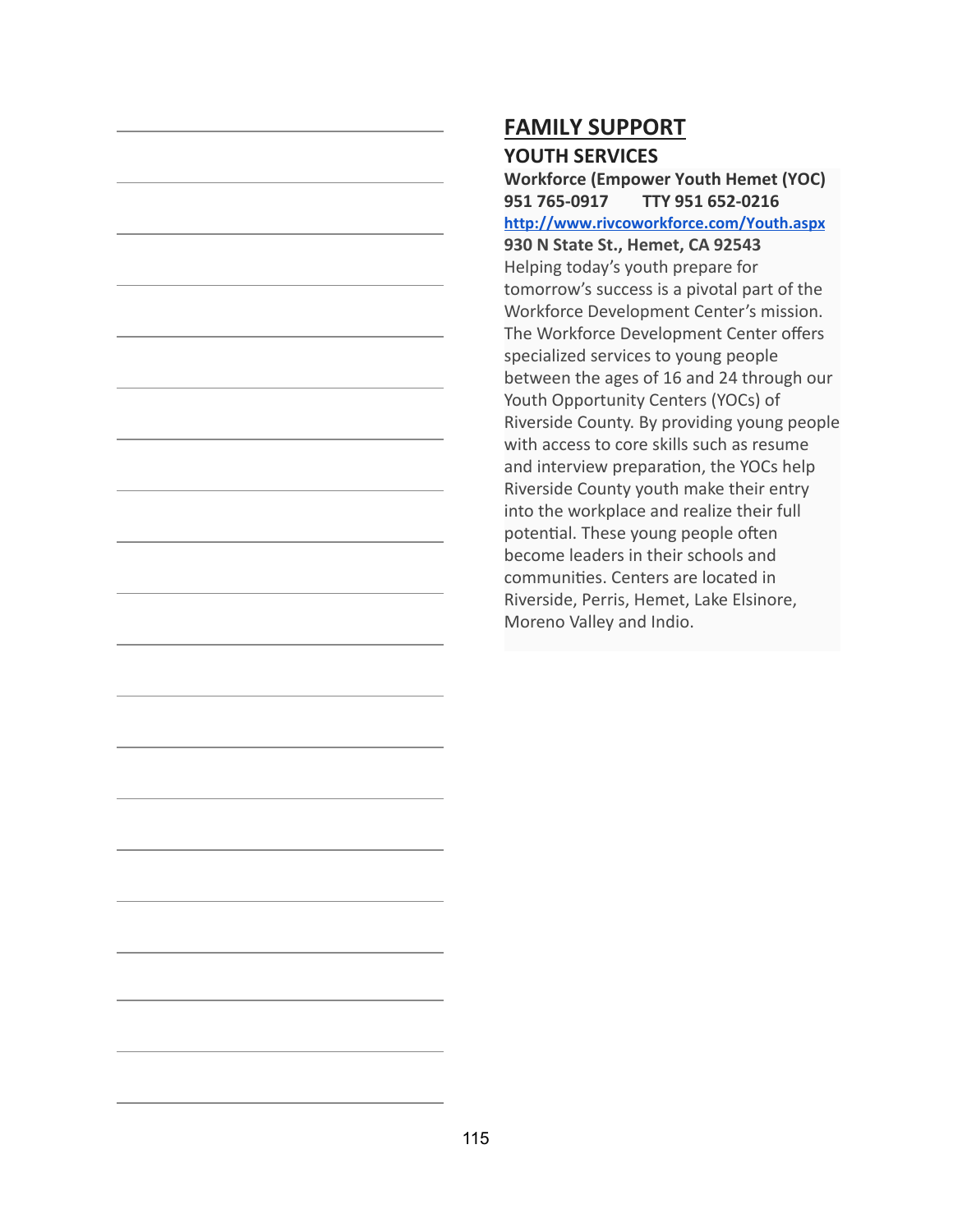# **FAMILY SUPPORT YOUTH SERVICES**

**Workforce (Empower Youth Hemet (YOC) 951 765-0917 TTY 951 652-0216 <http://www.rivcoworkforce.com/Youth.aspx> 930 N State St., Hemet, CA 92543** Helping today's youth prepare for tomorrow's success is a pivotal part of the Workforce Development Center's mission. The Workforce Development Center offers specialized services to young people between the ages of 16 and 24 through our Youth Opportunity Centers (YOCs) of Riverside County. By providing young people with access to core skills such as resume and interview preparation, the YOCs help Riverside County youth make their entry into the workplace and realize their full potential. These young people often become leaders in their schools and communities. Centers are located in Riverside, Perris, Hemet, Lake Elsinore, Moreno Valley and Indio.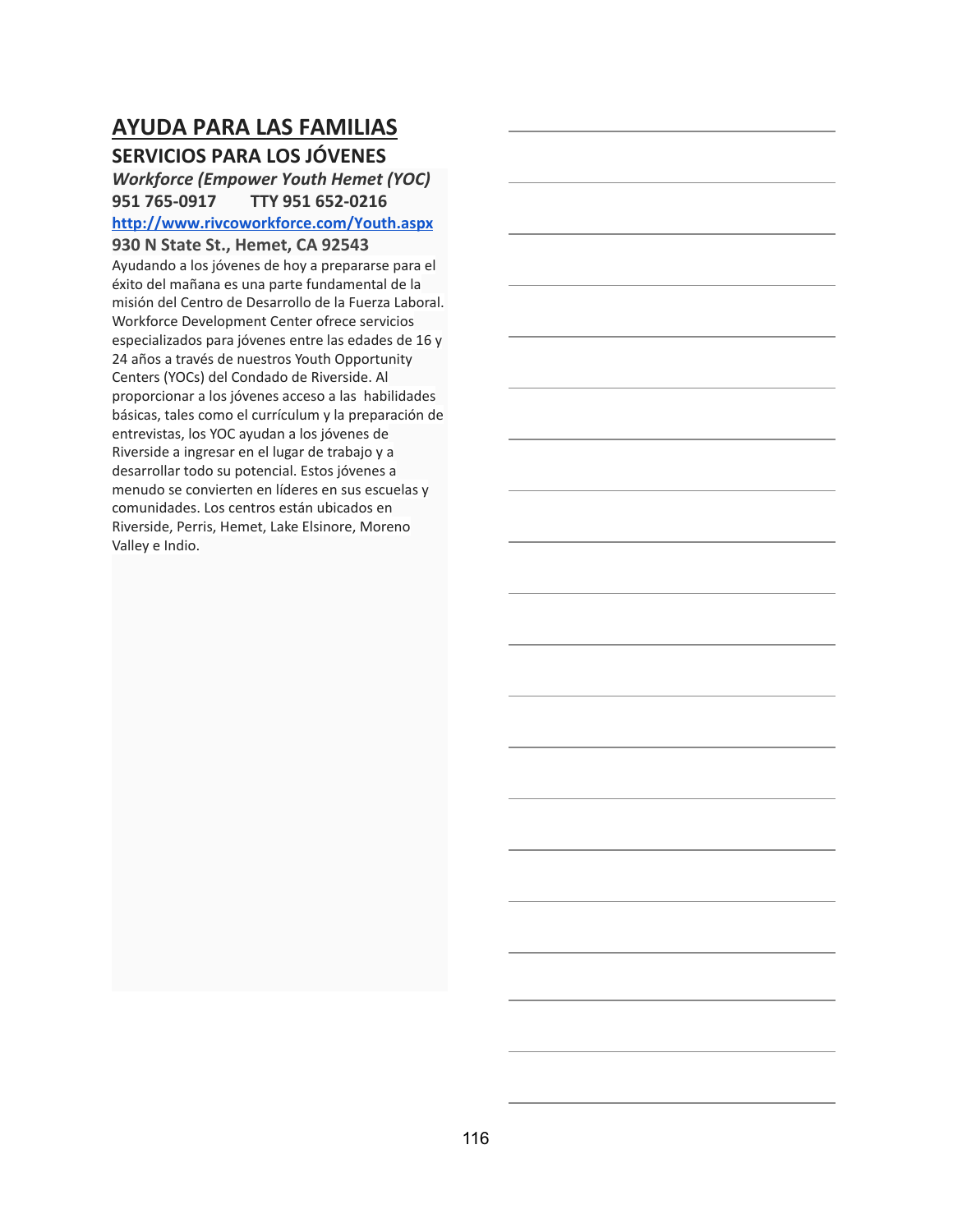## **AYUDA PARA LAS FAMILIAS SERVICIOS PARA LOS JÓVENES**

### *Workforce (Empower Youth Hemet (YOC)* **951 765-0917 TTY 951 652-0216 <http://www.rivcoworkforce.com/Youth.aspx>**

**930 N State St., Hemet, CA 92543**

Ayudando a los jóvenes de hoy a prepararse para el éxito del mañana es una parte fundamental de la misión del Centro de Desarrollo de la Fuerza Laboral. Workforce Development Center ofrece servicios especializados para jóvenes entre las edades de 16 y 24 años a través de nuestros Youth Opportunity Centers (YOCs) del Condado de Riverside. Al proporcionar a los jóvenes acceso a las habilidades básicas, tales como el currículum y la preparación de entrevistas, los YOC ayudan a los jóvenes de Riverside a ingresar en el lugar de trabajo y a desarrollar todo su potencial. Estos jóvenes a menudo se convierten en líderes en sus escuelas y comunidades. Los centros están ubicados en Riverside, Perris, Hemet, Lake Elsinore, Moreno Valley e Indio.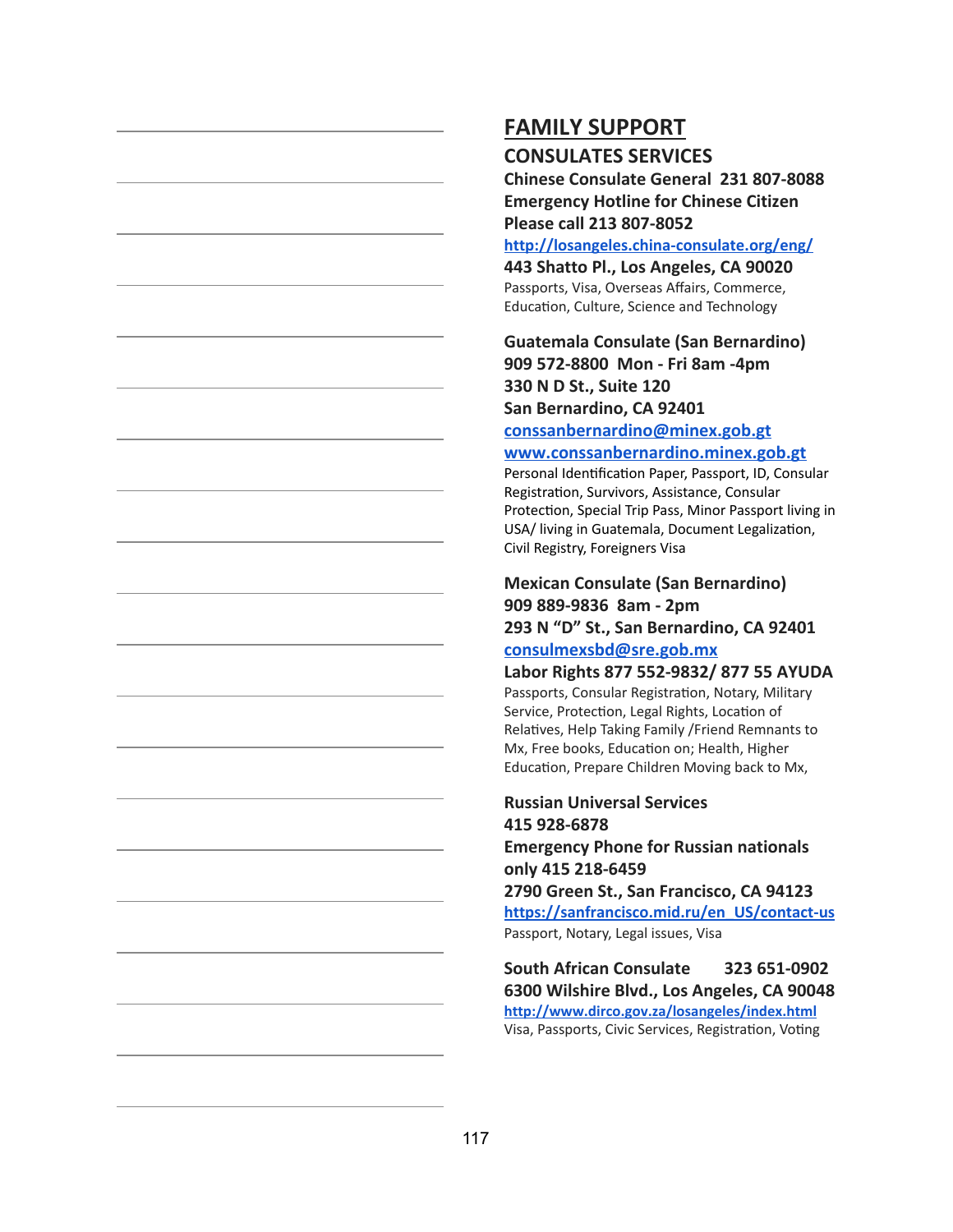# **FAMILY SUPPORT**

#### **CONSULATES SERVICES**

**Chinese Consulate General 231 807-8088 Emergency Hotline for Chinese Citizen Please call 213 807-8052**

**<http://losangeles.china-consulate.org/eng/>**

**443 Shatto Pl., Los Angeles, CA 90020** Passports, Visa, Overseas Affairs, Commerce, Education, Culture, Science and Technology

### **Guatemala Consulate (San Bernardino) 909 572-8800 Mon - Fri 8am -4pm 330 N D St., Suite 120 San Bernardino, CA 92401**

### **[conssanbernardino@minex.gob.gt](mailto:conssanbernardino@minex.gob.gt)**

#### **[www.conssanbernardino.minex.gob.gt](http://www.conssanbernardino.minex.gob.gt/)**

Personal Identification Paper, Passport, ID, Consular Registration, Survivors, Assistance, Consular Protection, Special Trip Pass, Minor Passport living in USA/ living in Guatemala, Document Legalization, Civil Registry, Foreigners Visa

## **Mexican Consulate (San Bernardino) 909 889-9836 8am - 2pm 293 N "D" St., San Bernardino, CA 92401**

#### **[consulmexsbd@sre.gob.mx](mailto:consulmexsbd@sre.gob.mx)**

#### **Labor Rights 877 552-9832/ 877 55 AYUDA** Passports, Consular Registration, Notary, Military

Service, Protection, Legal Rights, Location of Relatives, Help Taking Family / Friend Remnants to Mx, Free books, Education on; Health, Higher Education, Prepare Children Moving back to Mx,

# **Russian Universal Services 415 928-6878**

**Emergency Phone for Russian nationals only 415 218-6459**

**2790 Green St., San Francisco, CA 94123 [https://sanfrancisco.mid.ru/en\\_US/contact-us](https://sanfrancisco.mid.ru/en_US/contact-us)** Passport, Notary, Legal issues, Visa

**South African Consulate 323 651-0902 6300 Wilshire Blvd., Los Angeles, CA 90048 <http://www.dirco.gov.za/losangeles/index.html>** Visa, Passports, Civic Services, Registration, Voting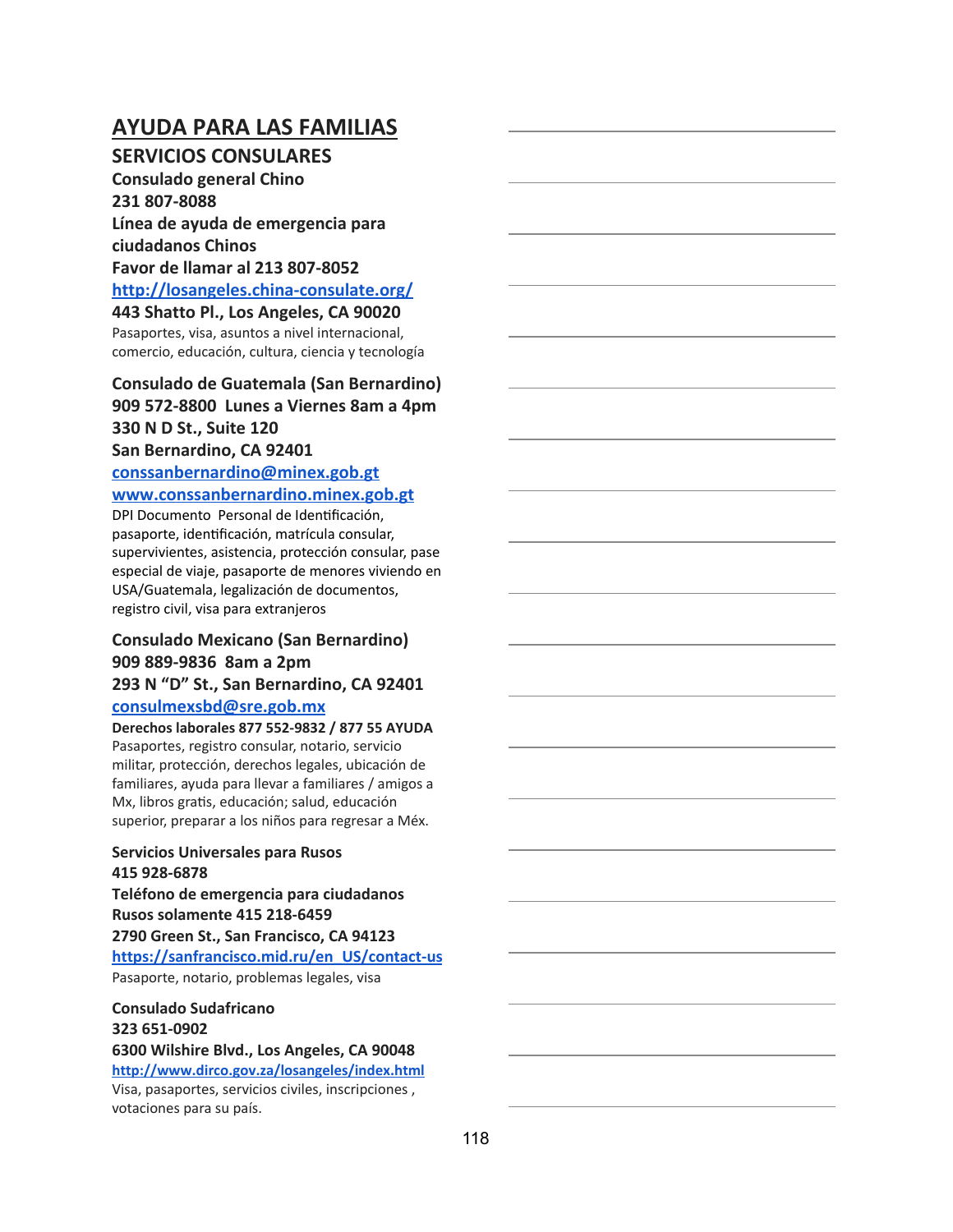### **SERVICIOS CONSULARES**

**Consulado general Chino 231 807-8088 Línea de ayuda de emergencia para ciudadanos Chinos Favor de llamar al 213 807-8052 [http://losangeles.china-consulate.org/](http://losangeles.china-consulate.org/eng/)**

**443 Shatto Pl., Los Angeles, CA 90020** Pasaportes, visa, asuntos a nivel internacional, comercio, educación, cultura, ciencia y tecnología

#### **Consulado de Guatemala (San Bernardino) 909 572-8800 Lunes a Viernes 8am a 4pm 330 N D St., Suite 120 San Bernardino, CA 92401**

## **[conssanbernardino@minex.gob.gt](mailto:conssanbernardino@minex.gob.gt) [www.conssanbernardino.minex.gob.gt](http://www.conssanbernardino.minex.gob.gt/)**

DPI Documento Personal de Idenficación, pasaporte, idenficación, matrícula consular, supervivientes, asistencia, protección consular, pase especial de viaje, pasaporte de menores viviendo en USA/Guatemala, legalización de documentos, registro civil, visa para extranjeros

### **Consulado Mexicano (San Bernardino) 909 889-9836 8am a 2pm 293 N "D" St., San Bernardino, CA 92401**

#### **[consulmexsbd@sre.gob.mx](mailto:consulmexsbd@sre.gob.mx)**

**Derechos laborales 877 552-9832 / 877 55 AYUDA** Pasaportes, registro consular, notario, servicio militar, protección, derechos legales, ubicación de familiares, ayuda para llevar a familiares / amigos a Mx, libros gratis, educación; salud, educación superior, preparar a los niños para regresar a Méx.

#### **Servicios Universales para Rusos 415 928-6878**

**Teléfono de emergencia para ciudadanos Rusos solamente 415 218-6459 2790 Green St., San Francisco, CA 94123 [https://sanfrancisco.mid.ru/en\\_US/contact-us](https://sanfrancisco.mid.ru/en_US/contact-us)** Pasaporte, notario, problemas legales, visa

#### **Consulado Sudafricano 323 651-0902**

**6300 Wilshire Blvd., Los Angeles, CA 90048 <http://www.dirco.gov.za/losangeles/index.html>** Visa, pasaportes, servicios civiles, inscripciones , votaciones para su país.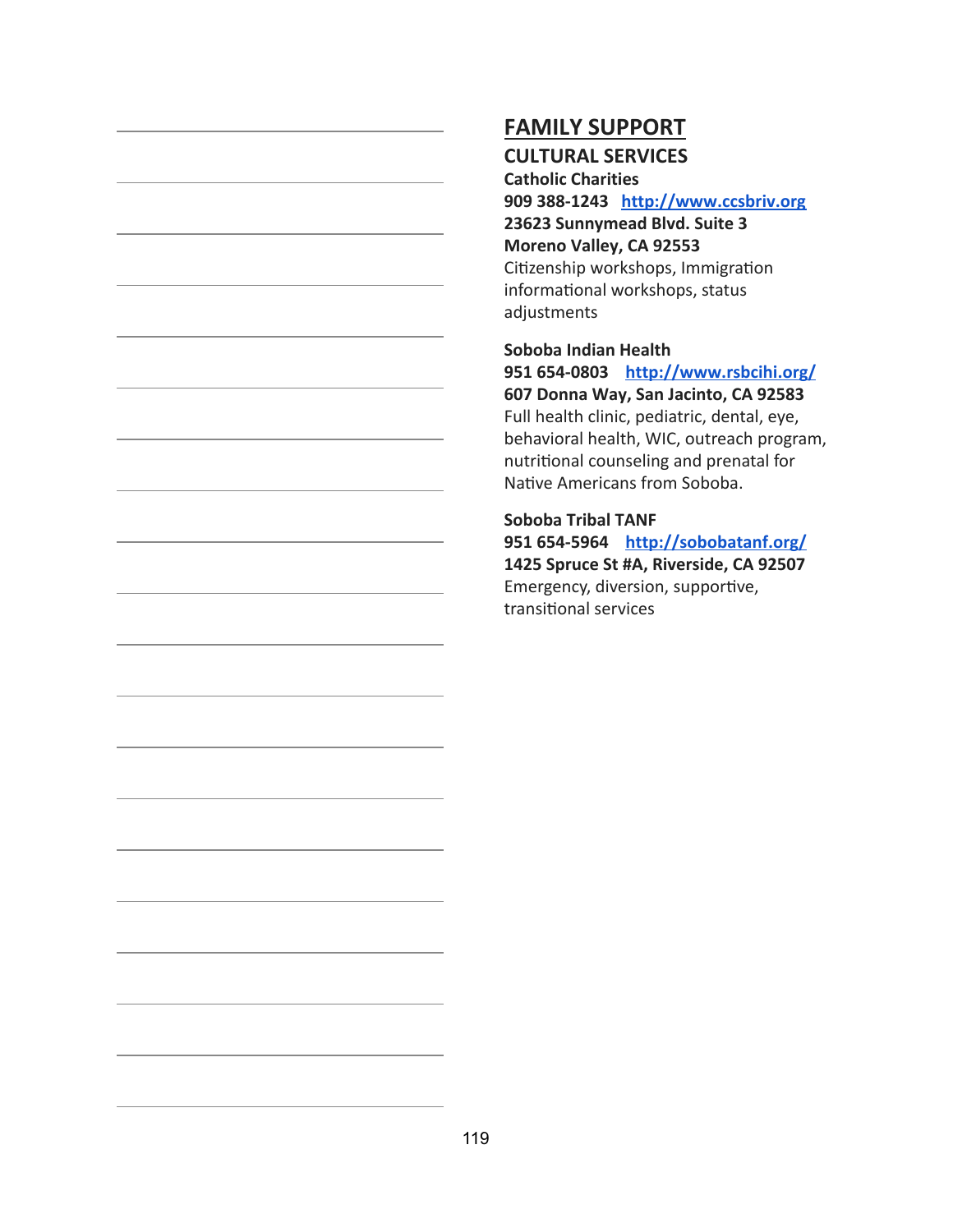# **FAMILY SUPPORT**

## **CULTURAL SERVICES**

**Catholic Charities 909 388-1243 [http://www.ccsbriv.org](http://www.ccsbriv.org/) 23623 Sunnymead Blvd. Suite 3 Moreno Valley, CA 92553** Citizenship workshops, Immigration informational workshops, status adjustments

**Soboba Indian Health 951 654-0803 <http://www.rsbcihi.org/> 607 Donna Way, San Jacinto, CA 92583** Full health clinic, pediatric, dental, eye, behavioral health, WIC, outreach program, nutritional counseling and prenatal for Native Americans from Soboba.

**Soboba Tribal TANF 951 654-5964 <http://sobobatanf.org/> 1425 Spruce St #A, Riverside, CA 92507** Emergency, diversion, supportive, transitional services